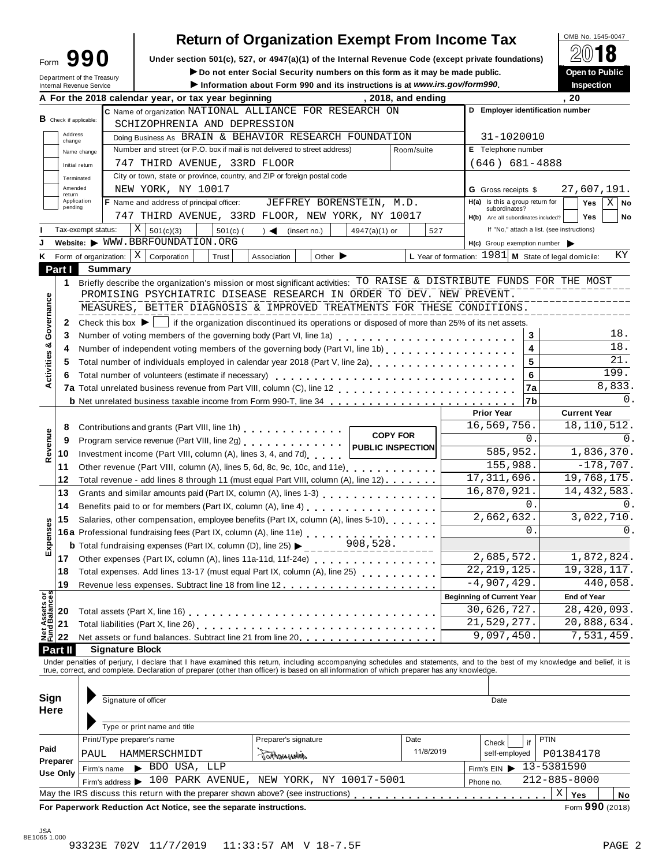## **Return of Organization Exempt From Income Tax**

Under section 501(c), 527, or 4947(a)(1) of the Internal Revenue Code (except private foundations) **Form 10 Bublic**<br>
Super to professional Security numbers on this form as it may be made public.

|                                              | Form JJU              |                        |                                                                                                                                                              |            |                      |                             | Under section 501(c), 527, or 4947(a)(1) or the internal Revenue Code (except private foundations) |                    |                                  |                                                  | (C) IV                                                                                                                                                                     |
|----------------------------------------------|-----------------------|------------------------|--------------------------------------------------------------------------------------------------------------------------------------------------------------|------------|----------------------|-----------------------------|----------------------------------------------------------------------------------------------------|--------------------|----------------------------------|--------------------------------------------------|----------------------------------------------------------------------------------------------------------------------------------------------------------------------------|
| Department of the Treasury                   |                       |                        |                                                                                                                                                              |            |                      |                             | Do not enter Social Security numbers on this form as it may be made public.                        |                    |                                  |                                                  | Open to Public                                                                                                                                                             |
| Internal Revenue Service                     |                       |                        |                                                                                                                                                              |            |                      |                             | Information about Form 990 and its instructions is at www.irs.gov/form990.                         |                    |                                  |                                                  | Inspection                                                                                                                                                                 |
|                                              |                       |                        | A For the 2018 calendar year, or tax year beginning                                                                                                          |            |                      |                             |                                                                                                    | , 2018, and ending |                                  |                                                  | . 20                                                                                                                                                                       |
| $B$ Check if applicable:                     |                       |                        | C Name of organization NATIONAL ALLIANCE FOR RESEARCH ON                                                                                                     |            |                      |                             |                                                                                                    |                    |                                  |                                                  | D Employer identification number                                                                                                                                           |
|                                              |                       |                        | SCHIZOPHRENIA AND DEPRESSION                                                                                                                                 |            |                      |                             |                                                                                                    |                    |                                  |                                                  |                                                                                                                                                                            |
| Address<br>change                            |                       |                        | Doing Business As BRAIN & BEHAVIOR RESEARCH FOUNDATION                                                                                                       |            |                      |                             |                                                                                                    |                    |                                  | 31-1020010                                       |                                                                                                                                                                            |
|                                              | Name change           |                        | Number and street (or P.O. box if mail is not delivered to street address)                                                                                   |            |                      |                             |                                                                                                    | Room/suite         |                                  | E Telephone number                               |                                                                                                                                                                            |
|                                              | Initial return        |                        | 747 THIRD AVENUE, 33RD FLOOR                                                                                                                                 |            |                      |                             |                                                                                                    |                    |                                  | $(646) 681 - 4888$                               |                                                                                                                                                                            |
|                                              | Terminated            |                        | City or town, state or province, country, and ZIP or foreign postal code                                                                                     |            |                      |                             |                                                                                                    |                    |                                  |                                                  |                                                                                                                                                                            |
| return                                       | Amended               |                        | NEW YORK, NY 10017                                                                                                                                           |            |                      |                             |                                                                                                    |                    |                                  | <b>G</b> Gross receipts \$                       | 27,607,191.                                                                                                                                                                |
| pending                                      | Application           |                        | F Name and address of principal officer:                                                                                                                     |            |                      |                             | JEFFREY BORENSTEIN, M.D.                                                                           |                    |                                  | H(a) Is this a group return for<br>subordinates? | $X \mid$ No<br>Yes                                                                                                                                                         |
|                                              |                       |                        | 747 THIRD AVENUE, 33RD FLOOR, NEW YORK, NY 10017                                                                                                             |            |                      |                             |                                                                                                    |                    |                                  | H(b) Are all subordinates included?              | <b>Yes</b><br>No                                                                                                                                                           |
|                                              | Tax-exempt status:    |                        | Χ<br>501(c)(3)                                                                                                                                               | $501(c)$ ( | $\rightarrow$        | (insert no.)                | $4947(a)(1)$ or                                                                                    | 527                |                                  |                                                  | If "No," attach a list. (see instructions)                                                                                                                                 |
|                                              |                       |                        | Website: WWW.BBRFOUNDATION.ORG                                                                                                                               |            |                      |                             |                                                                                                    |                    |                                  | $H(c)$ Group exemption number $\triangleright$   |                                                                                                                                                                            |
|                                              | Form of organization: |                        | $\vert$ X<br>Corporation                                                                                                                                     | Trust      | Association          | Other $\blacktriangleright$ |                                                                                                    |                    |                                  |                                                  | ΚY<br>L Year of formation: $1981$ M State of legal domicile:                                                                                                               |
| Part I                                       |                       | Summary                |                                                                                                                                                              |            |                      |                             |                                                                                                    |                    |                                  |                                                  |                                                                                                                                                                            |
| 1                                            |                       |                        |                                                                                                                                                              |            |                      |                             |                                                                                                    |                    |                                  |                                                  | Briefly describe the organization's mission or most significant activities: TO RAISE & DISTRIBUTE FUNDS FOR THE MOST                                                       |
|                                              |                       |                        | PROMISING PSYCHIATRIC DISEASE RESEARCH IN ORDER TO DEV. NEW PREVENT.                                                                                         |            |                      |                             |                                                                                                    |                    |                                  |                                                  |                                                                                                                                                                            |
| Governance                                   |                       |                        | MEASURES, BETTER DIAGNOSIS & IMPROVED TREATMENTS FOR THESE CONDITIONS.                                                                                       |            |                      |                             |                                                                                                    |                    |                                  |                                                  |                                                                                                                                                                            |
| 2                                            |                       |                        | Check this box $\blacktriangleright$   if the organization discontinued its operations or disposed of more than 25% of its net assets.                       |            |                      |                             |                                                                                                    |                    |                                  |                                                  |                                                                                                                                                                            |
| 3                                            |                       |                        | Number of voting members of the governing body (Part VI, line 1a)                                                                                            |            |                      |                             |                                                                                                    |                    |                                  | 3                                                | 18.                                                                                                                                                                        |
| 4                                            |                       |                        | Number of independent voting members of the governing body (Part VI, line 1b)                                                                                |            |                      |                             |                                                                                                    |                    |                                  | 4                                                | 18.                                                                                                                                                                        |
| 5                                            |                       |                        | Total number of individuals employed in calendar year 2018 (Part V, line 2a)<br>Total number of individuals employed in calendar year 2018 (Part V, line 2a) |            |                      |                             |                                                                                                    |                    |                                  | 5                                                | 21.                                                                                                                                                                        |
| Activities &<br>6                            |                       |                        | Total number of volunteers (estimate if necessary)                                                                                                           |            |                      |                             |                                                                                                    |                    |                                  | 6                                                | 199.                                                                                                                                                                       |
|                                              |                       |                        |                                                                                                                                                              |            |                      |                             |                                                                                                    |                    |                                  | 7a                                               | 8,833.                                                                                                                                                                     |
|                                              |                       |                        |                                                                                                                                                              |            |                      |                             |                                                                                                    |                    |                                  | 7b                                               | $\Omega$ .                                                                                                                                                                 |
|                                              |                       |                        |                                                                                                                                                              |            |                      |                             |                                                                                                    |                    | <b>Prior Year</b>                |                                                  | <b>Current Year</b>                                                                                                                                                        |
| 8                                            |                       |                        | Contributions and grants (Part VIII, line 1h)                                                                                                                |            |                      |                             |                                                                                                    |                    |                                  | 16,569,756.                                      | 18, 110, 512.                                                                                                                                                              |
| 9                                            |                       |                        | Program service revenue (Part VIII, line 2g)                                                                                                                 |            |                      |                             | <b>COPY FOR</b>                                                                                    |                    |                                  | 0.                                               | 0.                                                                                                                                                                         |
| Revenue<br>10                                |                       |                        | Investment income (Part VIII, column (A), lines 3, 4, and 7d)                                                                                                |            |                      |                             | PUBLIC INSPECTION                                                                                  |                    |                                  | 585,952.                                         | 1,836,370.                                                                                                                                                                 |
| 11                                           |                       |                        | Other revenue (Part VIII, column (A), lines 5, 6d, 8c, 9c, 10c, and 11e)                                                                                     |            |                      |                             |                                                                                                    |                    |                                  | 155,988.                                         | $-178,707.$                                                                                                                                                                |
| 12                                           |                       |                        | Total revenue - add lines 8 through 11 (must equal Part VIII, column (A), line 12)                                                                           |            |                      |                             |                                                                                                    |                    |                                  | 17, 311, 696.                                    | 19,768,175.                                                                                                                                                                |
| 13                                           |                       |                        |                                                                                                                                                              |            |                      |                             |                                                                                                    |                    |                                  | 16,870,921.                                      | 14, 432, 583.                                                                                                                                                              |
| 14                                           |                       |                        |                                                                                                                                                              |            |                      |                             |                                                                                                    |                    |                                  | 0.                                               | 0.                                                                                                                                                                         |
| 15                                           |                       |                        | Salaries, other compensation, employee benefits (Part IX, column (A), lines 5-10)                                                                            |            |                      |                             |                                                                                                    |                    |                                  | 2,662,632.                                       | 3,022,710.                                                                                                                                                                 |
| xpenses                                      |                       |                        |                                                                                                                                                              |            |                      |                             |                                                                                                    |                    |                                  | 0.                                               | 0.                                                                                                                                                                         |
|                                              |                       |                        | 16a Professional fundraising fees (Part IX, column (A), line 11e)<br><b>b</b> Total fundraising expenses (Part IX, column (D), line 25)                      |            |                      |                             | 908,528.                                                                                           |                    |                                  |                                                  |                                                                                                                                                                            |
| ш<br>17                                      |                       |                        |                                                                                                                                                              |            |                      |                             |                                                                                                    |                    |                                  | 2,685,572.                                       | 1,872,824.                                                                                                                                                                 |
|                                              |                       |                        |                                                                                                                                                              |            |                      |                             |                                                                                                    |                    |                                  | 22, 219, 125.                                    | 19, 328, 117.                                                                                                                                                              |
| 18                                           |                       |                        | Total expenses. Add lines 13-17 (must equal Part IX, column (A), line 25) [ [ [ [ [ ] ] [ ] [ ] [ ] [ ]                                                      |            |                      |                             |                                                                                                    |                    |                                  | $-4,907,429.$                                    | 440,058.                                                                                                                                                                   |
| 19                                           |                       |                        |                                                                                                                                                              |            |                      |                             |                                                                                                    |                    | <b>Beginning of Current Year</b> |                                                  |                                                                                                                                                                            |
|                                              |                       |                        |                                                                                                                                                              |            |                      |                             |                                                                                                    |                    |                                  | 30,626,727.                                      | <b>End of Year</b>                                                                                                                                                         |
| <b>Net Assets or<br/>Fund Balances</b><br>20 |                       |                        |                                                                                                                                                              |            |                      |                             |                                                                                                    |                    |                                  | 21,529,277.                                      | 28, 420, 093.                                                                                                                                                              |
| 21                                           |                       |                        |                                                                                                                                                              |            |                      |                             |                                                                                                    |                    |                                  |                                                  | 20,888,634.                                                                                                                                                                |
| 22                                           |                       |                        | Net assets or fund balances. Subtract line 21 from line 20                                                                                                   |            |                      |                             |                                                                                                    |                    |                                  | 9,097,450.                                       | 7,531,459.                                                                                                                                                                 |
| Part II                                      |                       | <b>Signature Block</b> |                                                                                                                                                              |            |                      |                             |                                                                                                    |                    |                                  |                                                  |                                                                                                                                                                            |
|                                              |                       |                        | true, correct, and complete. Declaration of preparer (other than officer) is based on all information of which preparer has any knowledge.                   |            |                      |                             |                                                                                                    |                    |                                  |                                                  | Under penalties of perjury, I declare that I have examined this return, including accompanying schedules and statements, and to the best of my knowledge and belief, it is |
|                                              |                       |                        |                                                                                                                                                              |            |                      |                             |                                                                                                    |                    |                                  |                                                  |                                                                                                                                                                            |
| Sign                                         |                       |                        |                                                                                                                                                              |            |                      |                             |                                                                                                    |                    |                                  |                                                  |                                                                                                                                                                            |
| Here                                         |                       |                        | Signature of officer                                                                                                                                         |            |                      |                             |                                                                                                    |                    |                                  | Date                                             |                                                                                                                                                                            |
|                                              |                       |                        |                                                                                                                                                              |            |                      |                             |                                                                                                    |                    |                                  |                                                  |                                                                                                                                                                            |
|                                              |                       |                        | Type or print name and title                                                                                                                                 |            |                      |                             |                                                                                                    |                    |                                  |                                                  |                                                                                                                                                                            |
|                                              |                       |                        | Print/Type preparer's name                                                                                                                                   |            | Preparer's signature |                             |                                                                                                    | Date               | Check                            | if                                               | PTIN                                                                                                                                                                       |
| Paid                                         | PAUL                  |                        | HAMMERSCHMIDT                                                                                                                                                |            | dathomyworks         |                             |                                                                                                    | 11/8/2019          |                                  | self-employed                                    | P01384178                                                                                                                                                                  |
| Preparer                                     |                       | Firm's name            | $\blacktriangleright$ BDO USA, LLP                                                                                                                           |            |                      |                             |                                                                                                    |                    | Firm's $EIN$                     |                                                  | 13-5381590                                                                                                                                                                 |
|                                              |                       |                        |                                                                                                                                                              |            |                      |                             |                                                                                                    |                    |                                  |                                                  |                                                                                                                                                                            |
| <b>Use Only</b>                              |                       |                        |                                                                                                                                                              |            |                      |                             | Firm's address > 100 PARK AVENUE, NEW YORK, NY 10017-5001                                          |                    | Phone no.                        |                                                  | $212 - 885 - 8000$                                                                                                                                                         |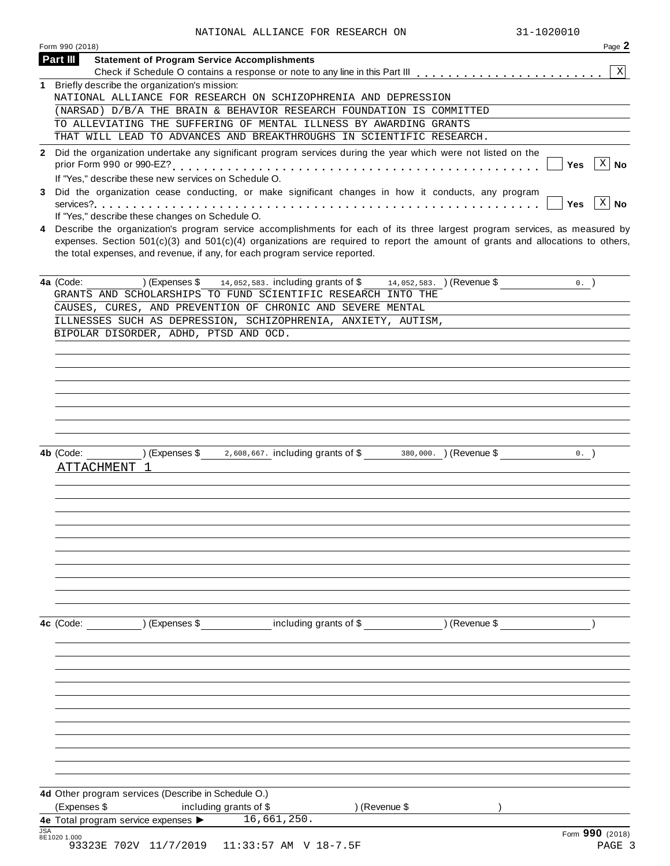| NAIIONAD ADDIANCE FOR RESEARCH ON                                                                                                                                                                                                                                                                                                                 |
|---------------------------------------------------------------------------------------------------------------------------------------------------------------------------------------------------------------------------------------------------------------------------------------------------------------------------------------------------|
| Page 2<br>Form 990 (2018)                                                                                                                                                                                                                                                                                                                         |
| <b>Statement of Program Service Accomplishments</b><br>Part III                                                                                                                                                                                                                                                                                   |
| X                                                                                                                                                                                                                                                                                                                                                 |
| 1 Briefly describe the organization's mission:                                                                                                                                                                                                                                                                                                    |
| NATIONAL ALLIANCE FOR RESEARCH ON SCHIZOPHRENIA AND DEPRESSION                                                                                                                                                                                                                                                                                    |
| (NARSAD) D/B/A THE BRAIN & BEHAVIOR RESEARCH FOUNDATION IS COMMITTED                                                                                                                                                                                                                                                                              |
| TO ALLEVIATING THE SUFFERING OF MENTAL ILLNESS BY AWARDING GRANTS                                                                                                                                                                                                                                                                                 |
| THAT WILL LEAD TO ADVANCES AND BREAKTHROUGHS IN SCIENTIFIC RESEARCH.                                                                                                                                                                                                                                                                              |
|                                                                                                                                                                                                                                                                                                                                                   |
| 2 Did the organization undertake any significant program services during the year which were not listed on the<br>$\overline{X}$ No                                                                                                                                                                                                               |
| <b>Yes</b>                                                                                                                                                                                                                                                                                                                                        |
| If "Yes," describe these new services on Schedule O.                                                                                                                                                                                                                                                                                              |
| Did the organization cease conducting, or make significant changes in how it conducts, any program<br>3                                                                                                                                                                                                                                           |
| X No<br>Yes                                                                                                                                                                                                                                                                                                                                       |
| If "Yes," describe these changes on Schedule O.                                                                                                                                                                                                                                                                                                   |
| 4 Describe the organization's program service accomplishments for each of its three largest program services, as measured by<br>expenses. Section $501(c)(3)$ and $501(c)(4)$ organizations are required to report the amount of grants and allocations to others,<br>the total expenses, and revenue, if any, for each program service reported. |
|                                                                                                                                                                                                                                                                                                                                                   |
| 4a (Code:<br>) (Expenses \$<br>14, 052, 583. including grants of \$14, 052, 583. (Revenue \$<br>$0.$ )                                                                                                                                                                                                                                            |
| GRANTS AND SCHOLARSHIPS TO FUND SCIENTIFIC RESEARCH INTO THE                                                                                                                                                                                                                                                                                      |
| CAUSES, CURES, AND PREVENTION OF CHRONIC AND SEVERE MENTAL                                                                                                                                                                                                                                                                                        |
| ILLNESSES SUCH AS DEPRESSION, SCHIZOPHRENIA, ANXIETY, AUTISM,                                                                                                                                                                                                                                                                                     |
| BIPOLAR DISORDER, ADHD, PTSD AND OCD.                                                                                                                                                                                                                                                                                                             |
|                                                                                                                                                                                                                                                                                                                                                   |
|                                                                                                                                                                                                                                                                                                                                                   |
|                                                                                                                                                                                                                                                                                                                                                   |
|                                                                                                                                                                                                                                                                                                                                                   |
|                                                                                                                                                                                                                                                                                                                                                   |
|                                                                                                                                                                                                                                                                                                                                                   |
|                                                                                                                                                                                                                                                                                                                                                   |
|                                                                                                                                                                                                                                                                                                                                                   |
|                                                                                                                                                                                                                                                                                                                                                   |
| 2,608,667. including grants of \$380,000. ) (Revenue \$<br>) (Expenses \$<br>4b (Code:<br>0.                                                                                                                                                                                                                                                      |
| ATTACHMENT 1                                                                                                                                                                                                                                                                                                                                      |
|                                                                                                                                                                                                                                                                                                                                                   |
|                                                                                                                                                                                                                                                                                                                                                   |
|                                                                                                                                                                                                                                                                                                                                                   |
|                                                                                                                                                                                                                                                                                                                                                   |
|                                                                                                                                                                                                                                                                                                                                                   |
|                                                                                                                                                                                                                                                                                                                                                   |
|                                                                                                                                                                                                                                                                                                                                                   |
|                                                                                                                                                                                                                                                                                                                                                   |
|                                                                                                                                                                                                                                                                                                                                                   |
|                                                                                                                                                                                                                                                                                                                                                   |
|                                                                                                                                                                                                                                                                                                                                                   |
|                                                                                                                                                                                                                                                                                                                                                   |
|                                                                                                                                                                                                                                                                                                                                                   |
| including grants of \$<br>) (Expenses \$<br>) (Revenue \$<br>4c (Code:                                                                                                                                                                                                                                                                            |
|                                                                                                                                                                                                                                                                                                                                                   |
|                                                                                                                                                                                                                                                                                                                                                   |
|                                                                                                                                                                                                                                                                                                                                                   |
|                                                                                                                                                                                                                                                                                                                                                   |
|                                                                                                                                                                                                                                                                                                                                                   |
|                                                                                                                                                                                                                                                                                                                                                   |
|                                                                                                                                                                                                                                                                                                                                                   |
|                                                                                                                                                                                                                                                                                                                                                   |
|                                                                                                                                                                                                                                                                                                                                                   |
|                                                                                                                                                                                                                                                                                                                                                   |
|                                                                                                                                                                                                                                                                                                                                                   |
|                                                                                                                                                                                                                                                                                                                                                   |
|                                                                                                                                                                                                                                                                                                                                                   |
|                                                                                                                                                                                                                                                                                                                                                   |
| 4d Other program services (Describe in Schedule O.)                                                                                                                                                                                                                                                                                               |
| (Expenses \$<br>) (Revenue \$<br>including grants of \$                                                                                                                                                                                                                                                                                           |
| 16,661,250.                                                                                                                                                                                                                                                                                                                                       |
| 4e Total program service expenses ><br><b>JSA</b>                                                                                                                                                                                                                                                                                                 |
| Form 990 (2018)<br>8E1020 1.000                                                                                                                                                                                                                                                                                                                   |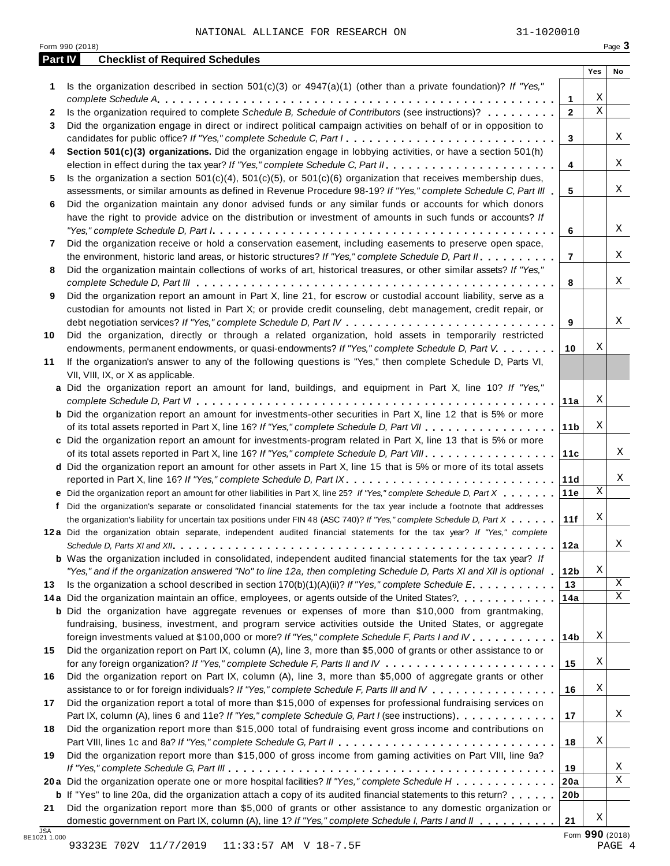|              | Form 990 (2018)                                                                                                                                                                                                                                                                                                                                                                               |                        |             | Page 3 |
|--------------|-----------------------------------------------------------------------------------------------------------------------------------------------------------------------------------------------------------------------------------------------------------------------------------------------------------------------------------------------------------------------------------------------|------------------------|-------------|--------|
| Part IV      | <b>Checklist of Required Schedules</b>                                                                                                                                                                                                                                                                                                                                                        |                        | Yes         | No     |
| 1            | Is the organization described in section $501(c)(3)$ or $4947(a)(1)$ (other than a private foundation)? If "Yes,"                                                                                                                                                                                                                                                                             |                        | Χ           |        |
| $\mathbf{2}$ | Is the organization required to complete Schedule B, Schedule of Contributors (see instructions)?                                                                                                                                                                                                                                                                                             | 1<br>$\overline{2}$    | $\mathbf X$ |        |
| 3            | Did the organization engage in direct or indirect political campaign activities on behalf of or in opposition to                                                                                                                                                                                                                                                                              |                        |             |        |
|              | candidates for public office? If "Yes," complete Schedule C, Part I.                                                                                                                                                                                                                                                                                                                          | 3                      |             | Χ      |
| 4            | Section 501(c)(3) organizations. Did the organization engage in lobbying activities, or have a section 501(h)                                                                                                                                                                                                                                                                                 |                        |             |        |
|              |                                                                                                                                                                                                                                                                                                                                                                                               | 4                      |             | Χ      |
| 5.           | Is the organization a section $501(c)(4)$ , $501(c)(5)$ , or $501(c)(6)$ organization that receives membership dues,                                                                                                                                                                                                                                                                          |                        |             |        |
|              | assessments, or similar amounts as defined in Revenue Procedure 98-19? If "Yes," complete Schedule C, Part III                                                                                                                                                                                                                                                                                | 5                      |             | Χ      |
| 6            | Did the organization maintain any donor advised funds or any similar funds or accounts for which donors                                                                                                                                                                                                                                                                                       |                        |             |        |
|              | have the right to provide advice on the distribution or investment of amounts in such funds or accounts? If                                                                                                                                                                                                                                                                                   |                        |             |        |
|              | "Yes," complete Schedule D, Part $l_1, \ldots, l_k, \ldots, l_k, \ldots, l_k, \ldots, l_k, \ldots, l_k, \ldots, l_k, \ldots, l_k, \ldots, l_k, \ldots, l_k, \ldots, l_k, \ldots, l_k, \ldots, l_k, \ldots, l_k, \ldots, l_k, \ldots, l_k, \ldots, l_k, \ldots, l_k, \ldots, l_k, \ldots, l_k, \ldots, l_k, \ldots, l_k, \ldots, l_k, \ldots, l_k, \ldots, l_k, \ldots, l_k, \ldots, l_k, \ld$ | 6                      |             | Χ      |
| 7            | Did the organization receive or hold a conservation easement, including easements to preserve open space,                                                                                                                                                                                                                                                                                     |                        |             |        |
|              | the environment, historic land areas, or historic structures? If "Yes," complete Schedule D, Part II.                                                                                                                                                                                                                                                                                         | 7                      |             | Χ      |
| 8            | Did the organization maintain collections of works of art, historical treasures, or other similar assets? If "Yes,"                                                                                                                                                                                                                                                                           |                        |             |        |
|              |                                                                                                                                                                                                                                                                                                                                                                                               | 8                      |             | Χ      |
| 9            | Did the organization report an amount in Part X, line 21, for escrow or custodial account liability, serve as a<br>custodian for amounts not listed in Part X; or provide credit counseling, debt management, credit repair, or                                                                                                                                                               |                        |             |        |
|              |                                                                                                                                                                                                                                                                                                                                                                                               | 9                      |             | Χ      |
| 10           | Did the organization, directly or through a related organization, hold assets in temporarily restricted                                                                                                                                                                                                                                                                                       |                        |             |        |
|              | endowments, permanent endowments, or quasi-endowments? If "Yes," complete Schedule D, Part V.                                                                                                                                                                                                                                                                                                 | 10                     | Χ           |        |
| 11           | If the organization's answer to any of the following questions is "Yes," then complete Schedule D, Parts VI,                                                                                                                                                                                                                                                                                  |                        |             |        |
|              | VII, VIII, IX, or X as applicable.                                                                                                                                                                                                                                                                                                                                                            |                        |             |        |
|              | a Did the organization report an amount for land, buildings, and equipment in Part X, line 10? If "Yes,"                                                                                                                                                                                                                                                                                      |                        |             |        |
|              |                                                                                                                                                                                                                                                                                                                                                                                               | 11a                    | Χ           |        |
|              | <b>b</b> Did the organization report an amount for investments-other securities in Part X, line 12 that is 5% or more                                                                                                                                                                                                                                                                         |                        |             |        |
|              |                                                                                                                                                                                                                                                                                                                                                                                               | 11 <sub>b</sub>        | Χ           |        |
|              | c Did the organization report an amount for investments-program related in Part X, line 13 that is 5% or more                                                                                                                                                                                                                                                                                 |                        |             |        |
|              | of its total assets reported in Part X, line 16? If "Yes," complete Schedule D, Part VIII                                                                                                                                                                                                                                                                                                     | 11c                    |             | Χ      |
|              | d Did the organization report an amount for other assets in Part X, line 15 that is 5% or more of its total assets                                                                                                                                                                                                                                                                            |                        |             |        |
|              | reported in Part X, line 16? If "Yes," complete Schedule D, Part IX.                                                                                                                                                                                                                                                                                                                          | 11d                    | $\mathbf X$ | Χ      |
|              | e Did the organization report an amount for other liabilities in Part X, line 25? If "Yes," complete Schedule D, Part X                                                                                                                                                                                                                                                                       | 11e                    |             |        |
|              | f Did the organization's separate or consolidated financial statements for the tax year include a footnote that addresses<br>the organization's liability for uncertain tax positions under FIN 48 (ASC 740)? If "Yes," complete Schedule D, Part $X$ , ,                                                                                                                                     | 11f                    | Χ           |        |
|              | 12a Did the organization obtain separate, independent audited financial statements for the tax year? If "Yes," complete                                                                                                                                                                                                                                                                       |                        |             |        |
|              |                                                                                                                                                                                                                                                                                                                                                                                               | 12a                    |             | Χ      |
|              | <b>b</b> Was the organization included in consolidated, independent audited financial statements for the tax year? If                                                                                                                                                                                                                                                                         |                        |             |        |
|              | "Yes," and if the organization answered "No" to line 12a, then completing Schedule D, Parts XI and XII is optional 1                                                                                                                                                                                                                                                                          | 12 <sub>b</sub>        | Χ           |        |
| 13           | Is the organization a school described in section $170(b)(1)(A)(ii)?$ If "Yes," complete Schedule E.                                                                                                                                                                                                                                                                                          | 13                     |             | X      |
|              |                                                                                                                                                                                                                                                                                                                                                                                               | 14a                    |             | Χ      |
|              | <b>b</b> Did the organization have aggregate revenues or expenses of more than \$10,000 from grantmaking,                                                                                                                                                                                                                                                                                     |                        |             |        |
|              | fundraising, business, investment, and program service activities outside the United States, or aggregate                                                                                                                                                                                                                                                                                     |                        |             |        |
|              | foreign investments valued at \$100,000 or more? If "Yes," complete Schedule F, Parts I and IV.                                                                                                                                                                                                                                                                                               | 14b                    | Χ           |        |
| 15           | Did the organization report on Part IX, column (A), line 3, more than \$5,000 of grants or other assistance to or                                                                                                                                                                                                                                                                             |                        |             |        |
|              |                                                                                                                                                                                                                                                                                                                                                                                               | 15                     | Χ           |        |
| 16           | Did the organization report on Part IX, column (A), line 3, more than \$5,000 of aggregate grants or other                                                                                                                                                                                                                                                                                    |                        |             |        |
|              | assistance to or for foreign individuals? If "Yes," complete Schedule F, Parts III and IV                                                                                                                                                                                                                                                                                                     | 16                     | Χ           |        |
| 17           | Did the organization report a total of more than \$15,000 of expenses for professional fundraising services on<br>Part IX, column (A), lines 6 and 11e? If "Yes," complete Schedule G, Part I (see instructions)                                                                                                                                                                              | 17                     |             | Χ      |
|              | Did the organization report more than \$15,000 total of fundraising event gross income and contributions on                                                                                                                                                                                                                                                                                   |                        |             |        |
| 18           |                                                                                                                                                                                                                                                                                                                                                                                               | 18                     | Χ           |        |
|              | Did the organization report more than \$15,000 of gross income from gaming activities on Part VIII, line 9a?                                                                                                                                                                                                                                                                                  |                        |             |        |
|              |                                                                                                                                                                                                                                                                                                                                                                                               |                        |             | Χ      |
| 19           |                                                                                                                                                                                                                                                                                                                                                                                               |                        |             |        |
|              |                                                                                                                                                                                                                                                                                                                                                                                               | 19                     |             | Χ      |
|              | 20a Did the organization operate one or more hospital facilities? If "Yes," complete Schedule H                                                                                                                                                                                                                                                                                               | 20a<br>20 <sub>b</sub> |             |        |
| 21           | <b>b</b> If "Yes" to line 20a, did the organization attach a copy of its audited financial statements to this return?<br>Did the organization report more than \$5,000 of grants or other assistance to any domestic organization or                                                                                                                                                          |                        |             |        |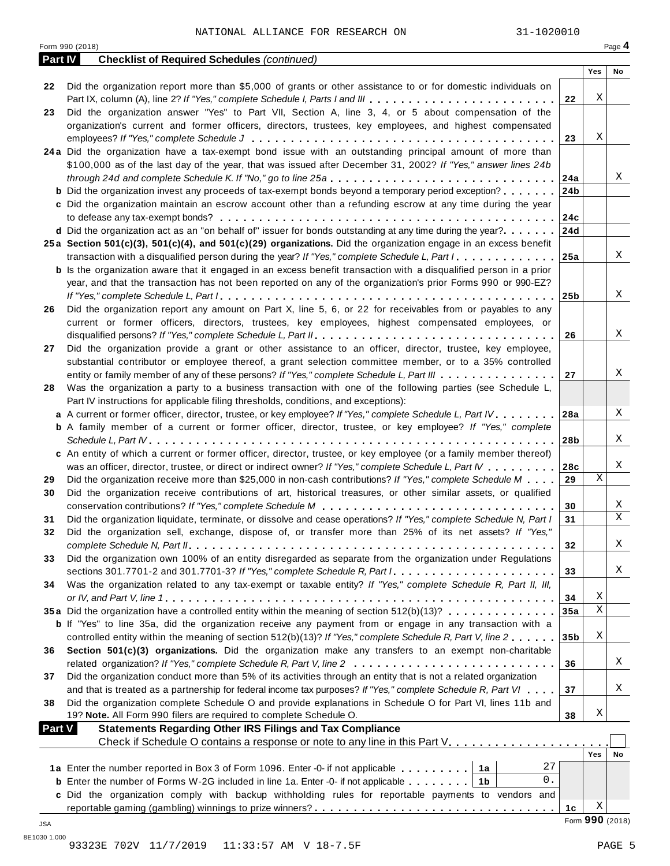|                | Form 990 (2018)                                                                                                                       |                 |                 | Page 4 |
|----------------|---------------------------------------------------------------------------------------------------------------------------------------|-----------------|-----------------|--------|
| <b>Part IV</b> | <b>Checklist of Required Schedules (continued)</b>                                                                                    |                 |                 |        |
|                |                                                                                                                                       |                 | Yes             | No     |
| 22             | Did the organization report more than \$5,000 of grants or other assistance to or for domestic individuals on                         |                 |                 |        |
|                | Part IX, column (A), line 2? If "Yes," complete Schedule I, Parts I and III                                                           | 22              | Χ               |        |
| 23             | Did the organization answer "Yes" to Part VII, Section A, line 3, 4, or 5 about compensation of the                                   |                 |                 |        |
|                | organization's current and former officers, directors, trustees, key employees, and highest compensated                               |                 |                 |        |
|                |                                                                                                                                       | 23              | Χ               |        |
|                | 24a Did the organization have a tax-exempt bond issue with an outstanding principal amount of more than                               |                 |                 |        |
|                | \$100,000 as of the last day of the year, that was issued after December 31, 2002? If "Yes," answer lines 24b                         |                 |                 |        |
|                | through 24d and complete Schedule K. If "No," go to line 25a                                                                          | 24a             |                 | Χ      |
|                | <b>b</b> Did the organization invest any proceeds of tax-exempt bonds beyond a temporary period exception?                            | 24 <sub>b</sub> |                 |        |
|                | c Did the organization maintain an escrow account other than a refunding escrow at any time during the year                           |                 |                 |        |
|                |                                                                                                                                       | 24c             |                 |        |
|                | <b>d</b> Did the organization act as an "on behalf of" issuer for bonds outstanding at any time during the year? $\dots$              | 24d             |                 |        |
|                | 25a Section 501(c)(3), 501(c)(4), and 501(c)(29) organizations. Did the organization engage in an excess benefit                      |                 |                 |        |
|                | transaction with a disqualified person during the year? If "Yes," complete Schedule L, Part I.                                        | 25a             |                 | Χ      |
|                | <b>b</b> Is the organization aware that it engaged in an excess benefit transaction with a disqualified person in a prior             |                 |                 |        |
|                | year, and that the transaction has not been reported on any of the organization's prior Forms 990 or 990-EZ?                          |                 |                 |        |
|                |                                                                                                                                       | 25b             |                 | Χ      |
| 26             | Did the organization report any amount on Part X, line 5, 6, or 22 for receivables from or payables to any                            |                 |                 |        |
|                | current or former officers, directors, trustees, key employees, highest compensated employees, or                                     |                 |                 |        |
|                |                                                                                                                                       | 26              |                 | Χ      |
| 27             | Did the organization provide a grant or other assistance to an officer, director, trustee, key employee,                              |                 |                 |        |
|                | substantial contributor or employee thereof, a grant selection committee member, or to a 35% controlled                               |                 |                 |        |
|                | entity or family member of any of these persons? If "Yes," complete Schedule L, Part III                                              | 27              |                 | Χ      |
| 28             | Was the organization a party to a business transaction with one of the following parties (see Schedule L,                             |                 |                 |        |
|                | Part IV instructions for applicable filing thresholds, conditions, and exceptions):                                                   |                 |                 |        |
|                | a A current or former officer, director, trustee, or key employee? If "Yes," complete Schedule L, Part IV                             | 28a             |                 | Χ      |
|                | <b>b</b> A family member of a current or former officer, director, trustee, or key employee? If "Yes," complete                       |                 |                 |        |
|                |                                                                                                                                       | 28b             |                 | Χ      |
|                | c An entity of which a current or former officer, director, trustee, or key employee (or a family member thereof)                     |                 |                 |        |
|                | was an officer, director, trustee, or direct or indirect owner? If "Yes," complete Schedule L, Part IV                                | 28c             |                 | Χ      |
| 29             | Did the organization receive more than \$25,000 in non-cash contributions? If "Yes," complete Schedule M                              | 29              | Χ               |        |
| 30             | Did the organization receive contributions of art, historical treasures, or other similar assets, or qualified                        |                 |                 |        |
|                | conservation contributions? If "Yes," complete Schedule $M_1, \ldots, \ldots, \ldots, \ldots, \ldots, \ldots, \ldots, \ldots, \ldots$ | 30              |                 | Χ      |
| 31             | Did the organization liquidate, terminate, or dissolve and cease operations? If "Yes," complete Schedule N, Part I                    | 31              |                 | X      |
| 32             | Did the organization sell, exchange, dispose of, or transfer more than 25% of its net assets? If "Yes,"                               |                 |                 |        |
|                |                                                                                                                                       | 32              |                 | Χ      |
| 33             | Did the organization own 100% of an entity disregarded as separate from the organization under Regulations                            |                 |                 |        |
|                | sections 301.7701-2 and 301.7701-3? If "Yes," complete Schedule R, Part $l_1, \ldots, l_l, l_l, \ldots, l_l, l_l, l_l, l_l$           | 33              |                 | Χ      |
| 34             | Was the organization related to any tax-exempt or taxable entity? If "Yes," complete Schedule R, Part II, III,                        |                 |                 |        |
|                |                                                                                                                                       | 34              | Χ               |        |
|                | 35a Did the organization have a controlled entity within the meaning of section 512(b)(13)?                                           | 35a             | Χ               |        |
|                | <b>b</b> If "Yes" to line 35a, did the organization receive any payment from or engage in any transaction with a                      |                 |                 |        |
|                | controlled entity within the meaning of section 512(b)(13)? If "Yes," complete Schedule R, Part V, line 2                             | 35b             | Χ               |        |
| 36             | Section 501(c)(3) organizations. Did the organization make any transfers to an exempt non-charitable                                  |                 |                 |        |
|                |                                                                                                                                       | 36              |                 | Χ      |
| 37             | Did the organization conduct more than 5% of its activities through an entity that is not a related organization                      |                 |                 |        |
|                | and that is treated as a partnership for federal income tax purposes? If "Yes," complete Schedule R, Part VI                          | 37              |                 | Χ      |
| 38             | Did the organization complete Schedule O and provide explanations in Schedule O for Part VI, lines 11b and                            |                 |                 |        |
|                | 19? Note. All Form 990 filers are required to complete Schedule O.                                                                    | 38              | Χ               |        |
| <b>Part V</b>  | <b>Statements Regarding Other IRS Filings and Tax Compliance</b>                                                                      |                 |                 |        |
|                |                                                                                                                                       |                 |                 |        |
|                |                                                                                                                                       |                 | Yes             | No     |
|                | 27<br>1a Enter the number reported in Box 3 of Form 1096. Enter -0- if not applicable   1a                                            |                 |                 |        |
|                | 0.<br><b>b</b> Enter the number of Forms W-2G included in line 1a. Enter -0- if not applicable   1b                                   |                 |                 |        |
|                | c Did the organization comply with backup withholding rules for reportable payments to vendors and                                    |                 |                 |        |
|                |                                                                                                                                       | 1 <sub>c</sub>  | Χ               |        |
| JSA            |                                                                                                                                       |                 | Form 990 (2018) |        |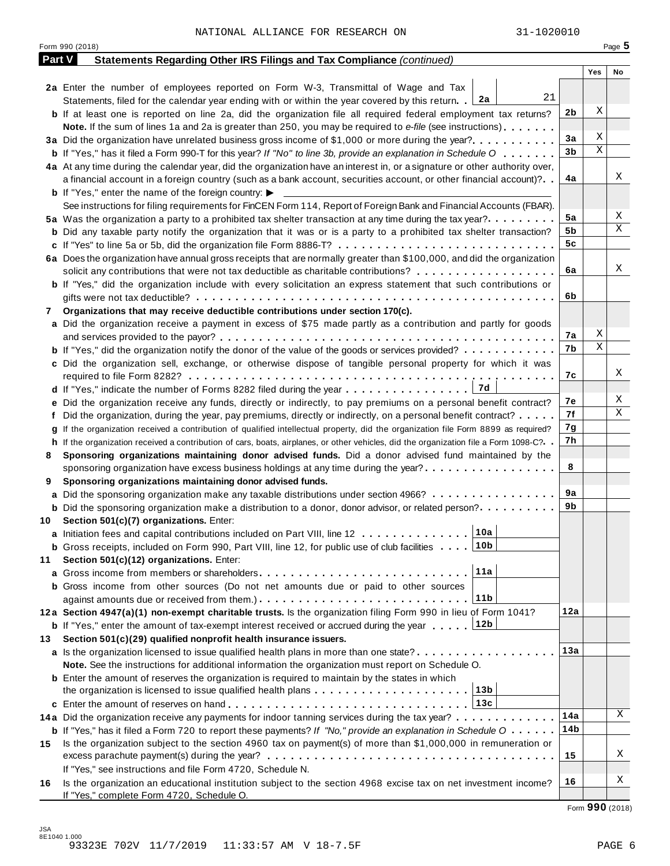|               | Form 990 (2018)                                                                                                                              |     | Page 5 |
|---------------|----------------------------------------------------------------------------------------------------------------------------------------------|-----|--------|
| <b>Part V</b> | Statements Regarding Other IRS Filings and Tax Compliance (continued)                                                                        |     |        |
|               |                                                                                                                                              | Yes | No     |
|               | 2a Enter the number of employees reported on Form W-3, Transmittal of Wage and Tax                                                           |     |        |
|               | 21<br>Statements, filed for the calendar year ending with or within the year covered by this return. [2a]                                    |     |        |
|               | <b>b</b> If at least one is reported on line 2a, did the organization file all required federal employment tax returns?                      | 2b  | Χ      |
|               | <b>Note.</b> If the sum of lines 1a and 2a is greater than 250, you may be required to e-file (see instructions).                            |     |        |
|               | 3a Did the organization have unrelated business gross income of \$1,000 or more during the year?                                             | За  | Χ<br>Χ |
|               | <b>b</b> If "Yes," has it filed a Form 990-T for this year? If "No" to line 3b, provide an explanation in Schedule O                         | 3b  |        |
|               | 4a At any time during the calendar year, did the organization have an interest in, or a signature or other authority over,                   |     |        |
|               | a financial account in a foreign country (such as a bank account, securities account, or other financial account)?                           | 4a  | Χ      |
|               | <b>b</b> If "Yes," enter the name of the foreign country: $\blacktriangleright$                                                              |     |        |
|               | See instructions for filing requirements for FinCEN Form 114, Report of Foreign Bank and Financial Accounts (FBAR).                          |     |        |
|               | 5a Was the organization a party to a prohibited tax shelter transaction at any time during the tax year?.                                    | 5a  | Χ      |
|               | <b>b</b> Did any taxable party notify the organization that it was or is a party to a prohibited tax shelter transaction?                    | 5b  | Χ      |
|               | c If "Yes" to line 5a or 5b, did the organization file Form 8886-T?                                                                          | 5c  |        |
|               | 6a Does the organization have annual gross receipts that are normally greater than \$100,000, and did the organization                       |     |        |
|               | solicit any contributions that were not tax deductible as charitable contributions?                                                          | 6a  | Χ      |
|               | <b>b</b> If "Yes," did the organization include with every solicitation an express statement that such contributions or                      |     |        |
|               |                                                                                                                                              | 6b  |        |
| 7             | Organizations that may receive deductible contributions under section 170(c).                                                                |     |        |
|               | a Did the organization receive a payment in excess of \$75 made partly as a contribution and partly for goods                                |     |        |
|               |                                                                                                                                              | 7а  | Χ      |
|               | <b>b</b> If "Yes," did the organization notify the donor of the value of the goods or services provided?                                     | 7b  | Χ      |
|               | c Did the organization sell, exchange, or otherwise dispose of tangible personal property for which it was                                   |     |        |
|               |                                                                                                                                              | 7с  | Χ      |
|               |                                                                                                                                              |     |        |
|               | e Did the organization receive any funds, directly or indirectly, to pay premiums on a personal benefit contract?                            | 7е  | Χ      |
|               | f Did the organization, during the year, pay premiums, directly or indirectly, on a personal benefit contract?                               | 7f  | Χ      |
|               | If the organization received a contribution of qualified intellectual property, did the organization file Form 8899 as required?             | 7g  |        |
|               | h If the organization received a contribution of cars, boats, airplanes, or other vehicles, did the organization file a Form 1098-C?         | 7h  |        |
| 8             | Sponsoring organizations maintaining donor advised funds. Did a donor advised fund maintained by the                                         |     |        |
|               | sponsoring organization have excess business holdings at any time during the year?                                                           | 8   |        |
| 9             | Sponsoring organizations maintaining donor advised funds.                                                                                    |     |        |
|               | <b>a</b> Did the sponsoring organization make any taxable distributions under section 4966?                                                  | 9а  |        |
|               | <b>b</b> Did the sponsoring organization make a distribution to a donor, donor advisor, or related person?                                   | 9b  |        |
| 10            | Section 501(c)(7) organizations. Enter:                                                                                                      |     |        |
|               | 10a <br>a Initiation fees and capital contributions included on Part VIII, line 12                                                           |     |        |
|               | <b>b</b> Gross receipts, included on Form 990, Part VIII, line 12, for public use of club facilities 10b                                     |     |        |
| 11            | Section 501(c)(12) organizations. Enter:                                                                                                     |     |        |
|               | 11a                                                                                                                                          |     |        |
|               | b Gross income from other sources (Do not net amounts due or paid to other sources                                                           |     |        |
|               | 11b                                                                                                                                          |     |        |
|               | 12a Section 4947(a)(1) non-exempt charitable trusts. Is the organization filing Form 990 in lieu of Form 1041?                               | 12a |        |
|               | 12b<br><b>b</b> If "Yes," enter the amount of tax-exempt interest received or accrued during the year                                        |     |        |
| 13.           | Section 501(c)(29) qualified nonprofit health insurance issuers.                                                                             |     |        |
|               | a Is the organization licensed to issue qualified health plans in more than one state?                                                       | 13а |        |
|               | Note. See the instructions for additional information the organization must report on Schedule O.                                            |     |        |
|               | <b>b</b> Enter the amount of reserves the organization is required to maintain by the states in which                                        |     |        |
|               | the organization is licensed to issue qualified health plans $\ldots \ldots \ldots \ldots \ldots \ldots \ldots$                              |     |        |
|               |                                                                                                                                              |     |        |
|               | 14a Did the organization receive any payments for indoor tanning services during the tax year?                                               | 14a | Χ      |
|               | <b>b</b> If "Yes," has it filed a Form 720 to report these payments? If "No," provide an explanation in Schedule $0 \cdot \cdot \cdot \cdot$ | 14b |        |
| 15            | Is the organization subject to the section 4960 tax on payment(s) of more than \$1,000,000 in remuneration or                                |     |        |
|               |                                                                                                                                              | 15  | Χ      |
|               | If "Yes," see instructions and file Form 4720, Schedule N.                                                                                   |     |        |
| 16            | Is the organization an educational institution subject to the section 4968 excise tax on net investment income?                              | 16  | Χ      |
|               | If "Yes," complete Form 4720, Schedule O.                                                                                                    |     |        |

Form **990** (2018)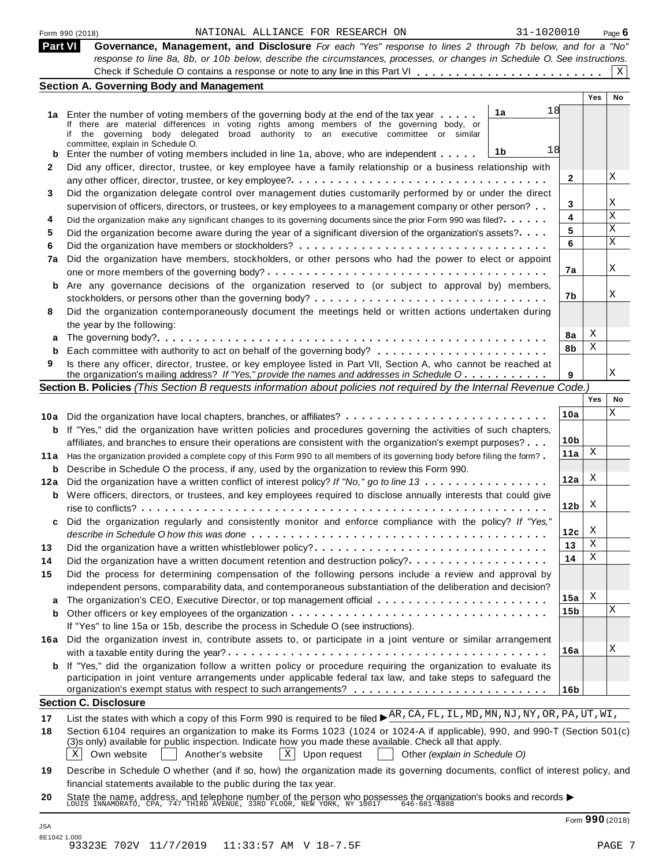|              | NATIONAL ALLIANCE FOR RESEARCH ON<br>31-1020010<br>Form 990 (2018)                                                        |              |            | Page 6 |
|--------------|---------------------------------------------------------------------------------------------------------------------------|--------------|------------|--------|
| Part VI      | Governance, Management, and Disclosure For each "Yes" response to lines 2 through 7b below, and for a "No"                |              |            |        |
|              | response to line 8a, 8b, or 10b below, describe the circumstances, processes, or changes in Schedule O. See instructions. |              |            |        |
|              |                                                                                                                           |              |            | Χ      |
|              | <b>Section A. Governing Body and Management</b>                                                                           |              |            |        |
|              |                                                                                                                           |              | <b>Yes</b> | No     |
|              | 18<br>1a<br>1a Enter the number of voting members of the governing body at the end of the tax year                        |              |            |        |
|              | If there are material differences in voting rights among members of the governing body, or                                |              |            |        |
|              | the governing body delegated broad authority to an executive committee or similar                                         |              |            |        |
|              | committee, explain in Schedule O.<br>18                                                                                   |              |            |        |
| b            | 1b<br>Enter the number of voting members included in line 1a, above, who are independent                                  |              |            |        |
| $\mathbf{2}$ | Did any officer, director, trustee, or key employee have a family relationship or a business relationship with            |              |            |        |
|              |                                                                                                                           | $\mathbf{2}$ |            | X      |
| 3            | Did the organization delegate control over management duties customarily performed by or under the direct                 |              |            |        |
|              | supervision of officers, directors, or trustees, or key employees to a management company or other person?                | 3            |            | X      |
| 4            | Did the organization make any significant changes to its governing documents since the prior Form 990 was filed?          | 4            |            | X      |
| 5            | Did the organization become aware during the year of a significant diversion of the organization's assets?                | 5            |            | X      |
| 6            |                                                                                                                           | 6            |            | X      |
| 7a           |                                                                                                                           |              |            |        |
|              | Did the organization have members, stockholders, or other persons who had the power to elect or appoint                   | 7a           |            | Χ      |
|              |                                                                                                                           |              |            |        |
| b            | Are any governance decisions of the organization reserved to (or subject to approval by) members,                         |              |            |        |

**a** The governing body? m m m m m m m m m m m m m m m m m m m m m m m m m m m m m m m m m m m m m m m m m m m m m m m m m m

m The governing body?<br> **b** Each committee with authority to act on behalf of the governing body?<br> **9** Is there any officer, director, trustee, or key employee listed in Part VII, Section A, who cannot be reached at Is there any officer, director, trustee, or key employee listed in Part VII, Section A, who cannot be reached at the organization's mailing address? If "Yes," provide the names and addresses in Schedule O Section B. Policies (This Section B requests information about policies not required by the Internal Revenue Code.)

stockholders, or persons other than the governing body?  $\dots \dots \dots \dots \dots \dots \dots \dots \dots \dots \dots \dots \dots$ Did the organization contemporaneously document the meetings held or written actions undertaken during

**b** Each committee with authority to act on behalf of the governing body?

|     |                                                                                                                             |                 | Yes | No |
|-----|-----------------------------------------------------------------------------------------------------------------------------|-----------------|-----|----|
| 10a |                                                                                                                             | 10a             |     | X  |
| b   | If "Yes," did the organization have written policies and procedures governing the activities of such chapters,              |                 |     |    |
|     | affiliates, and branches to ensure their operations are consistent with the organization's exempt purposes?                 | 10 <sub>b</sub> |     |    |
| 11a | Has the organization provided a complete copy of this Form 990 to all members of its governing body before filing the form? | 11a             | X   |    |
| b   | Describe in Schedule O the process, if any, used by the organization to review this Form 990.                               |                 |     |    |
| 12a | Did the organization have a written conflict of interest policy? If "No," go to line 13                                     | 12a             | X   |    |
| b   | Were officers, directors, or trustees, and key employees required to disclose annually interests that could give            | 12 <sub>b</sub> | X   |    |
| C.  | Did the organization regularly and consistently monitor and enforce compliance with the policy? If "Yes,"                   | 12c             | X   |    |
| 13  | Did the organization have a written whistleblower policy?                                                                   | 13              | X   |    |
| 14  |                                                                                                                             | 14              | X   |    |
| 15  | Did the process for determining compensation of the following persons include a review and approval by                      |                 |     |    |
|     | independent persons, comparability data, and contemporaneous substantiation of the deliberation and decision?               |                 |     |    |
| a   |                                                                                                                             | 15a             | X   |    |
| b   |                                                                                                                             | 15 <sub>b</sub> |     | X  |
|     | If "Yes" to line 15a or 15b, describe the process in Schedule O (see instructions).                                         |                 |     |    |
| 16а | Did the organization invest in, contribute assets to, or participate in a joint venture or similar arrangement              | 16a             |     | X  |
| b   | If "Yes," did the organization follow a written policy or procedure requiring the organization to evaluate its              |                 |     |    |
|     | participation in joint venture arrangements under applicable federal tax law, and take steps to safeguard the               |                 |     |    |
|     |                                                                                                                             | 16b             |     |    |
|     | <b>Section C. Disclosure</b>                                                                                                |                 |     |    |

# **Section C. Disclosure**<br> **17** List the states with which a copy of this Form 990 is required to be filed ►<sup>AR</sup>, CA, FL, IL, MD, MN, NJ, NY, OR, PA, UT, WI,

**18** Section 6104 requires an organization to make its Forms 1023 (1024 or 1024-A if applicable), 990, and 990-T (Section 501(c) (3)s only) available for public inspection. Indicate how you made these available. Check all that apply.

 $\boxed{\text{X}}$  Own website **Another's website**  $\boxed{\text{X}}$  Upon request **Other** *(explain in Schedule O)* Another's website

- **19** Describe in Schedule O whether (and if so, how) the organization made its governing documents, conflict of interest policy, and financial statements available to the public during the tax year.
- **20** nnahcial statements available to the public during the tax year.<br>State the name, address, and telephone number of the person who possesses the organization's books and records <br>LOUIS INNAMORATO, CPA, 747 THIRD AVENUE, 33RD

**7b**

X

X

X X

**8a 8b**

**9**

**8**

the year by the following: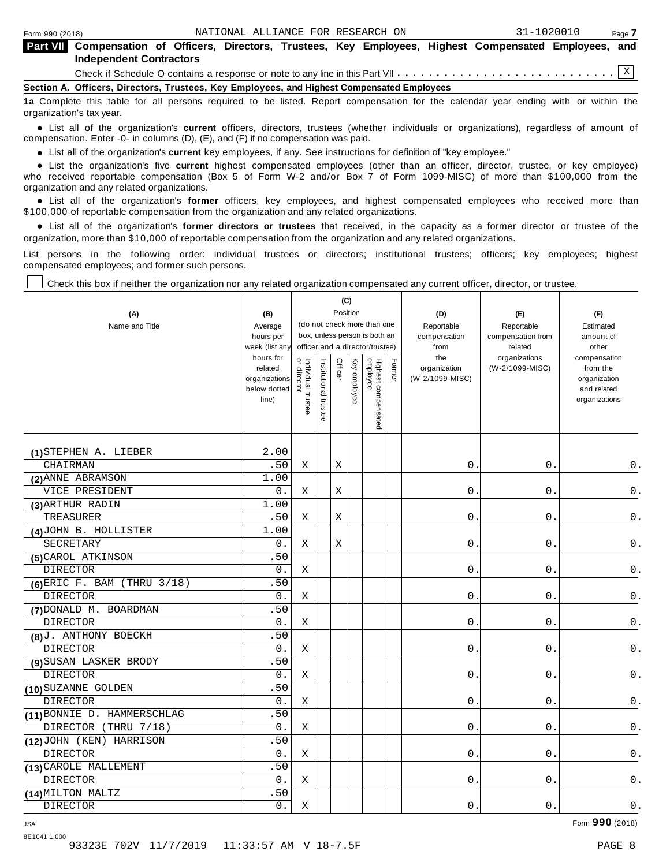| <b>Part VII</b> Compensation of Officers, Directors, Trustees, Key Employees, Highest Compensated Employees, and<br><b>Independent Contractors</b> |
|----------------------------------------------------------------------------------------------------------------------------------------------------|
|                                                                                                                                                    |
| Section A. Officers, Directors, Trustees, Key Employees, and Highest Compensated Employees                                                         |
| de Campine this toble for all norsons required to be listed. Denote componention for the colonglar user anding with a unitative the                |

**1a** Complete this table for all persons required to be listed. Report compensation for the calendar year ending with or within the organization's tax year.

anization's lax year.<br>● List all of the organization's **current** officers, directors, trustees (whether individuals or organizations), regardless of amount of<br>nnensation Enter -0- in columns (D) (E) and (E) if no compensa compensation. Enter -0- in columns (D), (E), and (F) if no compensation was paid.

• List all of the organization's **current** key employees, if any. See instructions for definition of "key employee."<br>● List the experientials five expect highest expressed explores (other than an efficer director of

**Example in the organization's current** key employees, if any. See instructions for definition of key employee.<br>• List the organization's five **current** highest compensated employees (other than an officer, director, trust who received reportable compensation (Box 5 of Form W-2 and/or Box 7 of Form 1099-MISC) of more than \$100,000 from the

organization and any related organizations.<br>• List all of the organization's **former** officers, key employees, and highest compensated employees who received more than<br>\$1.00.000 of reportable componention from the erganiza \$100,000 of reportable compensation from the organization and any related organizations.

% List all of the organization's **former directors or trustees** that received, in the capacity as a former director or trustee of the organization, more than \$10,000 of reportable compensation from the organization and any related organizations.

List persons in the following order: individual trustees or directors; institutional trustees; officers; key employees; highest compensated employees; and former such persons.

Check this box if neither the organization nor any related organization compensated any current officer, director, or trustee.

| (A)<br>Name and Title          | (B)<br>Average<br>hours per<br>week (list an <sup>,</sup><br>hours for<br>related<br>organizations<br>below dotted | Individual trustee<br>  or director |                       | Officer | (C)<br>Position<br>Key employee | (do not check more than one<br>box, unless person is both an<br>officer and a director/trustee) | Former | (D)<br>Reportable<br>compensation<br>from<br>the<br>organization<br>(W-2/1099-MISC) | (E)<br>Reportable<br>compensation from<br>related<br>organizations<br>(W-2/1099-MISC) | (F)<br>Estimated<br>amount of<br>other<br>compensation<br>from the<br>organization<br>and related |
|--------------------------------|--------------------------------------------------------------------------------------------------------------------|-------------------------------------|-----------------------|---------|---------------------------------|-------------------------------------------------------------------------------------------------|--------|-------------------------------------------------------------------------------------|---------------------------------------------------------------------------------------|---------------------------------------------------------------------------------------------------|
|                                | line)                                                                                                              |                                     | Institutional trustee |         |                                 | Highest compensated<br>employee                                                                 |        |                                                                                     |                                                                                       | organizations                                                                                     |
| (1) STEPHEN A. LIEBER          | 2.00                                                                                                               |                                     |                       |         |                                 |                                                                                                 |        |                                                                                     |                                                                                       |                                                                                                   |
| <b>CHAIRMAN</b>                | .50                                                                                                                | Χ                                   |                       | Χ       |                                 |                                                                                                 |        | 0.                                                                                  | 0.                                                                                    | 0.                                                                                                |
| (2) ANNE ABRAMSON              | 1.00                                                                                                               |                                     |                       |         |                                 |                                                                                                 |        |                                                                                     |                                                                                       |                                                                                                   |
| VICE PRESIDENT                 | 0.                                                                                                                 | X                                   |                       | Χ       |                                 |                                                                                                 |        | $0$ .                                                                               | $0$ .                                                                                 | $\mathsf 0$ .                                                                                     |
| (3) ARTHUR RADIN               | 1.00                                                                                                               |                                     |                       |         |                                 |                                                                                                 |        |                                                                                     |                                                                                       |                                                                                                   |
| TREASURER                      | .50                                                                                                                | Χ                                   |                       | X       |                                 |                                                                                                 |        | $\mathsf{O}$ .                                                                      | $0$ .                                                                                 | $\mathsf 0$ .                                                                                     |
| (4) JOHN B. HOLLISTER          | 1.00                                                                                                               |                                     |                       |         |                                 |                                                                                                 |        |                                                                                     |                                                                                       |                                                                                                   |
| SECRETARY                      | 0.                                                                                                                 | Χ                                   |                       | Х       |                                 |                                                                                                 |        | 0.                                                                                  | $0$ .                                                                                 | $\mathsf 0$ .                                                                                     |
| (5) CAROL ATKINSON             | .50                                                                                                                |                                     |                       |         |                                 |                                                                                                 |        |                                                                                     |                                                                                       |                                                                                                   |
| <b>DIRECTOR</b>                | 0.                                                                                                                 | X                                   |                       |         |                                 |                                                                                                 |        | 0.                                                                                  | $\boldsymbol{0}$ .                                                                    | $\mathsf 0$ .                                                                                     |
| $(6)$ ERIC F. BAM (THRU 3/18)  | .50                                                                                                                |                                     |                       |         |                                 |                                                                                                 |        |                                                                                     |                                                                                       |                                                                                                   |
| <b>DIRECTOR</b>                | 0.                                                                                                                 | Χ                                   |                       |         |                                 |                                                                                                 |        | $\mathsf{O}$ .                                                                      | $0$ .                                                                                 | 0.                                                                                                |
| (7) DONALD M. BOARDMAN         | .50                                                                                                                |                                     |                       |         |                                 |                                                                                                 |        |                                                                                     |                                                                                       |                                                                                                   |
| <b>DIRECTOR</b>                | 0.                                                                                                                 | Χ                                   |                       |         |                                 |                                                                                                 |        | 0.                                                                                  | 0.                                                                                    | 0.                                                                                                |
| (8) J. ANTHONY BOECKH          | .50                                                                                                                |                                     |                       |         |                                 |                                                                                                 |        |                                                                                     |                                                                                       |                                                                                                   |
| <b>DIRECTOR</b>                | 0.                                                                                                                 | Χ                                   |                       |         |                                 |                                                                                                 |        | $\mathsf{O}$ .                                                                      | 0.                                                                                    | 0.                                                                                                |
| (9) SUSAN LASKER BRODY         | .50                                                                                                                |                                     |                       |         |                                 |                                                                                                 |        |                                                                                     |                                                                                       |                                                                                                   |
| <b>DIRECTOR</b>                | 0.                                                                                                                 | Χ                                   |                       |         |                                 |                                                                                                 |        | $\mathsf{O}$ .                                                                      | $0$ .                                                                                 | $\mathsf 0$ .                                                                                     |
| (10) SUZANNE GOLDEN            | .50                                                                                                                |                                     |                       |         |                                 |                                                                                                 |        |                                                                                     |                                                                                       |                                                                                                   |
| <b>DIRECTOR</b>                | 0.                                                                                                                 | Χ                                   |                       |         |                                 |                                                                                                 |        | 0.                                                                                  | 0.                                                                                    | $0$ .                                                                                             |
| (11) BONNIE D. HAMMERSCHLAG    | .50                                                                                                                |                                     |                       |         |                                 |                                                                                                 |        |                                                                                     |                                                                                       |                                                                                                   |
| <b>DIRECTOR</b><br>(THRU 7/18) | 0.                                                                                                                 | Χ                                   |                       |         |                                 |                                                                                                 |        | $0$ .                                                                               | $0$ .                                                                                 | 0.                                                                                                |
| (12) JOHN (KEN) HARRISON       | .50                                                                                                                |                                     |                       |         |                                 |                                                                                                 |        |                                                                                     |                                                                                       |                                                                                                   |
| <b>DIRECTOR</b>                | 0.                                                                                                                 | Χ                                   |                       |         |                                 |                                                                                                 |        | 0.                                                                                  | 0.                                                                                    | 0.                                                                                                |
| (13) CAROLE MALLEMENT          | .50                                                                                                                |                                     |                       |         |                                 |                                                                                                 |        |                                                                                     |                                                                                       |                                                                                                   |
| <b>DIRECTOR</b>                | 0.                                                                                                                 | Χ                                   |                       |         |                                 |                                                                                                 |        | 0.                                                                                  | 0.                                                                                    | 0.                                                                                                |
| (14) MILTON MALTZ              | .50                                                                                                                |                                     |                       |         |                                 |                                                                                                 |        |                                                                                     |                                                                                       |                                                                                                   |
| <b>DIRECTOR</b>                | 0.                                                                                                                 | Χ                                   |                       |         |                                 |                                                                                                 |        | 0.                                                                                  | 0.                                                                                    | $0$ .                                                                                             |

JSA Form **990** (2018)

8E1041 1.000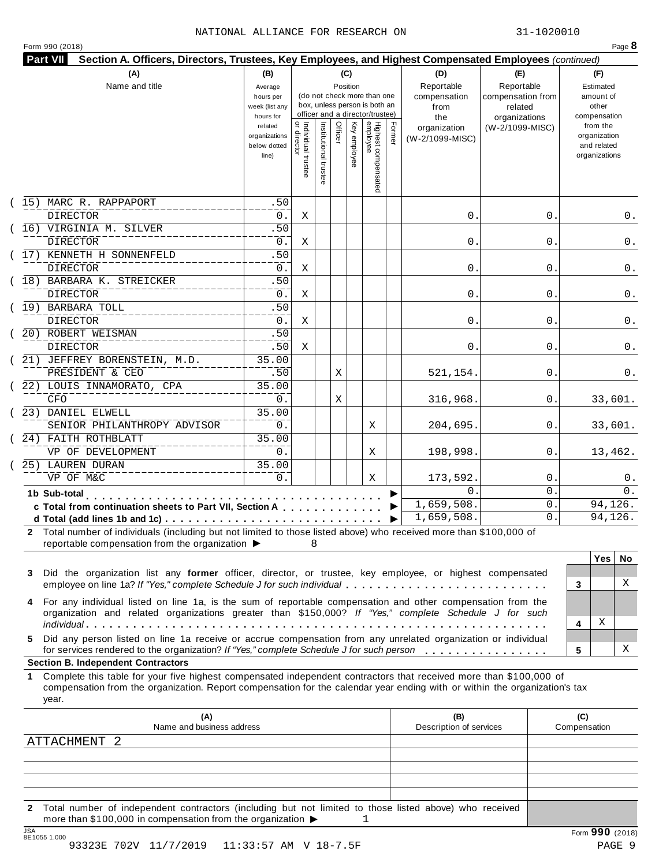#### NATIONAL ALLIANCE FOR RESEARCH ON 31-1020010

| Form 990 (2018) |  |
|-----------------|--|
|-----------------|--|

| (A)<br>Name and title                                                                                                                                                                                                                                                                                        | (B)<br>Average<br>hours per<br>week (list any<br>hours for |                                      |                       | (C)<br>Position |              | (do not check more than one<br>box, unless person is both an<br>officer and a director/trustee) |        | (D)<br>Reportable<br>compensation<br>from<br>the | (E)<br>Reportable<br>compensation from<br>related<br>organizations | (F)<br>Estimated<br>amount of<br>other<br>compensation   |
|--------------------------------------------------------------------------------------------------------------------------------------------------------------------------------------------------------------------------------------------------------------------------------------------------------------|------------------------------------------------------------|--------------------------------------|-----------------------|-----------------|--------------|-------------------------------------------------------------------------------------------------|--------|--------------------------------------------------|--------------------------------------------------------------------|----------------------------------------------------------|
|                                                                                                                                                                                                                                                                                                              | related<br>organizations<br>below dotted<br>line)          | Individual trustee<br>   or director | Institutional trustee | Officer         | Key employee | Highest compensated<br>employee                                                                 | Former | organization<br>(W-2/1099-MISC)                  | (W-2/1099-MISC)                                                    | from the<br>organization<br>and related<br>organizations |
| (15) MARC R. RAPPAPORT                                                                                                                                                                                                                                                                                       | .50                                                        |                                      |                       |                 |              |                                                                                                 |        |                                                  |                                                                    |                                                          |
| <b>DIRECTOR</b>                                                                                                                                                                                                                                                                                              | $0$ .<br>.50                                               | Χ                                    |                       |                 |              |                                                                                                 |        | 0.                                               | 0.                                                                 | 0.                                                       |
| (16) VIRGINIA M. SILVER<br><b>DIRECTOR</b>                                                                                                                                                                                                                                                                   | 0.                                                         | Χ                                    |                       |                 |              |                                                                                                 |        | 0.                                               | 0                                                                  | 0.                                                       |
| (17) KENNETH H SONNENFELD                                                                                                                                                                                                                                                                                    | .50                                                        |                                      |                       |                 |              |                                                                                                 |        |                                                  |                                                                    |                                                          |
| <b>DIRECTOR</b>                                                                                                                                                                                                                                                                                              | 0.                                                         | Χ                                    |                       |                 |              |                                                                                                 |        | 0.                                               | 0                                                                  | 0.                                                       |
| (18) BARBARA K. STREICKER                                                                                                                                                                                                                                                                                    | .50                                                        |                                      |                       |                 |              |                                                                                                 |        |                                                  |                                                                    |                                                          |
| <b>DIRECTOR</b>                                                                                                                                                                                                                                                                                              | 0.                                                         | Χ                                    |                       |                 |              |                                                                                                 |        | 0.                                               | 0                                                                  | 0.                                                       |
| (19) BARBARA TOLL                                                                                                                                                                                                                                                                                            | .50                                                        |                                      |                       |                 |              |                                                                                                 |        |                                                  |                                                                    |                                                          |
| DIRECTOR                                                                                                                                                                                                                                                                                                     | $0$ .                                                      | Χ                                    |                       |                 |              |                                                                                                 |        | 0.                                               | 0                                                                  | 0.                                                       |
| (20) ROBERT WEISMAN                                                                                                                                                                                                                                                                                          | .50                                                        |                                      |                       |                 |              |                                                                                                 |        |                                                  |                                                                    |                                                          |
| <b>DIRECTOR</b>                                                                                                                                                                                                                                                                                              | .50                                                        | Χ                                    |                       |                 |              |                                                                                                 |        | 0.                                               | 0                                                                  | 0.                                                       |
| (21) JEFFREY BORENSTEIN, M.D.                                                                                                                                                                                                                                                                                | 35.00                                                      |                                      |                       |                 |              |                                                                                                 |        |                                                  |                                                                    |                                                          |
| PRESIDENT & CEO                                                                                                                                                                                                                                                                                              | .50                                                        |                                      |                       | Χ               |              |                                                                                                 |        | 521,154.                                         | 0                                                                  | 0.                                                       |
| (22) LOUIS INNAMORATO, CPA                                                                                                                                                                                                                                                                                   | 35.00                                                      |                                      |                       |                 |              |                                                                                                 |        |                                                  |                                                                    |                                                          |
| CFO                                                                                                                                                                                                                                                                                                          | 0.                                                         |                                      |                       | Χ               |              |                                                                                                 |        | 316,968.                                         | 0.                                                                 | 33,601.                                                  |
| (23) DANIEL ELWELL                                                                                                                                                                                                                                                                                           | 35.00                                                      |                                      |                       |                 |              |                                                                                                 |        |                                                  |                                                                    |                                                          |
| SENIOR PHILANTHROPY ADVISOR<br>(24) FAITH ROTHBLATT                                                                                                                                                                                                                                                          | 0.<br>35.00                                                |                                      |                       |                 |              | Χ                                                                                               |        | 204,695.                                         | 0.                                                                 | 33,601.                                                  |
| VP OF DEVELOPMENT                                                                                                                                                                                                                                                                                            | 0.                                                         |                                      |                       |                 |              | Χ                                                                                               |        | 198,998.                                         | 0.                                                                 | 13,462.                                                  |
| 25) LAUREN DURAN                                                                                                                                                                                                                                                                                             | 35.00                                                      |                                      |                       |                 |              |                                                                                                 |        |                                                  |                                                                    |                                                          |
| VP OF M&C                                                                                                                                                                                                                                                                                                    | 0.                                                         |                                      |                       |                 |              | Χ                                                                                               |        | 173,592.                                         | 0.                                                                 | 0.                                                       |
| 1b Sub-total                                                                                                                                                                                                                                                                                                 |                                                            |                                      |                       |                 |              |                                                                                                 |        | 0                                                | $\mathbf 0$ .                                                      | 0.                                                       |
| .<br>c Total from continuation sheets to Part VII, Section A                                                                                                                                                                                                                                                 |                                                            |                                      |                       |                 |              |                                                                                                 |        | 1,659,508.                                       | 0.                                                                 | 94,126.                                                  |
|                                                                                                                                                                                                                                                                                                              |                                                            |                                      |                       |                 |              |                                                                                                 | ▶      | 1,659,508.                                       | 0.                                                                 | 94,126.                                                  |
| 2 Total number of individuals (including but not limited to those listed above) who received more than \$100,000 of<br>reportable compensation from the organization ▶                                                                                                                                       |                                                            | 8                                    |                       |                 |              |                                                                                                 |        |                                                  |                                                                    | <b>Yes</b><br>No.                                        |
| Did the organization list any former officer, director, or trustee, key employee, or highest compensated<br>3<br>employee on line 1a? If "Yes," complete Schedule J for such individual                                                                                                                      |                                                            |                                      |                       |                 |              |                                                                                                 |        |                                                  |                                                                    | X<br>3                                                   |
| 4 For any individual listed on line 1a, is the sum of reportable compensation and other compensation from the<br>organization and related organizations greater than \$150,000? If "Yes," complete Schedule J for such                                                                                       |                                                            |                                      |                       |                 |              |                                                                                                 |        |                                                  |                                                                    | Χ<br>4                                                   |
| Did any person listed on line 1a receive or accrue compensation from any unrelated organization or individual<br>5.<br>for services rendered to the organization? If "Yes," complete Schedule J for such person                                                                                              |                                                            |                                      |                       |                 |              |                                                                                                 |        |                                                  |                                                                    | х<br>5                                                   |
| <b>Section B. Independent Contractors</b><br>Complete this table for your five highest compensated independent contractors that received more than \$100,000 of<br>1.<br>compensation from the organization. Report compensation for the calendar year ending with or within the organization's tax<br>year. |                                                            |                                      |                       |                 |              |                                                                                                 |        |                                                  |                                                                    |                                                          |
|                                                                                                                                                                                                                                                                                                              |                                                            |                                      |                       |                 |              |                                                                                                 |        | (B)<br>Description of services                   |                                                                    | (C)<br>Compensation                                      |
| (A)<br>Name and business address                                                                                                                                                                                                                                                                             |                                                            |                                      |                       |                 |              |                                                                                                 |        |                                                  |                                                                    |                                                          |
|                                                                                                                                                                                                                                                                                                              |                                                            |                                      |                       |                 |              |                                                                                                 |        |                                                  |                                                                    |                                                          |
| ATTACHMENT 2                                                                                                                                                                                                                                                                                                 |                                                            |                                      |                       |                 |              |                                                                                                 |        |                                                  |                                                                    |                                                          |

**2** Total number of independent contractors (including but not limited to those listed above) who received more than \$100,000 in compensation from the organization  $\blacktriangleright$ 1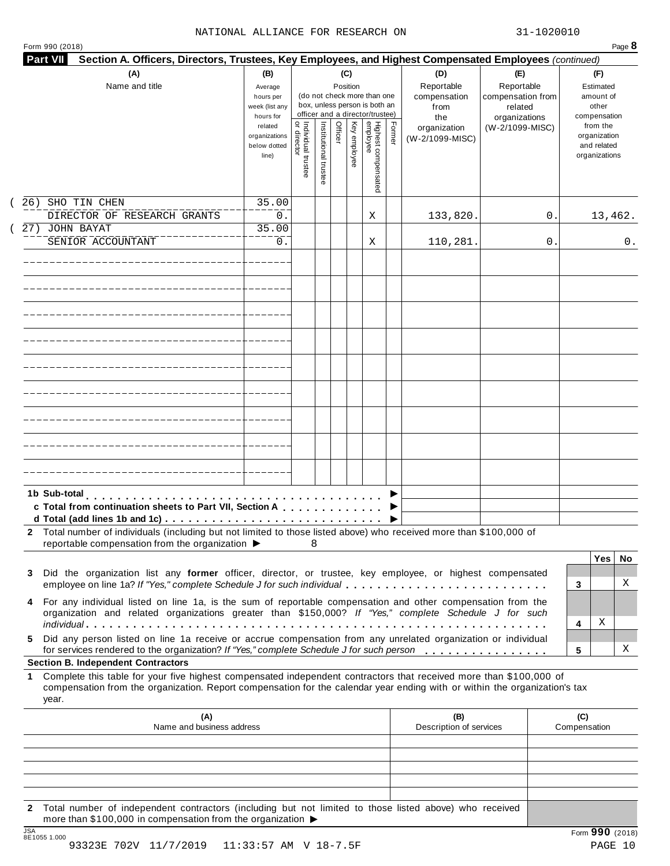| (A)<br>(C)<br>(D)<br>(B)<br>(E)<br>(F)<br>Name and title<br>Reportable<br>Reportable<br>Position<br>Estimated<br>Average<br>(do not check more than one<br>compensation from<br>amount of<br>hours per<br>compensation<br>box, unless person is both an<br>other<br>week (list any<br>from<br>related<br>officer and a director/trustee)<br>hours for<br>compensation<br>organizations<br>the<br>Highest compensated<br>employee<br>Institutional trustee<br>Key employee<br>Former<br>Individual trustee<br>Officer<br>from the<br>related<br>(W-2/1099-MISC)<br>organization<br>director<br>organization<br>organizations<br>(W-2/1099-MISC)<br>and related<br>below dotted<br>organizations<br>line)<br>26) SHO TIN CHEN<br>35.00<br>DIRECTOR OF RESEARCH GRANTS<br>0.<br>133,820.<br>0<br>13,462.<br>Χ<br>27) JOHN BAYAT<br>35.00<br>110,281.<br>SENIOR ACCOUNTANT<br>0.<br>0<br>0.<br>Χ<br>1b Sub-total<br>c Total from continuation sheets to Part VII, Section A<br>Total number of individuals (including but not limited to those listed above) who received more than \$100,000 of<br>reportable compensation from the organization ▶<br>8<br><b>Yes</b><br>No<br>Did the organization list any former officer, director, or trustee, key employee, or highest compensated<br>3<br>Χ<br>employee on line 1a? If "Yes," complete Schedule J for such individual<br>3<br>For any individual listed on line 1a, is the sum of reportable compensation and other compensation from the<br>4<br>organization and related organizations greater than \$150,000? If "Yes," complete Schedule J for such<br>Χ<br>4<br>Did any person listed on line 1a receive or accrue compensation from any unrelated organization or individual<br>5.<br>Χ<br>for services rendered to the organization? If "Yes," complete Schedule J for such person<br>5<br><b>Section B. Independent Contractors</b><br>Complete this table for your five highest compensated independent contractors that received more than \$100,000 of<br>1<br>compensation from the organization. Report compensation for the calendar year ending with or within the organization's tax<br>year.<br>(A)<br>(B)<br>(C)<br>Name and business address<br>Description of services<br>Compensation | Section A. Officers, Directors, Trustees, Key Employees, and Highest Compensated Employees (continued)<br><b>Part VII</b> |  |  |  |  |  |
|---------------------------------------------------------------------------------------------------------------------------------------------------------------------------------------------------------------------------------------------------------------------------------------------------------------------------------------------------------------------------------------------------------------------------------------------------------------------------------------------------------------------------------------------------------------------------------------------------------------------------------------------------------------------------------------------------------------------------------------------------------------------------------------------------------------------------------------------------------------------------------------------------------------------------------------------------------------------------------------------------------------------------------------------------------------------------------------------------------------------------------------------------------------------------------------------------------------------------------------------------------------------------------------------------------------------------------------------------------------------------------------------------------------------------------------------------------------------------------------------------------------------------------------------------------------------------------------------------------------------------------------------------------------------------------------------------------------------------------------------------------------------------------------------------------------------------------------------------------------------------------------------------------------------------------------------------------------------------------------------------------------------------------------------------------------------------------------------------------------------------------------------------------------------------------------------------------------------------------------------------------------|---------------------------------------------------------------------------------------------------------------------------|--|--|--|--|--|
|                                                                                                                                                                                                                                                                                                                                                                                                                                                                                                                                                                                                                                                                                                                                                                                                                                                                                                                                                                                                                                                                                                                                                                                                                                                                                                                                                                                                                                                                                                                                                                                                                                                                                                                                                                                                                                                                                                                                                                                                                                                                                                                                                                                                                                                               |                                                                                                                           |  |  |  |  |  |
|                                                                                                                                                                                                                                                                                                                                                                                                                                                                                                                                                                                                                                                                                                                                                                                                                                                                                                                                                                                                                                                                                                                                                                                                                                                                                                                                                                                                                                                                                                                                                                                                                                                                                                                                                                                                                                                                                                                                                                                                                                                                                                                                                                                                                                                               |                                                                                                                           |  |  |  |  |  |
|                                                                                                                                                                                                                                                                                                                                                                                                                                                                                                                                                                                                                                                                                                                                                                                                                                                                                                                                                                                                                                                                                                                                                                                                                                                                                                                                                                                                                                                                                                                                                                                                                                                                                                                                                                                                                                                                                                                                                                                                                                                                                                                                                                                                                                                               |                                                                                                                           |  |  |  |  |  |
|                                                                                                                                                                                                                                                                                                                                                                                                                                                                                                                                                                                                                                                                                                                                                                                                                                                                                                                                                                                                                                                                                                                                                                                                                                                                                                                                                                                                                                                                                                                                                                                                                                                                                                                                                                                                                                                                                                                                                                                                                                                                                                                                                                                                                                                               |                                                                                                                           |  |  |  |  |  |
|                                                                                                                                                                                                                                                                                                                                                                                                                                                                                                                                                                                                                                                                                                                                                                                                                                                                                                                                                                                                                                                                                                                                                                                                                                                                                                                                                                                                                                                                                                                                                                                                                                                                                                                                                                                                                                                                                                                                                                                                                                                                                                                                                                                                                                                               |                                                                                                                           |  |  |  |  |  |
|                                                                                                                                                                                                                                                                                                                                                                                                                                                                                                                                                                                                                                                                                                                                                                                                                                                                                                                                                                                                                                                                                                                                                                                                                                                                                                                                                                                                                                                                                                                                                                                                                                                                                                                                                                                                                                                                                                                                                                                                                                                                                                                                                                                                                                                               |                                                                                                                           |  |  |  |  |  |
|                                                                                                                                                                                                                                                                                                                                                                                                                                                                                                                                                                                                                                                                                                                                                                                                                                                                                                                                                                                                                                                                                                                                                                                                                                                                                                                                                                                                                                                                                                                                                                                                                                                                                                                                                                                                                                                                                                                                                                                                                                                                                                                                                                                                                                                               |                                                                                                                           |  |  |  |  |  |
|                                                                                                                                                                                                                                                                                                                                                                                                                                                                                                                                                                                                                                                                                                                                                                                                                                                                                                                                                                                                                                                                                                                                                                                                                                                                                                                                                                                                                                                                                                                                                                                                                                                                                                                                                                                                                                                                                                                                                                                                                                                                                                                                                                                                                                                               |                                                                                                                           |  |  |  |  |  |
|                                                                                                                                                                                                                                                                                                                                                                                                                                                                                                                                                                                                                                                                                                                                                                                                                                                                                                                                                                                                                                                                                                                                                                                                                                                                                                                                                                                                                                                                                                                                                                                                                                                                                                                                                                                                                                                                                                                                                                                                                                                                                                                                                                                                                                                               |                                                                                                                           |  |  |  |  |  |
|                                                                                                                                                                                                                                                                                                                                                                                                                                                                                                                                                                                                                                                                                                                                                                                                                                                                                                                                                                                                                                                                                                                                                                                                                                                                                                                                                                                                                                                                                                                                                                                                                                                                                                                                                                                                                                                                                                                                                                                                                                                                                                                                                                                                                                                               |                                                                                                                           |  |  |  |  |  |
|                                                                                                                                                                                                                                                                                                                                                                                                                                                                                                                                                                                                                                                                                                                                                                                                                                                                                                                                                                                                                                                                                                                                                                                                                                                                                                                                                                                                                                                                                                                                                                                                                                                                                                                                                                                                                                                                                                                                                                                                                                                                                                                                                                                                                                                               |                                                                                                                           |  |  |  |  |  |
|                                                                                                                                                                                                                                                                                                                                                                                                                                                                                                                                                                                                                                                                                                                                                                                                                                                                                                                                                                                                                                                                                                                                                                                                                                                                                                                                                                                                                                                                                                                                                                                                                                                                                                                                                                                                                                                                                                                                                                                                                                                                                                                                                                                                                                                               |                                                                                                                           |  |  |  |  |  |
|                                                                                                                                                                                                                                                                                                                                                                                                                                                                                                                                                                                                                                                                                                                                                                                                                                                                                                                                                                                                                                                                                                                                                                                                                                                                                                                                                                                                                                                                                                                                                                                                                                                                                                                                                                                                                                                                                                                                                                                                                                                                                                                                                                                                                                                               |                                                                                                                           |  |  |  |  |  |
|                                                                                                                                                                                                                                                                                                                                                                                                                                                                                                                                                                                                                                                                                                                                                                                                                                                                                                                                                                                                                                                                                                                                                                                                                                                                                                                                                                                                                                                                                                                                                                                                                                                                                                                                                                                                                                                                                                                                                                                                                                                                                                                                                                                                                                                               |                                                                                                                           |  |  |  |  |  |
|                                                                                                                                                                                                                                                                                                                                                                                                                                                                                                                                                                                                                                                                                                                                                                                                                                                                                                                                                                                                                                                                                                                                                                                                                                                                                                                                                                                                                                                                                                                                                                                                                                                                                                                                                                                                                                                                                                                                                                                                                                                                                                                                                                                                                                                               |                                                                                                                           |  |  |  |  |  |
|                                                                                                                                                                                                                                                                                                                                                                                                                                                                                                                                                                                                                                                                                                                                                                                                                                                                                                                                                                                                                                                                                                                                                                                                                                                                                                                                                                                                                                                                                                                                                                                                                                                                                                                                                                                                                                                                                                                                                                                                                                                                                                                                                                                                                                                               |                                                                                                                           |  |  |  |  |  |
|                                                                                                                                                                                                                                                                                                                                                                                                                                                                                                                                                                                                                                                                                                                                                                                                                                                                                                                                                                                                                                                                                                                                                                                                                                                                                                                                                                                                                                                                                                                                                                                                                                                                                                                                                                                                                                                                                                                                                                                                                                                                                                                                                                                                                                                               |                                                                                                                           |  |  |  |  |  |
|                                                                                                                                                                                                                                                                                                                                                                                                                                                                                                                                                                                                                                                                                                                                                                                                                                                                                                                                                                                                                                                                                                                                                                                                                                                                                                                                                                                                                                                                                                                                                                                                                                                                                                                                                                                                                                                                                                                                                                                                                                                                                                                                                                                                                                                               |                                                                                                                           |  |  |  |  |  |
|                                                                                                                                                                                                                                                                                                                                                                                                                                                                                                                                                                                                                                                                                                                                                                                                                                                                                                                                                                                                                                                                                                                                                                                                                                                                                                                                                                                                                                                                                                                                                                                                                                                                                                                                                                                                                                                                                                                                                                                                                                                                                                                                                                                                                                                               |                                                                                                                           |  |  |  |  |  |
|                                                                                                                                                                                                                                                                                                                                                                                                                                                                                                                                                                                                                                                                                                                                                                                                                                                                                                                                                                                                                                                                                                                                                                                                                                                                                                                                                                                                                                                                                                                                                                                                                                                                                                                                                                                                                                                                                                                                                                                                                                                                                                                                                                                                                                                               |                                                                                                                           |  |  |  |  |  |
|                                                                                                                                                                                                                                                                                                                                                                                                                                                                                                                                                                                                                                                                                                                                                                                                                                                                                                                                                                                                                                                                                                                                                                                                                                                                                                                                                                                                                                                                                                                                                                                                                                                                                                                                                                                                                                                                                                                                                                                                                                                                                                                                                                                                                                                               |                                                                                                                           |  |  |  |  |  |
|                                                                                                                                                                                                                                                                                                                                                                                                                                                                                                                                                                                                                                                                                                                                                                                                                                                                                                                                                                                                                                                                                                                                                                                                                                                                                                                                                                                                                                                                                                                                                                                                                                                                                                                                                                                                                                                                                                                                                                                                                                                                                                                                                                                                                                                               |                                                                                                                           |  |  |  |  |  |
|                                                                                                                                                                                                                                                                                                                                                                                                                                                                                                                                                                                                                                                                                                                                                                                                                                                                                                                                                                                                                                                                                                                                                                                                                                                                                                                                                                                                                                                                                                                                                                                                                                                                                                                                                                                                                                                                                                                                                                                                                                                                                                                                                                                                                                                               |                                                                                                                           |  |  |  |  |  |
|                                                                                                                                                                                                                                                                                                                                                                                                                                                                                                                                                                                                                                                                                                                                                                                                                                                                                                                                                                                                                                                                                                                                                                                                                                                                                                                                                                                                                                                                                                                                                                                                                                                                                                                                                                                                                                                                                                                                                                                                                                                                                                                                                                                                                                                               |                                                                                                                           |  |  |  |  |  |
|                                                                                                                                                                                                                                                                                                                                                                                                                                                                                                                                                                                                                                                                                                                                                                                                                                                                                                                                                                                                                                                                                                                                                                                                                                                                                                                                                                                                                                                                                                                                                                                                                                                                                                                                                                                                                                                                                                                                                                                                                                                                                                                                                                                                                                                               |                                                                                                                           |  |  |  |  |  |
|                                                                                                                                                                                                                                                                                                                                                                                                                                                                                                                                                                                                                                                                                                                                                                                                                                                                                                                                                                                                                                                                                                                                                                                                                                                                                                                                                                                                                                                                                                                                                                                                                                                                                                                                                                                                                                                                                                                                                                                                                                                                                                                                                                                                                                                               |                                                                                                                           |  |  |  |  |  |
|                                                                                                                                                                                                                                                                                                                                                                                                                                                                                                                                                                                                                                                                                                                                                                                                                                                                                                                                                                                                                                                                                                                                                                                                                                                                                                                                                                                                                                                                                                                                                                                                                                                                                                                                                                                                                                                                                                                                                                                                                                                                                                                                                                                                                                                               |                                                                                                                           |  |  |  |  |  |
|                                                                                                                                                                                                                                                                                                                                                                                                                                                                                                                                                                                                                                                                                                                                                                                                                                                                                                                                                                                                                                                                                                                                                                                                                                                                                                                                                                                                                                                                                                                                                                                                                                                                                                                                                                                                                                                                                                                                                                                                                                                                                                                                                                                                                                                               |                                                                                                                           |  |  |  |  |  |
|                                                                                                                                                                                                                                                                                                                                                                                                                                                                                                                                                                                                                                                                                                                                                                                                                                                                                                                                                                                                                                                                                                                                                                                                                                                                                                                                                                                                                                                                                                                                                                                                                                                                                                                                                                                                                                                                                                                                                                                                                                                                                                                                                                                                                                                               |                                                                                                                           |  |  |  |  |  |
|                                                                                                                                                                                                                                                                                                                                                                                                                                                                                                                                                                                                                                                                                                                                                                                                                                                                                                                                                                                                                                                                                                                                                                                                                                                                                                                                                                                                                                                                                                                                                                                                                                                                                                                                                                                                                                                                                                                                                                                                                                                                                                                                                                                                                                                               |                                                                                                                           |  |  |  |  |  |
|                                                                                                                                                                                                                                                                                                                                                                                                                                                                                                                                                                                                                                                                                                                                                                                                                                                                                                                                                                                                                                                                                                                                                                                                                                                                                                                                                                                                                                                                                                                                                                                                                                                                                                                                                                                                                                                                                                                                                                                                                                                                                                                                                                                                                                                               |                                                                                                                           |  |  |  |  |  |
|                                                                                                                                                                                                                                                                                                                                                                                                                                                                                                                                                                                                                                                                                                                                                                                                                                                                                                                                                                                                                                                                                                                                                                                                                                                                                                                                                                                                                                                                                                                                                                                                                                                                                                                                                                                                                                                                                                                                                                                                                                                                                                                                                                                                                                                               |                                                                                                                           |  |  |  |  |  |
|                                                                                                                                                                                                                                                                                                                                                                                                                                                                                                                                                                                                                                                                                                                                                                                                                                                                                                                                                                                                                                                                                                                                                                                                                                                                                                                                                                                                                                                                                                                                                                                                                                                                                                                                                                                                                                                                                                                                                                                                                                                                                                                                                                                                                                                               |                                                                                                                           |  |  |  |  |  |
|                                                                                                                                                                                                                                                                                                                                                                                                                                                                                                                                                                                                                                                                                                                                                                                                                                                                                                                                                                                                                                                                                                                                                                                                                                                                                                                                                                                                                                                                                                                                                                                                                                                                                                                                                                                                                                                                                                                                                                                                                                                                                                                                                                                                                                                               |                                                                                                                           |  |  |  |  |  |
|                                                                                                                                                                                                                                                                                                                                                                                                                                                                                                                                                                                                                                                                                                                                                                                                                                                                                                                                                                                                                                                                                                                                                                                                                                                                                                                                                                                                                                                                                                                                                                                                                                                                                                                                                                                                                                                                                                                                                                                                                                                                                                                                                                                                                                                               |                                                                                                                           |  |  |  |  |  |
|                                                                                                                                                                                                                                                                                                                                                                                                                                                                                                                                                                                                                                                                                                                                                                                                                                                                                                                                                                                                                                                                                                                                                                                                                                                                                                                                                                                                                                                                                                                                                                                                                                                                                                                                                                                                                                                                                                                                                                                                                                                                                                                                                                                                                                                               |                                                                                                                           |  |  |  |  |  |
|                                                                                                                                                                                                                                                                                                                                                                                                                                                                                                                                                                                                                                                                                                                                                                                                                                                                                                                                                                                                                                                                                                                                                                                                                                                                                                                                                                                                                                                                                                                                                                                                                                                                                                                                                                                                                                                                                                                                                                                                                                                                                                                                                                                                                                                               |                                                                                                                           |  |  |  |  |  |
|                                                                                                                                                                                                                                                                                                                                                                                                                                                                                                                                                                                                                                                                                                                                                                                                                                                                                                                                                                                                                                                                                                                                                                                                                                                                                                                                                                                                                                                                                                                                                                                                                                                                                                                                                                                                                                                                                                                                                                                                                                                                                                                                                                                                                                                               |                                                                                                                           |  |  |  |  |  |
|                                                                                                                                                                                                                                                                                                                                                                                                                                                                                                                                                                                                                                                                                                                                                                                                                                                                                                                                                                                                                                                                                                                                                                                                                                                                                                                                                                                                                                                                                                                                                                                                                                                                                                                                                                                                                                                                                                                                                                                                                                                                                                                                                                                                                                                               |                                                                                                                           |  |  |  |  |  |
|                                                                                                                                                                                                                                                                                                                                                                                                                                                                                                                                                                                                                                                                                                                                                                                                                                                                                                                                                                                                                                                                                                                                                                                                                                                                                                                                                                                                                                                                                                                                                                                                                                                                                                                                                                                                                                                                                                                                                                                                                                                                                                                                                                                                                                                               |                                                                                                                           |  |  |  |  |  |
|                                                                                                                                                                                                                                                                                                                                                                                                                                                                                                                                                                                                                                                                                                                                                                                                                                                                                                                                                                                                                                                                                                                                                                                                                                                                                                                                                                                                                                                                                                                                                                                                                                                                                                                                                                                                                                                                                                                                                                                                                                                                                                                                                                                                                                                               |                                                                                                                           |  |  |  |  |  |
|                                                                                                                                                                                                                                                                                                                                                                                                                                                                                                                                                                                                                                                                                                                                                                                                                                                                                                                                                                                                                                                                                                                                                                                                                                                                                                                                                                                                                                                                                                                                                                                                                                                                                                                                                                                                                                                                                                                                                                                                                                                                                                                                                                                                                                                               |                                                                                                                           |  |  |  |  |  |
|                                                                                                                                                                                                                                                                                                                                                                                                                                                                                                                                                                                                                                                                                                                                                                                                                                                                                                                                                                                                                                                                                                                                                                                                                                                                                                                                                                                                                                                                                                                                                                                                                                                                                                                                                                                                                                                                                                                                                                                                                                                                                                                                                                                                                                                               |                                                                                                                           |  |  |  |  |  |
|                                                                                                                                                                                                                                                                                                                                                                                                                                                                                                                                                                                                                                                                                                                                                                                                                                                                                                                                                                                                                                                                                                                                                                                                                                                                                                                                                                                                                                                                                                                                                                                                                                                                                                                                                                                                                                                                                                                                                                                                                                                                                                                                                                                                                                                               |                                                                                                                           |  |  |  |  |  |
|                                                                                                                                                                                                                                                                                                                                                                                                                                                                                                                                                                                                                                                                                                                                                                                                                                                                                                                                                                                                                                                                                                                                                                                                                                                                                                                                                                                                                                                                                                                                                                                                                                                                                                                                                                                                                                                                                                                                                                                                                                                                                                                                                                                                                                                               |                                                                                                                           |  |  |  |  |  |
|                                                                                                                                                                                                                                                                                                                                                                                                                                                                                                                                                                                                                                                                                                                                                                                                                                                                                                                                                                                                                                                                                                                                                                                                                                                                                                                                                                                                                                                                                                                                                                                                                                                                                                                                                                                                                                                                                                                                                                                                                                                                                                                                                                                                                                                               |                                                                                                                           |  |  |  |  |  |
|                                                                                                                                                                                                                                                                                                                                                                                                                                                                                                                                                                                                                                                                                                                                                                                                                                                                                                                                                                                                                                                                                                                                                                                                                                                                                                                                                                                                                                                                                                                                                                                                                                                                                                                                                                                                                                                                                                                                                                                                                                                                                                                                                                                                                                                               |                                                                                                                           |  |  |  |  |  |
|                                                                                                                                                                                                                                                                                                                                                                                                                                                                                                                                                                                                                                                                                                                                                                                                                                                                                                                                                                                                                                                                                                                                                                                                                                                                                                                                                                                                                                                                                                                                                                                                                                                                                                                                                                                                                                                                                                                                                                                                                                                                                                                                                                                                                                                               |                                                                                                                           |  |  |  |  |  |
|                                                                                                                                                                                                                                                                                                                                                                                                                                                                                                                                                                                                                                                                                                                                                                                                                                                                                                                                                                                                                                                                                                                                                                                                                                                                                                                                                                                                                                                                                                                                                                                                                                                                                                                                                                                                                                                                                                                                                                                                                                                                                                                                                                                                                                                               |                                                                                                                           |  |  |  |  |  |
|                                                                                                                                                                                                                                                                                                                                                                                                                                                                                                                                                                                                                                                                                                                                                                                                                                                                                                                                                                                                                                                                                                                                                                                                                                                                                                                                                                                                                                                                                                                                                                                                                                                                                                                                                                                                                                                                                                                                                                                                                                                                                                                                                                                                                                                               |                                                                                                                           |  |  |  |  |  |
|                                                                                                                                                                                                                                                                                                                                                                                                                                                                                                                                                                                                                                                                                                                                                                                                                                                                                                                                                                                                                                                                                                                                                                                                                                                                                                                                                                                                                                                                                                                                                                                                                                                                                                                                                                                                                                                                                                                                                                                                                                                                                                                                                                                                                                                               |                                                                                                                           |  |  |  |  |  |
|                                                                                                                                                                                                                                                                                                                                                                                                                                                                                                                                                                                                                                                                                                                                                                                                                                                                                                                                                                                                                                                                                                                                                                                                                                                                                                                                                                                                                                                                                                                                                                                                                                                                                                                                                                                                                                                                                                                                                                                                                                                                                                                                                                                                                                                               |                                                                                                                           |  |  |  |  |  |
|                                                                                                                                                                                                                                                                                                                                                                                                                                                                                                                                                                                                                                                                                                                                                                                                                                                                                                                                                                                                                                                                                                                                                                                                                                                                                                                                                                                                                                                                                                                                                                                                                                                                                                                                                                                                                                                                                                                                                                                                                                                                                                                                                                                                                                                               |                                                                                                                           |  |  |  |  |  |
|                                                                                                                                                                                                                                                                                                                                                                                                                                                                                                                                                                                                                                                                                                                                                                                                                                                                                                                                                                                                                                                                                                                                                                                                                                                                                                                                                                                                                                                                                                                                                                                                                                                                                                                                                                                                                                                                                                                                                                                                                                                                                                                                                                                                                                                               |                                                                                                                           |  |  |  |  |  |
|                                                                                                                                                                                                                                                                                                                                                                                                                                                                                                                                                                                                                                                                                                                                                                                                                                                                                                                                                                                                                                                                                                                                                                                                                                                                                                                                                                                                                                                                                                                                                                                                                                                                                                                                                                                                                                                                                                                                                                                                                                                                                                                                                                                                                                                               |                                                                                                                           |  |  |  |  |  |
|                                                                                                                                                                                                                                                                                                                                                                                                                                                                                                                                                                                                                                                                                                                                                                                                                                                                                                                                                                                                                                                                                                                                                                                                                                                                                                                                                                                                                                                                                                                                                                                                                                                                                                                                                                                                                                                                                                                                                                                                                                                                                                                                                                                                                                                               |                                                                                                                           |  |  |  |  |  |
|                                                                                                                                                                                                                                                                                                                                                                                                                                                                                                                                                                                                                                                                                                                                                                                                                                                                                                                                                                                                                                                                                                                                                                                                                                                                                                                                                                                                                                                                                                                                                                                                                                                                                                                                                                                                                                                                                                                                                                                                                                                                                                                                                                                                                                                               |                                                                                                                           |  |  |  |  |  |
|                                                                                                                                                                                                                                                                                                                                                                                                                                                                                                                                                                                                                                                                                                                                                                                                                                                                                                                                                                                                                                                                                                                                                                                                                                                                                                                                                                                                                                                                                                                                                                                                                                                                                                                                                                                                                                                                                                                                                                                                                                                                                                                                                                                                                                                               |                                                                                                                           |  |  |  |  |  |
|                                                                                                                                                                                                                                                                                                                                                                                                                                                                                                                                                                                                                                                                                                                                                                                                                                                                                                                                                                                                                                                                                                                                                                                                                                                                                                                                                                                                                                                                                                                                                                                                                                                                                                                                                                                                                                                                                                                                                                                                                                                                                                                                                                                                                                                               |                                                                                                                           |  |  |  |  |  |
|                                                                                                                                                                                                                                                                                                                                                                                                                                                                                                                                                                                                                                                                                                                                                                                                                                                                                                                                                                                                                                                                                                                                                                                                                                                                                                                                                                                                                                                                                                                                                                                                                                                                                                                                                                                                                                                                                                                                                                                                                                                                                                                                                                                                                                                               |                                                                                                                           |  |  |  |  |  |
|                                                                                                                                                                                                                                                                                                                                                                                                                                                                                                                                                                                                                                                                                                                                                                                                                                                                                                                                                                                                                                                                                                                                                                                                                                                                                                                                                                                                                                                                                                                                                                                                                                                                                                                                                                                                                                                                                                                                                                                                                                                                                                                                                                                                                                                               |                                                                                                                           |  |  |  |  |  |
|                                                                                                                                                                                                                                                                                                                                                                                                                                                                                                                                                                                                                                                                                                                                                                                                                                                                                                                                                                                                                                                                                                                                                                                                                                                                                                                                                                                                                                                                                                                                                                                                                                                                                                                                                                                                                                                                                                                                                                                                                                                                                                                                                                                                                                                               |                                                                                                                           |  |  |  |  |  |
|                                                                                                                                                                                                                                                                                                                                                                                                                                                                                                                                                                                                                                                                                                                                                                                                                                                                                                                                                                                                                                                                                                                                                                                                                                                                                                                                                                                                                                                                                                                                                                                                                                                                                                                                                                                                                                                                                                                                                                                                                                                                                                                                                                                                                                                               |                                                                                                                           |  |  |  |  |  |
|                                                                                                                                                                                                                                                                                                                                                                                                                                                                                                                                                                                                                                                                                                                                                                                                                                                                                                                                                                                                                                                                                                                                                                                                                                                                                                                                                                                                                                                                                                                                                                                                                                                                                                                                                                                                                                                                                                                                                                                                                                                                                                                                                                                                                                                               |                                                                                                                           |  |  |  |  |  |

**2** Total number of independent contractors (including but not limited to those listed above) who received more than \$100,000 in compensation from the organization  $\blacktriangleright$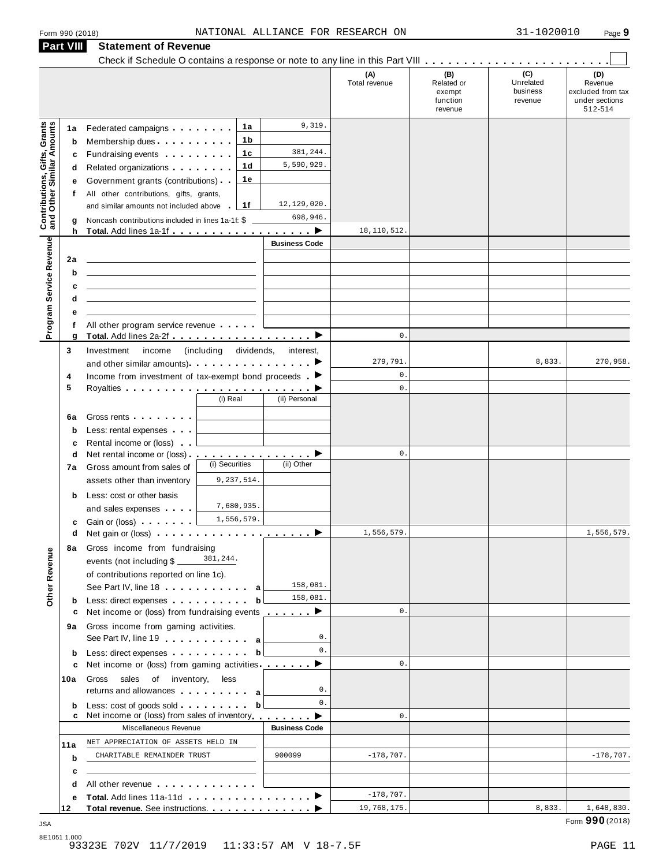|                                                                  | Part VIII   | <b>Statement of Revenue</b>                                                                                                                                                                                                                                                                                     |                                 |                      |                      |                               |                     |                                                |
|------------------------------------------------------------------|-------------|-----------------------------------------------------------------------------------------------------------------------------------------------------------------------------------------------------------------------------------------------------------------------------------------------------------------|---------------------------------|----------------------|----------------------|-------------------------------|---------------------|------------------------------------------------|
|                                                                  |             |                                                                                                                                                                                                                                                                                                                 |                                 |                      | (A)<br>Total revenue | (B)<br>Related or             | (C)<br>Unrelated    | (D)<br>Revenue                                 |
|                                                                  |             |                                                                                                                                                                                                                                                                                                                 |                                 |                      |                      | exempt<br>function<br>revenue | business<br>revenue | excluded from tax<br>under sections<br>512-514 |
|                                                                  | 1a          | Federated campaigns <b>Federated</b>                                                                                                                                                                                                                                                                            | 1a                              | 9,319.               |                      |                               |                     |                                                |
| <b>Contributions, Gifts, Grants</b><br>and Other Similar Amounts | b           | Membership dues                                                                                                                                                                                                                                                                                                 | 1b                              |                      |                      |                               |                     |                                                |
|                                                                  | c           | Fundraising events <b>Fundraising</b>                                                                                                                                                                                                                                                                           | 1c                              | 381,244.             |                      |                               |                     |                                                |
|                                                                  | d           | Related organizations <b>and the set of the set of the set of the set of the set of the set of the set of the set of the set of the set of the set of the set of the set of the set of the set of the set of the set of the set </b>                                                                            | 1d                              | 5,590,929.           |                      |                               |                     |                                                |
|                                                                  | е           | Government grants (contributions)                                                                                                                                                                                                                                                                               | 1e                              |                      |                      |                               |                     |                                                |
|                                                                  | f           | All other contributions, gifts, grants,                                                                                                                                                                                                                                                                         |                                 |                      |                      |                               |                     |                                                |
|                                                                  |             | and similar amounts not included above                                                                                                                                                                                                                                                                          | 1f                              | 12,129,020.          |                      |                               |                     |                                                |
|                                                                  | g           | Noncash contributions included in lines 1a-1f: \$                                                                                                                                                                                                                                                               |                                 | 698,946.             |                      |                               |                     |                                                |
|                                                                  | h           |                                                                                                                                                                                                                                                                                                                 |                                 | <b>Business Code</b> | 18, 110, 512.        |                               |                     |                                                |
| Program Service Revenue                                          |             |                                                                                                                                                                                                                                                                                                                 |                                 |                      |                      |                               |                     |                                                |
|                                                                  | 2a          |                                                                                                                                                                                                                                                                                                                 |                                 |                      |                      |                               |                     |                                                |
|                                                                  | b           |                                                                                                                                                                                                                                                                                                                 |                                 |                      |                      |                               |                     |                                                |
|                                                                  | c<br>d      | <u> 1989 - Johann Stein, mars an deutscher Stein († 1958)</u>                                                                                                                                                                                                                                                   |                                 |                      |                      |                               |                     |                                                |
|                                                                  | е           |                                                                                                                                                                                                                                                                                                                 |                                 |                      |                      |                               |                     |                                                |
|                                                                  | f           | All other program service revenue                                                                                                                                                                                                                                                                               |                                 |                      |                      |                               |                     |                                                |
|                                                                  | g           |                                                                                                                                                                                                                                                                                                                 |                                 |                      | $\mathsf{0}$ .       |                               |                     |                                                |
|                                                                  | 3           | Investment<br>income                                                                                                                                                                                                                                                                                            | (including dividends, interest, |                      |                      |                               |                     |                                                |
|                                                                  |             | and other similar amounts) $\cdots$ $\cdots$ $\cdots$ $\cdots$                                                                                                                                                                                                                                                  |                                 |                      | 279,791.             |                               | 8,833.              | 270,958.                                       |
|                                                                  | 4           | Income from investment of tax-exempt bond proceeds $\blacktriangleright$                                                                                                                                                                                                                                        |                                 |                      | 0.                   |                               |                     |                                                |
|                                                                  | 5           |                                                                                                                                                                                                                                                                                                                 |                                 |                      | $\mathbf{0}$ .       |                               |                     |                                                |
|                                                                  |             |                                                                                                                                                                                                                                                                                                                 | (i) Real                        | (ii) Personal        |                      |                               |                     |                                                |
|                                                                  | 6a          | Gross rents <b>Container and Container</b>                                                                                                                                                                                                                                                                      |                                 |                      |                      |                               |                     |                                                |
|                                                                  | $\mathbf b$ | Less: rental expenses                                                                                                                                                                                                                                                                                           |                                 |                      |                      |                               |                     |                                                |
|                                                                  | c           | Rental income or (loss)                                                                                                                                                                                                                                                                                         |                                 |                      |                      |                               |                     |                                                |
|                                                                  | d           | Net rental income or (loss) <b>interact in the set of the set of the set of the set of the set of the set of the set of the set of the set of the set of the set of the set of the set of the set of the set of the set of the </b>                                                                             | (i) Securities                  | (ii) Other           | 0.                   |                               |                     |                                                |
|                                                                  | 7a          | Gross amount from sales of                                                                                                                                                                                                                                                                                      |                                 |                      |                      |                               |                     |                                                |
|                                                                  |             | assets other than inventory                                                                                                                                                                                                                                                                                     | 9,237,514.                      |                      |                      |                               |                     |                                                |
|                                                                  | b           | Less: cost or other basis                                                                                                                                                                                                                                                                                       | 7,680,935.                      |                      |                      |                               |                     |                                                |
|                                                                  |             | and sales expenses                                                                                                                                                                                                                                                                                              | 1,556,579.                      |                      |                      |                               |                     |                                                |
|                                                                  | c<br>d      | Gain or (loss) <b>Canada</b> Case of the Case of the Case of the Case of the Case of the Case of the Case of the Case of the Case of the Case of the Case of the Case of the Case of the Case of the Case of the Case of the Case o<br>Net gain or (loss) $\cdots$ $\cdots$ $\cdots$ $\cdots$ $\cdots$ $\cdots$ |                                 |                      | 1,556,579.           |                               |                     | 1,556,579.                                     |
|                                                                  |             | 8a Gross income from fundraising                                                                                                                                                                                                                                                                                |                                 |                      |                      |                               |                     |                                                |
|                                                                  |             | events (not including $\frac{281.244}{100}$                                                                                                                                                                                                                                                                     |                                 |                      |                      |                               |                     |                                                |
|                                                                  |             | of contributions reported on line 1c).                                                                                                                                                                                                                                                                          |                                 |                      |                      |                               |                     |                                                |
| Other Revenue                                                    |             | See Part IV, line 18 and the same state of the same state of the same state of the same state of the same state of the same state of the same state of the same state of the same state of the same state of the same state of                                                                                  |                                 | 158,081.             |                      |                               |                     |                                                |
|                                                                  | b           | Less: direct expenses                                                                                                                                                                                                                                                                                           | b                               | 158,081.             |                      |                               |                     |                                                |
|                                                                  | с           | Net income or (loss) from fundraising events $\blacksquare$                                                                                                                                                                                                                                                     |                                 |                      | 0.                   |                               |                     |                                                |
|                                                                  | 9а          | Gross income from gaming activities.                                                                                                                                                                                                                                                                            |                                 |                      |                      |                               |                     |                                                |
|                                                                  |             | See Part IV, line 19 a                                                                                                                                                                                                                                                                                          |                                 | 0.                   |                      |                               |                     |                                                |
|                                                                  | b           | Less: direct expenses                                                                                                                                                                                                                                                                                           | b                               | 0.                   |                      |                               |                     |                                                |
|                                                                  | c           | Net income or (loss) from gaming activities $\qquad \qquad$                                                                                                                                                                                                                                                     |                                 |                      | 0.                   |                               |                     |                                                |
|                                                                  | 10a         | Gross sales of inventory, less                                                                                                                                                                                                                                                                                  |                                 | $\mathbf{0}$ .       |                      |                               |                     |                                                |
|                                                                  |             |                                                                                                                                                                                                                                                                                                                 |                                 | 0.                   |                      |                               |                     |                                                |
|                                                                  | b           | Less: cost of goods sold exercise the set of goods sold<br>Net income or (loss) from sales of inventory                                                                                                                                                                                                         | b                               |                      | 0.                   |                               |                     |                                                |
|                                                                  |             | Miscellaneous Revenue                                                                                                                                                                                                                                                                                           |                                 | <b>Business Code</b> |                      |                               |                     |                                                |
|                                                                  | 11a         | NET APPRECIATION OF ASSETS HELD IN                                                                                                                                                                                                                                                                              |                                 |                      |                      |                               |                     |                                                |
|                                                                  | b           | CHARITABLE REMAINDER TRUST                                                                                                                                                                                                                                                                                      |                                 | 900099               | $-178,707.$          |                               |                     | $-178,707.$                                    |
|                                                                  | c           |                                                                                                                                                                                                                                                                                                                 |                                 |                      |                      |                               |                     |                                                |
|                                                                  | d           | All other revenue entitled to the control of the state of the state of the state of the state of the state of                                                                                                                                                                                                   |                                 |                      |                      |                               |                     |                                                |
|                                                                  | е           |                                                                                                                                                                                                                                                                                                                 |                                 |                      | $-178,707.$          |                               |                     |                                                |
|                                                                  | 12          |                                                                                                                                                                                                                                                                                                                 |                                 |                      | 19,768,175.          |                               | 8,833.              | 1,648,830.                                     |

 $\blacksquare$  JSA  $\blacksquare$   $\blacksquare$   $\blacksquare$   $\blacksquare$   $\blacksquare$   $\blacksquare$   $\blacksquare$   $\blacksquare$   $\blacksquare$   $\blacksquare$   $\blacksquare$   $\blacksquare$   $\blacksquare$   $\blacksquare$   $\blacksquare$   $\blacksquare$   $\blacksquare$   $\blacksquare$   $\blacksquare$   $\blacksquare$   $\blacksquare$   $\blacksquare$   $\blacksquare$   $\blacksquare$   $\blacksquare$   $\blacksquare$   $\blacksquare$   $\blacksquare$   $\blacksquare$   $\blacksquare$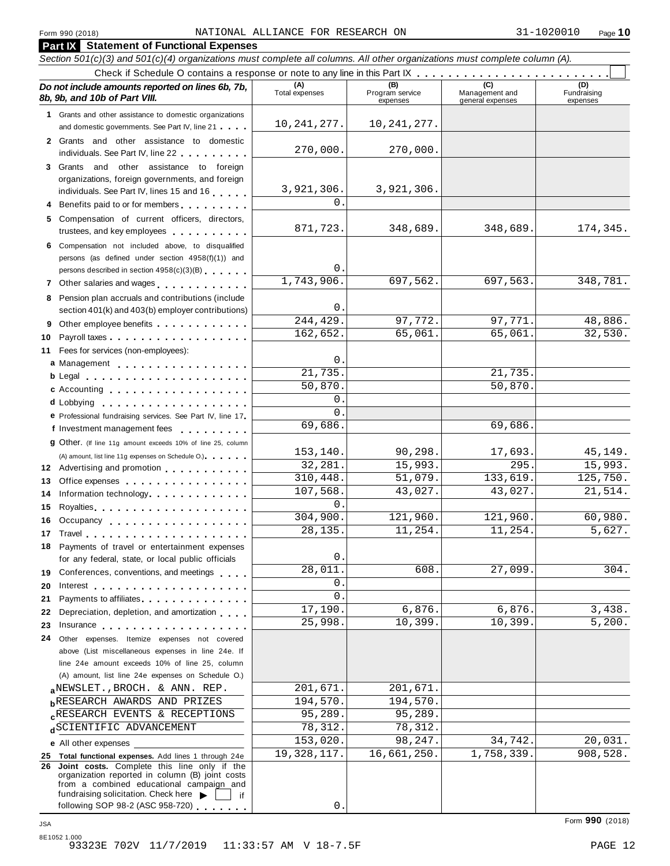**Part IX Statement of Functional Expenses**

#### Section 501(c)(3) and 501(c)(4) organizations must complete all columns. All other organizations must complete column (A). Check if Schedule <sup>O</sup> contains <sup>a</sup> response or note to any line in this Part IX m m m m m m m m m m m m m m m m m m m m m m m m m *Do no* **(A) (B) (C) (D)** *t include amounts reported on lines 6b, 7b,* **8b, 9b, and 10b of Part VIII.** The construction of *B***, 9b, and 10b of Part VIII.** expenses Management and general expenses Fundraising expenses **1** Grants and other assistance to domestic organizations and domestic governments. See Part IV, line 21 m m m **2** Grants and other assistance to domestic individuals. See Part IV, line 22 **3** Grants and other assistance to foreign organizations, foreign governments, and foreign individuals. See Part IV, lines <sup>15</sup> and <sup>16</sup> <sup>m</sup> <sup>m</sup> <sup>m</sup> <sup>m</sup> <sup>m</sup> **<sup>4</sup>** Benefits paid to or for members <sup>m</sup> <sup>m</sup> <sup>m</sup> <sup>m</sup> <sup>m</sup> <sup>m</sup> <sup>m</sup> <sup>m</sup> <sup>m</sup> **5** Compensation of current officers, directors, trustees, and key employees m m m m m m m m m m **6** Compensation not included above, to disqualified persons (as defined under section 4958(f)(1)) and persons described in section 4958(c)(3)(B) <sup>m</sup> <sup>m</sup> <sup>m</sup> <sup>m</sup> <sup>m</sup> <sup>m</sup> **<sup>7</sup>** Other salaries and wages <sup>m</sup> <sup>m</sup> <sup>m</sup> <sup>m</sup> <sup>m</sup> <sup>m</sup> <sup>m</sup> <sup>m</sup> <sup>m</sup> <sup>m</sup> <sup>m</sup> <sup>m</sup> **8** Pension plan accruals and contributions (include section 401(k) and 403(b) employer contributions) **9** Section 401(k) and 403(b) employer contributions<br>9 Other employee benefits 9 Other employee benefits **10** Payroll taxes **10** Fees for services (non-employees): **11** A) amount, list line 11g expenses on Schedule O.<br>**12** Advertising and promotion **manual 13** Office expenses **13** Office expenses<br>**14** Information technology............. 14 Information technology<br>15 Royalties <sub>…</sub>……………………… **16** Occupancy m m m m m m m m m m m m m m m m m m **16** Occupancy ...................<br>17 Travel..................... **18** Payments of travel or entertainment expenses for any federal, state, or local public officials<br>**19** Conferences, conventions, and meetings **19** Conferences, conventions, and meetings **with meetings**<br>20 Interest **manual meetings 21** Payments to affiliates m m m m m m m m m m m m m m 21 Payments to affiliates<br>22 Depreciation, depletion, and amortization <sub>1</sub> . . . **22** Depreciation, depletion, and amortization **manufation**<br>23 Insurance 24 Other expenses. Itemize expenses not covered | Fees for services (non-employees):<br>**a** Management ..................<br>**b** Legal ......................... **cd** Lobbying m m m m m m m m m m m m m m m m m m m **d** Lobbying **e**<br> **e** Professional fundraising services. See Part IV, line 17 **P** Professional fundraising services. See Part IV, line 17<br>**f** Investment management fees **g** Other. (If line 11g amount exceeds 10% of line 25, column Legal m m m m m m m m m m m m m m m m m m m m m c Accounting **c Accounting** m m m m m m m m m m m m m m m m m m (A) amount, list line 11g expenses on Schedule O.) means m m m m m m m m m m m m m m m m for any federal, state, or local public officials above (List miscellaneous expenses in line 24e. If line 24e amount exceeds 10% of line 25, column (A) amount, list line 24e expenses on Schedule O.) **a** NEWSLET., BROCH. & ANN. REP.<br> **b** RESEARCH AWARDS AND PRIZES 194,570. 194,570. **c**RESEARCH EVENIS & RECEPTIONS<br>d<sup>SCIENTIFIC ADVANCEMENT 78,312. 78,312.</sup> **e** All other expenses **25 Total functional expenses.** Add lines 1 through 24e **26 Joint costs.** Complete this line only if the organization reported in column (B) joint costs from a combined educational campaign and from a combined educational campaign and<br>fundraising solicitation. Check here  $\blacktriangleright$  if<br>following SOP 98-2 (ASC 958-720) 10,241,277. 10,241,277. 270,000. 270,000. 3,921,306. 3,921,306.  $\mathbf{0}$ . 871,723. 348,689. 348,689. 174,345. 0. 1,743,906. 697,562. 697,563. 348,781.  $\Omega$ 244,429. 97,772. 97,771. 48,886. 162,652. 65,061. 65,061. 32,530.  $\Omega$ 21,735. 21,735. 50,870. 50,870. 0. 0. 69,686. 69,686. 153,140. 90,298. 17,693. 45,149. 32,281. 15,993. 295. 15,993. 310,448. 51,079. 133,619. 125,750. 107,568. 43,027. 43,027. 21,514. 0. 304,900. 121,960. 121,960. 60,980. 28,135. 11,254. 11,254. 5,627.  $\Omega$ 28,011. 608. 27,099. 304. 0.  $\overline{0}$ . 17,190. 6,876. 6,876. 3,438. 25,998. 10,399. 10,399. 5,200.  $_{\text{a}}$ NEWSLET., BROCH. & ANN. REP. 201,671. 201,671. RESEARCH EVENTS & RECEPTIONS 95,289. 95,289. 153,020. 98,247. 34,742. 20,031. 19,328,117. 16,661,250. 1,758,339. 908,528.

0.

8E1052 1.000 93323E 702V 11/7/2019 11:33:57 AM V 18-7.5F 93323E 702V 11/7/2019 12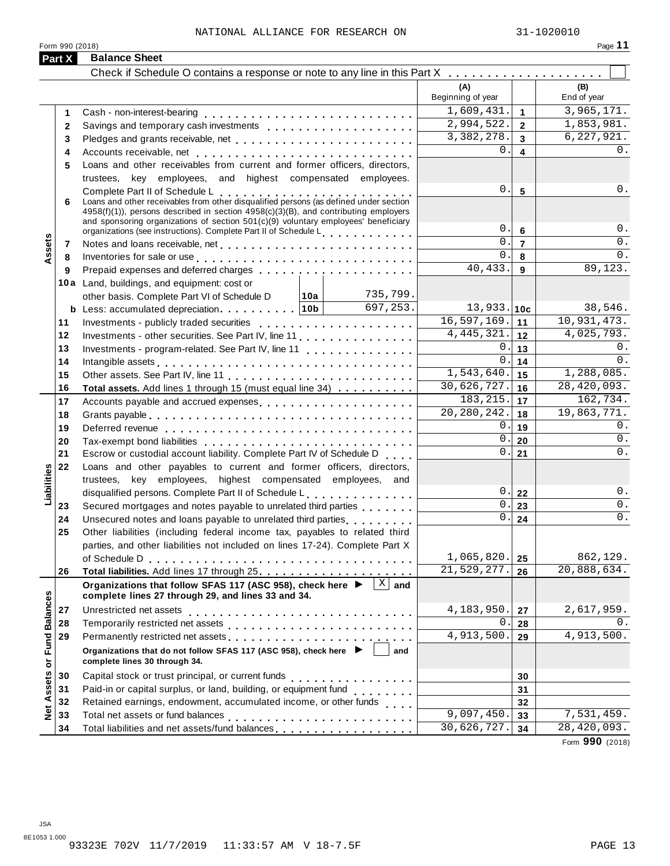| ت .<br>Ή<br>ĸ |  |
|---------------|--|
|               |  |

|                      |              | Form 990 (2018)                                                                                                                                                                                                                |            |              |                             |                         | Page $11$               |
|----------------------|--------------|--------------------------------------------------------------------------------------------------------------------------------------------------------------------------------------------------------------------------------|------------|--------------|-----------------------------|-------------------------|-------------------------|
| Part X               |              | <b>Balance Sheet</b>                                                                                                                                                                                                           |            |              |                             |                         |                         |
|                      |              |                                                                                                                                                                                                                                |            |              | (A)<br>Beginning of year    |                         | (B)<br>End of year      |
|                      |              |                                                                                                                                                                                                                                |            |              | 1,609,431.                  |                         | $\overline{3,965,171}.$ |
|                      | 1            |                                                                                                                                                                                                                                | 2,994,522. | $\mathbf{1}$ | 1,853,981.                  |                         |                         |
|                      | $\mathbf{2}$ |                                                                                                                                                                                                                                |            |              |                             | $\overline{2}$          |                         |
|                      | 3            |                                                                                                                                                                                                                                |            |              | 3,382,278.                  | $\overline{3}$          | 6, 227, 921.            |
|                      | 4            |                                                                                                                                                                                                                                |            |              | 0.                          | $\overline{\mathbf{4}}$ | 0.                      |
|                      | 5            | Loans and other receivables from current and former officers, directors,                                                                                                                                                       |            |              |                             |                         |                         |
|                      |              | trustees, key employees, and highest compensated employees.                                                                                                                                                                    |            |              |                             |                         |                         |
|                      | 6            | Complete Part II of Schedule L<br>Loans and other receivables from other disqualified persons (as defined under section<br>$4958(f)(1)$ , persons described in section $4958(c)(3)(B)$ , and contributing employers            |            |              | 0.                          | $5\phantom{1}$          | 0.                      |
|                      |              | and sponsoring organizations of section 501(c)(9) voluntary employees' beneficiary<br>organizations (see instructions). Complete Part II of Schedule L                                                                         |            |              | 0.                          | $6\phantom{1}$          | 0.                      |
|                      | 7            |                                                                                                                                                                                                                                |            |              | $\Omega$ .                  | $\overline{7}$          | 0.                      |
| Assets               | 8            |                                                                                                                                                                                                                                |            |              | $\Omega$ .                  | 8                       | 0.                      |
|                      | 9            | Inventories for sale or use enterpreteral enterpreteral enterpreteral enterpreteral enterpreteral enterpreteral                                                                                                                |            |              | 40,433.                     | 9                       | 89, 123.                |
|                      |              | 10a Land, buildings, and equipment: cost or                                                                                                                                                                                    |            |              |                             |                         |                         |
|                      |              | other basis. Complete Part VI of Schedule D   10a                                                                                                                                                                              |            | 735,799.     |                             |                         |                         |
|                      |              |                                                                                                                                                                                                                                |            | 697,253.     | $13,933.$ 10c               |                         | 38,546.                 |
|                      | 11           |                                                                                                                                                                                                                                |            |              | 16,597,169.                 | 11                      | 10,931,473.             |
|                      | 12           | Investments - other securities. See Part IV, line 11                                                                                                                                                                           |            |              | 4, 445, 321.                | 12                      | 4,025,793.              |
|                      | 13           |                                                                                                                                                                                                                                |            |              | 0.                          | 13                      | 0.                      |
|                      |              | Investments - program-related. See Part IV, line 11                                                                                                                                                                            |            |              | $\overline{0}$ .            | 14                      | 0.                      |
|                      | 14<br>15     |                                                                                                                                                                                                                                |            |              | 1,543,640.                  | 15                      | 1,288,085.              |
|                      |              |                                                                                                                                                                                                                                |            |              | 30,626,727.                 | 16                      | 28,420,093.             |
|                      | 16           | Total assets. Add lines 1 through 15 (must equal line 34)                                                                                                                                                                      |            |              | 183, 215.                   | 17                      | 162,734.                |
|                      | 17           | Accounts payable and accrued expenses                                                                                                                                                                                          |            |              | 20, 280, 242.               | 18                      | 19,863,771.             |
|                      | 18           |                                                                                                                                                                                                                                |            |              | 0.                          | 19                      | 0.                      |
|                      | 19           |                                                                                                                                                                                                                                |            |              | 0.                          | 20                      | 0.                      |
|                      | 20           |                                                                                                                                                                                                                                |            |              | 0.                          | 21                      | 0.                      |
|                      | 21           | Escrow or custodial account liability. Complete Part IV of Schedule D                                                                                                                                                          |            |              |                             |                         |                         |
| Liabilities          | 22           | Loans and other payables to current and former officers, directors,                                                                                                                                                            |            |              |                             |                         |                         |
|                      |              | trustees, key employees, highest compensated employees, and                                                                                                                                                                    |            |              | 0.                          |                         | 0.                      |
|                      |              | disqualified persons. Complete Part II of Schedule L.                                                                                                                                                                          |            |              | $\overline{0}$ .            | 22                      | 0.                      |
|                      | 23           | Secured mortgages and notes payable to unrelated third parties                                                                                                                                                                 |            |              | 0.                          | 23                      | 0.                      |
|                      | 24           | Unsecured notes and loans payable to unrelated third parties                                                                                                                                                                   |            |              |                             | 24                      |                         |
|                      | 25           | Other liabilities (including federal income tax, payables to related third                                                                                                                                                     |            |              |                             |                         |                         |
|                      |              | parties, and other liabilities not included on lines 17-24). Complete Part X                                                                                                                                                   |            |              | 1,065,820.                  |                         | 862,129.                |
|                      |              |                                                                                                                                                                                                                                |            |              | $\overline{21}$ , 529, 277. | 25                      | 20,888,634.             |
|                      | 26           |                                                                                                                                                                                                                                |            |              |                             | 26                      |                         |
|                      |              | Organizations that follow SFAS 117 (ASC 958), check here ▶<br>complete lines 27 through 29, and lines 33 and 34.                                                                                                               |            | $X$ and      |                             |                         |                         |
|                      | 27           |                                                                                                                                                                                                                                |            |              | 4,183,950.                  | 27                      | 2,617,959.              |
|                      | 28           |                                                                                                                                                                                                                                |            | $\Omega$ .   |                             | 0.                      |                         |
|                      | 29           | Permanently restricted net assets entertainment of the set of the set of the set of the set of the set of the set of the set of the set of the set of the set of the set of the set of the set of the set of the set of the se |            | 4,913,500.   | 28<br>29                    | 4,913,500.              |                         |
| <b>Fund Balances</b> |              | Organizations that do not follow SFAS 117 (ASC 958), check here ▶<br>complete lines 30 through 34.                                                                                                                             | and        |              |                             |                         |                         |
| $\bf \bar{o}$        |              |                                                                                                                                                                                                                                |            |              |                             |                         |                         |
|                      | 30           |                                                                                                                                                                                                                                |            |              |                             | 30                      |                         |
|                      | 31           | Paid-in or capital surplus, or land, building, or equipment fund<br>                                                                                                                                                           |            |              |                             | 31                      |                         |
| <b>Net Assets</b>    | 32           | Retained earnings, endowment, accumulated income, or other funds                                                                                                                                                               |            |              |                             | 32                      |                         |
|                      | 33           |                                                                                                                                                                                                                                |            |              | 9,097,450.                  | 33                      | 7,531,459.              |
|                      | 34           |                                                                                                                                                                                                                                |            |              | 30,626,727.                 | 34                      | 28,420,093.             |

Form **990** (2018)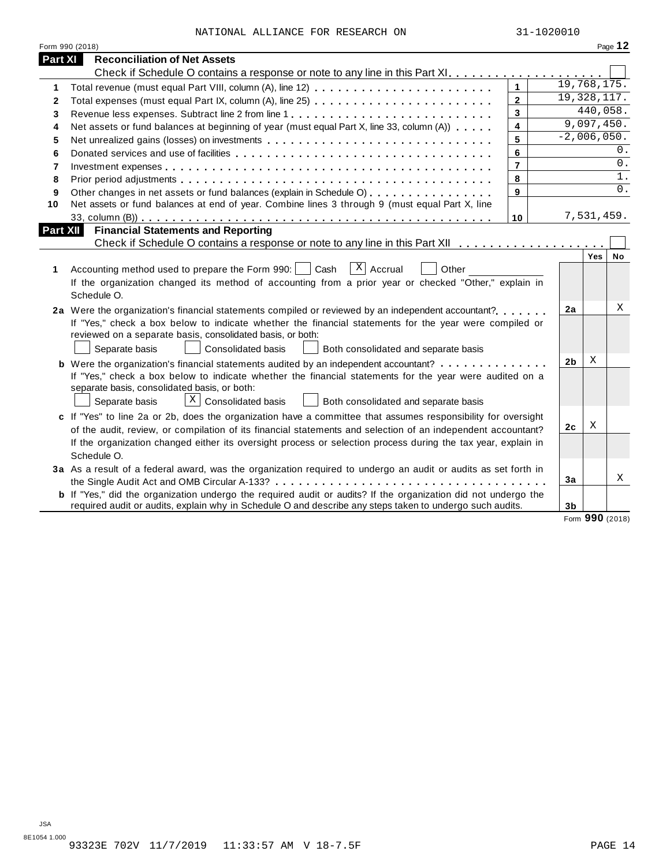| NATIONAL ALLIANCE FOR RESEARCH ON |  | 31-1020010 |
|-----------------------------------|--|------------|

| Form 990 (2018)                                                                                                       |                         |                |                 | Page 12          |
|-----------------------------------------------------------------------------------------------------------------------|-------------------------|----------------|-----------------|------------------|
| <b>Part XI</b><br><b>Reconciliation of Net Assets</b>                                                                 |                         |                |                 |                  |
|                                                                                                                       |                         |                |                 |                  |
| 1                                                                                                                     | $\mathbf{1}$            | 19,768,175.    |                 |                  |
| Total expenses (must equal Part IX, column (A), line 25)<br>2                                                         | $\overline{\mathbf{2}}$ | 19, 328, 117.  |                 |                  |
| 3                                                                                                                     | $\overline{\mathbf{3}}$ |                | 440,058.        |                  |
| Net assets or fund balances at beginning of year (must equal Part X, line 33, column (A))<br>4                        | $\overline{\mathbf{4}}$ |                | 9,097,450.      |                  |
| Net unrealized gains (losses) on investments<br>5                                                                     | 5                       |                | $-2,006,050.$   |                  |
| 6                                                                                                                     | 6                       |                |                 | 0.               |
| 7                                                                                                                     | $\overline{7}$          |                |                 | $0$ .            |
| 8                                                                                                                     | 8                       |                |                 | 1.               |
| Other changes in net assets or fund balances (explain in Schedule O)<br>9                                             | 9                       |                |                 | $\overline{0}$ . |
| Net assets or fund balances at end of year. Combine lines 3 through 9 (must equal Part X, line<br>10                  |                         |                |                 |                  |
|                                                                                                                       | 10                      |                | 7,531,459.      |                  |
| <b>Financial Statements and Reporting</b><br>Part XII                                                                 |                         |                |                 |                  |
|                                                                                                                       |                         |                |                 |                  |
|                                                                                                                       |                         |                | Yes             | No               |
| $x \mid$ Accrual<br>Accounting method used to prepare the Form 990:     Cash<br>Other<br>1                            |                         |                |                 |                  |
| If the organization changed its method of accounting from a prior year or checked "Other," explain in                 |                         |                |                 |                  |
| Schedule O.                                                                                                           |                         |                |                 |                  |
| 2a Were the organization's financial statements compiled or reviewed by an independent accountant?                    |                         | 2a             |                 | Χ                |
| If "Yes," check a box below to indicate whether the financial statements for the year were compiled or                |                         |                |                 |                  |
| reviewed on a separate basis, consolidated basis, or both:                                                            |                         |                |                 |                  |
| Separate basis<br><b>Consolidated basis</b><br>Both consolidated and separate basis                                   |                         |                |                 |                  |
| <b>b</b> Were the organization's financial statements audited by an independent accountant?                           |                         | 2 <sub>b</sub> | Χ               |                  |
| If "Yes," check a box below to indicate whether the financial statements for the year were audited on a               |                         |                |                 |                  |
| separate basis, consolidated basis, or both:                                                                          |                         |                |                 |                  |
| X<br><b>Consolidated basis</b><br>Separate basis<br>Both consolidated and separate basis                              |                         |                |                 |                  |
| c If "Yes" to line 2a or 2b, does the organization have a committee that assumes responsibility for oversight         |                         |                |                 |                  |
| of the audit, review, or compilation of its financial statements and selection of an independent accountant?          |                         | 2 <sub>c</sub> | Χ               |                  |
| If the organization changed either its oversight process or selection process during the tax year, explain in         |                         |                |                 |                  |
| Schedule O.                                                                                                           |                         |                |                 |                  |
|                                                                                                                       |                         |                |                 |                  |
| 3a As a result of a federal award, was the organization required to undergo an audit or audits as set forth in        |                         | 3a             |                 | Χ                |
| <b>b</b> If "Yes," did the organization undergo the required audit or audits? If the organization did not undergo the |                         |                |                 |                  |
| required audit or audits, explain why in Schedule O and describe any steps taken to undergo such audits.              |                         | 3 <sub>b</sub> |                 |                  |
|                                                                                                                       |                         |                | Form 990 (2018) |                  |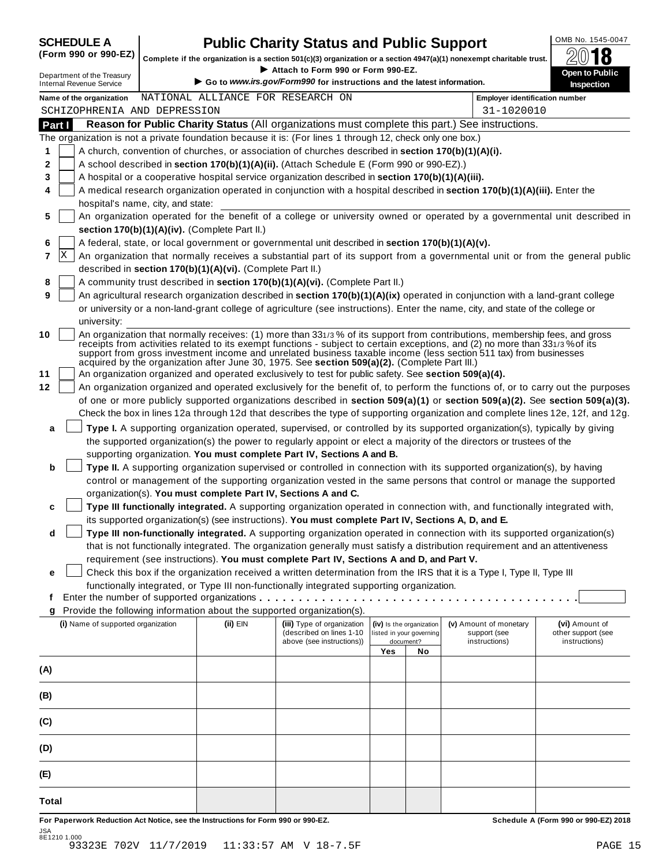|  | <b>SCHEDULE A</b>             |  |  |
|--|-------------------------------|--|--|
|  | $\sqrt{2}$ and and $\sqrt{2}$ |  |  |

## **CHEDULE A Public Charity Status and Public Support**  $\frac{\text{OMB No. 1545-0047}}{\text{OMB}}$

(Form 990 or 990-EZ) complete if the organization is a section 501(c)(3) organization or a section 4947(a)(1) nonexempt charitable trust.  $2018$ 

|                                                                                                           |                                   |                                                            | Complete if the organization is a section 501(c)(3) organization or a section 4947(a)(1) nonexempt charitable trust.<br>Attach to Form 990 or Form 990-EZ. |     |                                       |                                                                                                                                | ZW IO                                                                                                                            |  |  |  |  |
|-----------------------------------------------------------------------------------------------------------|-----------------------------------|------------------------------------------------------------|------------------------------------------------------------------------------------------------------------------------------------------------------------|-----|---------------------------------------|--------------------------------------------------------------------------------------------------------------------------------|----------------------------------------------------------------------------------------------------------------------------------|--|--|--|--|
| Department of the Treasury<br><b>Internal Revenue Service</b>                                             |                                   |                                                            | Go to www.irs.gov/Form990 for instructions and the latest information.                                                                                     |     |                                       |                                                                                                                                | Open to Public<br>Inspection                                                                                                     |  |  |  |  |
| Name of the organization                                                                                  |                                   | NATIONAL ALLIANCE FOR RESEARCH ON                          |                                                                                                                                                            |     |                                       | <b>Employer identification number</b>                                                                                          |                                                                                                                                  |  |  |  |  |
| SCHIZOPHRENIA AND DEPRESSION                                                                              |                                   | 31-1020010                                                 |                                                                                                                                                            |     |                                       |                                                                                                                                |                                                                                                                                  |  |  |  |  |
| Part I                                                                                                    |                                   |                                                            |                                                                                                                                                            |     |                                       | Reason for Public Charity Status (All organizations must complete this part.) See instructions.                                |                                                                                                                                  |  |  |  |  |
| The organization is not a private foundation because it is: (For lines 1 through 12, check only one box.) |                                   |                                                            |                                                                                                                                                            |     |                                       |                                                                                                                                |                                                                                                                                  |  |  |  |  |
| 1                                                                                                         |                                   |                                                            | A church, convention of churches, or association of churches described in section 170(b)(1)(A)(i).                                                         |     |                                       |                                                                                                                                |                                                                                                                                  |  |  |  |  |
| 2                                                                                                         |                                   |                                                            | A school described in section 170(b)(1)(A)(ii). (Attach Schedule E (Form 990 or 990-EZ).)                                                                  |     |                                       |                                                                                                                                |                                                                                                                                  |  |  |  |  |
| 3                                                                                                         |                                   |                                                            | A hospital or a cooperative hospital service organization described in section 170(b)(1)(A)(iii).                                                          |     |                                       |                                                                                                                                |                                                                                                                                  |  |  |  |  |
| 4                                                                                                         |                                   |                                                            |                                                                                                                                                            |     |                                       | A medical research organization operated in conjunction with a hospital described in section 170(b)(1)(A)(iii). Enter the      |                                                                                                                                  |  |  |  |  |
| 5                                                                                                         | hospital's name, city, and state: |                                                            |                                                                                                                                                            |     |                                       |                                                                                                                                | An organization operated for the benefit of a college or university owned or operated by a governmental unit described in        |  |  |  |  |
|                                                                                                           |                                   | section 170(b)(1)(A)(iv). (Complete Part II.)              |                                                                                                                                                            |     |                                       |                                                                                                                                |                                                                                                                                  |  |  |  |  |
| 6                                                                                                         |                                   |                                                            | A federal, state, or local government or governmental unit described in section 170(b)(1)(A)(v).                                                           |     |                                       |                                                                                                                                |                                                                                                                                  |  |  |  |  |
| X<br>7                                                                                                    |                                   |                                                            |                                                                                                                                                            |     |                                       |                                                                                                                                | An organization that normally receives a substantial part of its support from a governmental unit or from the general public     |  |  |  |  |
|                                                                                                           |                                   | described in section 170(b)(1)(A)(vi). (Complete Part II.) |                                                                                                                                                            |     |                                       |                                                                                                                                |                                                                                                                                  |  |  |  |  |
| 8                                                                                                         |                                   |                                                            | A community trust described in section 170(b)(1)(A)(vi). (Complete Part II.)                                                                               |     |                                       |                                                                                                                                |                                                                                                                                  |  |  |  |  |
| 9                                                                                                         |                                   |                                                            |                                                                                                                                                            |     |                                       | An agricultural research organization described in section 170(b)(1)(A)(ix) operated in conjunction with a land-grant college  |                                                                                                                                  |  |  |  |  |
|                                                                                                           |                                   |                                                            |                                                                                                                                                            |     |                                       | or university or a non-land-grant college of agriculture (see instructions). Enter the name, city, and state of the college or |                                                                                                                                  |  |  |  |  |
| university:                                                                                               |                                   |                                                            |                                                                                                                                                            |     |                                       |                                                                                                                                |                                                                                                                                  |  |  |  |  |
| 10                                                                                                        |                                   |                                                            |                                                                                                                                                            |     |                                       | An organization that normally receives: (1) more than 331/3% of its support from contributions, membership fees, and gross     |                                                                                                                                  |  |  |  |  |
|                                                                                                           |                                   |                                                            |                                                                                                                                                            |     |                                       | receipts from activities related to its exempt functions - subject to certain exceptions, and (2) no more than 331/3% of its   |                                                                                                                                  |  |  |  |  |
|                                                                                                           |                                   |                                                            | acquired by the organization after June 30, 1975. See section 509(a)(2). (Complete Part III.)                                                              |     |                                       | support from gross investment income and unrelated business taxable income (less section 511 tax) from businesses              |                                                                                                                                  |  |  |  |  |
| 11                                                                                                        |                                   |                                                            | An organization organized and operated exclusively to test for public safety. See section 509(a)(4).                                                       |     |                                       |                                                                                                                                |                                                                                                                                  |  |  |  |  |
| 12                                                                                                        |                                   |                                                            |                                                                                                                                                            |     |                                       |                                                                                                                                | An organization organized and operated exclusively for the benefit of, to perform the functions of, or to carry out the purposes |  |  |  |  |
|                                                                                                           |                                   |                                                            |                                                                                                                                                            |     |                                       |                                                                                                                                | of one or more publicly supported organizations described in section 509(a)(1) or section 509(a)(2). See section 509(a)(3).      |  |  |  |  |
|                                                                                                           |                                   |                                                            |                                                                                                                                                            |     |                                       |                                                                                                                                | Check the box in lines 12a through 12d that describes the type of supporting organization and complete lines 12e, 12f, and 12g.  |  |  |  |  |
| a                                                                                                         |                                   |                                                            |                                                                                                                                                            |     |                                       | Type I. A supporting organization operated, supervised, or controlled by its supported organization(s), typically by giving    |                                                                                                                                  |  |  |  |  |
|                                                                                                           |                                   |                                                            |                                                                                                                                                            |     |                                       | the supported organization(s) the power to regularly appoint or elect a majority of the directors or trustees of the           |                                                                                                                                  |  |  |  |  |
|                                                                                                           |                                   |                                                            | supporting organization. You must complete Part IV, Sections A and B.                                                                                      |     |                                       |                                                                                                                                |                                                                                                                                  |  |  |  |  |
| b                                                                                                         |                                   |                                                            |                                                                                                                                                            |     |                                       | Type II. A supporting organization supervised or controlled in connection with its supported organization(s), by having        |                                                                                                                                  |  |  |  |  |
|                                                                                                           |                                   |                                                            |                                                                                                                                                            |     |                                       | control or management of the supporting organization vested in the same persons that control or manage the supported           |                                                                                                                                  |  |  |  |  |
|                                                                                                           |                                   |                                                            | organization(s). You must complete Part IV, Sections A and C.                                                                                              |     |                                       |                                                                                                                                |                                                                                                                                  |  |  |  |  |
| c                                                                                                         |                                   |                                                            |                                                                                                                                                            |     |                                       | Type III functionally integrated. A supporting organization operated in connection with, and functionally integrated with,     |                                                                                                                                  |  |  |  |  |
|                                                                                                           |                                   |                                                            | its supported organization(s) (see instructions). You must complete Part IV, Sections A, D, and E.                                                         |     |                                       |                                                                                                                                |                                                                                                                                  |  |  |  |  |
| d                                                                                                         |                                   |                                                            |                                                                                                                                                            |     |                                       | Type III non-functionally integrated. A supporting organization operated in connection with its supported organization(s)      |                                                                                                                                  |  |  |  |  |
|                                                                                                           |                                   |                                                            |                                                                                                                                                            |     |                                       | that is not functionally integrated. The organization generally must satisfy a distribution requirement and an attentiveness   |                                                                                                                                  |  |  |  |  |
|                                                                                                           |                                   |                                                            | requirement (see instructions). You must complete Part IV, Sections A and D, and Part V.                                                                   |     |                                       |                                                                                                                                |                                                                                                                                  |  |  |  |  |
| е                                                                                                         |                                   |                                                            |                                                                                                                                                            |     |                                       | Check this box if the organization received a written determination from the IRS that it is a Type I, Type II, Type III        |                                                                                                                                  |  |  |  |  |
|                                                                                                           |                                   |                                                            | functionally integrated, or Type III non-functionally integrated supporting organization.                                                                  |     |                                       |                                                                                                                                |                                                                                                                                  |  |  |  |  |
| t                                                                                                         |                                   |                                                            | Enter the number of supported organizations                                                                                                                |     |                                       |                                                                                                                                |                                                                                                                                  |  |  |  |  |
| g                                                                                                         |                                   |                                                            | Provide the following information about the supported organization(s).                                                                                     |     |                                       |                                                                                                                                |                                                                                                                                  |  |  |  |  |
| (i) Name of supported organization                                                                        |                                   | (ii) EIN                                                   | (iii) Type of organization                                                                                                                                 |     | (iv) Is the organization              | (v) Amount of monetary                                                                                                         | (vi) Amount of                                                                                                                   |  |  |  |  |
|                                                                                                           |                                   |                                                            | (described on lines 1-10<br>above (see instructions))                                                                                                      |     | listed in your governing<br>document? | support (see<br>instructions)                                                                                                  | other support (see<br>instructions)                                                                                              |  |  |  |  |
|                                                                                                           |                                   |                                                            |                                                                                                                                                            | Yes | No                                    |                                                                                                                                |                                                                                                                                  |  |  |  |  |
| (A)                                                                                                       |                                   |                                                            |                                                                                                                                                            |     |                                       |                                                                                                                                |                                                                                                                                  |  |  |  |  |
|                                                                                                           |                                   |                                                            |                                                                                                                                                            |     |                                       |                                                                                                                                |                                                                                                                                  |  |  |  |  |
| (B)                                                                                                       |                                   |                                                            |                                                                                                                                                            |     |                                       |                                                                                                                                |                                                                                                                                  |  |  |  |  |
| (C)                                                                                                       |                                   |                                                            |                                                                                                                                                            |     |                                       |                                                                                                                                |                                                                                                                                  |  |  |  |  |
| (D)                                                                                                       |                                   |                                                            |                                                                                                                                                            |     |                                       |                                                                                                                                |                                                                                                                                  |  |  |  |  |
| (E)                                                                                                       |                                   |                                                            |                                                                                                                                                            |     |                                       |                                                                                                                                |                                                                                                                                  |  |  |  |  |
|                                                                                                           |                                   |                                                            |                                                                                                                                                            |     |                                       |                                                                                                                                |                                                                                                                                  |  |  |  |  |
| Total                                                                                                     |                                   |                                                            |                                                                                                                                                            |     |                                       |                                                                                                                                |                                                                                                                                  |  |  |  |  |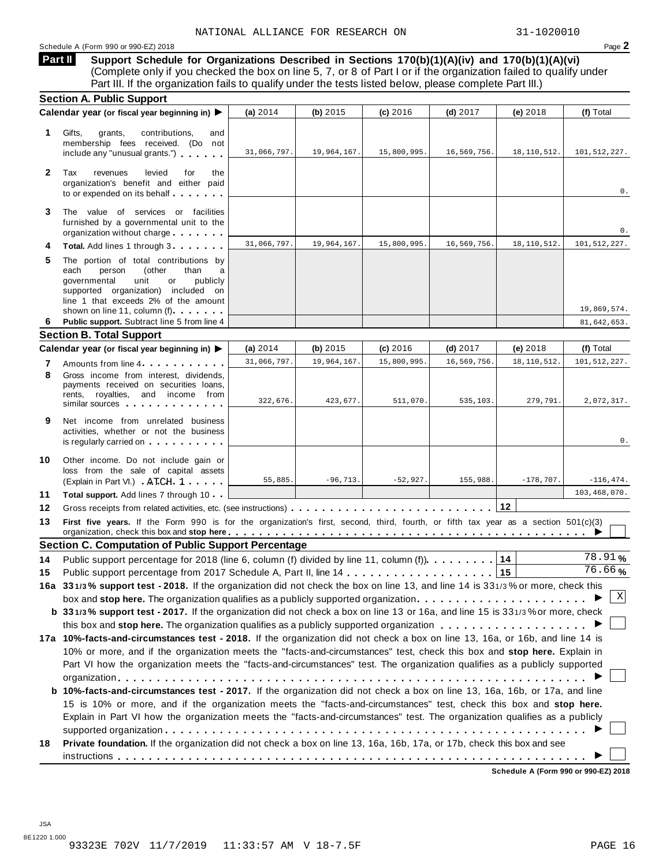### Schedule A (Form 990 or 990-EZ) 2018 Page 2

**Support Schedule for Organizations Described in Sections 170(b)(1)(A)(iv) and 170(b)(1)(A)(vi)** (Complete only if you checked the box on line 5, 7, or 8 of Part I or if the organization failed to qualify under Part III. If the organization fails to qualify under the tests listed below, please complete Part III.) **Part II**

|              | <b>Section A. Public Support</b>                                                                                                                                                                                                                                                                                |             |             |             |             |               |              |  |  |  |
|--------------|-----------------------------------------------------------------------------------------------------------------------------------------------------------------------------------------------------------------------------------------------------------------------------------------------------------------|-------------|-------------|-------------|-------------|---------------|--------------|--|--|--|
|              | Calendar year (or fiscal year beginning in) ▶                                                                                                                                                                                                                                                                   | (a) 2014    | (b) $2015$  | $(c)$ 2016  | $(d)$ 2017  | (e) 2018      | (f) Total    |  |  |  |
| 1            | Gifts,<br>grants,<br>contributions,<br>and<br>membership fees received. (Do not<br>include any "unusual grants.")                                                                                                                                                                                               | 31,066,797. | 19,964,167. | 15,800,995. | 16,569,756. | 18, 110, 512. | 101,512,227. |  |  |  |
| $\mathbf{2}$ | Tax<br>levied<br>revenues<br>for<br>the<br>organization's benefit and either paid<br>to or expended on its behalf                                                                                                                                                                                               |             |             |             |             |               | 0.           |  |  |  |
| 3            | The value of services or facilities<br>furnished by a governmental unit to the<br>organization without charge                                                                                                                                                                                                   |             |             |             |             |               | 0.           |  |  |  |
|              | Total. Add lines 1 through 3                                                                                                                                                                                                                                                                                    | 31,066,797. | 19,964,167. | 15,800,995. | 16,569,756. | 18, 110, 512. | 101,512,227. |  |  |  |
| 5            | The portion of total contributions by<br>(other<br>each<br>person<br>than<br>a<br>governmental<br>unit<br>publicly<br>or<br>supported organization) included on<br>line 1 that exceeds 2% of the amount<br>shown on line 11, column (f).                                                                        |             |             |             |             |               | 19,869,574.  |  |  |  |
| 6            | Public support. Subtract line 5 from line 4                                                                                                                                                                                                                                                                     |             |             |             |             |               | 81,642,653.  |  |  |  |
|              | <b>Section B. Total Support</b>                                                                                                                                                                                                                                                                                 |             |             |             |             |               |              |  |  |  |
|              | Calendar year (or fiscal year beginning in) ▶                                                                                                                                                                                                                                                                   | (a) $2014$  | (b) $2015$  | $(c)$ 2016  | $(d)$ 2017  | (e) 2018      | (f) Total    |  |  |  |
| 7            | Amounts from line 4.                                                                                                                                                                                                                                                                                            | 31,066,797. | 19,964,167. | 15,800,995  | 16,569,756  | 18, 110, 512. | 101,512,227. |  |  |  |
| 8            | Gross income from interest. dividends.<br>payments received on securities loans,<br>rents, royalties, and income from<br>similar sources and the contract of the same sources                                                                                                                                   | 322,676.    | 423,677.    | 511,070.    | 535,103.    | 279,791.      | 2,072,317.   |  |  |  |
| 9            | Net income from unrelated business<br>activities, whether or not the business<br>is regularly carried on the control of the control of the control of the control of the control of the control of the control of the control of the control of the control of the control of the control of the control of the |             |             |             |             |               | 0.           |  |  |  |
| 10           | Other income. Do not include gain or<br>loss from the sale of capital assets<br>(Explain in Part VI.) ATCH 1                                                                                                                                                                                                    | 55,885.     | $-96, 713.$ | $-52,927.$  | 155,988.    | $-178,707.$   | $-116,474.$  |  |  |  |
| 11           | <b>Total support.</b> Add lines 7 through 10                                                                                                                                                                                                                                                                    |             |             |             |             |               | 103,468,070. |  |  |  |
| 12           |                                                                                                                                                                                                                                                                                                                 |             |             |             |             | 12            |              |  |  |  |
| 13           | First five years. If the Form 990 is for the organization's first, second, third, fourth, or fifth tax year as a section 501(c)(3)                                                                                                                                                                              |             |             |             |             |               |              |  |  |  |
|              | <b>Section C. Computation of Public Support Percentage</b>                                                                                                                                                                                                                                                      |             |             |             |             |               |              |  |  |  |
| 14           | Public support percentage for 2018 (line 6, column (f) divided by line 11, column (f)). 14                                                                                                                                                                                                                      |             |             |             |             |               | 78.91%       |  |  |  |
| 15           |                                                                                                                                                                                                                                                                                                                 |             |             |             |             |               | 76.66%       |  |  |  |
|              | 16a 331/3% support test - 2018. If the organization did not check the box on line 13, and line 14 is 331/3% or more, check this                                                                                                                                                                                 |             |             |             |             |               |              |  |  |  |
|              | box and stop here. The organization qualifies as a publicly supported organization                                                                                                                                                                                                                              |             |             |             |             |               | Χ            |  |  |  |
|              | b 331/3% support test - 2017. If the organization did not check a box on line 13 or 16a, and line 15 is 331/3% or more, check                                                                                                                                                                                   |             |             |             |             |               |              |  |  |  |
|              |                                                                                                                                                                                                                                                                                                                 |             |             |             |             |               |              |  |  |  |
|              | 17a 10%-facts-and-circumstances test - 2018. If the organization did not check a box on line 13, 16a, or 16b, and line 14 is                                                                                                                                                                                    |             |             |             |             |               |              |  |  |  |
|              |                                                                                                                                                                                                                                                                                                                 |             |             |             |             |               |              |  |  |  |
|              | 10% or more, and if the organization meets the "facts-and-circumstances" test, check this box and stop here. Explain in<br>Part VI how the organization meets the "facts-and-circumstances" test. The organization qualifies as a publicly supported                                                            |             |             |             |             |               |              |  |  |  |
|              |                                                                                                                                                                                                                                                                                                                 |             |             |             |             |               |              |  |  |  |
|              | b 10%-facts-and-circumstances test - 2017. If the organization did not check a box on line 13, 16a, 16b, or 17a, and line                                                                                                                                                                                       |             |             |             |             |               |              |  |  |  |
|              | 15 is 10% or more, and if the organization meets the "facts-and-circumstances" test, check this box and stop here.                                                                                                                                                                                              |             |             |             |             |               |              |  |  |  |
|              | Explain in Part VI how the organization meets the "facts-and-circumstances" test. The organization qualifies as a publicly                                                                                                                                                                                      |             |             |             |             |               |              |  |  |  |
| 18           | Private foundation. If the organization did not check a box on line 13, 16a, 16b, 17a, or 17b, check this box and see                                                                                                                                                                                           |             |             |             |             |               |              |  |  |  |
|              |                                                                                                                                                                                                                                                                                                                 |             |             |             |             |               |              |  |  |  |
|              |                                                                                                                                                                                                                                                                                                                 |             |             |             |             |               |              |  |  |  |

**Schedule A (Form 990 or 990-EZ) 2018**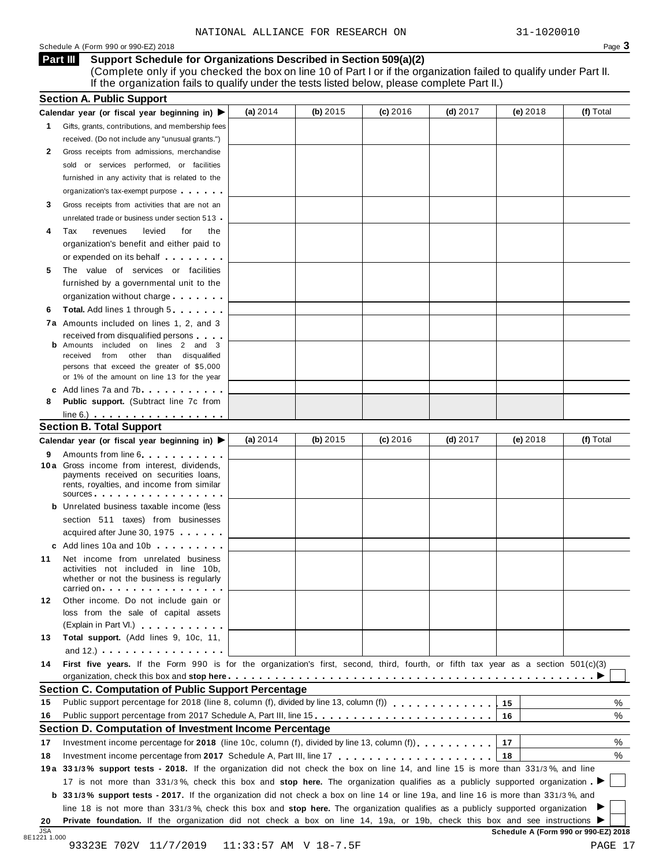#### Schedule <sup>A</sup> (Form <sup>990</sup> or 990-EZ) <sup>2018</sup> Page **3**

**Support Schedule for Organizations Described in Section 509(a)(2) Part III**

(Complete only if you checked the box on line 10 of Part I or if the organization failed to qualify under Part II. If the organization fails to qualify under the tests listed below, please complete Part II.)

|    | <b>Section A. Public Support</b><br>Calendar year (or fiscal year beginning in) $\blacktriangleright$                                                                                                                                                        | (a) 2014 | (b) 2015 | (c) 2016 | $(d)$ 2017 | $(e)$ 2018 | (f) Total |
|----|--------------------------------------------------------------------------------------------------------------------------------------------------------------------------------------------------------------------------------------------------------------|----------|----------|----------|------------|------------|-----------|
| 1. | Gifts, grants, contributions, and membership fees                                                                                                                                                                                                            |          |          |          |            |            |           |
|    | received. (Do not include any "unusual grants.")                                                                                                                                                                                                             |          |          |          |            |            |           |
| 2  | Gross receipts from admissions, merchandise                                                                                                                                                                                                                  |          |          |          |            |            |           |
|    | sold or services performed, or facilities                                                                                                                                                                                                                    |          |          |          |            |            |           |
|    | furnished in any activity that is related to the                                                                                                                                                                                                             |          |          |          |            |            |           |
|    | organization's tax-exempt purpose                                                                                                                                                                                                                            |          |          |          |            |            |           |
| 3  | Gross receipts from activities that are not an                                                                                                                                                                                                               |          |          |          |            |            |           |
|    | unrelated trade or business under section 513                                                                                                                                                                                                                |          |          |          |            |            |           |
| 4  | Tax<br>revenues<br>levied<br>for<br>the                                                                                                                                                                                                                      |          |          |          |            |            |           |
|    | organization's benefit and either paid to                                                                                                                                                                                                                    |          |          |          |            |            |           |
|    | or expended on its behalf                                                                                                                                                                                                                                    |          |          |          |            |            |           |
| 5  | The value of services or facilities                                                                                                                                                                                                                          |          |          |          |            |            |           |
|    | furnished by a governmental unit to the                                                                                                                                                                                                                      |          |          |          |            |            |           |
|    | organization without charge                                                                                                                                                                                                                                  |          |          |          |            |            |           |
| 6  | <b>Total.</b> Add lines 1 through 5                                                                                                                                                                                                                          |          |          |          |            |            |           |
|    | 7a Amounts included on lines 1, 2, and 3                                                                                                                                                                                                                     |          |          |          |            |            |           |
|    | received from disqualified persons                                                                                                                                                                                                                           |          |          |          |            |            |           |
| b  | Amounts included on lines 2 and 3                                                                                                                                                                                                                            |          |          |          |            |            |           |
|    | received from other than disqualified                                                                                                                                                                                                                        |          |          |          |            |            |           |
|    | persons that exceed the greater of \$5,000<br>or 1% of the amount on line 13 for the year                                                                                                                                                                    |          |          |          |            |            |           |
|    | c Add lines 7a and 7b.                                                                                                                                                                                                                                       |          |          |          |            |            |           |
| 8  | Public support. (Subtract line 7c from                                                                                                                                                                                                                       |          |          |          |            |            |           |
|    | $line 6.)$                                                                                                                                                                                                                                                   |          |          |          |            |            |           |
|    | <b>Section B. Total Support</b>                                                                                                                                                                                                                              |          |          |          |            |            |           |
|    | Calendar year (or fiscal year beginning in) ▶                                                                                                                                                                                                                | (a) 2014 | (b) 2015 | (c) 2016 | $(d)$ 2017 | $(e)$ 2018 | (f) Total |
| 9  | Amounts from line 6                                                                                                                                                                                                                                          |          |          |          |            |            |           |
|    | 10 a Gross income from interest, dividends,<br>payments received on securities loans,<br>rents, royalties, and income from similar                                                                                                                           |          |          |          |            |            |           |
|    | SOUICES                                                                                                                                                                                                                                                      |          |          |          |            |            |           |
|    | <b>b</b> Unrelated business taxable income (less                                                                                                                                                                                                             |          |          |          |            |            |           |
|    | section 511 taxes) from businesses                                                                                                                                                                                                                           |          |          |          |            |            |           |
|    | acquired after June 30, 1975                                                                                                                                                                                                                                 |          |          |          |            |            |           |
|    | c Add lines 10a and 10b                                                                                                                                                                                                                                      |          |          |          |            |            |           |
| 11 | Net income from unrelated business<br>activities not included in line 10b,<br>whether or not the business is regularly<br>carried on entering the set of the set of the set of the set of the set of the set of the set of the set of the                    |          |          |          |            |            |           |
| 12 | Other income. Do not include gain or                                                                                                                                                                                                                         |          |          |          |            |            |           |
|    | loss from the sale of capital assets                                                                                                                                                                                                                         |          |          |          |            |            |           |
|    | (Explain in Part VI.) <b>All Accords</b>                                                                                                                                                                                                                     |          |          |          |            |            |           |
| 13 | Total support. (Add lines 9, 10c, 11,                                                                                                                                                                                                                        |          |          |          |            |            |           |
|    | and 12.) $\cdots$ $\cdots$ $\cdots$ $\cdots$                                                                                                                                                                                                                 |          |          |          |            |            |           |
| 14 | First five years. If the Form 990 is for the organization's first, second, third, fourth, or fifth tax year as a section 501(c)(3)                                                                                                                           |          |          |          |            |            |           |
|    |                                                                                                                                                                                                                                                              |          |          |          |            |            |           |
|    | <b>Section C. Computation of Public Support Percentage</b>                                                                                                                                                                                                   |          |          |          |            |            |           |
| 15 |                                                                                                                                                                                                                                                              |          |          |          |            | 15         | %         |
| 16 | Public support percentage from 2017 Schedule A, Part III, line 15.                                                                                                                                                                                           |          |          |          |            | 16         | %         |
|    | Section D. Computation of Investment Income Percentage                                                                                                                                                                                                       |          |          |          |            |            |           |
| 17 | Investment income percentage for 2018 (line 10c, column (f), divided by line 13, column (f) $\ldots$ ,,,,,,,                                                                                                                                                 |          |          |          |            | 17         | %         |
| 18 |                                                                                                                                                                                                                                                              |          |          |          |            | 18         | %         |
|    | 19a 331/3% support tests - 2018. If the organization did not check the box on line 14, and line 15 is more than 331/3%, and line                                                                                                                             |          |          |          |            |            |           |
|    | 17 is not more than 331/3%, check this box and stop here. The organization qualifies as a publicly supported organization                                                                                                                                    |          |          |          |            |            |           |
|    | <b>b</b> 331/3% support tests - 2017. If the organization did not check a box on line 14 or line 19a, and line 16 is more than 331/3%, and                                                                                                                   |          |          |          |            |            |           |
|    |                                                                                                                                                                                                                                                              |          |          |          |            |            |           |
|    | line 18 is not more than 331/3%, check this box and stop here. The organization qualifies as a publicly supported organization<br>Private foundation. If the organization did not check a box on line 14, 19a, or 19b, check this box and see instructions ▶ |          |          |          |            |            |           |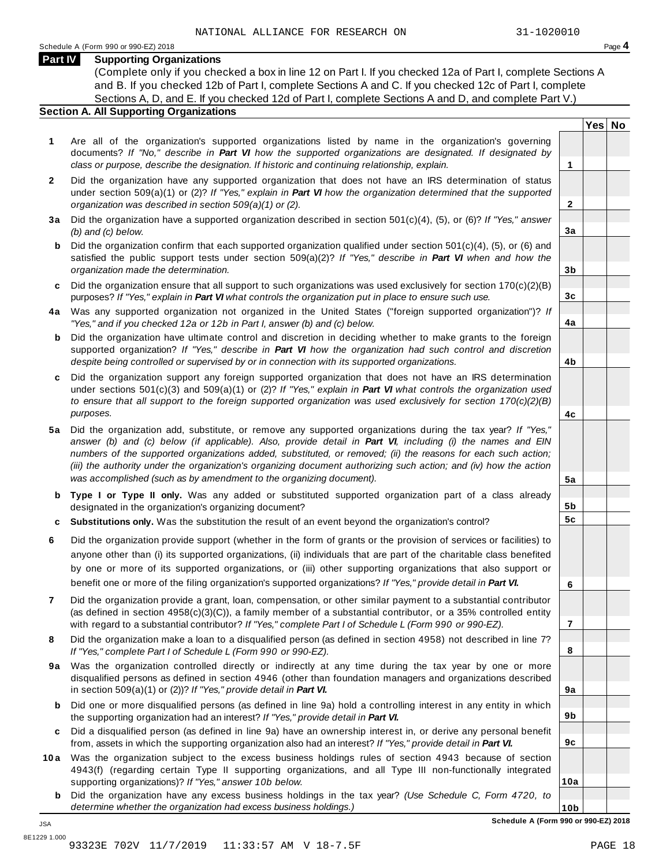**Yes No**

**2**

**3a**

**3b**

**3c**

**4a**

**4b**

**4c**

**5a**

**5b 5c**

**6**

**7**

**8**

**9a**

**9b**

**9c**

**10a**

#### **Part IV Supporting Organizations**

(Complete only if you checked a box in line 12 on Part I. If you checked 12a of Part I, complete Sections A and B. If you checked 12b of Part I, complete Sections A and C. If you checked 12c of Part I, complete Sections A, D, and E. If you checked 12d of Part I, complete Sections A and D, and complete Part V.)

#### **Section A. All Supporting Organizations**

- **1** Are all of the organization's supported organizations listed by name in the organization's governing documents? *If "No," describe in Part VI how the supported organizations are designated. If designated by class or purpose, describe the designation. If historic and continuing relationship, explain.* **1**
- **2** Did the organization have any supported organization that does not have an IRS determination of status under section 509(a)(1) or (2)? *If"Yes," explain in Part VI how the organization determined that the supported organization was described in section 509(a)(1) or (2).*
- **3 a** Did the organization have a supported organization described in section 501(c)(4), (5), or (6)? *If "Yes," answer (b) and (c) below.*
- **b** Did the organization confirm that each supported organization qualified under section 501(c)(4), (5), or (6) and | satisfied the public support tests under section 509(a)(2)? *If "Yes," describe in Part VI when and how the organization made the determination.*
- **c** Did the organization ensure that all support to such organizations was used exclusively for section 170(c)(2)(B) purposes? *If"Yes," explain in Part VI what controls the organization put in place to ensure such use.*
- **4 a** Was any supported organization not organized in the United States ("foreign supported organization")? *If "Yes," and if you checked 12a or 12b in Part I, answer (b) and (c) below.*
- **b** Did the organization have ultimate control and discretion in deciding whether to make grants to the foreign | supported organization? *If "Yes," describe in Part VI how the organization had such control and discretion despite being controlled or supervised by or in connection with its supported organizations.*
- **c** Did the organization support any foreign supported organization that does not have an IRS determination under sections 501(c)(3) and 509(a)(1) or (2)? *If "Yes," explain in Part VI what controls the organization used to ensure that all support to the foreign supported organization was used exclusively for section 170(c)(2)(B) purposes.*
- **5 a** Did the organization add, substitute, or remove any supported organizations during the tax year? *If "Yes,"* answer (b) and (c) below (if applicable). Also, provide detail in Part VI, including (i) the names and EIN *numbers of the supported organizations added, substituted, or removed; (ii) the reasons for each such action;* (iii) the authority under the organization's organizing document authorizing such action; and (iv) how the action *was accomplished (such as by amendment to the organizing document).*
- **b Type I or Type II only.** Was any added or substituted supported organization part of a class already designated in the organization's organizing document?
- **c Substitutions only.** Was the substitution the result of an event beyond the organization's control?
- **6** Did the organization provide support (whether in the form of grants or the provision of services or facilities) to anyone other than (i) its supported organizations, (ii) individuals that are part of the charitable class benefited by one or more of its supported organizations, or (iii) other supporting organizations that also support or benefit one or more of the filing organization's supported organizations? *If"Yes," provide detail in Part VI.*
- **7** Did the organization provide a grant, loan, compensation, or other similar payment to a substantial contributor (as defined in section 4958(c)(3)(C)), a family member of a substantial contributor, or a 35% controlled entity with regard to a substantial contributor? *If"Yes," complete Part I of Schedule L (Form 990 or 990-EZ).*
- **8** Did the organization make a loan to a disqualified person (as defined in section 4958) not described in line 7? *If "Yes," complete Part I of Schedule L (Form 990 or 990-EZ).*
- **9a** Was the organization controlled directly or indirectly at any time during the tax year by one or more | disqualified persons as defined in section 4946 (other than foundation managers and organizations described in section 509(a)(1) or (2))? *If"Yes," provide detail in Part VI.*
- **b** Did one or more disqualified persons (as defined in line 9a) hold a controlling interest in any entity in which | the supporting organization had an interest? *If"Yes," provide detail in Part VI.*
- **c** Did a disqualified person (as defined in line 9a) have an ownership interest in, or derive any personal benefit from, assets in which the supporting organization also had an interest? *If"Yes," provide detail in Part VI.*
- **10a** Was the organization subject to the excess business holdings rules of section 4943 because of section | 4943(f) (regarding certain Type II supporting organizations, and all Type III non-functionally integrated supporting organizations)? *If"Yes," answer 10b below.*
	- **b** Did the organization have any excess business holdings in the tax year? *(Use Schedule C, Form 4720, to determine whether the organization had excess business holdings.)*

**10b Schedule A (Form 990 or 990-EZ) 2018**

JSA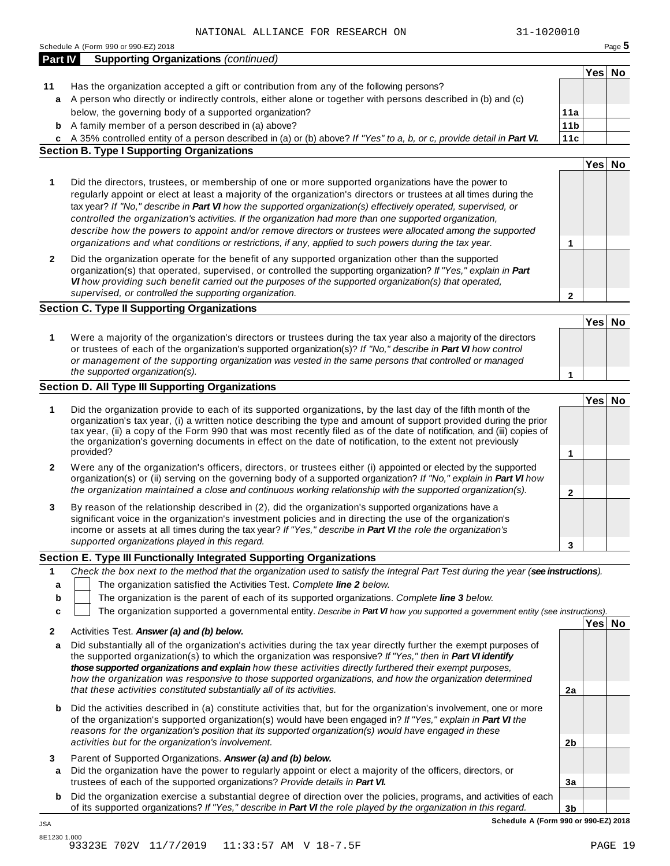|              | NAIIUNAL ALLIANCE FOR RESEARCH UN<br>JI-IUZUUIU                                                                                                                                                                                                                                                                                                                                                                                                                                                                                                                                                                                                                              |                 |        |        |
|--------------|------------------------------------------------------------------------------------------------------------------------------------------------------------------------------------------------------------------------------------------------------------------------------------------------------------------------------------------------------------------------------------------------------------------------------------------------------------------------------------------------------------------------------------------------------------------------------------------------------------------------------------------------------------------------------|-----------------|--------|--------|
| Part IV      | Schedule A (Form 990 or 990-EZ) 2018<br><b>Supporting Organizations (continued)</b>                                                                                                                                                                                                                                                                                                                                                                                                                                                                                                                                                                                          |                 |        | Page 5 |
|              |                                                                                                                                                                                                                                                                                                                                                                                                                                                                                                                                                                                                                                                                              |                 | Yes No |        |
| 11           | Has the organization accepted a gift or contribution from any of the following persons?                                                                                                                                                                                                                                                                                                                                                                                                                                                                                                                                                                                      |                 |        |        |
| a            | A person who directly or indirectly controls, either alone or together with persons described in (b) and (c)                                                                                                                                                                                                                                                                                                                                                                                                                                                                                                                                                                 |                 |        |        |
|              | below, the governing body of a supported organization?                                                                                                                                                                                                                                                                                                                                                                                                                                                                                                                                                                                                                       | 11a             |        |        |
| b            | A family member of a person described in (a) above?                                                                                                                                                                                                                                                                                                                                                                                                                                                                                                                                                                                                                          | 11 <sub>b</sub> |        |        |
|              | c A 35% controlled entity of a person described in (a) or (b) above? If "Yes" to a, b, or c, provide detail in Part VI.                                                                                                                                                                                                                                                                                                                                                                                                                                                                                                                                                      | 11c             |        |        |
|              | <b>Section B. Type I Supporting Organizations</b>                                                                                                                                                                                                                                                                                                                                                                                                                                                                                                                                                                                                                            |                 |        |        |
|              |                                                                                                                                                                                                                                                                                                                                                                                                                                                                                                                                                                                                                                                                              |                 | Yes No |        |
| 1            | Did the directors, trustees, or membership of one or more supported organizations have the power to<br>regularly appoint or elect at least a majority of the organization's directors or trustees at all times during the<br>tax year? If "No," describe in Part VI how the supported organization(s) effectively operated, supervised, or<br>controlled the organization's activities. If the organization had more than one supported organization,<br>describe how the powers to appoint and/or remove directors or trustees were allocated among the supported<br>organizations and what conditions or restrictions, if any, applied to such powers during the tax year. | 1               |        |        |
| $\mathbf{2}$ | Did the organization operate for the benefit of any supported organization other than the supported<br>organization(s) that operated, supervised, or controlled the supporting organization? If "Yes," explain in Part<br>VI how providing such benefit carried out the purposes of the supported organization(s) that operated,<br>supervised, or controlled the supporting organization.                                                                                                                                                                                                                                                                                   | 2               |        |        |
|              | <b>Section C. Type II Supporting Organizations</b>                                                                                                                                                                                                                                                                                                                                                                                                                                                                                                                                                                                                                           |                 |        |        |
|              |                                                                                                                                                                                                                                                                                                                                                                                                                                                                                                                                                                                                                                                                              |                 | Yes No |        |
| 1            | Were a majority of the organization's directors or trustees during the tax year also a majority of the directors<br>or trustees of each of the organization's supported organization(s)? If "No," describe in Part VI how control<br>or management of the supporting organization was vested in the same persons that controlled or managed<br>the supported organization(s).                                                                                                                                                                                                                                                                                                | 1               |        |        |
|              | Section D. All Type III Supporting Organizations                                                                                                                                                                                                                                                                                                                                                                                                                                                                                                                                                                                                                             |                 |        |        |
| 1            | Did the organization provide to each of its supported organizations, by the last day of the fifth month of the<br>organization's tax year, (i) a written notice describing the type and amount of support provided during the prior<br>tax year, (ii) a copy of the Form 990 that was most recently filed as of the date of notification, and (iii) copies of<br>the organization's governing documents in effect on the date of notification, to the extent not previously<br>provided?                                                                                                                                                                                     | 1               | Yes No |        |
| 2            | Were any of the organization's officers, directors, or trustees either (i) appointed or elected by the supported<br>organization(s) or (ii) serving on the governing body of a supported organization? If "No," explain in Part VI how<br>the organization maintained a close and continuous working relationship with the supported organization(s).                                                                                                                                                                                                                                                                                                                        | 2               |        |        |
| 3            | By reason of the relationship described in (2), did the organization's supported organizations have a<br>significant voice in the organization's investment policies and in directing the use of the organization's<br>income or assets at all times during the tax year? If "Yes," describe in Part VI the role the organization's<br>supported organizations played in this regard.                                                                                                                                                                                                                                                                                        |                 |        |        |
|              | Section E. Type III Functionally Integrated Supporting Organizations                                                                                                                                                                                                                                                                                                                                                                                                                                                                                                                                                                                                         | 3               |        |        |
|              |                                                                                                                                                                                                                                                                                                                                                                                                                                                                                                                                                                                                                                                                              |                 |        |        |
| 1            | Check the box next to the method that the organization used to satisfy the Integral Part Test during the year (see instructions).<br>The organization satisfied the Activities Test. Complete line 2 below.                                                                                                                                                                                                                                                                                                                                                                                                                                                                  |                 |        |        |
| a            | The organization is the parent of each of its supported organizations. Complete line 3 below.                                                                                                                                                                                                                                                                                                                                                                                                                                                                                                                                                                                |                 |        |        |
| b            |                                                                                                                                                                                                                                                                                                                                                                                                                                                                                                                                                                                                                                                                              |                 |        |        |
| c            | The organization supported a governmental entity. Describe in Part VI how you supported a government entity (see instructions).                                                                                                                                                                                                                                                                                                                                                                                                                                                                                                                                              |                 | Yes No |        |
| 2            | Activities Test. Answer (a) and (b) below.                                                                                                                                                                                                                                                                                                                                                                                                                                                                                                                                                                                                                                   |                 |        |        |
| а            | Did substantially all of the organization's activities during the tax year directly further the exempt purposes of<br>the supported organization(s) to which the organization was responsive? If "Yes," then in Part VI identify<br>those supported organizations and explain how these activities directly furthered their exempt purposes,<br>how the organization was responsive to those supported organizations, and how the organization determined<br>that these activities constituted substantially all of its activities.                                                                                                                                          | 2a              |        |        |
| b            | Did the activities described in (a) constitute activities that, but for the organization's involvement, one or more<br>of the organization's supported organization(s) would have been engaged in? If "Yes," explain in Part VI the                                                                                                                                                                                                                                                                                                                                                                                                                                          |                 |        |        |
|              | reasons for the organization's position that its supported organization(s) would have engaged in these<br>activities but for the organization's involvement.                                                                                                                                                                                                                                                                                                                                                                                                                                                                                                                 | 2 <sub>b</sub>  |        |        |
| 3<br>а       | Parent of Supported Organizations. Answer (a) and (b) below.<br>Did the organization have the power to regularly appoint or elect a majority of the officers, directors, or<br>trustees of each of the supported organizations? Provide details in Part VI.                                                                                                                                                                                                                                                                                                                                                                                                                  | 3a              |        |        |
|              |                                                                                                                                                                                                                                                                                                                                                                                                                                                                                                                                                                                                                                                                              |                 |        |        |
| b            | Did the organization exercise a substantial degree of direction over the policies, programs, and activities of each<br>of its supported organizations? If "Yes," describe in Part VI the role played by the organization in this regard.                                                                                                                                                                                                                                                                                                                                                                                                                                     | 3 <sub>b</sub>  |        |        |

JSA

**Schedule A (Form 990 or 990-EZ) 2018**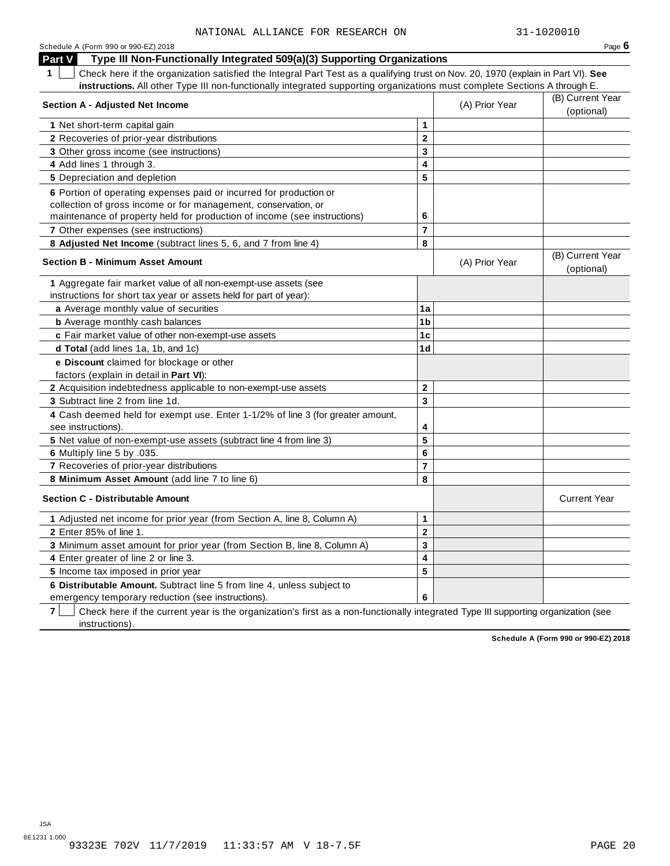| Schedule A (Form 990 or 990-EZ) 2018                                                                                                  |                         |                  | Page $6$                       |
|---------------------------------------------------------------------------------------------------------------------------------------|-------------------------|------------------|--------------------------------|
| Type III Non-Functionally Integrated 509(a)(3) Supporting Organizations<br><b>Part V</b>                                              |                         |                  |                                |
| Check here if the organization satisfied the Integral Part Test as a qualifying trust on Nov. 20, 1970 (explain in Part VI). See<br>1 |                         |                  |                                |
| instructions. All other Type III non-functionally integrated supporting organizations must complete Sections A through E.             |                         |                  |                                |
|                                                                                                                                       | (A) Prior Year          | (B) Current Year |                                |
| <b>Section A - Adjusted Net Income</b>                                                                                                |                         |                  | (optional)                     |
| 1 Net short-term capital gain                                                                                                         | $\mathbf{1}$            |                  |                                |
| 2 Recoveries of prior-year distributions                                                                                              | $\mathbf{2}$            |                  |                                |
| 3 Other gross income (see instructions)                                                                                               | 3                       |                  |                                |
| 4 Add lines 1 through 3.                                                                                                              | 4                       |                  |                                |
| 5 Depreciation and depletion                                                                                                          | 5                       |                  |                                |
| 6 Portion of operating expenses paid or incurred for production or                                                                    |                         |                  |                                |
| collection of gross income or for management, conservation, or                                                                        |                         |                  |                                |
| maintenance of property held for production of income (see instructions)                                                              | 6                       |                  |                                |
| <b>7</b> Other expenses (see instructions)                                                                                            | $\overline{7}$          |                  |                                |
| 8 Adjusted Net Income (subtract lines 5, 6, and 7 from line 4)                                                                        | 8                       |                  |                                |
| <b>Section B - Minimum Asset Amount</b>                                                                                               |                         | (A) Prior Year   | (B) Current Year<br>(optional) |
| 1 Aggregate fair market value of all non-exempt-use assets (see                                                                       |                         |                  |                                |
| instructions for short tax year or assets held for part of year):                                                                     |                         |                  |                                |
| a Average monthly value of securities                                                                                                 | 1a                      |                  |                                |
| <b>b</b> Average monthly cash balances                                                                                                | 1 <sub>b</sub>          |                  |                                |
| c Fair market value of other non-exempt-use assets                                                                                    | 1 <sub>c</sub>          |                  |                                |
| d Total (add lines 1a, 1b, and 1c)                                                                                                    | 1 <sub>d</sub>          |                  |                                |
| e Discount claimed for blockage or other                                                                                              |                         |                  |                                |
| factors (explain in detail in Part VI):                                                                                               |                         |                  |                                |
| 2 Acquisition indebtedness applicable to non-exempt-use assets                                                                        | $\overline{\mathbf{2}}$ |                  |                                |
| 3 Subtract line 2 from line 1d.                                                                                                       | $\overline{\mathbf{3}}$ |                  |                                |
| 4 Cash deemed held for exempt use. Enter 1-1/2% of line 3 (for greater amount,<br>see instructions).                                  | 4                       |                  |                                |
| 5 Net value of non-exempt-use assets (subtract line 4 from line 3)                                                                    | 5                       |                  |                                |
| 6 Multiply line 5 by .035.                                                                                                            | $6\phantom{1}$          |                  |                                |
| 7 Recoveries of prior-year distributions                                                                                              | $\overline{7}$          |                  |                                |
| 8 Minimum Asset Amount (add line 7 to line 6)                                                                                         | 8                       |                  |                                |
| <b>Section C - Distributable Amount</b>                                                                                               |                         |                  | <b>Current Year</b>            |
| 1 Adjusted net income for prior year (from Section A, line 8, Column A)                                                               | $\mathbf{1}$            |                  |                                |
| 2 Enter 85% of line 1.                                                                                                                | $\mathbf{2}$            |                  |                                |
| 3 Minimum asset amount for prior year (from Section B, line 8, Column A)                                                              | 3                       |                  |                                |
| 4 Enter greater of line 2 or line 3.                                                                                                  | 4                       |                  |                                |
| 5 Income tax imposed in prior year                                                                                                    | 5                       |                  |                                |
| 6 Distributable Amount. Subtract line 5 from line 4, unless subject to                                                                |                         |                  |                                |
| emergency temporary reduction (see instructions).                                                                                     | 6                       |                  |                                |

**7** | Check here if the current year is the organization's first as a non-functionally integrated Type III supporting organization (see instructions).

**Schedule A (Form 990 or 990-EZ) 2018**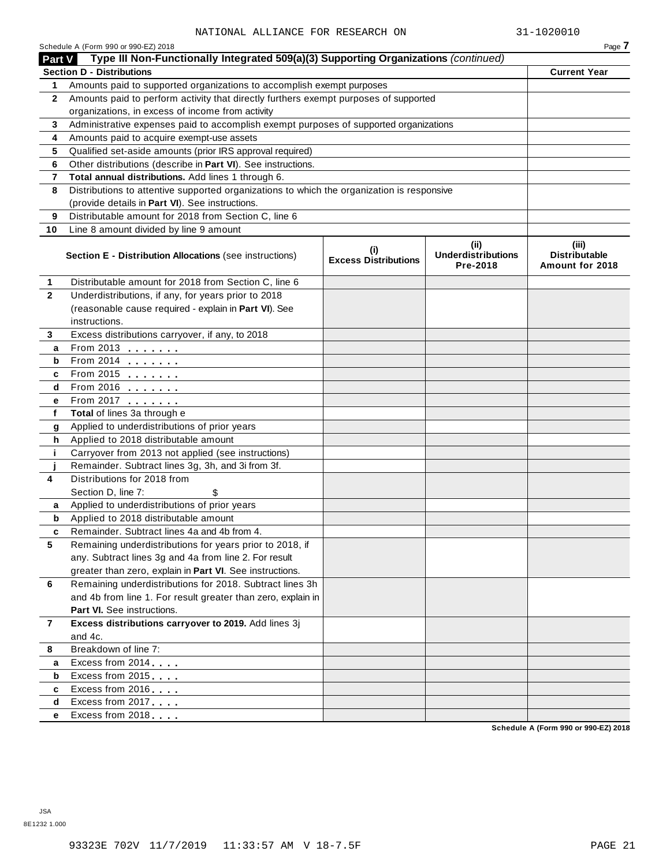|                | Schedule A (Form 990 or 990-EZ) 2018                                                                                                     |                                                  |      | Page 7              |  |  |  |
|----------------|------------------------------------------------------------------------------------------------------------------------------------------|--------------------------------------------------|------|---------------------|--|--|--|
| <b>Part V</b>  | Type III Non-Functionally Integrated 509(a)(3) Supporting Organizations (continued)<br><b>Section D - Distributions</b>                  |                                                  |      |                     |  |  |  |
|                |                                                                                                                                          |                                                  |      | <b>Current Year</b> |  |  |  |
| 1              | Amounts paid to supported organizations to accomplish exempt purposes                                                                    |                                                  |      |                     |  |  |  |
| $\mathbf{2}$   | Amounts paid to perform activity that directly furthers exempt purposes of supported<br>organizations, in excess of income from activity |                                                  |      |                     |  |  |  |
|                |                                                                                                                                          |                                                  |      |                     |  |  |  |
| 3              | Administrative expenses paid to accomplish exempt purposes of supported organizations                                                    |                                                  |      |                     |  |  |  |
| 4              | Amounts paid to acquire exempt-use assets<br>Qualified set-aside amounts (prior IRS approval required)                                   |                                                  |      |                     |  |  |  |
| 5<br>6         | Other distributions (describe in Part VI). See instructions.                                                                             |                                                  |      |                     |  |  |  |
| 7              | Total annual distributions. Add lines 1 through 6.                                                                                       |                                                  |      |                     |  |  |  |
| 8              | Distributions to attentive supported organizations to which the organization is responsive                                               |                                                  |      |                     |  |  |  |
|                | (provide details in Part VI). See instructions.                                                                                          |                                                  |      |                     |  |  |  |
| 9              | Distributable amount for 2018 from Section C, line 6                                                                                     |                                                  |      |                     |  |  |  |
| 10             | Line 8 amount divided by line 9 amount                                                                                                   |                                                  |      |                     |  |  |  |
|                |                                                                                                                                          |                                                  | (ii) |                     |  |  |  |
|                | <b>Section E - Distribution Allocations (see instructions)</b>                                                                           | (iii)<br><b>Distributable</b><br>Amount for 2018 |      |                     |  |  |  |
| 1              | Distributable amount for 2018 from Section C, line 6                                                                                     |                                                  |      |                     |  |  |  |
| $\mathbf{2}$   | Underdistributions, if any, for years prior to 2018                                                                                      |                                                  |      |                     |  |  |  |
|                | (reasonable cause required - explain in Part VI). See                                                                                    |                                                  |      |                     |  |  |  |
|                | instructions.                                                                                                                            |                                                  |      |                     |  |  |  |
| 3              | Excess distributions carryover, if any, to 2018                                                                                          |                                                  |      |                     |  |  |  |
| а              | From 2013 $\frac{1}{2}$                                                                                                                  |                                                  |      |                     |  |  |  |
| b              | From 2014 $\frac{2014}{20}$                                                                                                              |                                                  |      |                     |  |  |  |
| c              | From 2015 $\frac{1}{2}$                                                                                                                  |                                                  |      |                     |  |  |  |
| d              | From 2016 $\frac{2016}{200}$                                                                                                             |                                                  |      |                     |  |  |  |
| е              | From 2017 <b>Figure 1.1 (19)</b>                                                                                                         |                                                  |      |                     |  |  |  |
| f              | Total of lines 3a through e                                                                                                              |                                                  |      |                     |  |  |  |
| g              | Applied to underdistributions of prior years                                                                                             |                                                  |      |                     |  |  |  |
| h              | Applied to 2018 distributable amount                                                                                                     |                                                  |      |                     |  |  |  |
| j.             | Carryover from 2013 not applied (see instructions)<br>Remainder. Subtract lines 3g, 3h, and 3i from 3f.                                  |                                                  |      |                     |  |  |  |
| 4              | Distributions for 2018 from                                                                                                              |                                                  |      |                     |  |  |  |
|                | Section D, line 7:<br>\$                                                                                                                 |                                                  |      |                     |  |  |  |
| a              | Applied to underdistributions of prior years                                                                                             |                                                  |      |                     |  |  |  |
| b              | Applied to 2018 distributable amount                                                                                                     |                                                  |      |                     |  |  |  |
| c              | Remainder. Subtract lines 4a and 4b from 4.                                                                                              |                                                  |      |                     |  |  |  |
| 5              | Remaining underdistributions for years prior to 2018, if                                                                                 |                                                  |      |                     |  |  |  |
|                | any. Subtract lines 3g and 4a from line 2. For result                                                                                    |                                                  |      |                     |  |  |  |
|                | greater than zero, explain in Part VI. See instructions.                                                                                 |                                                  |      |                     |  |  |  |
| 6              | Remaining underdistributions for 2018. Subtract lines 3h                                                                                 |                                                  |      |                     |  |  |  |
|                | and 4b from line 1. For result greater than zero, explain in                                                                             |                                                  |      |                     |  |  |  |
|                | Part VI. See instructions.                                                                                                               |                                                  |      |                     |  |  |  |
| $\overline{7}$ | Excess distributions carryover to 2019. Add lines 3j                                                                                     |                                                  |      |                     |  |  |  |
|                | and 4c.                                                                                                                                  |                                                  |      |                     |  |  |  |
| 8              | Breakdown of line 7:                                                                                                                     |                                                  |      |                     |  |  |  |
| а              | Excess from 2014                                                                                                                         |                                                  |      |                     |  |  |  |
| b              | Excess from 2015                                                                                                                         |                                                  |      |                     |  |  |  |
| c              | Excess from 2016                                                                                                                         |                                                  |      |                     |  |  |  |
| d              | Excess from 2017                                                                                                                         |                                                  |      |                     |  |  |  |
| е              | Excess from 2018                                                                                                                         |                                                  |      |                     |  |  |  |
|                |                                                                                                                                          |                                                  |      |                     |  |  |  |

**Schedule A (Form 990 or 990-EZ) 2018**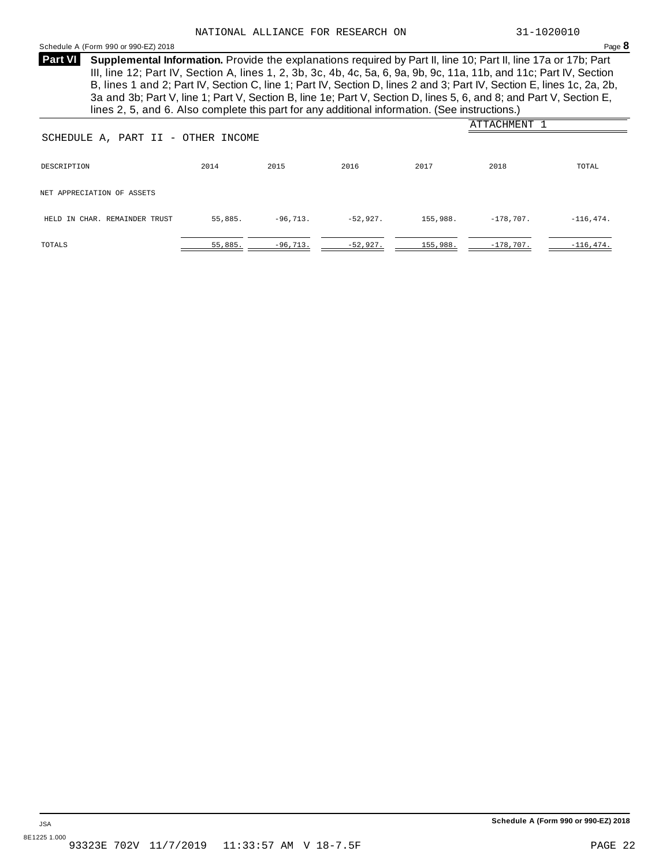#### Schedule <sup>A</sup> (Form <sup>990</sup> or 990-EZ) <sup>2018</sup> Page **8**

**Supplemental Information.** Provide the explanations required by Part II, line 10; Part II, line 17a or 17b; Part **Part VI** III, line 12; Part IV, Section A, lines 1, 2, 3b, 3c, 4b, 4c, 5a, 6, 9a, 9b, 9c, 11a, 11b, and 11c; Part IV, Section B, lines 1 and 2; Part IV, Section C, line 1; Part IV, Section D, lines 2 and 3; Part IV, Section E, lines 1c, 2a, 2b, 3a and 3b; Part V, line 1; Part V, Section B, line 1e; Part V, Section D, lines 5, 6, and 8; and Part V, Section E, lines 2, 5, and 6. Also complete this part for any additional information. (See instructions.)

|                                    |         |            |            |          | ATTACHMENT  |              |  |
|------------------------------------|---------|------------|------------|----------|-------------|--------------|--|
| SCHEDULE A, PART II - OTHER INCOME |         |            |            |          |             |              |  |
| DESCRIPTION                        | 2014    | 2015       | 2016       | 2017     | 2018        | TOTAL        |  |
| NET APPRECIATION OF ASSETS         |         |            |            |          |             |              |  |
| HELD IN CHAR. REMAINDER TRUST      | 55,885. | $-96,713.$ | $-52,927.$ | 155,988. | $-178,707.$ | $-116, 474.$ |  |
| TOTALS                             | 55,885. | $-96,713.$ | $-52,927.$ | 155,988. | $-178,707.$ | $-116, 474.$ |  |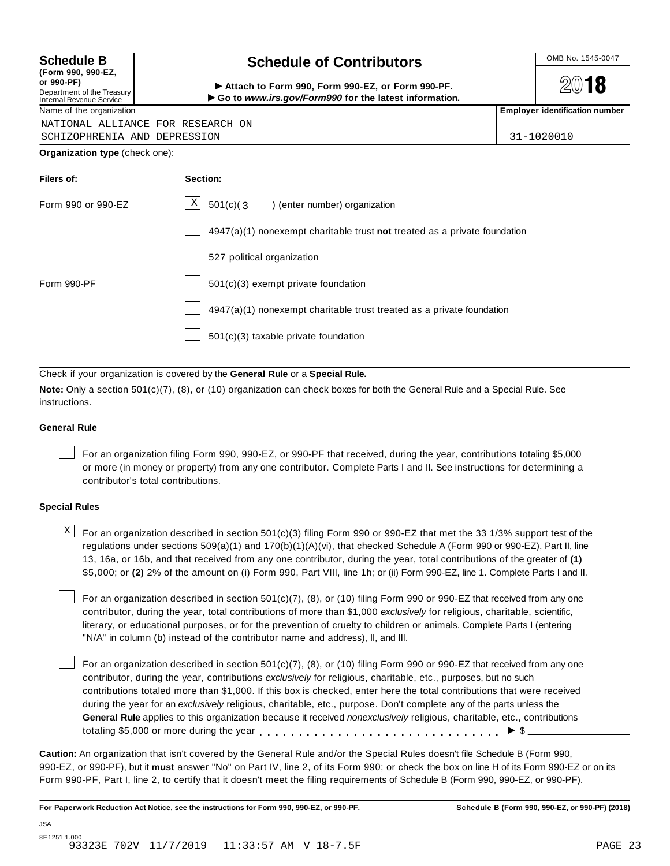## **(Form 990, 990-EZ,**

| (FONII 990, 990-EZ, |  |                            |
|---------------------|--|----------------------------|
| or 990-PF)          |  |                            |
|                     |  | Department of the Treasury |

### Internal Revenue Service

NATIONAL ALLIANCE FOR RE

SCHIZOPHRENIA AND DEPRESSION 31-1020010

**Organization type** (check one):

| <b>Schedule B</b> | <b>Schedule of Contributors</b> | OMB No. 1545-0047 |
|-------------------|---------------------------------|-------------------|
|                   |                                 |                   |

(Point issue, sub-Ez,<br>Department of the Treasury internal Revenue Service<br>Department of the Treasury internal Revenue Service internal Revenue Service internal Revenue Service internal<br>Name of the organization internal Re

**2018** 

| ESEARCH ON  |  |  |  |
|-------------|--|--|--|
| - - - - - - |  |  |  |

| Filers of:         | Section:                                                                  |
|--------------------|---------------------------------------------------------------------------|
| Form 990 or 990-EZ | $X$ 501(c)(3) (enter number) organization                                 |
|                    | 4947(a)(1) nonexempt charitable trust not treated as a private foundation |
|                    | 527 political organization                                                |
| Form 990-PF        | 501(c)(3) exempt private foundation                                       |
|                    | 4947(a)(1) nonexempt charitable trust treated as a private foundation     |
|                    | 501(c)(3) taxable private foundation                                      |

Check if your organization is covered by the **General Rule** or a **Special Rule.**

**Note:** Only a section 501(c)(7), (8), or (10) organization can check boxes for both the General Rule and a Special Rule. See instructions.

#### **General Rule**

For an organization filing Form 990, 990-EZ, or 990-PF that received, during the year, contributions totaling \$5,000 or more (in money or property) from any one contributor. Complete Parts I and II. See instructions for determining a contributor's total contributions.

#### **Special Rules**

 $\text{X}$  For an organization described in section 501(c)(3) filing Form 990 or 990-EZ that met the 33 1/3% support test of the regulations under sections 509(a)(1) and 170(b)(1)(A)(vi), that checked Schedule A (Form 990 or 990-EZ), Part II, line 13, 16a, or 16b, and that received from any one contributor, during the year, total contributions of the greater of **(1)** \$5,000; or **(2)** 2% of the amount on (i) Form 990, Part VIII, line 1h; or (ii) Form 990-EZ, line 1. Complete Parts I and II.

For an organization described in section 501(c)(7), (8), or (10) filing Form 990 or 990-EZ that received from any one contributor, during the year, total contributions of more than \$1,000 *exclusively* for religious, charitable, scientific, literary, or educational purposes, or for the prevention of cruelty to children or animals. Complete Parts I (entering "N/A" in column (b) instead of the contributor name and address), II, and III.

For an organization described in section 501(c)(7), (8), or (10) filing Form 990 or 990-EZ that received from any one contributor, during the year, contributions *exclusively* for religious, charitable, etc., purposes, but no such contributions totaled more than \$1,000. If this box is checked, enter here the total contributions that were received during the year for an *exclusively* religious, charitable, etc., purpose. Don't complete any of the parts unless the **General Rule** applies to this organization because it received *nonexclusively* religious, charitable, etc., contributions totaling \$5,000 or more during the year  $\ldots \ldots \ldots \ldots \ldots \ldots \ldots \ldots \ldots \vdots \ldots \vdots$ 

**Caution:** An organization that isn't covered by the General Rule and/or the Special Rules doesn't file Schedule B (Form 990, 990-EZ, or 990-PF), but it **must** answer "No" on Part IV, line 2, of its Form 990; or check the box on line H of its Form 990-EZ or on its Form 990-PF, Part I, line 2, to certify that it doesn't meet the filing requirements of Schedule B (Form 990, 990-EZ, or 990-PF).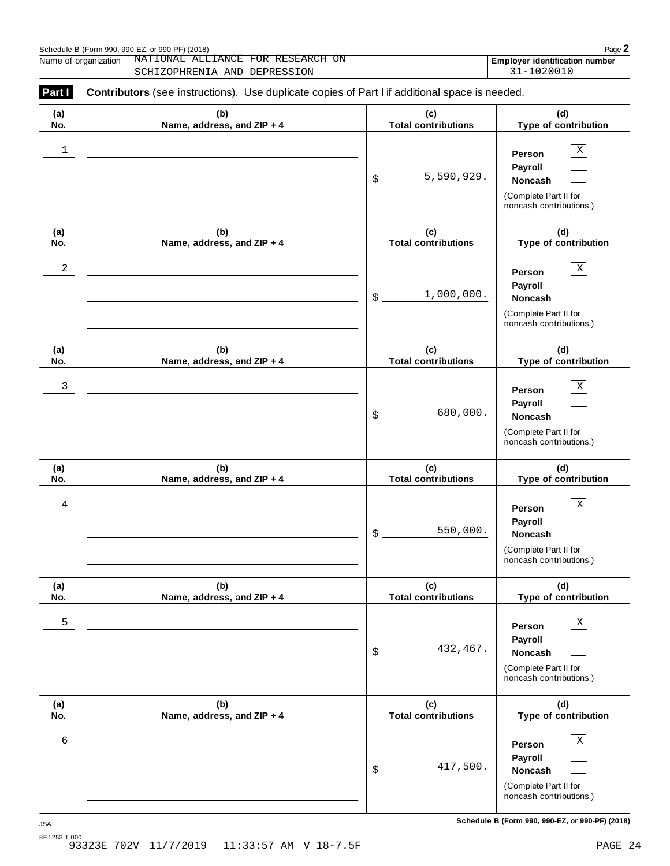|            | NATIONAL ALLIANCE FOR RESEARCH ON<br>Name of organization<br>SCHIZOPHRENIA AND DEPRESSION      |                                   | <b>Employer identification number</b><br>31-1020010                                          |
|------------|------------------------------------------------------------------------------------------------|-----------------------------------|----------------------------------------------------------------------------------------------|
| Part I     | Contributors (see instructions). Use duplicate copies of Part I if additional space is needed. |                                   |                                                                                              |
| (a)<br>No. | (b)<br>Name, address, and ZIP + 4                                                              | (c)<br><b>Total contributions</b> | (d)<br>Type of contribution                                                                  |
| 1          |                                                                                                | 5,590,929.<br>\$                  | Χ<br>Person<br>Payroll<br><b>Noncash</b><br>(Complete Part II for<br>noncash contributions.) |
| (a)<br>No. | (b)<br>Name, address, and ZIP + 4                                                              | (c)<br><b>Total contributions</b> | (d)<br>Type of contribution                                                                  |
| 2          |                                                                                                | 1,000,000.<br>\$                  | Χ<br>Person<br>Payroll<br>Noncash<br>(Complete Part II for<br>noncash contributions.)        |
| (a)<br>No. | (b)<br>Name, address, and ZIP + 4                                                              | (c)<br><b>Total contributions</b> | (d)<br>Type of contribution                                                                  |
| 3          |                                                                                                | 680,000.<br>\$                    | Χ<br>Person<br>Payroll<br>Noncash<br>(Complete Part II for<br>noncash contributions.)        |
| (a)<br>No. | (b)<br>Name, address, and ZIP + 4                                                              | (c)<br><b>Total contributions</b> | (d)<br>Type of contribution                                                                  |
| 4          |                                                                                                | 550,000.<br>\$                    | Χ<br>Person<br>Payroll<br>Noncash<br>(Complete Part II for<br>noncash contributions.)        |
| (a)<br>No. | (b)<br>Name, address, and ZIP + 4                                                              | (c)<br><b>Total contributions</b> | (d)<br>Type of contribution                                                                  |
| 5          |                                                                                                | 432,467.<br>\$                    | Χ<br>Person<br>Payroll<br>Noncash<br>(Complete Part II for<br>noncash contributions.)        |
| (a)<br>No. | (b)<br>Name, address, and ZIP + 4                                                              | (c)<br><b>Total contributions</b> | (d)<br>Type of contribution                                                                  |
| 6          |                                                                                                | 417,500.<br>\$                    | Χ<br>Person<br>Payroll<br>Noncash<br>(Complete Part II for<br>noncash contributions.)        |

**Schedule B (Form 990, 990-EZ, or 990-PF) (2018)** JSA

Schedule <sup>B</sup> (Form 990, 990-EZ, or 990-PF) (2018) Page **2**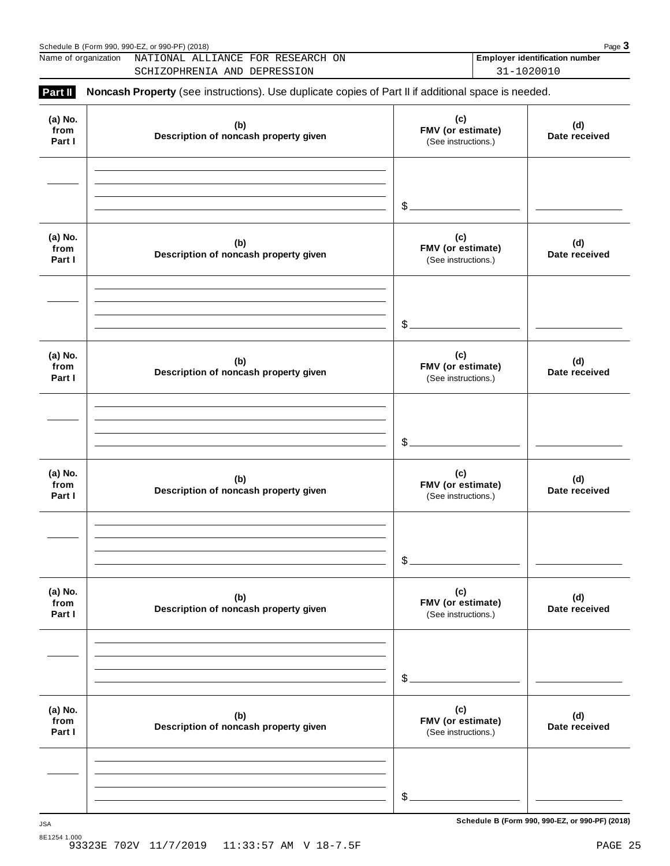|                           | Name of organization<br>NATIONAL ALLIANCE FOR RESEARCH ON<br>SCHIZOPHRENIA AND DEPRESSION           |                                                 | <b>Employer identification number</b><br>31-1020010 |
|---------------------------|-----------------------------------------------------------------------------------------------------|-------------------------------------------------|-----------------------------------------------------|
| Part II                   | Noncash Property (see instructions). Use duplicate copies of Part II if additional space is needed. |                                                 |                                                     |
| (a) No.<br>from<br>Part I | (b)<br>Description of noncash property given                                                        | (c)<br>FMV (or estimate)<br>(See instructions.) | (d)<br>Date received                                |
|                           |                                                                                                     | \$.                                             |                                                     |
| (a) No.<br>from<br>Part I | (b)<br>Description of noncash property given                                                        | (c)<br>FMV (or estimate)<br>(See instructions.) | (d)<br>Date received                                |
|                           |                                                                                                     | \$                                              |                                                     |
| (a) No.<br>from<br>Part I | (b)<br>Description of noncash property given                                                        | (c)<br>FMV (or estimate)<br>(See instructions.) | (d)<br>Date received                                |
|                           |                                                                                                     | \$                                              |                                                     |
| (a) No.<br>from<br>Part I | (b)<br>Description of noncash property given                                                        | (c)<br>FMV (or estimate)<br>(See instructions.) | (d)<br>Date received                                |
|                           |                                                                                                     | \$                                              |                                                     |
| (a) No.<br>from<br>Part I | (b)<br>Description of noncash property given                                                        | (c)<br>FMV (or estimate)<br>(See instructions.) | (d)<br>Date received                                |
|                           |                                                                                                     | \$                                              |                                                     |
| (a) No.<br>from<br>Part I | (b)<br>Description of noncash property given                                                        | (c)<br>FMV (or estimate)<br>(See instructions.) | (d)<br>Date received                                |
|                           |                                                                                                     |                                                 |                                                     |
|                           |                                                                                                     | \$                                              |                                                     |

**Schedule B (Form 990, 990-EZ, or 990-PF) (2018)** JSA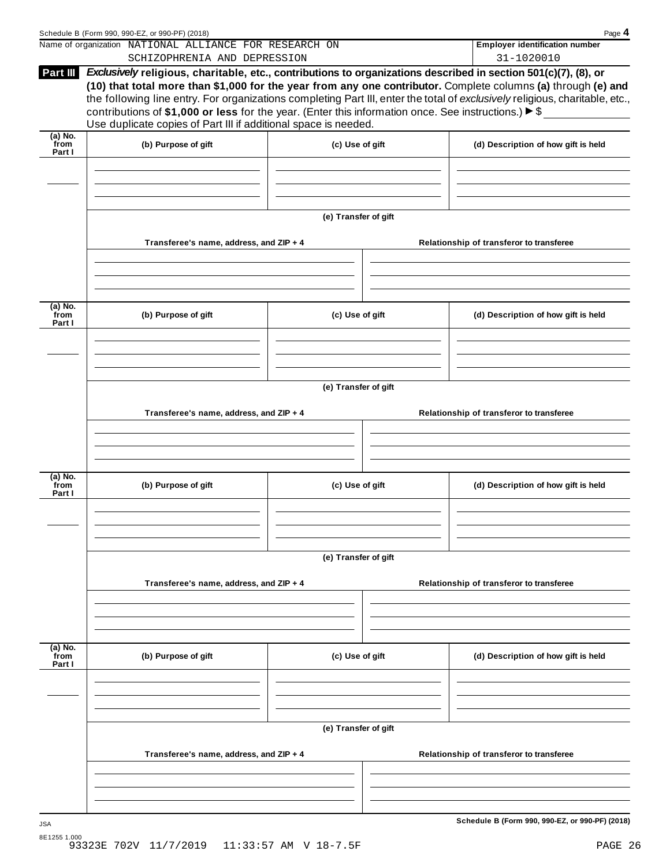|                           | Schedule B (Form 990, 990-EZ, or 990-PF) (2018)<br>Name of organization NATIONAL ALLIANCE FOR RESEARCH ON                                                                                                                                                                                                                                                                                                                                                                                                                                                       |                      |  | Page 4<br><b>Employer identification number</b> |  |  |  |
|---------------------------|-----------------------------------------------------------------------------------------------------------------------------------------------------------------------------------------------------------------------------------------------------------------------------------------------------------------------------------------------------------------------------------------------------------------------------------------------------------------------------------------------------------------------------------------------------------------|----------------------|--|-------------------------------------------------|--|--|--|
|                           | SCHIZOPHRENIA AND DEPRESSION                                                                                                                                                                                                                                                                                                                                                                                                                                                                                                                                    |                      |  | 31-1020010                                      |  |  |  |
| Part III                  | Exclusively religious, charitable, etc., contributions to organizations described in section 501(c)(7), (8), or<br>(10) that total more than \$1,000 for the year from any one contributor. Complete columns (a) through (e) and<br>the following line entry. For organizations completing Part III, enter the total of exclusively religious, charitable, etc.,<br>contributions of \$1,000 or less for the year. (Enter this information once. See instructions.) $\blacktriangleright$ \$<br>Use duplicate copies of Part III if additional space is needed. |                      |  |                                                 |  |  |  |
| $(a)$ No.<br>from         |                                                                                                                                                                                                                                                                                                                                                                                                                                                                                                                                                                 |                      |  |                                                 |  |  |  |
| Part I                    | (b) Purpose of gift                                                                                                                                                                                                                                                                                                                                                                                                                                                                                                                                             | (c) Use of gift      |  | (d) Description of how gift is held             |  |  |  |
|                           |                                                                                                                                                                                                                                                                                                                                                                                                                                                                                                                                                                 | (e) Transfer of gift |  |                                                 |  |  |  |
|                           | Transferee's name, address, and ZIP + 4                                                                                                                                                                                                                                                                                                                                                                                                                                                                                                                         |                      |  | Relationship of transferor to transferee        |  |  |  |
|                           |                                                                                                                                                                                                                                                                                                                                                                                                                                                                                                                                                                 |                      |  |                                                 |  |  |  |
| (a) No.<br>from<br>Part I | (b) Purpose of gift                                                                                                                                                                                                                                                                                                                                                                                                                                                                                                                                             | (c) Use of gift      |  | (d) Description of how gift is held             |  |  |  |
|                           |                                                                                                                                                                                                                                                                                                                                                                                                                                                                                                                                                                 |                      |  |                                                 |  |  |  |
|                           | (e) Transfer of gift                                                                                                                                                                                                                                                                                                                                                                                                                                                                                                                                            |                      |  |                                                 |  |  |  |
|                           | Transferee's name, address, and ZIP + 4                                                                                                                                                                                                                                                                                                                                                                                                                                                                                                                         |                      |  | Relationship of transferor to transferee        |  |  |  |
|                           |                                                                                                                                                                                                                                                                                                                                                                                                                                                                                                                                                                 |                      |  |                                                 |  |  |  |
|                           |                                                                                                                                                                                                                                                                                                                                                                                                                                                                                                                                                                 |                      |  |                                                 |  |  |  |
| (a) No.<br>from<br>Part I | (b) Purpose of gift                                                                                                                                                                                                                                                                                                                                                                                                                                                                                                                                             | (c) Use of gift      |  | (d) Description of how gift is held             |  |  |  |
|                           |                                                                                                                                                                                                                                                                                                                                                                                                                                                                                                                                                                 |                      |  |                                                 |  |  |  |
|                           | (e) Transfer of gift                                                                                                                                                                                                                                                                                                                                                                                                                                                                                                                                            |                      |  |                                                 |  |  |  |
|                           |                                                                                                                                                                                                                                                                                                                                                                                                                                                                                                                                                                 |                      |  |                                                 |  |  |  |
|                           | Transferee's name, address, and ZIP + 4                                                                                                                                                                                                                                                                                                                                                                                                                                                                                                                         |                      |  | Relationship of transferor to transferee        |  |  |  |
|                           |                                                                                                                                                                                                                                                                                                                                                                                                                                                                                                                                                                 |                      |  |                                                 |  |  |  |
| (a) No.<br>from<br>Part I | (b) Purpose of gift                                                                                                                                                                                                                                                                                                                                                                                                                                                                                                                                             | (c) Use of gift      |  | (d) Description of how gift is held             |  |  |  |
|                           |                                                                                                                                                                                                                                                                                                                                                                                                                                                                                                                                                                 |                      |  |                                                 |  |  |  |
|                           |                                                                                                                                                                                                                                                                                                                                                                                                                                                                                                                                                                 | (e) Transfer of gift |  |                                                 |  |  |  |
|                           | Transferee's name, address, and ZIP + 4                                                                                                                                                                                                                                                                                                                                                                                                                                                                                                                         |                      |  | Relationship of transferor to transferee        |  |  |  |
|                           |                                                                                                                                                                                                                                                                                                                                                                                                                                                                                                                                                                 |                      |  |                                                 |  |  |  |
|                           |                                                                                                                                                                                                                                                                                                                                                                                                                                                                                                                                                                 |                      |  |                                                 |  |  |  |
| <b>JSA</b>                |                                                                                                                                                                                                                                                                                                                                                                                                                                                                                                                                                                 |                      |  | Schedule B (Form 990, 990-EZ, or 990-PF) (2018) |  |  |  |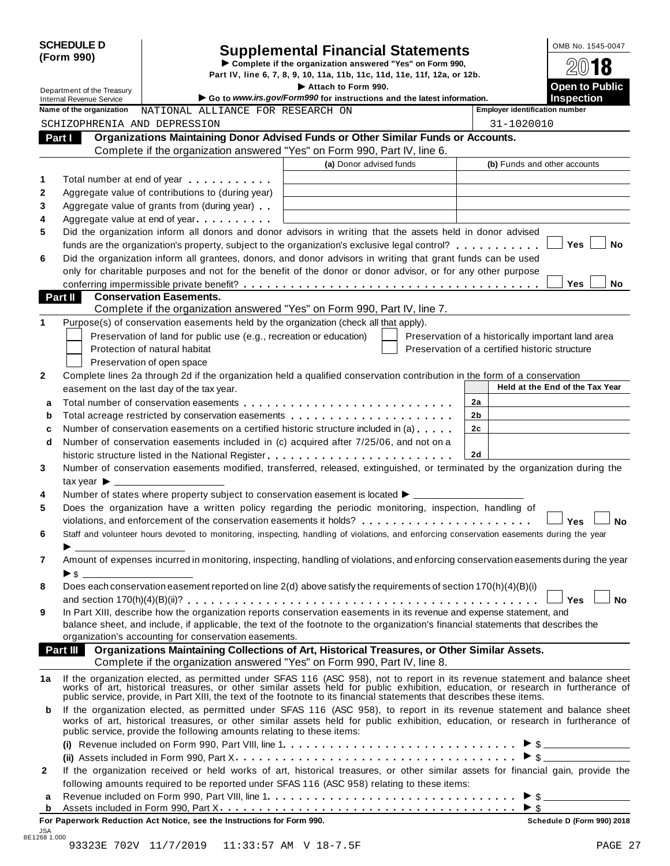|                                                                                                                                      | <b>SCHEDULE D</b><br>(Form 990) |                                                                                                                                                                                                                               | <b>Supplemental Financial Statements</b>                               |  |                |                                                                                                                                                                                                                                |  |
|--------------------------------------------------------------------------------------------------------------------------------------|---------------------------------|-------------------------------------------------------------------------------------------------------------------------------------------------------------------------------------------------------------------------------|------------------------------------------------------------------------|--|----------------|--------------------------------------------------------------------------------------------------------------------------------------------------------------------------------------------------------------------------------|--|
| Complete if the organization answered "Yes" on Form 990,<br>Part IV, line 6, 7, 8, 9, 10, 11a, 11b, 11c, 11d, 11e, 11f, 12a, or 12b. |                                 |                                                                                                                                                                                                                               |                                                                        |  |                | 18                                                                                                                                                                                                                             |  |
| Attach to Form 990.<br>Department of the Treasury                                                                                    |                                 |                                                                                                                                                                                                                               |                                                                        |  |                | <b>Open to Public</b>                                                                                                                                                                                                          |  |
|                                                                                                                                      | <b>Internal Revenue Service</b> |                                                                                                                                                                                                                               | Go to www.irs.gov/Form990 for instructions and the latest information. |  |                | <b>Inspection</b>                                                                                                                                                                                                              |  |
|                                                                                                                                      | Name of the organization        | NATIONAL ALLIANCE FOR RESEARCH ON                                                                                                                                                                                             |                                                                        |  |                | <b>Employer identification number</b>                                                                                                                                                                                          |  |
|                                                                                                                                      |                                 | SCHIZOPHRENIA AND DEPRESSION                                                                                                                                                                                                  |                                                                        |  |                | 31-1020010                                                                                                                                                                                                                     |  |
| Part I                                                                                                                               |                                 | Organizations Maintaining Donor Advised Funds or Other Similar Funds or Accounts.<br>Complete if the organization answered "Yes" on Form 990, Part IV, line 6.                                                                |                                                                        |  |                |                                                                                                                                                                                                                                |  |
|                                                                                                                                      |                                 |                                                                                                                                                                                                                               | (a) Donor advised funds                                                |  |                | (b) Funds and other accounts                                                                                                                                                                                                   |  |
| 1                                                                                                                                    |                                 | Total number at end of year entitled as a set of the set of the set of the set of the set of the set of the set of the set of the set of the set of the set of the set of the set of the set of the set of the set of the set |                                                                        |  |                |                                                                                                                                                                                                                                |  |
| $\mathbf{2}$                                                                                                                         |                                 | Aggregate value of contributions to (during year)                                                                                                                                                                             |                                                                        |  |                |                                                                                                                                                                                                                                |  |
| 3                                                                                                                                    |                                 | Aggregate value of grants from (during year)                                                                                                                                                                                  |                                                                        |  |                |                                                                                                                                                                                                                                |  |
| 4                                                                                                                                    |                                 | Aggregate value at end of year                                                                                                                                                                                                |                                                                        |  |                |                                                                                                                                                                                                                                |  |
| 5                                                                                                                                    |                                 | Did the organization inform all donors and donor advisors in writing that the assets held in donor advised                                                                                                                    |                                                                        |  |                |                                                                                                                                                                                                                                |  |
|                                                                                                                                      |                                 | funds are the organization's property, subject to the organization's exclusive legal control?                                                                                                                                 |                                                                        |  |                | <b>Yes</b><br>No                                                                                                                                                                                                               |  |
| 6                                                                                                                                    |                                 | Did the organization inform all grantees, donors, and donor advisors in writing that grant funds can be used                                                                                                                  |                                                                        |  |                |                                                                                                                                                                                                                                |  |
|                                                                                                                                      |                                 | only for charitable purposes and not for the benefit of the donor or donor advisor, or for any other purpose                                                                                                                  |                                                                        |  |                |                                                                                                                                                                                                                                |  |
|                                                                                                                                      |                                 |                                                                                                                                                                                                                               |                                                                        |  |                | Yes<br>No.                                                                                                                                                                                                                     |  |
|                                                                                                                                      | Part II                         | <b>Conservation Easements.</b><br>Complete if the organization answered "Yes" on Form 990, Part IV, line 7.                                                                                                                   |                                                                        |  |                |                                                                                                                                                                                                                                |  |
| 1                                                                                                                                    |                                 | Purpose(s) of conservation easements held by the organization (check all that apply).                                                                                                                                         |                                                                        |  |                |                                                                                                                                                                                                                                |  |
|                                                                                                                                      |                                 | Preservation of land for public use (e.g., recreation or education)                                                                                                                                                           |                                                                        |  |                | Preservation of a historically important land area                                                                                                                                                                             |  |
|                                                                                                                                      |                                 | Protection of natural habitat                                                                                                                                                                                                 |                                                                        |  |                | Preservation of a certified historic structure                                                                                                                                                                                 |  |
|                                                                                                                                      |                                 | Preservation of open space                                                                                                                                                                                                    |                                                                        |  |                |                                                                                                                                                                                                                                |  |
| $\mathbf{2}$                                                                                                                         |                                 | Complete lines 2a through 2d if the organization held a qualified conservation contribution in the form of a conservation                                                                                                     |                                                                        |  |                |                                                                                                                                                                                                                                |  |
|                                                                                                                                      |                                 | easement on the last day of the tax year.                                                                                                                                                                                     |                                                                        |  |                | Held at the End of the Tax Year                                                                                                                                                                                                |  |
| a                                                                                                                                    |                                 |                                                                                                                                                                                                                               |                                                                        |  | 2a             |                                                                                                                                                                                                                                |  |
| b                                                                                                                                    |                                 | Total acreage restricted by conservation easements                                                                                                                                                                            |                                                                        |  | 2 <sub>b</sub> |                                                                                                                                                                                                                                |  |
| c                                                                                                                                    |                                 | Number of conservation easements on a certified historic structure included in (a)                                                                                                                                            |                                                                        |  | 2c             |                                                                                                                                                                                                                                |  |
| d                                                                                                                                    |                                 | Number of conservation easements included in (c) acquired after 7/25/06, and not on a                                                                                                                                         |                                                                        |  |                |                                                                                                                                                                                                                                |  |
|                                                                                                                                      |                                 |                                                                                                                                                                                                                               |                                                                        |  | 2d             |                                                                                                                                                                                                                                |  |
| 3                                                                                                                                    |                                 | Number of conservation easements modified, transferred, released, extinguished, or terminated by the organization during the                                                                                                  |                                                                        |  |                |                                                                                                                                                                                                                                |  |
|                                                                                                                                      | tax year $\blacktriangleright$  |                                                                                                                                                                                                                               |                                                                        |  |                |                                                                                                                                                                                                                                |  |
| 4<br>5                                                                                                                               |                                 | Number of states where property subject to conservation easement is located $\blacktriangleright$<br>Does the organization have a written policy regarding the periodic monitoring, inspection, handling of                   |                                                                        |  |                |                                                                                                                                                                                                                                |  |
|                                                                                                                                      |                                 |                                                                                                                                                                                                                               |                                                                        |  |                | Yes<br>No                                                                                                                                                                                                                      |  |
| 6                                                                                                                                    |                                 | Staff and volunteer hours devoted to monitoring, inspecting, handling of violations, and enforcing conservation easements during the year                                                                                     |                                                                        |  |                |                                                                                                                                                                                                                                |  |
|                                                                                                                                      |                                 |                                                                                                                                                                                                                               |                                                                        |  |                |                                                                                                                                                                                                                                |  |
| 7                                                                                                                                    |                                 | Amount of expenses incurred in monitoring, inspecting, handling of violations, and enforcing conservation easements during the year                                                                                           |                                                                        |  |                |                                                                                                                                                                                                                                |  |
|                                                                                                                                      | $\blacktriangleright$ \$        |                                                                                                                                                                                                                               |                                                                        |  |                |                                                                                                                                                                                                                                |  |
| 8                                                                                                                                    |                                 | Does each conservation easement reported on line 2(d) above satisfy the requirements of section 170(h)(4)(B)(i)                                                                                                               |                                                                        |  |                |                                                                                                                                                                                                                                |  |
|                                                                                                                                      |                                 |                                                                                                                                                                                                                               |                                                                        |  |                | <b>No</b><br><b>Yes</b>                                                                                                                                                                                                        |  |
| 9                                                                                                                                    |                                 | In Part XIII, describe how the organization reports conservation easements in its revenue and expense statement, and                                                                                                          |                                                                        |  |                |                                                                                                                                                                                                                                |  |
|                                                                                                                                      |                                 | balance sheet, and include, if applicable, the text of the footnote to the organization's financial statements that describes the                                                                                             |                                                                        |  |                |                                                                                                                                                                                                                                |  |
|                                                                                                                                      | <b>Part III</b>                 | organization's accounting for conservation easements.<br>Organizations Maintaining Collections of Art, Historical Treasures, or Other Similar Assets.                                                                         |                                                                        |  |                |                                                                                                                                                                                                                                |  |
|                                                                                                                                      |                                 | Complete if the organization answered "Yes" on Form 990, Part IV, line 8.                                                                                                                                                     |                                                                        |  |                |                                                                                                                                                                                                                                |  |
|                                                                                                                                      |                                 |                                                                                                                                                                                                                               |                                                                        |  |                |                                                                                                                                                                                                                                |  |
| 1a                                                                                                                                   |                                 |                                                                                                                                                                                                                               |                                                                        |  |                | If the organization elected, as permitted under SFAS 116 (ASC 958), not to report in its revenue statement and balance sheet works of art, historical treasures, or other similar assets held for public exhibition, education |  |
|                                                                                                                                      |                                 |                                                                                                                                                                                                                               |                                                                        |  |                |                                                                                                                                                                                                                                |  |
| b                                                                                                                                    |                                 | works of art, historical treasures, or other similar assets held for public exhibition, education, or research in furtherance of<br>public service, provide the following amounts relating to these items:                    |                                                                        |  |                | If the organization elected, as permitted under SFAS 116 (ASC 958), to report in its revenue statement and balance sheet                                                                                                       |  |
|                                                                                                                                      |                                 |                                                                                                                                                                                                                               |                                                                        |  |                |                                                                                                                                                                                                                                |  |
|                                                                                                                                      |                                 |                                                                                                                                                                                                                               |                                                                        |  |                | $>$ \$                                                                                                                                                                                                                         |  |
| $\mathbf{2}$                                                                                                                         |                                 | If the organization received or held works of art, historical treasures, or other similar assets for financial gain, provide the                                                                                              |                                                                        |  |                |                                                                                                                                                                                                                                |  |
|                                                                                                                                      |                                 | following amounts required to be reported under SFAS 116 (ASC 958) relating to these items:                                                                                                                                   |                                                                        |  |                |                                                                                                                                                                                                                                |  |
| a                                                                                                                                    |                                 |                                                                                                                                                                                                                               |                                                                        |  |                |                                                                                                                                                                                                                                |  |
| b                                                                                                                                    |                                 |                                                                                                                                                                                                                               |                                                                        |  |                |                                                                                                                                                                                                                                |  |
| 184                                                                                                                                  |                                 | For Paperwork Reduction Act Notice, see the Instructions for Form 990.                                                                                                                                                        |                                                                        |  |                | Schedule D (Form 990) 2018                                                                                                                                                                                                     |  |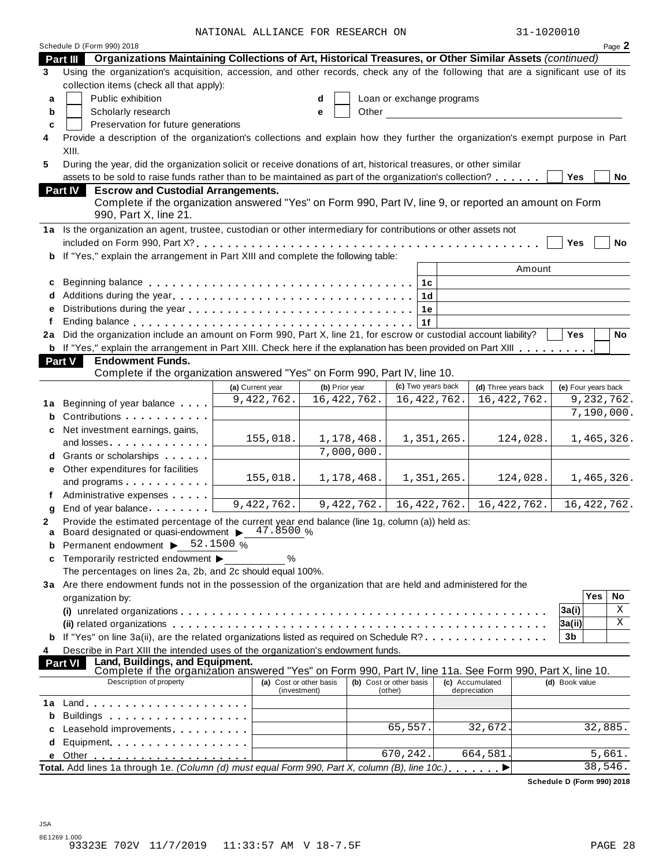NATIONAL ALLIANCE FOR RESEARCH ON 31-1020010

|    | Schedule D (Form 990) 2018                                                                                                                                                                                                         | NAIIONAU AUUIANCE FOR REDEARCH ON |   |                                 |                         |                           | JI IUZUUIU                            |                     |         | Page 2        |
|----|------------------------------------------------------------------------------------------------------------------------------------------------------------------------------------------------------------------------------------|-----------------------------------|---|---------------------------------|-------------------------|---------------------------|---------------------------------------|---------------------|---------|---------------|
|    | Part III Organizations Maintaining Collections of Art, Historical Treasures, or Other Similar Assets (continued)                                                                                                                   |                                   |   |                                 |                         |                           |                                       |                     |         |               |
| 3  | Using the organization's acquisition, accession, and other records, check any of the following that are a significant use of its                                                                                                   |                                   |   |                                 |                         |                           |                                       |                     |         |               |
|    | collection items (check all that apply):                                                                                                                                                                                           |                                   |   |                                 |                         |                           |                                       |                     |         |               |
| a  | Public exhibition                                                                                                                                                                                                                  |                                   | d |                                 |                         | Loan or exchange programs |                                       |                     |         |               |
| b  | Scholarly research                                                                                                                                                                                                                 |                                   | e | Other                           |                         |                           |                                       |                     |         |               |
| c  | Preservation for future generations                                                                                                                                                                                                |                                   |   |                                 |                         |                           |                                       |                     |         |               |
| 4  | Provide a description of the organization's collections and explain how they further the organization's exempt purpose in Part                                                                                                     |                                   |   |                                 |                         |                           |                                       |                     |         |               |
|    | XIII.                                                                                                                                                                                                                              |                                   |   |                                 |                         |                           |                                       |                     |         |               |
| 5  | During the year, did the organization solicit or receive donations of art, historical treasures, or other similar                                                                                                                  |                                   |   |                                 |                         |                           |                                       |                     |         |               |
|    | assets to be sold to raise funds rather than to be maintained as part of the organization's collection?                                                                                                                            |                                   |   |                                 |                         |                           |                                       | Yes                 |         | No            |
|    | <b>Escrow and Custodial Arrangements.</b><br><b>Part IV</b>                                                                                                                                                                        |                                   |   |                                 |                         |                           |                                       |                     |         |               |
|    | Complete if the organization answered "Yes" on Form 990, Part IV, line 9, or reported an amount on Form<br>990, Part X, line 21.                                                                                                   |                                   |   |                                 |                         |                           |                                       |                     |         |               |
|    | 1a Is the organization an agent, trustee, custodian or other intermediary for contributions or other assets not                                                                                                                    |                                   |   |                                 |                         |                           |                                       |                     |         |               |
|    |                                                                                                                                                                                                                                    |                                   |   |                                 |                         |                           |                                       | <b>Yes</b>          |         | No            |
|    | b If "Yes," explain the arrangement in Part XIII and complete the following table:                                                                                                                                                 |                                   |   |                                 |                         |                           |                                       |                     |         |               |
|    |                                                                                                                                                                                                                                    |                                   |   |                                 |                         |                           | Amount                                |                     |         |               |
| c  |                                                                                                                                                                                                                                    |                                   |   |                                 |                         | 1с                        |                                       |                     |         |               |
|    | d Additions during the year                                                                                                                                                                                                        |                                   |   |                                 |                         | 1 <sub>d</sub>            |                                       |                     |         |               |
| е  |                                                                                                                                                                                                                                    |                                   |   |                                 |                         | 1е                        |                                       |                     |         |               |
|    |                                                                                                                                                                                                                                    |                                   |   |                                 |                         | 1f                        |                                       |                     |         |               |
|    | 2a Did the organization include an amount on Form 990, Part X, line 21, for escrow or custodial account liability?                                                                                                                 |                                   |   |                                 |                         |                           |                                       | Yes                 |         | No            |
|    | b If "Yes," explain the arrangement in Part XIII. Check here if the explanation has been provided on Part XIII                                                                                                                     |                                   |   |                                 |                         |                           |                                       |                     |         |               |
|    | Part V<br><b>Endowment Funds.</b>                                                                                                                                                                                                  |                                   |   |                                 |                         |                           |                                       |                     |         |               |
|    | Complete if the organization answered "Yes" on Form 990, Part IV, line 10.                                                                                                                                                         |                                   |   |                                 |                         | (c) Two years back        |                                       |                     |         |               |
|    |                                                                                                                                                                                                                                    | (a) Current year<br>9,422,762.    |   | (b) Prior year<br>16, 422, 762. |                         | 16, 422, 762.             | (d) Three years back<br>16, 422, 762. | (e) Four years back |         | 9,232,762.    |
| 1a | Beginning of year balance                                                                                                                                                                                                          |                                   |   |                                 |                         |                           |                                       |                     |         | 7,190,000.    |
|    | <b>b</b> Contributions                                                                                                                                                                                                             |                                   |   |                                 |                         |                           |                                       |                     |         |               |
| c  | Net investment earnings, gains,                                                                                                                                                                                                    | 155,018.                          |   | 1,178,468.                      |                         | 1,351,265.                | 124,028.                              |                     |         | 1,465,326.    |
|    | and losses                                                                                                                                                                                                                         |                                   |   | 7,000,000.                      |                         |                           |                                       |                     |         |               |
|    | d Grants or scholarships <b>contains</b>                                                                                                                                                                                           |                                   |   |                                 |                         |                           |                                       |                     |         |               |
|    | e Other expenditures for facilities                                                                                                                                                                                                | 155,018.                          |   | 1,178,468.                      |                         | 1,351,265.                | 124,028.                              |                     |         | 1,465,326.    |
|    | and programs                                                                                                                                                                                                                       |                                   |   |                                 |                         |                           |                                       |                     |         |               |
|    | Administrative expenses                                                                                                                                                                                                            | 9,422,762.                        |   | 9,422,762.                      |                         | 16, 422, 762.             | 16, 422, 762.                         |                     |         | 16, 422, 762. |
|    | g End of year balance<br>Provide the estimated percentage of the current year end balance (line 1g, column (a)) held as:                                                                                                           |                                   |   |                                 |                         |                           |                                       |                     |         |               |
| a  | Board designated or quasi-endowment > 47.8500 %                                                                                                                                                                                    |                                   |   |                                 |                         |                           |                                       |                     |         |               |
|    | Permanent endowment > 52.1500 %                                                                                                                                                                                                    |                                   |   |                                 |                         |                           |                                       |                     |         |               |
| c  | Temporarily restricted endowment ▶                                                                                                                                                                                                 | $\%$                              |   |                                 |                         |                           |                                       |                     |         |               |
|    | The percentages on lines 2a, 2b, and 2c should equal 100%.                                                                                                                                                                         |                                   |   |                                 |                         |                           |                                       |                     |         |               |
|    | 3a Are there endowment funds not in the possession of the organization that are held and administered for the                                                                                                                      |                                   |   |                                 |                         |                           |                                       |                     |         |               |
|    | organization by:                                                                                                                                                                                                                   |                                   |   |                                 |                         |                           |                                       |                     | Yes     | No            |
|    |                                                                                                                                                                                                                                    |                                   |   |                                 |                         |                           |                                       | 3a(i)               |         | Χ             |
|    |                                                                                                                                                                                                                                    |                                   |   |                                 |                         |                           |                                       | 3a(ii)              |         | Χ             |
|    | b If "Yes" on line 3a(ii), are the related organizations listed as required on Schedule R?                                                                                                                                         |                                   |   |                                 |                         |                           |                                       | 3b                  |         |               |
| 4  | Describe in Part XIII the intended uses of the organization's endowment funds.                                                                                                                                                     |                                   |   |                                 |                         |                           |                                       |                     |         |               |
|    | Land, Buildings, and Equipment.<br><b>Part VI</b><br>Complete if the organization answered "Yes" on Form 990, Part IV, line 11a. See Form 990, Part X, line 10.                                                                    |                                   |   |                                 |                         |                           |                                       |                     |         |               |
|    | Description of property                                                                                                                                                                                                            | (a) Cost or other basis           |   |                                 | (b) Cost or other basis |                           | (c) Accumulated                       | (d) Book value      |         |               |
|    |                                                                                                                                                                                                                                    | (investment)                      |   |                                 | (other)                 |                           | depreciation                          |                     |         |               |
| 1а |                                                                                                                                                                                                                                    |                                   |   |                                 |                         |                           |                                       |                     |         |               |
| b  | Buildings <b>Example 20</b> and the set of the set of the set of the set of the set of the set of the set of the set of the set of the set of the set of the set of the set of the set of the set of the set of the set of the set |                                   |   |                                 |                         |                           |                                       |                     |         |               |
|    | Leasehold improvements expansion of the set of the set of the set of the set of the set of the set of the set o                                                                                                                    |                                   |   |                                 | 65,557.                 |                           | 32,672                                |                     | 32,885. |               |
| d  | Equipment                                                                                                                                                                                                                          |                                   |   |                                 | 670,242.                |                           | 664,581                               |                     |         |               |
| е  | Total. Add lines 1a through 1e. (Column (d) must equal Form 990, Part X, column (B), line 10c.)                                                                                                                                    |                                   |   |                                 |                         |                           |                                       |                     | 38,546. | 5,661.        |
|    |                                                                                                                                                                                                                                    |                                   |   |                                 |                         |                           |                                       |                     |         |               |

**Schedule D (Form 990) 2018**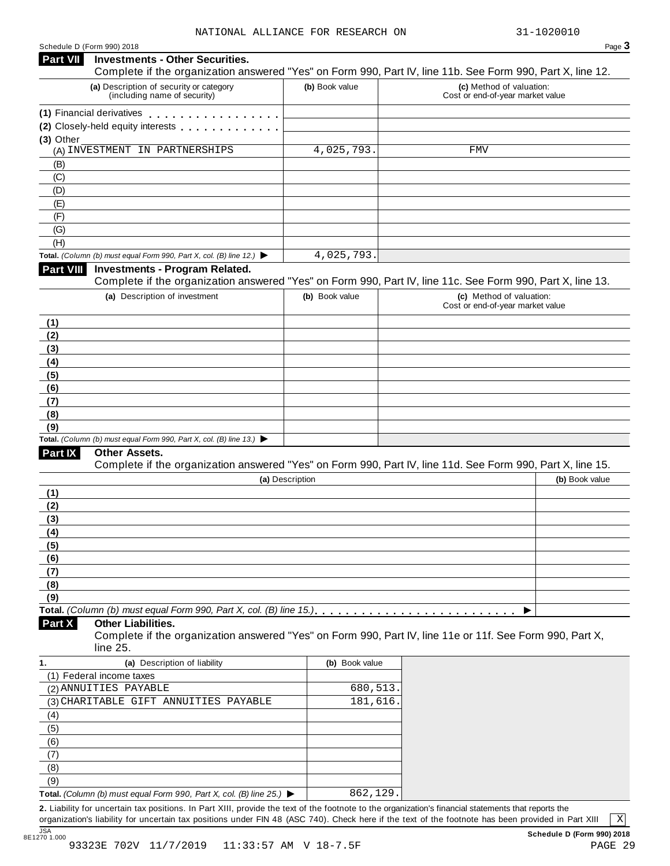#### Schedule <sup>D</sup> (Form 990) <sup>2018</sup> Page **3 Investments - Other Securities. Part VII** Investments - Other Securities.<br>Complete if the organization answered "Yes" on Form 990, Part IV, line 11b. See Form 990, Part X, line 12. **(a)** Description of security or category (including name of security) **(b)** Book value **(c)** Method of valuation: Cost or end-of-year market value **(1)** Financial derivatives **(2)** Closely-held equity interests **(3)** Other (A) INVESTMENT IN PARTNERSHIPS 4,025,793. FMV (B) (C) (D) (E) (F) (G) (H) **Total.** *(Column (b) must equal Form 990, Part X, col. (B) line 12.)* I **Investments - Program Related.** Complete if the organization answered "Yes" on Form 990, Part IV, line 11c. See Form 990, Part X, line 13. **(a)** Description of investment **(b)** Book value **(c)** Method of valuation: Cost or end-of-year market value **(1) (2) (3) (4) (5) (6) (7) (8) (9) Total.** *(Column (b) must equal Form 990, Part X, col. (B) line 13.)* I **Other Assets.** Complete if the organization answered "Yes" on Form 990, Part IV, line 11d. See Form 990, Part X, line 15. **(a)** Description **(b)** Book value **(1) (2) (3) (4) (5) (6) (7) (8) (9)**  $\blacksquare$   $\blacksquare$   $\blacksquare$   $\blacksquare$   $\lozenge$   $\lozenge$   $\blacksquare$   $\blacksquare$   $\blacksquare$   $\blacksquare$   $\blacksquare$   $\blacksquare$   $\blacksquare$   $\blacksquare$   $\blacksquare$   $\blacksquare$   $\blacksquare$   $\blacksquare$   $\blacksquare$   $\blacksquare$   $\blacksquare$   $\blacksquare$   $\blacksquare$   $\blacksquare$   $\blacksquare$   $\blacksquare$   $\blacksquare$   $\blacksquare$   $\blacksquare$   $\blacksquare$   $\blacksquare$   $\blacks$ **Other Liabilities.** Complete if the organization answered "Yes" on Form 990, Part IV, line 11e or 11f. See Form 990, Part X, line 25. **Part X 1. (a)** Description of liability **(b)** Book value (1) Federal income taxes (2) ANNUITIES PAYABLE (2) 680,513. (3) CHARITABLE GIFT ANNUITIES PAYABLE  $\qquad \qquad \vert \qquad \qquad \qquad \vert \qquad \qquad \text{181,616.} \vert$ (4) (5) (6) (7) (8) (9) **Total.** *(Column (b) must equal Form 990, Part X, col. (B) line 25.)* I 4,025,793. 862,129.

**2.** Liability for uncertain tax positions. In Part XIII, provide the text of the footnote to the organization's financial statements that reports the organization's liability for uncertain tax positions under FIN 48 (ASC 740). Check here if the text of the footnote has been provided in Part XIII

X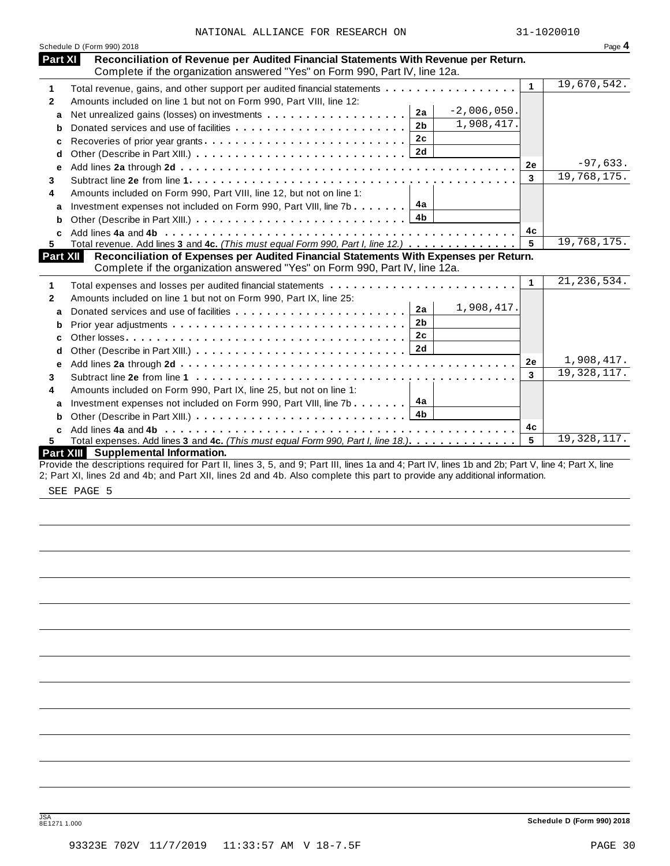| NATIONAL ALLIANCE FOR RESEARCH ON |  | 31-1020010 |
|-----------------------------------|--|------------|
|                                   |  |            |

|              | Schedule D (Form 990) 2018                                                                                                                                                                                                                                                       |              | Page 4        |
|--------------|----------------------------------------------------------------------------------------------------------------------------------------------------------------------------------------------------------------------------------------------------------------------------------|--------------|---------------|
| Part XI      | Reconciliation of Revenue per Audited Financial Statements With Revenue per Return.<br>Complete if the organization answered "Yes" on Form 990, Part IV, line 12a.                                                                                                               |              |               |
| 1            | Total revenue, gains, and other support per audited financial statements                                                                                                                                                                                                         | $\mathbf{1}$ | 19,670,542.   |
| $\mathbf{2}$ | Amounts included on line 1 but not on Form 990, Part VIII, line 12:                                                                                                                                                                                                              |              |               |
| a            | $-2,006,050.$<br>2a                                                                                                                                                                                                                                                              |              |               |
| b            | 1,908,417.<br>2 <sub>b</sub>                                                                                                                                                                                                                                                     |              |               |
| c            | 2c<br>Recoveries of prior year grants                                                                                                                                                                                                                                            |              |               |
| d            | 2d                                                                                                                                                                                                                                                                               |              |               |
| e            |                                                                                                                                                                                                                                                                                  | 2e           | $-97,633.$    |
| 3            |                                                                                                                                                                                                                                                                                  | 3            | 19,768,175.   |
| 4            | Amounts included on Form 990, Part VIII, line 12, but not on line 1:                                                                                                                                                                                                             |              |               |
| a            | 4a<br>Investment expenses not included on Form 990, Part VIII, line 7b $\ldots$                                                                                                                                                                                                  |              |               |
| b            | 4b                                                                                                                                                                                                                                                                               |              |               |
| C.           |                                                                                                                                                                                                                                                                                  | 4c           |               |
| 5.           | Total revenue. Add lines 3 and 4c. (This must equal Form 990, Part I, line 12.)                                                                                                                                                                                                  | 5            | 19,768,175.   |
|              | Part XII<br>Reconciliation of Expenses per Audited Financial Statements With Expenses per Return.<br>Complete if the organization answered "Yes" on Form 990, Part IV, line 12a.                                                                                                 |              |               |
| 1            |                                                                                                                                                                                                                                                                                  | $\mathbf{1}$ | 21, 236, 534. |
| $\mathbf{2}$ | Amounts included on line 1 but not on Form 990, Part IX, line 25:                                                                                                                                                                                                                |              |               |
| a            | 1,908,417.<br>2a                                                                                                                                                                                                                                                                 |              |               |
| b            | 2 <sub>b</sub>                                                                                                                                                                                                                                                                   |              |               |
| c            | 2 <sub>c</sub>                                                                                                                                                                                                                                                                   |              |               |
| d            | 2d                                                                                                                                                                                                                                                                               |              |               |
| е            |                                                                                                                                                                                                                                                                                  | 2e           | 1,908,417.    |
| 3            |                                                                                                                                                                                                                                                                                  | 3            | 19, 328, 117. |
| 4            | Amounts included on Form 990, Part IX, line 25, but not on line 1:                                                                                                                                                                                                               |              |               |
| a            | 4a<br>Investment expenses not included on Form 990, Part VIII, line 7b $\ldots$                                                                                                                                                                                                  |              |               |
| b            |                                                                                                                                                                                                                                                                                  |              |               |
| C.           |                                                                                                                                                                                                                                                                                  | 4c           |               |
| 5.           | Total expenses. Add lines 3 and 4c. (This must equal Form 990, Part I, line 18.)                                                                                                                                                                                                 | 5            | 19,328,117.   |
|              | Part XIII Supplemental Information.                                                                                                                                                                                                                                              |              |               |
|              | Provide the descriptions required for Part II, lines 3, 5, and 9; Part III, lines 1a and 4; Part IV, lines 1b and 2b; Part V, line 4; Part X, line<br>2; Part XI, lines 2d and 4b; and Part XII, lines 2d and 4b. Also complete this part to provide any additional information. |              |               |
|              |                                                                                                                                                                                                                                                                                  |              |               |
|              | SEE PAGE 5                                                                                                                                                                                                                                                                       |              |               |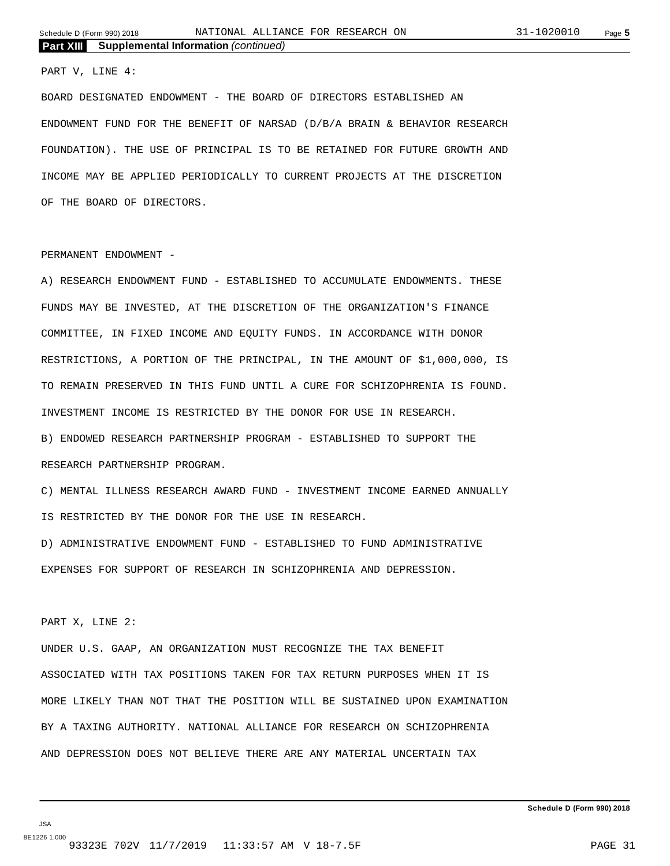#### PART V, LINE 4:

BOARD DESIGNATED ENDOWMENT - THE BOARD OF DIRECTORS ESTABLISHED AN ENDOWMENT FUND FOR THE BENEFIT OF NARSAD (D/B/A BRAIN & BEHAVIOR RESEARCH FOUNDATION). THE USE OF PRINCIPAL IS TO BE RETAINED FOR FUTURE GROWTH AND INCOME MAY BE APPLIED PERIODICALLY TO CURRENT PROJECTS AT THE DISCRETION OF THE BOARD OF DIRECTORS.

#### PERMANENT ENDOWMENT -

A) RESEARCH ENDOWMENT FUND - ESTABLISHED TO ACCUMULATE ENDOWMENTS. THESE FUNDS MAY BE INVESTED, AT THE DISCRETION OF THE ORGANIZATION'S FINANCE COMMITTEE, IN FIXED INCOME AND EQUITY FUNDS. IN ACCORDANCE WITH DONOR RESTRICTIONS, A PORTION OF THE PRINCIPAL, IN THE AMOUNT OF \$1,000,000, IS TO REMAIN PRESERVED IN THIS FUND UNTIL A CURE FOR SCHIZOPHRENIA IS FOUND. INVESTMENT INCOME IS RESTRICTED BY THE DONOR FOR USE IN RESEARCH. B) ENDOWED RESEARCH PARTNERSHIP PROGRAM - ESTABLISHED TO SUPPORT THE RESEARCH PARTNERSHIP PROGRAM.

C) MENTAL ILLNESS RESEARCH AWARD FUND - INVESTMENT INCOME EARNED ANNUALLY IS RESTRICTED BY THE DONOR FOR THE USE IN RESEARCH.

D) ADMINISTRATIVE ENDOWMENT FUND - ESTABLISHED TO FUND ADMINISTRATIVE EXPENSES FOR SUPPORT OF RESEARCH IN SCHIZOPHRENIA AND DEPRESSION.

#### PART X, LINE 2:

UNDER U.S. GAAP, AN ORGANIZATION MUST RECOGNIZE THE TAX BENEFIT ASSOCIATED WITH TAX POSITIONS TAKEN FOR TAX RETURN PURPOSES WHEN IT IS MORE LIKELY THAN NOT THAT THE POSITION WILL BE SUSTAINED UPON EXAMINATION BY A TAXING AUTHORITY. NATIONAL ALLIANCE FOR RESEARCH ON SCHIZOPHRENIA AND DEPRESSION DOES NOT BELIEVE THERE ARE ANY MATERIAL UNCERTAIN TAX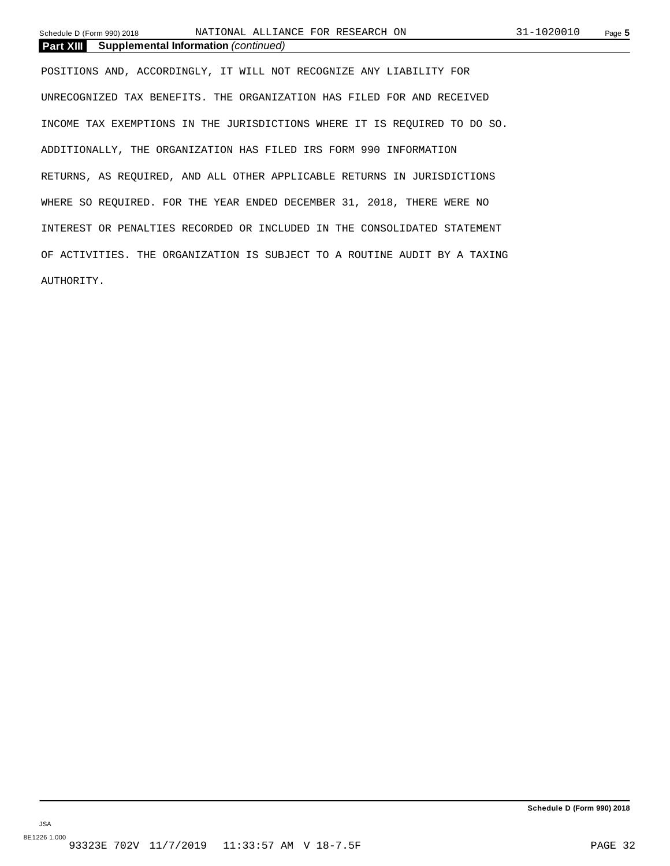Schedule D (Form 990) 2018 NATIONAL ALLIANCE FOR RESEARCH ON 31-1020010 Page **5** 

**Part XIII Supplemental Information** *(continued)*

POSITIONS AND, ACCORDINGLY, IT WILL NOT RECOGNIZE ANY LIABILITY FOR UNRECOGNIZED TAX BENEFITS. THE ORGANIZATION HAS FILED FOR AND RECEIVED INCOME TAX EXEMPTIONS IN THE JURISDICTIONS WHERE IT IS REQUIRED TO DO SO. ADDITIONALLY, THE ORGANIZATION HAS FILED IRS FORM 990 INFORMATION RETURNS, AS REQUIRED, AND ALL OTHER APPLICABLE RETURNS IN JURISDICTIONS WHERE SO REQUIRED. FOR THE YEAR ENDED DECEMBER 31, 2018, THERE WERE NO INTEREST OR PENALTIES RECORDED OR INCLUDED IN THE CONSOLIDATED STATEMENT OF ACTIVITIES. THE ORGANIZATION IS SUBJECT TO A ROUTINE AUDIT BY A TAXING AUTHORITY.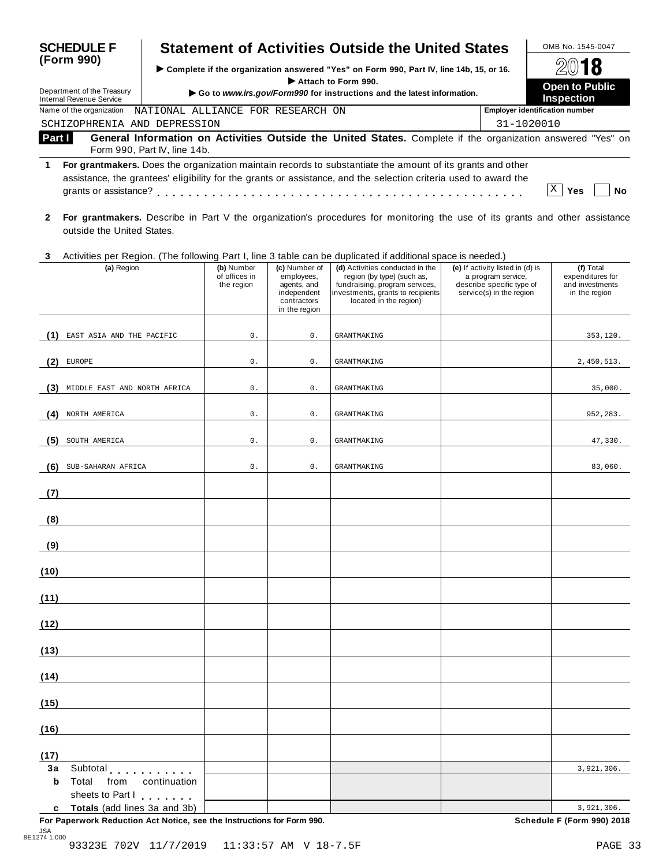| <b>SCHEDULE F</b>                                      | <b>Statement of Activities Outside the United States</b>                                                                                                                                                                       | OMB No. 1545-0047                     |                   |  |  |
|--------------------------------------------------------|--------------------------------------------------------------------------------------------------------------------------------------------------------------------------------------------------------------------------------|---------------------------------------|-------------------|--|--|
| (Form 990)                                             | ► Complete if the organization answered "Yes" on Form 990, Part IV, line 14b, 15, or 16.<br>Attach to Form 990.                                                                                                                | 2018<br><b>Open to Public</b>         |                   |  |  |
| Department of the Treasury<br>Internal Revenue Service | Go to www.irs.gov/Form990 for instructions and the latest information.                                                                                                                                                         |                                       | <b>Inspection</b> |  |  |
| Name of the organization                               | NATIONAL ALLIANCE FOR RESEARCH ON                                                                                                                                                                                              | <b>Employer identification number</b> |                   |  |  |
| SCHIZOPHRENIA AND DEPRESSION                           |                                                                                                                                                                                                                                |                                       | 31-1020010        |  |  |
| Part I                                                 | General Information on Activities Outside the United States. Complete if the organization answered "Yes" on<br>Form 990, Part IV, line 14b.                                                                                    |                                       |                   |  |  |
| grants or assistance?                                  | For grantmakers. Does the organization maintain records to substantiate the amount of its grants and other<br>assistance, the grantees' eligibility for the grants or assistance, and the selection criteria used to award the |                                       | Yes<br>N٥         |  |  |

**2 For grantmakers.** Describe in Part V the organization's procedures for monitoring the use of its grants and other assistance outside the United States.

#### **3** Activities per Region. (The following Part I, line 3 table can be duplicated if additional space is needed.)

|             | (a) Region                                        | (b) Number<br>of offices in<br>the region | (c) Number of<br>employees,<br>agents, and<br>independent<br>contractors<br>in the region | (d) Activities conducted in the<br>region (by type) (such as,<br>fundraising, program services,<br>investments, grants to recipients<br>located in the region) | (e) If activity listed in (d) is<br>a program service,<br>describe specific type of<br>service(s) in the region | (f) Total<br>expenditures for<br>and investments<br>in the region |
|-------------|---------------------------------------------------|-------------------------------------------|-------------------------------------------------------------------------------------------|----------------------------------------------------------------------------------------------------------------------------------------------------------------|-----------------------------------------------------------------------------------------------------------------|-------------------------------------------------------------------|
|             |                                                   |                                           |                                                                                           |                                                                                                                                                                |                                                                                                                 |                                                                   |
| (1)         | EAST ASIA AND THE PACIFIC                         | 0.                                        | $0$ .                                                                                     | <b>GRANTMAKING</b>                                                                                                                                             |                                                                                                                 | 353,120.                                                          |
| (2)         | EUROPE                                            | 0.                                        | 0.                                                                                        | <b>GRANTMAKING</b>                                                                                                                                             |                                                                                                                 | 2,450,513.                                                        |
| (3)         | MIDDLE EAST AND NORTH AFRICA                      | $0$ .                                     | $0$ .                                                                                     | <b>GRANTMAKING</b>                                                                                                                                             |                                                                                                                 | 35,000.                                                           |
| (4)         | NORTH AMERICA                                     | 0.                                        | 0.                                                                                        | <b>GRANTMAKING</b>                                                                                                                                             |                                                                                                                 | 952,283.                                                          |
| (5)         | SOUTH AMERICA                                     | $0$ .                                     | $0$ .                                                                                     | <b>GRANTMAKING</b>                                                                                                                                             |                                                                                                                 | 47,330.                                                           |
| (6)         | SUB-SAHARAN AFRICA                                | $\mathsf{0}$ .                            | 0.                                                                                        | <b>GRANTMAKING</b>                                                                                                                                             |                                                                                                                 | 83,060.                                                           |
| (7)         |                                                   |                                           |                                                                                           |                                                                                                                                                                |                                                                                                                 |                                                                   |
| (8)         |                                                   |                                           |                                                                                           |                                                                                                                                                                |                                                                                                                 |                                                                   |
| (9)         |                                                   |                                           |                                                                                           |                                                                                                                                                                |                                                                                                                 |                                                                   |
| (10)        |                                                   |                                           |                                                                                           |                                                                                                                                                                |                                                                                                                 |                                                                   |
| (11)        |                                                   |                                           |                                                                                           |                                                                                                                                                                |                                                                                                                 |                                                                   |
| (12)        |                                                   |                                           |                                                                                           |                                                                                                                                                                |                                                                                                                 |                                                                   |
| (13)        |                                                   |                                           |                                                                                           |                                                                                                                                                                |                                                                                                                 |                                                                   |
| (14)        |                                                   |                                           |                                                                                           |                                                                                                                                                                |                                                                                                                 |                                                                   |
| (15)        |                                                   |                                           |                                                                                           |                                                                                                                                                                |                                                                                                                 |                                                                   |
| (16)        |                                                   |                                           |                                                                                           |                                                                                                                                                                |                                                                                                                 |                                                                   |
| (17)        |                                                   |                                           |                                                                                           |                                                                                                                                                                |                                                                                                                 |                                                                   |
| 3a          | Subtotal <b>Subtotal</b>                          |                                           |                                                                                           |                                                                                                                                                                |                                                                                                                 | 3,921,306.                                                        |
| $\mathbf b$ | Total<br>from<br>continuation<br>sheets to Part I |                                           |                                                                                           |                                                                                                                                                                |                                                                                                                 |                                                                   |
|             | c Totals (add lines 3a and 3b)                    |                                           |                                                                                           |                                                                                                                                                                |                                                                                                                 | 3,921,306.                                                        |

**For Paperwork Reduction Act Notice, see the Instructions for Form 990. Schedule F (Form 990) 2018**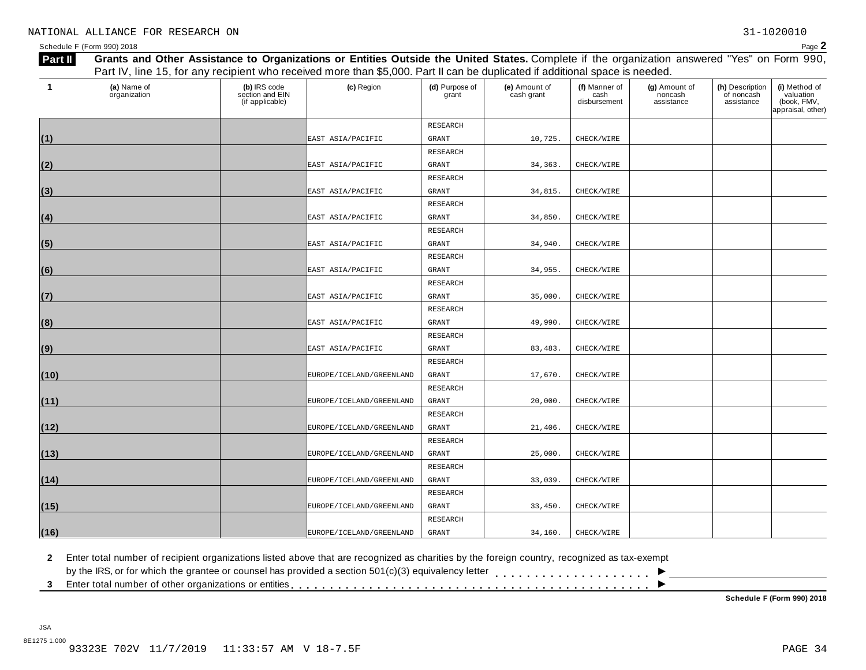| Part II | Grants and Other Assistance to Organizations or Entities Outside the United States. Complete if the organization answered "Yes" on Form 990,<br>Part IV, line 15, for any recipient who received more than \$5,000. Part II can be duplicated if additional space is needed. |                                                    |                          |                         |                             |                                       |                                        |                                             |                                                                |  |
|---------|------------------------------------------------------------------------------------------------------------------------------------------------------------------------------------------------------------------------------------------------------------------------------|----------------------------------------------------|--------------------------|-------------------------|-----------------------------|---------------------------------------|----------------------------------------|---------------------------------------------|----------------------------------------------------------------|--|
|         |                                                                                                                                                                                                                                                                              |                                                    |                          |                         |                             |                                       |                                        |                                             |                                                                |  |
| 1       | (a) Name of<br>organization                                                                                                                                                                                                                                                  | (b) IRS code<br>section and EIN<br>(if applicable) | (c) Region               | (d) Purpose of<br>grant | (e) Amount of<br>cash grant | (f) Manner of<br>cash<br>disbursement | (g) Amount of<br>noncash<br>assistance | (h) Description<br>of noncash<br>assistance | (i) Method of<br>valuation<br>(book, FMV,<br>appraisal, other) |  |
|         |                                                                                                                                                                                                                                                                              |                                                    |                          | RESEARCH                |                             |                                       |                                        |                                             |                                                                |  |
| (1)     |                                                                                                                                                                                                                                                                              |                                                    | EAST ASIA/PACIFIC        | <b>GRANT</b>            | 10,725.                     | CHECK/WIRE                            |                                        |                                             |                                                                |  |
|         |                                                                                                                                                                                                                                                                              |                                                    |                          | RESEARCH                |                             |                                       |                                        |                                             |                                                                |  |
| (2)     |                                                                                                                                                                                                                                                                              |                                                    | EAST ASIA/PACIFIC        | <b>GRANT</b>            | 34, 363.                    | CHECK/WIRE                            |                                        |                                             |                                                                |  |
|         |                                                                                                                                                                                                                                                                              |                                                    |                          | RESEARCH                |                             |                                       |                                        |                                             |                                                                |  |
| (3)     |                                                                                                                                                                                                                                                                              |                                                    | EAST ASIA/PACIFIC        | GRANT                   | 34,815.                     | CHECK/WIRE                            |                                        |                                             |                                                                |  |
|         |                                                                                                                                                                                                                                                                              |                                                    |                          | RESEARCH                |                             |                                       |                                        |                                             |                                                                |  |
| (4)     |                                                                                                                                                                                                                                                                              |                                                    | EAST ASIA/PACIFIC        | <b>GRANT</b>            | 34,850.                     | CHECK/WIRE                            |                                        |                                             |                                                                |  |
|         |                                                                                                                                                                                                                                                                              |                                                    |                          | RESEARCH                |                             |                                       |                                        |                                             |                                                                |  |
| (5)     |                                                                                                                                                                                                                                                                              |                                                    | EAST ASIA/PACIFIC        | GRANT                   | 34,940.                     | CHECK/WIRE                            |                                        |                                             |                                                                |  |
|         |                                                                                                                                                                                                                                                                              |                                                    |                          | <b>RESEARCH</b>         |                             |                                       |                                        |                                             |                                                                |  |
| (6)     |                                                                                                                                                                                                                                                                              |                                                    | EAST ASIA/PACIFIC        | <b>GRANT</b>            | 34,955.                     | CHECK/WIRE                            |                                        |                                             |                                                                |  |
|         |                                                                                                                                                                                                                                                                              |                                                    |                          | RESEARCH                |                             |                                       |                                        |                                             |                                                                |  |
| (7)     |                                                                                                                                                                                                                                                                              |                                                    | EAST ASIA/PACIFIC        | <b>GRANT</b>            | 35,000.                     | CHECK/WIRE                            |                                        |                                             |                                                                |  |
|         |                                                                                                                                                                                                                                                                              |                                                    |                          | RESEARCH                |                             |                                       |                                        |                                             |                                                                |  |
| (8)     |                                                                                                                                                                                                                                                                              |                                                    | EAST ASIA/PACIFIC        | GRANT                   | 49,990.                     | CHECK/WIRE                            |                                        |                                             |                                                                |  |
|         |                                                                                                                                                                                                                                                                              |                                                    |                          | RESEARCH                |                             |                                       |                                        |                                             |                                                                |  |
| (9)     |                                                                                                                                                                                                                                                                              |                                                    | EAST ASIA/PACIFIC        | <b>GRANT</b>            | 83, 483.                    | CHECK/WIRE                            |                                        |                                             |                                                                |  |
|         |                                                                                                                                                                                                                                                                              |                                                    |                          | RESEARCH                |                             |                                       |                                        |                                             |                                                                |  |
| (10)    |                                                                                                                                                                                                                                                                              |                                                    | EUROPE/ICELAND/GREENLAND | <b>GRANT</b>            | 17,670.                     | CHECK/WIRE                            |                                        |                                             |                                                                |  |
|         |                                                                                                                                                                                                                                                                              |                                                    |                          | RESEARCH                |                             |                                       |                                        |                                             |                                                                |  |
| (11)    |                                                                                                                                                                                                                                                                              |                                                    | EUROPE/ICELAND/GREENLAND | <b>GRANT</b>            | 20,000                      | CHECK/WIRE                            |                                        |                                             |                                                                |  |
|         |                                                                                                                                                                                                                                                                              |                                                    |                          | RESEARCH                |                             |                                       |                                        |                                             |                                                                |  |
| (12)    |                                                                                                                                                                                                                                                                              |                                                    | EUROPE/ICELAND/GREENLAND | <b>GRANT</b>            | 21,406.                     | CHECK/WIRE                            |                                        |                                             |                                                                |  |
|         |                                                                                                                                                                                                                                                                              |                                                    |                          | RESEARCH                |                             |                                       |                                        |                                             |                                                                |  |
| (13)    |                                                                                                                                                                                                                                                                              |                                                    | EUROPE/ICELAND/GREENLAND | GRANT                   | 25,000.                     | CHECK/WIRE                            |                                        |                                             |                                                                |  |
|         |                                                                                                                                                                                                                                                                              |                                                    |                          | RESEARCH                |                             |                                       |                                        |                                             |                                                                |  |
| (14)    |                                                                                                                                                                                                                                                                              |                                                    | EUROPE/ICELAND/GREENLAND | GRANT                   | 33,039.                     | CHECK/WIRE                            |                                        |                                             |                                                                |  |
|         |                                                                                                                                                                                                                                                                              |                                                    |                          | RESEARCH                |                             |                                       |                                        |                                             |                                                                |  |
| (15)    |                                                                                                                                                                                                                                                                              |                                                    | EUROPE/ICELAND/GREENLAND | GRANT                   | 33,450.                     | CHECK/WIRE                            |                                        |                                             |                                                                |  |
|         |                                                                                                                                                                                                                                                                              |                                                    |                          | RESEARCH                |                             |                                       |                                        |                                             |                                                                |  |
| (16)    |                                                                                                                                                                                                                                                                              |                                                    | EUROPE/ICELAND/GREENLAND | GRANT                   | 34,160.                     | CHECK/WIRE                            |                                        |                                             |                                                                |  |

**2** Enter total number of recipient organizations listed above that are recognized as charities by the foreign country, recognized as tax-exempt

 $\blacksquare$ <br>by the IRS, or for which the grantee or counsel has provided a section 501(c)(3) equivalency letter<br>3 Enter total number of other organizations or entities

**Schedule F (Form 990) 2018**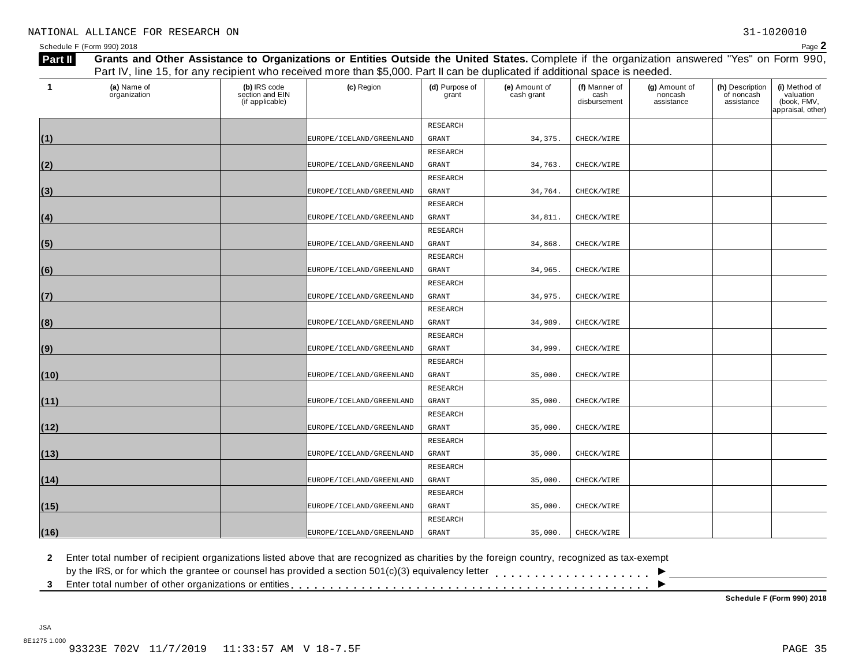| Part II | Grants and Other Assistance to Organizations or Entities Outside the United States. Complete if the organization answered "Yes" on Form 990, |                                                    |                          |                         |                             |                                       |                                        |                                             |                                                                |  |
|---------|----------------------------------------------------------------------------------------------------------------------------------------------|----------------------------------------------------|--------------------------|-------------------------|-----------------------------|---------------------------------------|----------------------------------------|---------------------------------------------|----------------------------------------------------------------|--|
|         | Part IV, line 15, for any recipient who received more than \$5,000. Part II can be duplicated if additional space is needed.                 |                                                    |                          |                         |                             |                                       |                                        |                                             |                                                                |  |
|         | (a) Name of<br>organization                                                                                                                  | (b) IRS code<br>section and EIN<br>(if applicable) | (c) Region               | (d) Purpose of<br>grant | (e) Amount of<br>cash grant | (f) Manner of<br>cash<br>disbursement | (g) Amount of<br>noncash<br>assistance | (h) Description<br>of noncash<br>assistance | (i) Method of<br>valuation<br>(book, FMV,<br>appraisal, other) |  |
|         |                                                                                                                                              |                                                    |                          | <b>RESEARCH</b>         |                             |                                       |                                        |                                             |                                                                |  |
| (1)     |                                                                                                                                              |                                                    | EUROPE/ICELAND/GREENLAND | GRANT                   | 34, 375.                    | CHECK/WIRE                            |                                        |                                             |                                                                |  |
|         |                                                                                                                                              |                                                    |                          | <b>RESEARCH</b>         |                             |                                       |                                        |                                             |                                                                |  |
| (2)     |                                                                                                                                              |                                                    | EUROPE/ICELAND/GREENLAND | <b>GRANT</b>            | 34,763.                     | CHECK/WIRE                            |                                        |                                             |                                                                |  |
|         |                                                                                                                                              |                                                    |                          | RESEARCH                |                             |                                       |                                        |                                             |                                                                |  |
| (3)     |                                                                                                                                              |                                                    | EUROPE/ICELAND/GREENLAND | GRANT                   | 34,764.                     | CHECK/WIRE                            |                                        |                                             |                                                                |  |
|         |                                                                                                                                              |                                                    |                          | RESEARCH                |                             |                                       |                                        |                                             |                                                                |  |
| (4)     |                                                                                                                                              |                                                    | EUROPE/ICELAND/GREENLAND | <b>GRANT</b>            | 34,811.                     | CHECK/WIRE                            |                                        |                                             |                                                                |  |
|         |                                                                                                                                              |                                                    |                          | RESEARCH                |                             |                                       |                                        |                                             |                                                                |  |
| (5)     |                                                                                                                                              |                                                    | EUROPE/ICELAND/GREENLAND | <b>GRANT</b>            | 34,868.                     | CHECK/WIRE                            |                                        |                                             |                                                                |  |
|         |                                                                                                                                              |                                                    |                          | RESEARCH                |                             |                                       |                                        |                                             |                                                                |  |
| (6)     |                                                                                                                                              |                                                    | EUROPE/ICELAND/GREENLAND | <b>GRANT</b>            | 34,965.                     | CHECK/WIRE                            |                                        |                                             |                                                                |  |
|         |                                                                                                                                              |                                                    |                          | <b>RESEARCH</b>         |                             |                                       |                                        |                                             |                                                                |  |
| (7)     |                                                                                                                                              |                                                    | EUROPE/ICELAND/GREENLAND | <b>GRANT</b>            | 34,975.                     | CHECK/WIRE                            |                                        |                                             |                                                                |  |
|         |                                                                                                                                              |                                                    |                          | RESEARCH                |                             |                                       |                                        |                                             |                                                                |  |
| (8)     |                                                                                                                                              |                                                    | EUROPE/ICELAND/GREENLAND | <b>GRANT</b>            | 34,989.                     | CHECK/WIRE                            |                                        |                                             |                                                                |  |
|         |                                                                                                                                              |                                                    |                          | <b>RESEARCH</b>         |                             |                                       |                                        |                                             |                                                                |  |
| (9)     |                                                                                                                                              |                                                    | EUROPE/ICELAND/GREENLAND | <b>GRANT</b>            | 34,999.                     | CHECK/WIRE                            |                                        |                                             |                                                                |  |
|         |                                                                                                                                              |                                                    |                          | RESEARCH                |                             |                                       |                                        |                                             |                                                                |  |
| (10)    |                                                                                                                                              |                                                    | EUROPE/ICELAND/GREENLAND | <b>GRANT</b>            | 35,000.                     | CHECK/WIRE                            |                                        |                                             |                                                                |  |
|         |                                                                                                                                              |                                                    |                          | <b>RESEARCH</b>         |                             |                                       |                                        |                                             |                                                                |  |
| (11)    |                                                                                                                                              |                                                    | EUROPE/ICELAND/GREENLAND | <b>GRANT</b>            | 35,000.                     | CHECK/WIRE                            |                                        |                                             |                                                                |  |
|         |                                                                                                                                              |                                                    |                          | RESEARCH                |                             |                                       |                                        |                                             |                                                                |  |
| (12)    |                                                                                                                                              |                                                    | EUROPE/ICELAND/GREENLAND | GRANT                   | 35,000.                     | CHECK/WIRE                            |                                        |                                             |                                                                |  |
|         |                                                                                                                                              |                                                    |                          | RESEARCH                |                             |                                       |                                        |                                             |                                                                |  |
| (13)    |                                                                                                                                              |                                                    | EUROPE/ICELAND/GREENLAND | <b>GRANT</b>            | 35,000.                     | CHECK/WIRE                            |                                        |                                             |                                                                |  |
|         |                                                                                                                                              |                                                    |                          | RESEARCH                |                             |                                       |                                        |                                             |                                                                |  |
| (14)    |                                                                                                                                              |                                                    | EUROPE/ICELAND/GREENLAND | GRANT                   | 35,000.                     | CHECK/WIRE                            |                                        |                                             |                                                                |  |
|         |                                                                                                                                              |                                                    |                          | <b>RESEARCH</b>         |                             |                                       |                                        |                                             |                                                                |  |
| (15)    |                                                                                                                                              |                                                    | EUROPE/ICELAND/GREENLAND | <b>GRANT</b>            | 35,000.                     | CHECK/WIRE                            |                                        |                                             |                                                                |  |
|         |                                                                                                                                              |                                                    |                          | RESEARCH                |                             |                                       |                                        |                                             |                                                                |  |
| (16)    |                                                                                                                                              |                                                    | EUROPE/ICELAND/GREENLAND | <b>GRANT</b>            | 35,000.                     | CHECK/WIRE                            |                                        |                                             |                                                                |  |

**2** Enter total number of recipient organizations listed above that are recognized as charities by the foreign country, recognized as tax-exempt

 $\blacksquare$ <br>by the IRS, or for which the grantee or counsel has provided a section 501(c)(3) equivalency letter<br>3 Enter total number of other organizations or entities

**Schedule F (Form 990) 2018**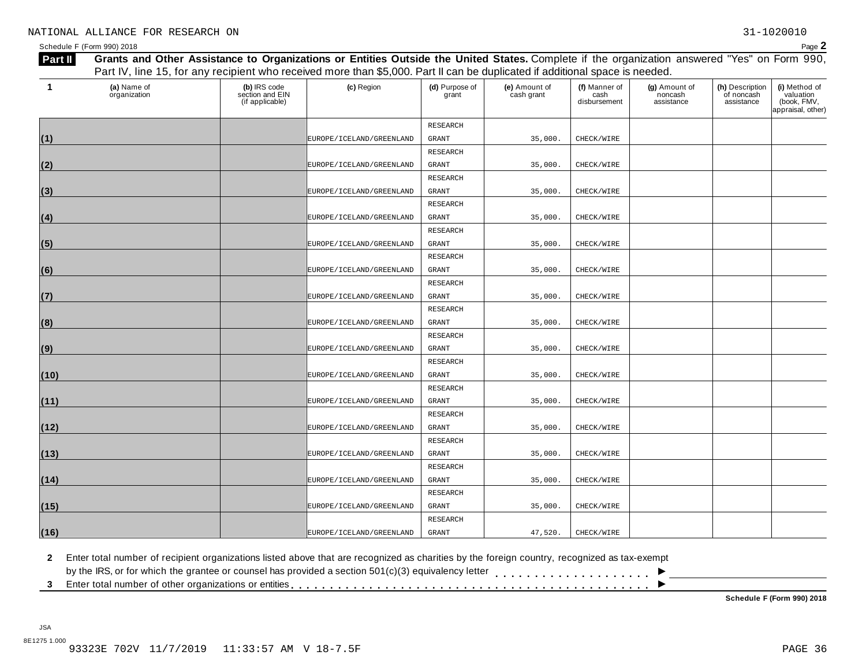| Part II | Grants and Other Assistance to Organizations or Entities Outside the United States. Complete if the organization answered "Yes" on Form 990,<br>Part IV, line 15, for any recipient who received more than \$5,000. Part II can be duplicated if additional space is needed. |                                                    |                          |                         |                             |                                       |                                        |                                             |                                                                |  |
|---------|------------------------------------------------------------------------------------------------------------------------------------------------------------------------------------------------------------------------------------------------------------------------------|----------------------------------------------------|--------------------------|-------------------------|-----------------------------|---------------------------------------|----------------------------------------|---------------------------------------------|----------------------------------------------------------------|--|
|         |                                                                                                                                                                                                                                                                              |                                                    |                          |                         |                             |                                       |                                        |                                             |                                                                |  |
| 1       | (a) Name of<br>organization                                                                                                                                                                                                                                                  | (b) IRS code<br>section and EIN<br>(if applicable) | (c) Region               | (d) Purpose of<br>grant | (e) Amount of<br>cash grant | (f) Manner of<br>cash<br>disbursement | (g) Amount of<br>noncash<br>assistance | (h) Description<br>of noncash<br>assistance | (i) Method of<br>valuation<br>(book, FMV,<br>appraisal, other) |  |
|         |                                                                                                                                                                                                                                                                              |                                                    |                          | RESEARCH                |                             |                                       |                                        |                                             |                                                                |  |
| (1)     |                                                                                                                                                                                                                                                                              |                                                    | EUROPE/ICELAND/GREENLAND | GRANT                   | 35,000.                     | CHECK/WIRE                            |                                        |                                             |                                                                |  |
|         |                                                                                                                                                                                                                                                                              |                                                    |                          | RESEARCH                |                             |                                       |                                        |                                             |                                                                |  |
| (2)     |                                                                                                                                                                                                                                                                              |                                                    | EUROPE/ICELAND/GREENLAND | GRANT                   | 35,000.                     | CHECK/WIRE                            |                                        |                                             |                                                                |  |
|         |                                                                                                                                                                                                                                                                              |                                                    |                          | RESEARCH                |                             |                                       |                                        |                                             |                                                                |  |
| (3)     |                                                                                                                                                                                                                                                                              |                                                    | EUROPE/ICELAND/GREENLAND | GRANT                   | 35,000.                     | CHECK/WIRE                            |                                        |                                             |                                                                |  |
|         |                                                                                                                                                                                                                                                                              |                                                    |                          | RESEARCH                |                             |                                       |                                        |                                             |                                                                |  |
| (4)     |                                                                                                                                                                                                                                                                              |                                                    | EUROPE/ICELAND/GREENLAND | <b>GRANT</b>            | 35,000.                     | CHECK/WIRE                            |                                        |                                             |                                                                |  |
|         |                                                                                                                                                                                                                                                                              |                                                    |                          | RESEARCH                |                             |                                       |                                        |                                             |                                                                |  |
| (5)     |                                                                                                                                                                                                                                                                              |                                                    | EUROPE/ICELAND/GREENLAND | GRANT                   | 35,000.                     | CHECK/WIRE                            |                                        |                                             |                                                                |  |
|         |                                                                                                                                                                                                                                                                              |                                                    |                          | RESEARCH                |                             |                                       |                                        |                                             |                                                                |  |
| (6)     |                                                                                                                                                                                                                                                                              |                                                    | EUROPE/ICELAND/GREENLAND | <b>GRANT</b>            | 35,000.                     | CHECK/WIRE                            |                                        |                                             |                                                                |  |
|         |                                                                                                                                                                                                                                                                              |                                                    |                          | RESEARCH                |                             |                                       |                                        |                                             |                                                                |  |
| (7)     |                                                                                                                                                                                                                                                                              |                                                    | EUROPE/ICELAND/GREENLAND | <b>GRANT</b>            | 35,000.                     | CHECK/WIRE                            |                                        |                                             |                                                                |  |
|         |                                                                                                                                                                                                                                                                              |                                                    |                          | RESEARCH                |                             |                                       |                                        |                                             |                                                                |  |
| (8)     |                                                                                                                                                                                                                                                                              |                                                    | EUROPE/ICELAND/GREENLAND | GRANT                   | 35,000                      | CHECK/WIRE                            |                                        |                                             |                                                                |  |
|         |                                                                                                                                                                                                                                                                              |                                                    |                          | RESEARCH                |                             |                                       |                                        |                                             |                                                                |  |
| (9)     |                                                                                                                                                                                                                                                                              |                                                    | EUROPE/ICELAND/GREENLAND | <b>GRANT</b>            | 35,000                      | CHECK/WIRE                            |                                        |                                             |                                                                |  |
|         |                                                                                                                                                                                                                                                                              |                                                    |                          | RESEARCH                |                             |                                       |                                        |                                             |                                                                |  |
| (10)    |                                                                                                                                                                                                                                                                              |                                                    | EUROPE/ICELAND/GREENLAND | <b>GRANT</b>            | 35,000                      | CHECK/WIRE                            |                                        |                                             |                                                                |  |
|         |                                                                                                                                                                                                                                                                              |                                                    |                          | RESEARCH                |                             |                                       |                                        |                                             |                                                                |  |
| (11)    |                                                                                                                                                                                                                                                                              |                                                    | EUROPE/ICELAND/GREENLAND | <b>GRANT</b>            | 35,000                      | CHECK/WIRE                            |                                        |                                             |                                                                |  |
|         |                                                                                                                                                                                                                                                                              |                                                    |                          | RESEARCH                |                             |                                       |                                        |                                             |                                                                |  |
| (12)    |                                                                                                                                                                                                                                                                              |                                                    | EUROPE/ICELAND/GREENLAND | <b>GRANT</b>            | 35,000                      | CHECK/WIRE                            |                                        |                                             |                                                                |  |
|         |                                                                                                                                                                                                                                                                              |                                                    |                          | RESEARCH                |                             |                                       |                                        |                                             |                                                                |  |
| (13)    |                                                                                                                                                                                                                                                                              |                                                    | EUROPE/ICELAND/GREENLAND | GRANT                   | 35,000.                     | CHECK/WIRE                            |                                        |                                             |                                                                |  |
|         |                                                                                                                                                                                                                                                                              |                                                    |                          | RESEARCH                |                             |                                       |                                        |                                             |                                                                |  |
| (14)    |                                                                                                                                                                                                                                                                              |                                                    | EUROPE/ICELAND/GREENLAND | GRANT                   | 35,000.                     | CHECK/WIRE                            |                                        |                                             |                                                                |  |
|         |                                                                                                                                                                                                                                                                              |                                                    |                          | RESEARCH                |                             |                                       |                                        |                                             |                                                                |  |
| (15)    |                                                                                                                                                                                                                                                                              |                                                    | EUROPE/ICELAND/GREENLAND | GRANT                   | 35,000.                     | CHECK/WIRE                            |                                        |                                             |                                                                |  |
|         |                                                                                                                                                                                                                                                                              |                                                    |                          | RESEARCH                |                             |                                       |                                        |                                             |                                                                |  |
| (16)    |                                                                                                                                                                                                                                                                              |                                                    | EUROPE/ICELAND/GREENLAND | GRANT                   | 47,520.                     | CHECK/WIRE                            |                                        |                                             |                                                                |  |

**2** Enter total number of recipient organizations listed above that are recognized as charities by the foreign country, recognized as tax-exempt

 $\blacksquare$ <br>by the IRS, or for which the grantee or counsel has provided a section 501(c)(3) equivalency letter<br>3 Enter total number of other organizations or entities

**Schedule F (Form 990) 2018**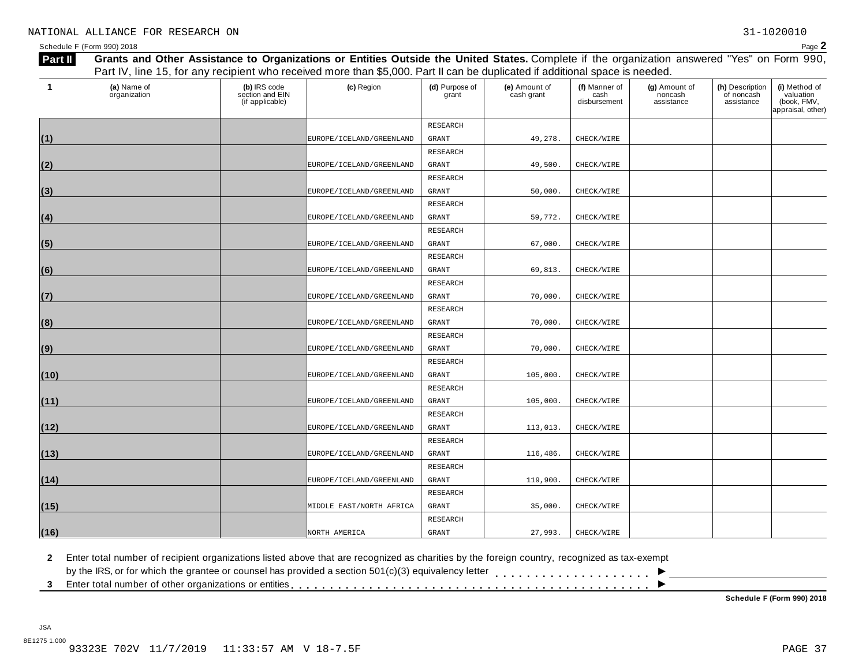| Part II | Grants and Other Assistance to Organizations or Entities Outside the United States. Complete if the organization answered "Yes" on Form 990, |                                                    |                          |                         |                             |                                       |                                        |                                             |                                                                |  |
|---------|----------------------------------------------------------------------------------------------------------------------------------------------|----------------------------------------------------|--------------------------|-------------------------|-----------------------------|---------------------------------------|----------------------------------------|---------------------------------------------|----------------------------------------------------------------|--|
|         | Part IV, line 15, for any recipient who received more than \$5,000. Part II can be duplicated if additional space is needed.                 |                                                    |                          |                         |                             |                                       |                                        |                                             |                                                                |  |
|         | (a) Name of<br>organization                                                                                                                  | (b) IRS code<br>section and EIN<br>(if applicable) | (c) Region               | (d) Purpose of<br>grant | (e) Amount of<br>cash grant | (f) Manner of<br>cash<br>disbursement | (g) Amount of<br>noncash<br>assistance | (h) Description<br>of noncash<br>assistance | (i) Method of<br>valuation<br>(book, FMV,<br>appraisal, other) |  |
|         |                                                                                                                                              |                                                    |                          | RESEARCH                |                             |                                       |                                        |                                             |                                                                |  |
| (1)     |                                                                                                                                              |                                                    | EUROPE/ICELAND/GREENLAND | GRANT                   | 49,278.                     | CHECK/WIRE                            |                                        |                                             |                                                                |  |
|         |                                                                                                                                              |                                                    |                          | <b>RESEARCH</b>         |                             |                                       |                                        |                                             |                                                                |  |
| (2)     |                                                                                                                                              |                                                    | EUROPE/ICELAND/GREENLAND | <b>GRANT</b>            | 49,500.                     | CHECK/WIRE                            |                                        |                                             |                                                                |  |
|         |                                                                                                                                              |                                                    |                          | <b>RESEARCH</b>         |                             |                                       |                                        |                                             |                                                                |  |
| (3)     |                                                                                                                                              |                                                    | EUROPE/ICELAND/GREENLAND | GRANT                   | 50,000.                     | CHECK/WIRE                            |                                        |                                             |                                                                |  |
|         |                                                                                                                                              |                                                    |                          | RESEARCH                |                             |                                       |                                        |                                             |                                                                |  |
| (4)     |                                                                                                                                              |                                                    | EUROPE/ICELAND/GREENLAND | <b>GRANT</b>            | 59,772.                     | CHECK/WIRE                            |                                        |                                             |                                                                |  |
|         |                                                                                                                                              |                                                    |                          | RESEARCH                |                             |                                       |                                        |                                             |                                                                |  |
| (5)     |                                                                                                                                              |                                                    | EUROPE/ICELAND/GREENLAND | <b>GRANT</b>            | 67,000.                     | CHECK/WIRE                            |                                        |                                             |                                                                |  |
|         |                                                                                                                                              |                                                    |                          | RESEARCH                |                             |                                       |                                        |                                             |                                                                |  |
| (6)     |                                                                                                                                              |                                                    | EUROPE/ICELAND/GREENLAND | <b>GRANT</b>            | 69,813.                     | CHECK/WIRE                            |                                        |                                             |                                                                |  |
|         |                                                                                                                                              |                                                    |                          | <b>RESEARCH</b>         |                             |                                       |                                        |                                             |                                                                |  |
| (7)     |                                                                                                                                              |                                                    | EUROPE/ICELAND/GREENLAND | <b>GRANT</b>            | 70,000.                     | CHECK/WIRE                            |                                        |                                             |                                                                |  |
|         |                                                                                                                                              |                                                    |                          | RESEARCH                |                             |                                       |                                        |                                             |                                                                |  |
| (8)     |                                                                                                                                              |                                                    | EUROPE/ICELAND/GREENLAND | <b>GRANT</b>            | 70,000.                     | CHECK/WIRE                            |                                        |                                             |                                                                |  |
|         |                                                                                                                                              |                                                    |                          | <b>RESEARCH</b>         |                             |                                       |                                        |                                             |                                                                |  |
| (9)     |                                                                                                                                              |                                                    | EUROPE/ICELAND/GREENLAND | <b>GRANT</b>            | 70,000.                     | CHECK/WIRE                            |                                        |                                             |                                                                |  |
|         |                                                                                                                                              |                                                    |                          | RESEARCH                |                             |                                       |                                        |                                             |                                                                |  |
| (10)    |                                                                                                                                              |                                                    | EUROPE/ICELAND/GREENLAND | <b>GRANT</b>            | 105,000.                    | CHECK/WIRE                            |                                        |                                             |                                                                |  |
|         |                                                                                                                                              |                                                    |                          | <b>RESEARCH</b>         |                             |                                       |                                        |                                             |                                                                |  |
| (11)    |                                                                                                                                              |                                                    | EUROPE/ICELAND/GREENLAND | <b>GRANT</b>            | 105,000.                    | CHECK/WIRE                            |                                        |                                             |                                                                |  |
|         |                                                                                                                                              |                                                    |                          | RESEARCH                |                             |                                       |                                        |                                             |                                                                |  |
| (12)    |                                                                                                                                              |                                                    | EUROPE/ICELAND/GREENLAND | GRANT                   | 113,013.                    | CHECK/WIRE                            |                                        |                                             |                                                                |  |
|         |                                                                                                                                              |                                                    |                          | RESEARCH                |                             |                                       |                                        |                                             |                                                                |  |
| (13)    |                                                                                                                                              |                                                    | EUROPE/ICELAND/GREENLAND | <b>GRANT</b>            | 116,486.                    | CHECK/WIRE                            |                                        |                                             |                                                                |  |
|         |                                                                                                                                              |                                                    |                          | RESEARCH                |                             |                                       |                                        |                                             |                                                                |  |
| (14)    |                                                                                                                                              |                                                    | EUROPE/ICELAND/GREENLAND | GRANT                   | 119,900.                    | CHECK/WIRE                            |                                        |                                             |                                                                |  |
|         |                                                                                                                                              |                                                    |                          | <b>RESEARCH</b>         |                             |                                       |                                        |                                             |                                                                |  |
| (15)    |                                                                                                                                              |                                                    | MIDDLE EAST/NORTH AFRICA | <b>GRANT</b>            | 35,000.                     | CHECK/WIRE                            |                                        |                                             |                                                                |  |
|         |                                                                                                                                              |                                                    |                          | RESEARCH                |                             |                                       |                                        |                                             |                                                                |  |
| (16)    |                                                                                                                                              |                                                    | NORTH AMERICA            | <b>GRANT</b>            | 27,993.                     | CHECK/WIRE                            |                                        |                                             |                                                                |  |

**2** Enter total number of recipient organizations listed above that are recognized as charities by the foreign country, recognized as tax-exempt

 $\blacksquare$ <br>by the IRS, or for which the grantee or counsel has provided a section 501(c)(3) equivalency letter<br>3 Enter total number of other organizations or entities

**Schedule F (Form 990) 2018**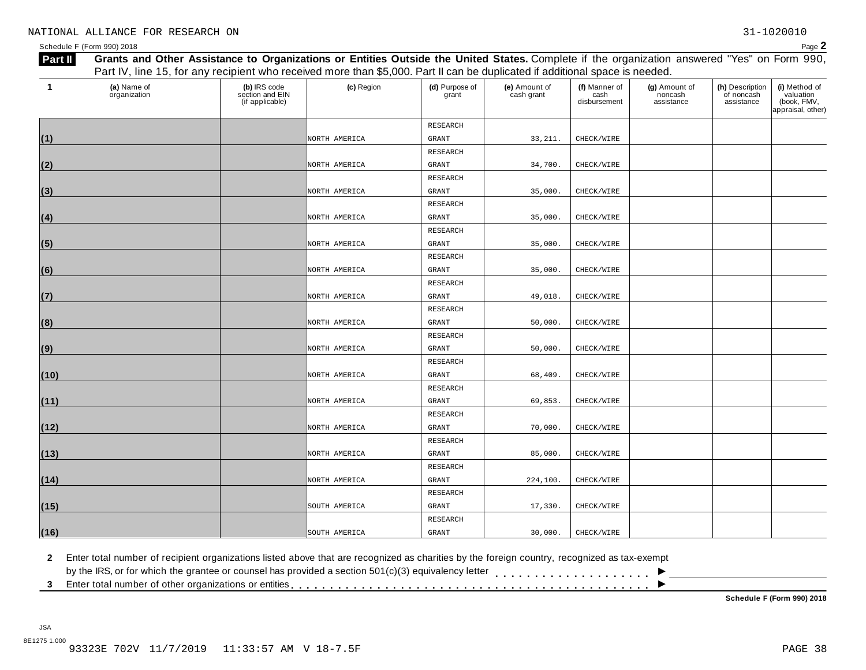| Part II | Grants and Other Assistance to Organizations or Entities Outside the United States. Complete if the organization answered "Yes" on Form 990, |                                                    |               |                         |                             |                                       |                                        |                                             |                                                                |  |
|---------|----------------------------------------------------------------------------------------------------------------------------------------------|----------------------------------------------------|---------------|-------------------------|-----------------------------|---------------------------------------|----------------------------------------|---------------------------------------------|----------------------------------------------------------------|--|
|         | Part IV, line 15, for any recipient who received more than \$5,000. Part II can be duplicated if additional space is needed.                 |                                                    |               |                         |                             |                                       |                                        |                                             |                                                                |  |
| -1      | (a) Name of<br>organization                                                                                                                  | (b) IRS code<br>section and EIN<br>(if applicable) | (c) Region    | (d) Purpose of<br>grant | (e) Amount of<br>cash grant | (f) Manner of<br>cash<br>disbursement | (g) Amount of<br>noncash<br>assistance | (h) Description<br>of noncash<br>assistance | (i) Method of<br>valuation<br>(book, FMV,<br>appraisal, other) |  |
|         |                                                                                                                                              |                                                    |               | RESEARCH                |                             |                                       |                                        |                                             |                                                                |  |
| (1)     |                                                                                                                                              |                                                    | NORTH AMERICA | GRANT                   | 33, 211.                    | CHECK/WIRE                            |                                        |                                             |                                                                |  |
|         |                                                                                                                                              |                                                    |               | RESEARCH                |                             |                                       |                                        |                                             |                                                                |  |
| (2)     |                                                                                                                                              |                                                    | NORTH AMERICA | GRANT                   | 34,700.                     | CHECK/WIRE                            |                                        |                                             |                                                                |  |
|         |                                                                                                                                              |                                                    |               | RESEARCH                |                             |                                       |                                        |                                             |                                                                |  |
| (3)     |                                                                                                                                              |                                                    | NORTH AMERICA | GRANT                   | 35,000.                     | CHECK/WIRE                            |                                        |                                             |                                                                |  |
|         |                                                                                                                                              |                                                    |               | RESEARCH                |                             |                                       |                                        |                                             |                                                                |  |
| (4)     |                                                                                                                                              |                                                    | NORTH AMERICA | <b>GRANT</b>            | 35,000.                     | CHECK/WIRE                            |                                        |                                             |                                                                |  |
|         |                                                                                                                                              |                                                    |               | RESEARCH                |                             |                                       |                                        |                                             |                                                                |  |
| (5)     |                                                                                                                                              |                                                    | NORTH AMERICA | GRANT                   | 35,000.                     | CHECK/WIRE                            |                                        |                                             |                                                                |  |
|         |                                                                                                                                              |                                                    |               | RESEARCH                |                             |                                       |                                        |                                             |                                                                |  |
| (6)     |                                                                                                                                              |                                                    | NORTH AMERICA | <b>GRANT</b>            | 35,000.                     | CHECK/WIRE                            |                                        |                                             |                                                                |  |
|         |                                                                                                                                              |                                                    |               | RESEARCH                |                             |                                       |                                        |                                             |                                                                |  |
| (7)     |                                                                                                                                              |                                                    | NORTH AMERICA | <b>GRANT</b>            | 49,018.                     | CHECK/WIRE                            |                                        |                                             |                                                                |  |
|         |                                                                                                                                              |                                                    |               | RESEARCH                |                             |                                       |                                        |                                             |                                                                |  |
| (8)     |                                                                                                                                              |                                                    | NORTH AMERICA | GRANT                   | 50,000.                     | CHECK/WIRE                            |                                        |                                             |                                                                |  |
|         |                                                                                                                                              |                                                    |               | RESEARCH                |                             |                                       |                                        |                                             |                                                                |  |
| (9)     |                                                                                                                                              |                                                    | NORTH AMERICA | <b>GRANT</b>            | 50,000                      | CHECK/WIRE                            |                                        |                                             |                                                                |  |
|         |                                                                                                                                              |                                                    |               | RESEARCH                |                             |                                       |                                        |                                             |                                                                |  |
| (10)    |                                                                                                                                              |                                                    | NORTH AMERICA | <b>GRANT</b>            | 68,409                      | CHECK/WIRE                            |                                        |                                             |                                                                |  |
|         |                                                                                                                                              |                                                    |               | RESEARCH                |                             |                                       |                                        |                                             |                                                                |  |
| (11)    |                                                                                                                                              |                                                    | NORTH AMERICA | <b>GRANT</b>            | 69,853                      | CHECK/WIRE                            |                                        |                                             |                                                                |  |
|         |                                                                                                                                              |                                                    |               | RESEARCH                |                             |                                       |                                        |                                             |                                                                |  |
| (12)    |                                                                                                                                              |                                                    | NORTH AMERICA | <b>GRANT</b>            | 70,000.                     | CHECK/WIRE                            |                                        |                                             |                                                                |  |
|         |                                                                                                                                              |                                                    |               | RESEARCH                |                             |                                       |                                        |                                             |                                                                |  |
| (13)    |                                                                                                                                              |                                                    | NORTH AMERICA | GRANT                   | 85,000.                     | CHECK/WIRE                            |                                        |                                             |                                                                |  |
|         |                                                                                                                                              |                                                    |               | RESEARCH                |                             |                                       |                                        |                                             |                                                                |  |
| (14)    |                                                                                                                                              |                                                    | NORTH AMERICA | GRANT                   | 224,100.                    | CHECK/WIRE                            |                                        |                                             |                                                                |  |
|         |                                                                                                                                              |                                                    |               | RESEARCH                |                             |                                       |                                        |                                             |                                                                |  |
| (15)    |                                                                                                                                              |                                                    | SOUTH AMERICA | GRANT                   | 17,330.                     | CHECK/WIRE                            |                                        |                                             |                                                                |  |
|         |                                                                                                                                              |                                                    |               | RESEARCH                |                             |                                       |                                        |                                             |                                                                |  |
| (16)    |                                                                                                                                              |                                                    | SOUTH AMERICA | GRANT                   | 30,000.                     | CHECK/WIRE                            |                                        |                                             |                                                                |  |

**2** Enter total number of recipient organizations listed above that are recognized as charities by the foreign country, recognized as tax-exempt

 $\blacksquare$ <br>by the IRS, or for which the grantee or counsel has provided a section 501(c)(3) equivalency letter<br>3 Enter total number of other organizations or entities

**Schedule F (Form 990) 2018**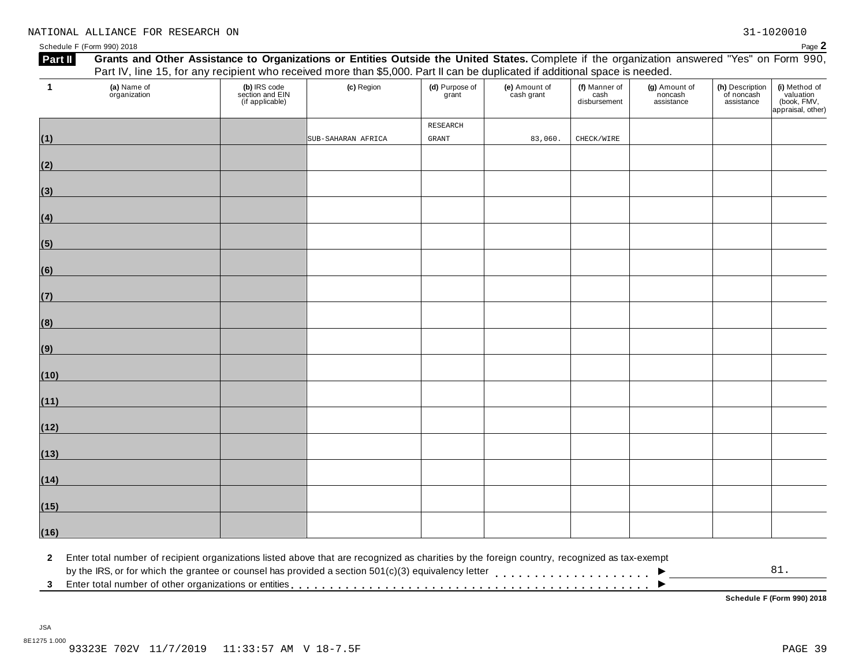| $\mathbf{1}$ | (a) Name of<br>organization | (b) IRS code<br>section and EIN<br>(if applicable) | (c) Region         | (d) Purpose of<br>grant | (e) Amount of<br>cash grant | (f) Manner of<br>cash<br>disbursement | (g) Amount of<br>noncash<br>assistance | (h) Description<br>of noncash<br>assistance | (i) Method of<br>valuation<br>(book, FMV,<br>appraisal, other) |
|--------------|-----------------------------|----------------------------------------------------|--------------------|-------------------------|-----------------------------|---------------------------------------|----------------------------------------|---------------------------------------------|----------------------------------------------------------------|
|              |                             |                                                    |                    | RESEARCH                |                             |                                       |                                        |                                             |                                                                |
| (1)          |                             |                                                    | SUB-SAHARAN AFRICA | $\mbox{GRANT}$          | 83,060.                     | CHECK/WIRE                            |                                        |                                             |                                                                |
| (2)          |                             |                                                    |                    |                         |                             |                                       |                                        |                                             |                                                                |
| (3)          |                             |                                                    |                    |                         |                             |                                       |                                        |                                             |                                                                |
| (4)          |                             |                                                    |                    |                         |                             |                                       |                                        |                                             |                                                                |
| (5)          |                             |                                                    |                    |                         |                             |                                       |                                        |                                             |                                                                |
| (6)          |                             |                                                    |                    |                         |                             |                                       |                                        |                                             |                                                                |
| (7)          |                             |                                                    |                    |                         |                             |                                       |                                        |                                             |                                                                |
| (8)          |                             |                                                    |                    |                         |                             |                                       |                                        |                                             |                                                                |
| (9)          |                             |                                                    |                    |                         |                             |                                       |                                        |                                             |                                                                |
| (10)         |                             |                                                    |                    |                         |                             |                                       |                                        |                                             |                                                                |
| (11)         |                             |                                                    |                    |                         |                             |                                       |                                        |                                             |                                                                |
| (12)         |                             |                                                    |                    |                         |                             |                                       |                                        |                                             |                                                                |
| (13)         |                             |                                                    |                    |                         |                             |                                       |                                        |                                             |                                                                |
| (14)         |                             |                                                    |                    |                         |                             |                                       |                                        |                                             |                                                                |
| (15)         |                             |                                                    |                    |                         |                             |                                       |                                        |                                             |                                                                |
| (16)         |                             |                                                    |                    |                         |                             |                                       |                                        |                                             |                                                                |

2 Enter total number of recipient organizations listed above that are recognized as charities by the foreign country, recognized as tax-exempt<br>by the IRS, or for which the grantee or counsel has provided a section 501(c)(  $\overline{\phantom{a}}$ 81.

**Schedule F (Form 990) 2018**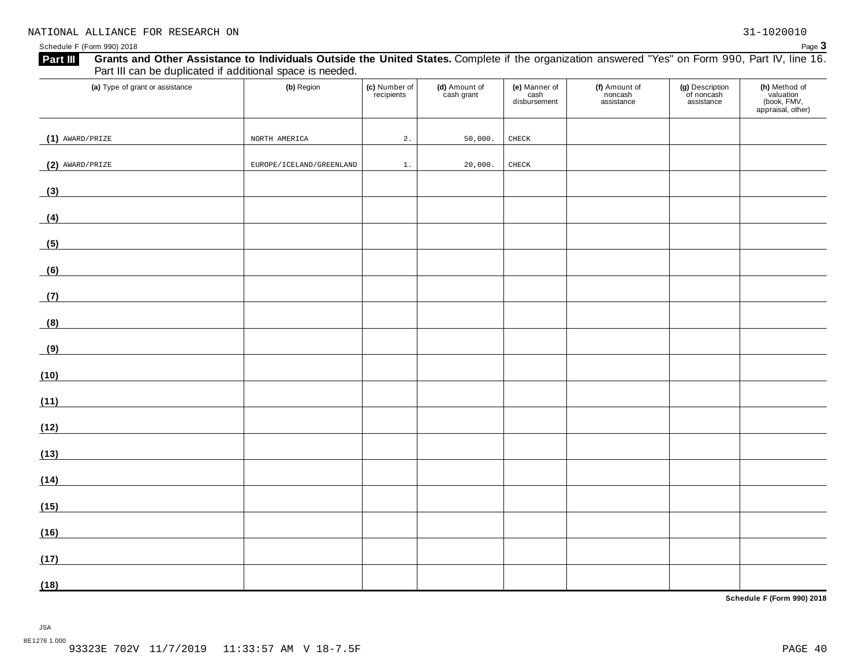## Grants and Other Assistance to Individuals Outside the United States. Complete if the organization answered "Yes" on Form 990, Part IV, line 16.

| Schedule F (Form 990) 2018                                                                                                                                                                                                |                          |                             |                             |                                       |                                        |                                             | Page 3                                                         |
|---------------------------------------------------------------------------------------------------------------------------------------------------------------------------------------------------------------------------|--------------------------|-----------------------------|-----------------------------|---------------------------------------|----------------------------------------|---------------------------------------------|----------------------------------------------------------------|
| Grants and Other Assistance to Individuals Outside the United States. Complete if the organization answered "Yes" on Form 990, Part IV, line 16.<br>Part III<br>Part III can be duplicated if additional space is needed. |                          |                             |                             |                                       |                                        |                                             |                                                                |
| (a) Type of grant or assistance                                                                                                                                                                                           | (b) Region               | (c) Number of<br>recipients | (d) Amount of<br>cash grant | (e) Manner of<br>cash<br>disbursement | (f) Amount of<br>noncash<br>assistance | (g) Description<br>of noncash<br>assistance | (h) Method of<br>valuation<br>(book, FMV,<br>appraisal, other) |
| $(1)$ AWARD/PRIZE                                                                                                                                                                                                         | NORTH AMERICA            | 2.                          | 50,000.                     | ${\tt CHECK}$                         |                                        |                                             |                                                                |
| $(2)$ AWARD/PRIZE                                                                                                                                                                                                         | EUROPE/ICELAND/GREENLAND | 1.                          | 20,000.                     | ${\tt CHECK}$                         |                                        |                                             |                                                                |
| (3)                                                                                                                                                                                                                       |                          |                             |                             |                                       |                                        |                                             |                                                                |
| (4)<br><u> 1989 - Jan James Barbara, prima populație de la proprietat de la proprietat de la proprietat de la proprietat</u>                                                                                              |                          |                             |                             |                                       |                                        |                                             |                                                                |
| (5)<br><u> 1989 - Andrea Andrew Maria (b. 1989)</u>                                                                                                                                                                       |                          |                             |                             |                                       |                                        |                                             |                                                                |
| (6)                                                                                                                                                                                                                       |                          |                             |                             |                                       |                                        |                                             |                                                                |
| (7)                                                                                                                                                                                                                       |                          |                             |                             |                                       |                                        |                                             |                                                                |
| (8)                                                                                                                                                                                                                       |                          |                             |                             |                                       |                                        |                                             |                                                                |
| (9)                                                                                                                                                                                                                       |                          |                             |                             |                                       |                                        |                                             |                                                                |
| (10)                                                                                                                                                                                                                      |                          |                             |                             |                                       |                                        |                                             |                                                                |
| (11)                                                                                                                                                                                                                      |                          |                             |                             |                                       |                                        |                                             |                                                                |
| (12)                                                                                                                                                                                                                      |                          |                             |                             |                                       |                                        |                                             |                                                                |
| (13)                                                                                                                                                                                                                      |                          |                             |                             |                                       |                                        |                                             |                                                                |
| (14)<br><u> 1989 - Andrea Station Books, amerikansk politik (</u>                                                                                                                                                         |                          |                             |                             |                                       |                                        |                                             |                                                                |
| (15)                                                                                                                                                                                                                      |                          |                             |                             |                                       |                                        |                                             |                                                                |
| (16)                                                                                                                                                                                                                      |                          |                             |                             |                                       |                                        |                                             |                                                                |
| (17)                                                                                                                                                                                                                      |                          |                             |                             |                                       |                                        |                                             |                                                                |
| (18)                                                                                                                                                                                                                      |                          |                             |                             |                                       |                                        |                                             |                                                                |

**Schedule F (Form 990) 2018**

JSA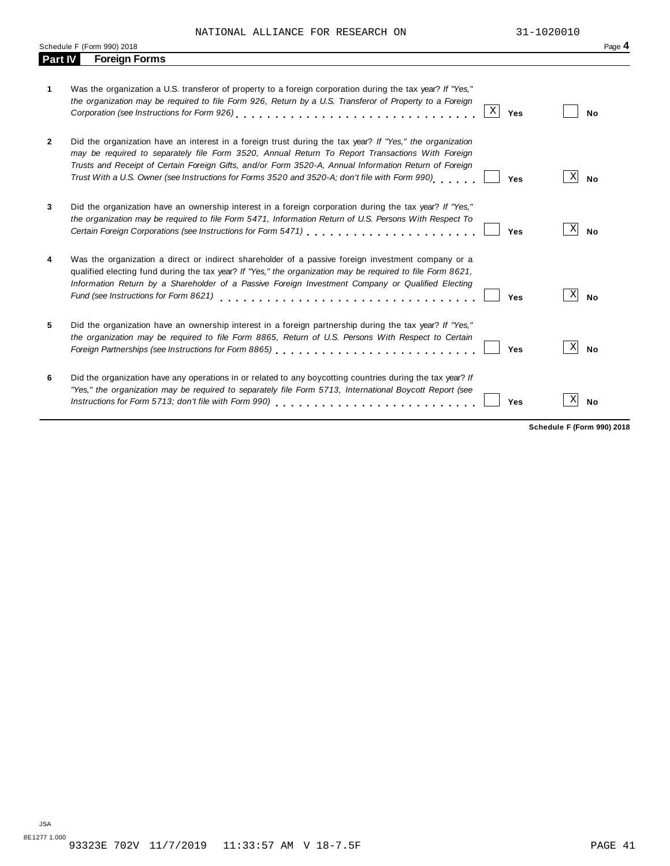NATIONAL ALLIANCE FOR RESEARCH ON 31-1020010

|              | Schedule F (Form 990) 2018                                                                                                                                                                                                                                                                                                                                                                                                    | Page 4         |
|--------------|-------------------------------------------------------------------------------------------------------------------------------------------------------------------------------------------------------------------------------------------------------------------------------------------------------------------------------------------------------------------------------------------------------------------------------|----------------|
| Part IV      | <b>Foreign Forms</b>                                                                                                                                                                                                                                                                                                                                                                                                          |                |
| 1            | Was the organization a U.S. transferor of property to a foreign corporation during the tax year? If "Yes,"<br>the organization may be required to file Form 926, Return by a U.S. Transferor of Property to a Foreign<br>$\mathbf X$<br>Yes                                                                                                                                                                                   | No             |
| $\mathbf{2}$ | Did the organization have an interest in a foreign trust during the tax year? If "Yes," the organization<br>may be required to separately file Form 3520, Annual Return To Report Transactions With Foreign<br>Trusts and Receipt of Certain Foreign Gifts, and/or Form 3520-A, Annual Information Return of Foreign<br>Trust With a U.S. Owner (see Instructions for Forms 3520 and 3520-A; don't file with Form 990)<br>Yes | Χ<br><b>No</b> |
| 3            | Did the organization have an ownership interest in a foreign corporation during the tax year? If "Yes,"<br>the organization may be required to file Form 5471, Information Return of U.S. Persons With Respect To<br>Certain Foreign Corporations (see Instructions for Form 5471) [11] [12] Certain Foreign Corporations (see Instructions for Form 5471)<br>Yes                                                             | Χ<br><b>No</b> |
| 4            | Was the organization a direct or indirect shareholder of a passive foreign investment company or a<br>qualified electing fund during the tax year? If "Yes," the organization may be required to file Form 8621,<br>Information Return by a Shareholder of a Passive Foreign Investment Company or Qualified Electing<br>Fund (see Instructions for Form 8621)<br>Yes                                                         | X<br><b>No</b> |
| 5            | Did the organization have an ownership interest in a foreign partnership during the tax year? If "Yes,"<br>the organization may be required to file Form 8865, Return of U.S. Persons With Respect to Certain<br>Foreign Partnerships (see Instructions for Form 8865)<br>Yes                                                                                                                                                 | Χ<br><b>No</b> |
| 6            | Did the organization have any operations in or related to any boycotting countries during the tax year? If<br>"Yes," the organization may be required to separately file Form 5713, International Boycott Report (see<br>Instructions for Form 5713; don't file with Form 990)<br>Yes                                                                                                                                         | X<br>No        |

**Schedule F (Form 990) 2018**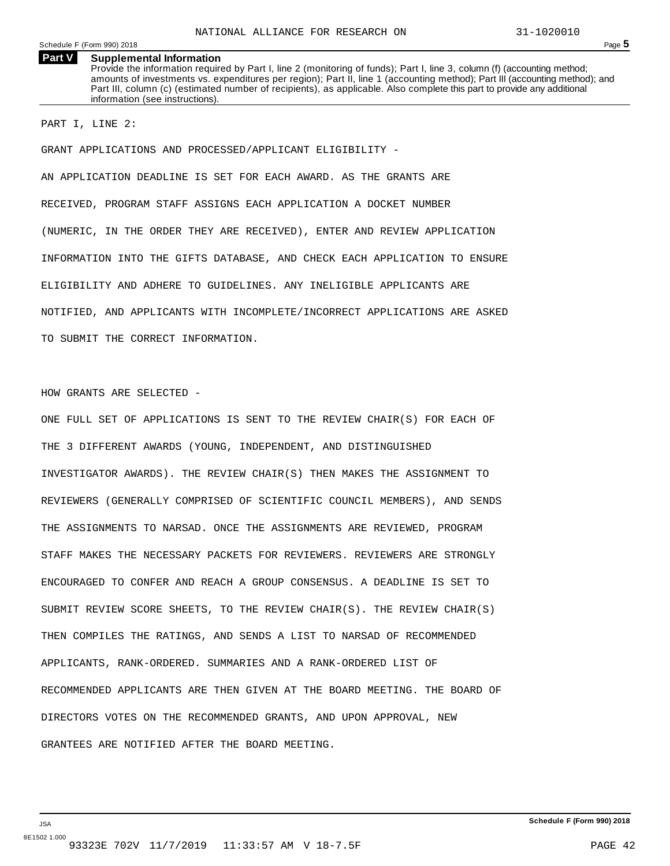**Part V Supplemental Information** Provide the information required by Part I, line 2 (monitoring of funds); Part I, line 3, column (f) (accounting method; amounts of investments vs. expenditures per region); Part II, line 1 (accounting method); Part III (accounting method); and Part III, column (c) (estimated number of recipients), as applicable. Also complete this part to provide any additional information (see instructions).

PART I, LINE 2:

GRANT APPLICATIONS AND PROCESSED/APPLICANT ELIGIBILITY -

AN APPLICATION DEADLINE IS SET FOR EACH AWARD. AS THE GRANTS ARE RECEIVED, PROGRAM STAFF ASSIGNS EACH APPLICATION A DOCKET NUMBER (NUMERIC, IN THE ORDER THEY ARE RECEIVED), ENTER AND REVIEW APPLICATION INFORMATION INTO THE GIFTS DATABASE, AND CHECK EACH APPLICATION TO ENSURE ELIGIBILITY AND ADHERE TO GUIDELINES. ANY INELIGIBLE APPLICANTS ARE NOTIFIED, AND APPLICANTS WITH INCOMPLETE/INCORRECT APPLICATIONS ARE ASKED TO SUBMIT THE CORRECT INFORMATION.

HOW GRANTS ARE SELECTED -

ONE FULL SET OF APPLICATIONS IS SENT TO THE REVIEW CHAIR(S) FOR EACH OF THE 3 DIFFERENT AWARDS (YOUNG, INDEPENDENT, AND DISTINGUISHED INVESTIGATOR AWARDS). THE REVIEW CHAIR(S) THEN MAKES THE ASSIGNMENT TO REVIEWERS (GENERALLY COMPRISED OF SCIENTIFIC COUNCIL MEMBERS), AND SENDS THE ASSIGNMENTS TO NARSAD. ONCE THE ASSIGNMENTS ARE REVIEWED, PROGRAM STAFF MAKES THE NECESSARY PACKETS FOR REVIEWERS. REVIEWERS ARE STRONGLY ENCOURAGED TO CONFER AND REACH A GROUP CONSENSUS. A DEADLINE IS SET TO SUBMIT REVIEW SCORE SHEETS, TO THE REVIEW CHAIR(S). THE REVIEW CHAIR(S) THEN COMPILES THE RATINGS, AND SENDS A LIST TO NARSAD OF RECOMMENDED APPLICANTS, RANK-ORDERED. SUMMARIES AND A RANK-ORDERED LIST OF RECOMMENDED APPLICANTS ARE THEN GIVEN AT THE BOARD MEETING. THE BOARD OF DIRECTORS VOTES ON THE RECOMMENDED GRANTS, AND UPON APPROVAL, NEW GRANTEES ARE NOTIFIED AFTER THE BOARD MEETING.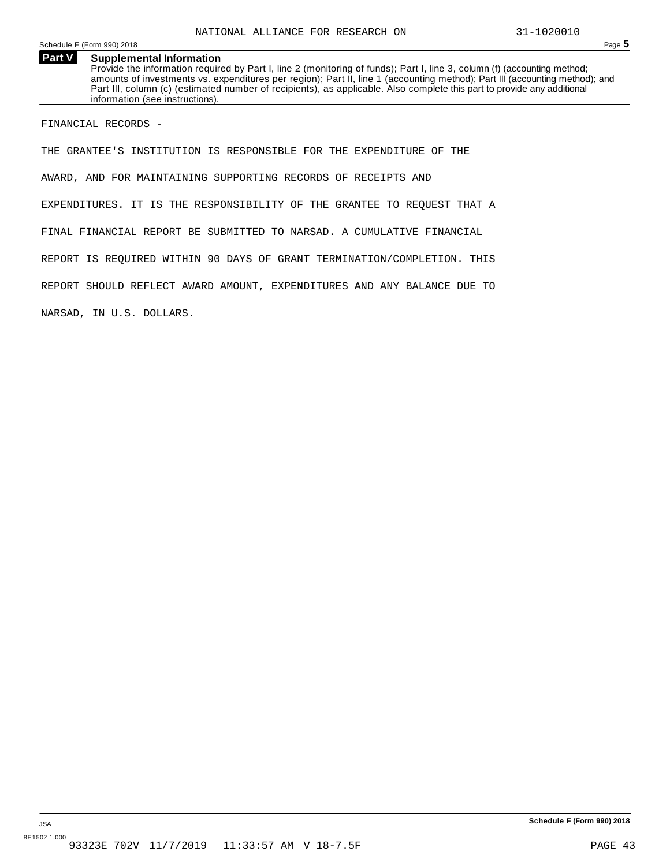#### **Part V Supplemental Information**

Provide the information required by Part I, line 2 (monitoring of funds); Part I, line 3, column (f) (accounting method; amounts of investments vs. expenditures per region); Part II, line 1 (accounting method); Part III (accounting method); and Part III, column (c) (estimated number of recipients), as applicable. Also complete this part to provide any additional information (see instructions).

FINANCIAL RECORDS -

THE GRANTEE'S INSTITUTION IS RESPONSIBLE FOR THE EXPENDITURE OF THE AWARD, AND FOR MAINTAINING SUPPORTING RECORDS OF RECEIPTS AND EXPENDITURES. IT IS THE RESPONSIBILITY OF THE GRANTEE TO REQUEST THAT A FINAL FINANCIAL REPORT BE SUBMITTED TO NARSAD. A CUMULATIVE FINANCIAL REPORT IS REQUIRED WITHIN 90 DAYS OF GRANT TERMINATION/COMPLETION. THIS REPORT SHOULD REFLECT AWARD AMOUNT, EXPENDITURES AND ANY BALANCE DUE TO NARSAD, IN U.S. DOLLARS.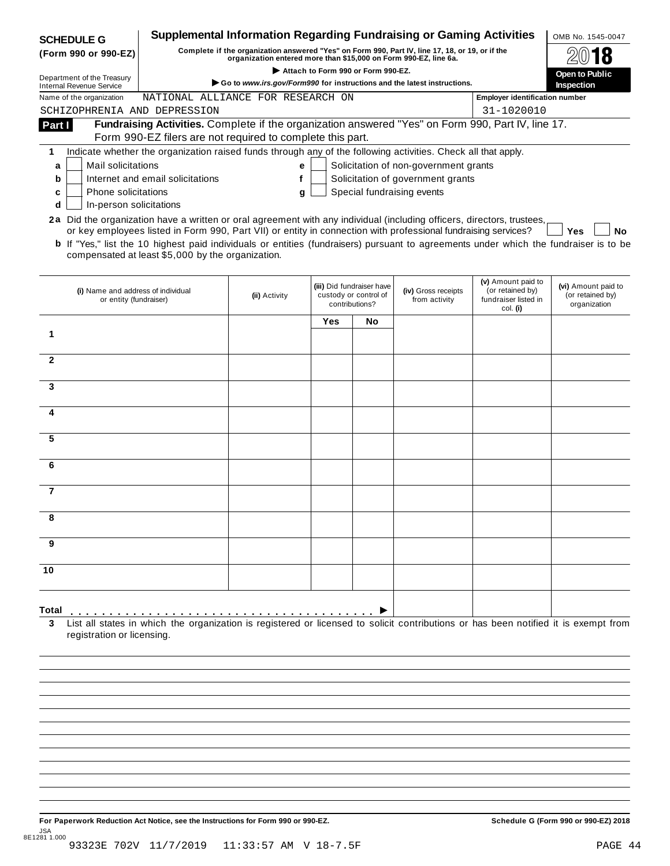| <b>SCHEDULE G</b>                                                                                                      |                                                                                                                                              | Supplemental Information Regarding Fundraising or Gaming Activities                                                                                                 |                                    |                                                                      |                                       |                                                                            | OMB No. 1545-0047                                       |
|------------------------------------------------------------------------------------------------------------------------|----------------------------------------------------------------------------------------------------------------------------------------------|---------------------------------------------------------------------------------------------------------------------------------------------------------------------|------------------------------------|----------------------------------------------------------------------|---------------------------------------|----------------------------------------------------------------------------|---------------------------------------------------------|
| (Form 990 or 990-EZ)                                                                                                   |                                                                                                                                              | Complete if the organization answered "Yes" on Form 990, Part IV, line 17, 18, or 19, or if the<br>organization entered more than \$15,000 on Form 990-EZ, line 6a. |                                    |                                                                      |                                       |                                                                            |                                                         |
|                                                                                                                        |                                                                                                                                              |                                                                                                                                                                     | Attach to Form 990 or Form 990-EZ. |                                                                      |                                       |                                                                            | Open to Public                                          |
| Department of the Treasury<br><b>Internal Revenue Service</b>                                                          |                                                                                                                                              | Go to www.irs.gov/Form990 for instructions and the latest instructions.                                                                                             |                                    |                                                                      |                                       |                                                                            | Inspection                                              |
| Name of the organization                                                                                               | NATIONAL ALLIANCE FOR RESEARCH ON                                                                                                            |                                                                                                                                                                     |                                    |                                                                      |                                       | <b>Employer identification number</b>                                      |                                                         |
| SCHIZOPHRENIA AND DEPRESSION                                                                                           |                                                                                                                                              |                                                                                                                                                                     |                                    |                                                                      |                                       | 31-1020010                                                                 |                                                         |
| Part I                                                                                                                 | Fundraising Activities. Complete if the organization answered "Yes" on Form 990, Part IV, line 17.                                           |                                                                                                                                                                     |                                    |                                                                      |                                       |                                                                            |                                                         |
|                                                                                                                        | Form 990-EZ filers are not required to complete this part.                                                                                   |                                                                                                                                                                     |                                    |                                                                      |                                       |                                                                            |                                                         |
| 1                                                                                                                      | Indicate whether the organization raised funds through any of the following activities. Check all that apply.                                |                                                                                                                                                                     |                                    |                                                                      |                                       |                                                                            |                                                         |
| Mail solicitations<br>a                                                                                                |                                                                                                                                              | е                                                                                                                                                                   |                                    |                                                                      | Solicitation of non-government grants |                                                                            |                                                         |
| b                                                                                                                      | Internet and email solicitations                                                                                                             | f                                                                                                                                                                   |                                    |                                                                      | Solicitation of government grants     |                                                                            |                                                         |
| <b>Phone solicitations</b><br>c                                                                                        |                                                                                                                                              | g                                                                                                                                                                   |                                    |                                                                      | Special fundraising events            |                                                                            |                                                         |
| In-person solicitations<br>d                                                                                           |                                                                                                                                              |                                                                                                                                                                     |                                    |                                                                      |                                       |                                                                            |                                                         |
| 2a Did the organization have a written or oral agreement with any individual (including officers, directors, trustees, | or key employees listed in Form 990, Part VII) or entity in connection with professional fundraising services?                               |                                                                                                                                                                     |                                    |                                                                      |                                       |                                                                            | <b>Yes</b><br>No                                        |
|                                                                                                                        | <b>b</b> If "Yes," list the 10 highest paid individuals or entities (fundraisers) pursuant to agreements under which the fundraiser is to be |                                                                                                                                                                     |                                    |                                                                      |                                       |                                                                            |                                                         |
|                                                                                                                        | compensated at least \$5,000 by the organization.                                                                                            |                                                                                                                                                                     |                                    |                                                                      |                                       |                                                                            |                                                         |
|                                                                                                                        |                                                                                                                                              |                                                                                                                                                                     |                                    |                                                                      |                                       |                                                                            |                                                         |
| (i) Name and address of individual<br>or entity (fundraiser)                                                           |                                                                                                                                              | (ii) Activity                                                                                                                                                       |                                    | (iii) Did fundraiser have<br>custody or control of<br>contributions? | (iv) Gross receipts<br>from activity  | (v) Amount paid to<br>(or retained by)<br>fundraiser listed in<br>col. (i) | (vi) Amount paid to<br>(or retained by)<br>organization |
|                                                                                                                        |                                                                                                                                              |                                                                                                                                                                     | Yes                                | No                                                                   |                                       |                                                                            |                                                         |
| 1                                                                                                                      |                                                                                                                                              |                                                                                                                                                                     |                                    |                                                                      |                                       |                                                                            |                                                         |
|                                                                                                                        |                                                                                                                                              |                                                                                                                                                                     |                                    |                                                                      |                                       |                                                                            |                                                         |
| $\overline{2}$                                                                                                         |                                                                                                                                              |                                                                                                                                                                     |                                    |                                                                      |                                       |                                                                            |                                                         |
|                                                                                                                        |                                                                                                                                              |                                                                                                                                                                     |                                    |                                                                      |                                       |                                                                            |                                                         |
| 3                                                                                                                      |                                                                                                                                              |                                                                                                                                                                     |                                    |                                                                      |                                       |                                                                            |                                                         |
|                                                                                                                        |                                                                                                                                              |                                                                                                                                                                     |                                    |                                                                      |                                       |                                                                            |                                                         |
| 4                                                                                                                      |                                                                                                                                              |                                                                                                                                                                     |                                    |                                                                      |                                       |                                                                            |                                                         |
|                                                                                                                        |                                                                                                                                              |                                                                                                                                                                     |                                    |                                                                      |                                       |                                                                            |                                                         |
| 5                                                                                                                      |                                                                                                                                              |                                                                                                                                                                     |                                    |                                                                      |                                       |                                                                            |                                                         |
| 6                                                                                                                      |                                                                                                                                              |                                                                                                                                                                     |                                    |                                                                      |                                       |                                                                            |                                                         |
|                                                                                                                        |                                                                                                                                              |                                                                                                                                                                     |                                    |                                                                      |                                       |                                                                            |                                                         |
| 7                                                                                                                      |                                                                                                                                              |                                                                                                                                                                     |                                    |                                                                      |                                       |                                                                            |                                                         |
|                                                                                                                        |                                                                                                                                              |                                                                                                                                                                     |                                    |                                                                      |                                       |                                                                            |                                                         |
| ŏ                                                                                                                      |                                                                                                                                              |                                                                                                                                                                     |                                    |                                                                      |                                       |                                                                            |                                                         |
|                                                                                                                        |                                                                                                                                              |                                                                                                                                                                     |                                    |                                                                      |                                       |                                                                            |                                                         |
| 9                                                                                                                      |                                                                                                                                              |                                                                                                                                                                     |                                    |                                                                      |                                       |                                                                            |                                                         |
|                                                                                                                        |                                                                                                                                              |                                                                                                                                                                     |                                    |                                                                      |                                       |                                                                            |                                                         |
| 10                                                                                                                     |                                                                                                                                              |                                                                                                                                                                     |                                    |                                                                      |                                       |                                                                            |                                                         |
|                                                                                                                        |                                                                                                                                              |                                                                                                                                                                     |                                    |                                                                      |                                       |                                                                            |                                                         |
|                                                                                                                        |                                                                                                                                              |                                                                                                                                                                     |                                    |                                                                      |                                       |                                                                            |                                                         |
| Total                                                                                                                  |                                                                                                                                              |                                                                                                                                                                     |                                    |                                                                      |                                       |                                                                            |                                                         |
| 3                                                                                                                      | List all states in which the organization is registered or licensed to solicit contributions or has been notified it is exempt from          |                                                                                                                                                                     |                                    |                                                                      |                                       |                                                                            |                                                         |
| registration or licensing.                                                                                             |                                                                                                                                              |                                                                                                                                                                     |                                    |                                                                      |                                       |                                                                            |                                                         |

For Paperwork Reduction Act Notice, see the Instructions for Form 990 or 990-EZ. Schedule G (Form 990 or 990-EZ) 2018 JSA 8E1281 1.000 93323E 702V 11/7/2019 11:33:57 AM V 18-7.5F PAGE 44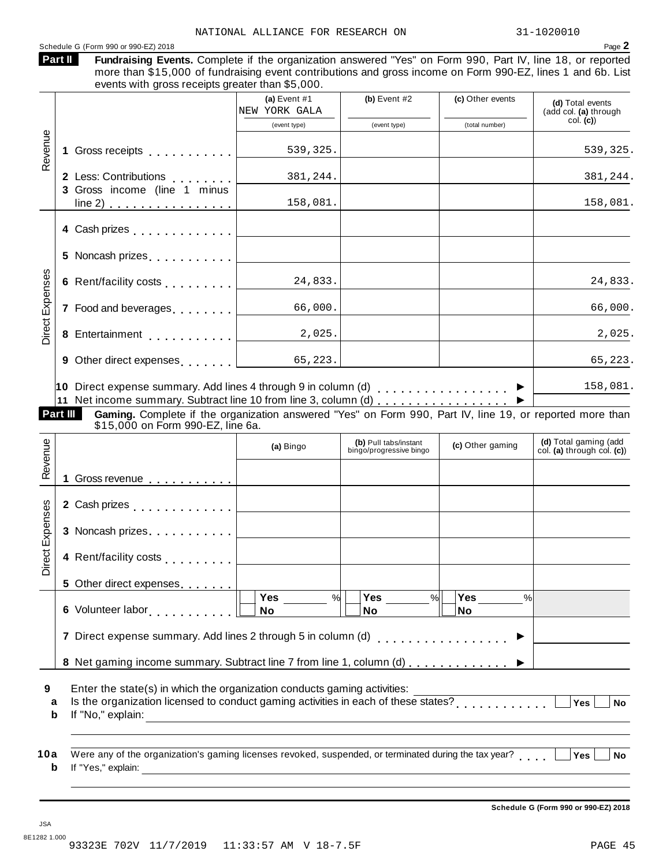#### Schedule <sup>G</sup> (Form <sup>990</sup> or 990-EZ) <sup>2018</sup> Page **2**

| <b>Part II</b> | ıı |
|----------------|----|
|                | г  |

Fundraising Events. Complete if the organization answered "Yes" on Form 990, Part IV, line 18, or reported more than \$15,000 of fundraising event contributions and gross income on Form 990-EZ, lines 1 and 6b. List events with gross receipts greater than \$5,000.

|                 |                                                                                                                                                                                                                                                                                               | (a) Event $#1$<br>NEW YORK GALA | (b) Event $#2$                                   | (c) Other events | (d) Total events<br>(add col. (a) through           |
|-----------------|-----------------------------------------------------------------------------------------------------------------------------------------------------------------------------------------------------------------------------------------------------------------------------------------------|---------------------------------|--------------------------------------------------|------------------|-----------------------------------------------------|
|                 |                                                                                                                                                                                                                                                                                               | (event type)                    | (event type)                                     | (total number)   | col. (c)                                            |
| Revenue         | 1 Gross receipts                                                                                                                                                                                                                                                                              | 539,325.                        |                                                  |                  | 539,325.                                            |
|                 | 2 Less: Contributions<br>3 Gross income (line 1 minus                                                                                                                                                                                                                                         | 381,244.                        |                                                  |                  | 381,244.                                            |
|                 | line 2) $\ldots$ $\ldots$ $\ldots$ $\ldots$ $\ldots$                                                                                                                                                                                                                                          | 158,081.                        |                                                  |                  | 158,081.                                            |
|                 | 4 Cash prizes <b>All Accord Principles</b>                                                                                                                                                                                                                                                    |                                 |                                                  |                  |                                                     |
|                 | 5 Noncash prizes [19]                                                                                                                                                                                                                                                                         |                                 |                                                  |                  |                                                     |
|                 | 6 Rent/facility costs [1, 1, 1, 1, 1]                                                                                                                                                                                                                                                         | 24,833.                         |                                                  |                  | 24,833.                                             |
|                 | 7 Food and beverages [1, 1, 1, 1, 1]                                                                                                                                                                                                                                                          | 66,000.                         |                                                  |                  | 66,000.                                             |
|                 |                                                                                                                                                                                                                                                                                               | 2,025.                          |                                                  |                  | 2,025.                                              |
|                 |                                                                                                                                                                                                                                                                                               |                                 |                                                  |                  | 65,223.                                             |
| Part III        | 10 Direct expense summary. Add lines 4 through 9 in column (d) $\ldots$<br>11 Net income summary. Subtract line 10 from line 3, column (d) ▶<br>Gaming. Complete if the organization answered "Yes" on Form 990, Part IV, line 19, or reported more than<br>\$15,000 on Form 990-EZ, line 6a. |                                 |                                                  |                  | 158,081.                                            |
|                 |                                                                                                                                                                                                                                                                                               |                                 |                                                  |                  |                                                     |
|                 |                                                                                                                                                                                                                                                                                               | (a) Bingo                       | (b) Pull tabs/instant<br>bingo/progressive bingo | (c) Other gaming | (d) Total gaming (add<br>col. (a) through col. (c)) |
|                 | 1 Gross revenue <b>contracts</b> contains the contracts of the contracts of the contracts of the contracts of the contracts of the contracts of the contracts of the contracts of the contracts of the contracts of the contracts o                                                           |                                 |                                                  |                  |                                                     |
|                 |                                                                                                                                                                                                                                                                                               |                                 |                                                  |                  |                                                     |
|                 | 3 Noncash prizes  2000                                                                                                                                                                                                                                                                        |                                 |                                                  |                  |                                                     |
| Revenue         | 4 Rent/facility costs                                                                                                                                                                                                                                                                         |                                 |                                                  |                  |                                                     |
|                 | 5 Other direct expenses                                                                                                                                                                                                                                                                       |                                 |                                                  |                  |                                                     |
|                 | 6 Volunteer labor<br>since the value of the value of the value of the value of the value of the value of the value of the value of the value of the value of the value of the value of the value of the value of the value of th                                                              | Yes<br>%<br>No                  | Yes<br>$\%$<br>No                                | Yes<br>%<br>No   |                                                     |
| Direct Expenses | 7 Direct expense summary. Add lines 2 through 5 in column (d)                                                                                                                                                                                                                                 |                                 |                                                  | . <b>.</b> .     |                                                     |
|                 | 8 Net gaming income summary. Subtract line 7 from line 1, column (d)  ▶                                                                                                                                                                                                                       |                                 |                                                  |                  |                                                     |

**Schedule G (Form 990 or 990-EZ) 2018**

JSA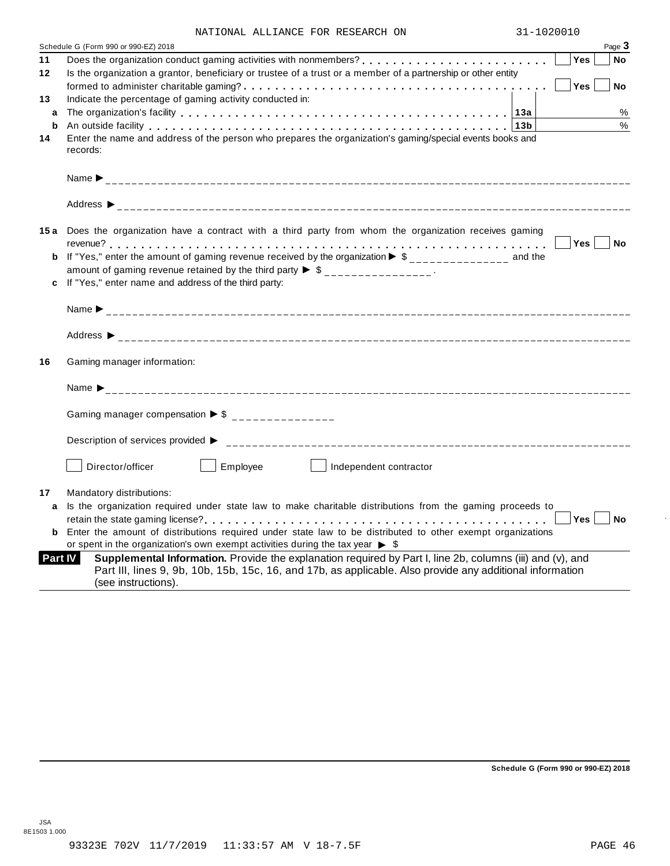| NATIONAL ALLIANCE FOR RESEARCH ON |  | 31-1020010 |
|-----------------------------------|--|------------|

|                | Schedule G (Form 990 or 990-EZ) 2018                                                                                                                                                                                                          |            | Page 3    |
|----------------|-----------------------------------------------------------------------------------------------------------------------------------------------------------------------------------------------------------------------------------------------|------------|-----------|
| 11             |                                                                                                                                                                                                                                               | <b>Yes</b> | No        |
| $12 \,$        | Is the organization a grantor, beneficiary or trustee of a trust or a member of a partnership or other entity                                                                                                                                 |            |           |
|                |                                                                                                                                                                                                                                               | Yes        | <b>No</b> |
| 13             | Indicate the percentage of gaming activity conducted in:                                                                                                                                                                                      |            |           |
| a              |                                                                                                                                                                                                                                               |            | %         |
| b              | An outside facility enterpreed to the series of the series of the series of the series of the series of the series of the series of the series of the series of the series of the series of the series of the series of the se                |            | %         |
| 14             | Enter the name and address of the person who prepares the organization's gaming/special events books and<br>records:                                                                                                                          |            |           |
|                |                                                                                                                                                                                                                                               |            |           |
|                |                                                                                                                                                                                                                                               |            |           |
|                | 15a Does the organization have a contract with a third party from whom the organization receives gaming                                                                                                                                       |            |           |
|                |                                                                                                                                                                                                                                               | Yes No     |           |
|                | If "Yes," enter the amount of gaming revenue received by the organization $\blacktriangleright$ \$______________ and the                                                                                                                      |            |           |
|                | amount of gaming revenue retained by the third party $\triangleright$ \$ _______________.                                                                                                                                                     |            |           |
|                | If "Yes," enter name and address of the third party:                                                                                                                                                                                          |            |           |
|                |                                                                                                                                                                                                                                               |            |           |
|                |                                                                                                                                                                                                                                               |            |           |
| 16             | Gaming manager information:                                                                                                                                                                                                                   |            |           |
|                |                                                                                                                                                                                                                                               |            |           |
|                | Gaming manager compensation $\triangleright$ \$ ________________                                                                                                                                                                              |            |           |
|                | Description of services provided ▶                                                                                                                                                                                                            |            |           |
|                | Director/officer<br>Employee<br>Independent contractor                                                                                                                                                                                        |            |           |
| 17             | Mandatory distributions:                                                                                                                                                                                                                      |            |           |
| a              | Is the organization required under state law to make charitable distributions from the gaming proceeds to                                                                                                                                     |            |           |
|                |                                                                                                                                                                                                                                               | Yes        | <b>No</b> |
| b              | Enter the amount of distributions required under state law to be distributed to other exempt organizations                                                                                                                                    |            |           |
|                | or spent in the organization's own exempt activities during the tax year $\triangleright$ \$                                                                                                                                                  |            |           |
| <b>Part IV</b> | Supplemental Information. Provide the explanation required by Part I, line 2b, columns (iii) and (v), and<br>Part III, lines 9, 9b, 10b, 15b, 15c, 16, and 17b, as applicable. Also provide any additional information<br>(see instructions). |            |           |

**Schedule G (Form 990 or 990-EZ) 2018**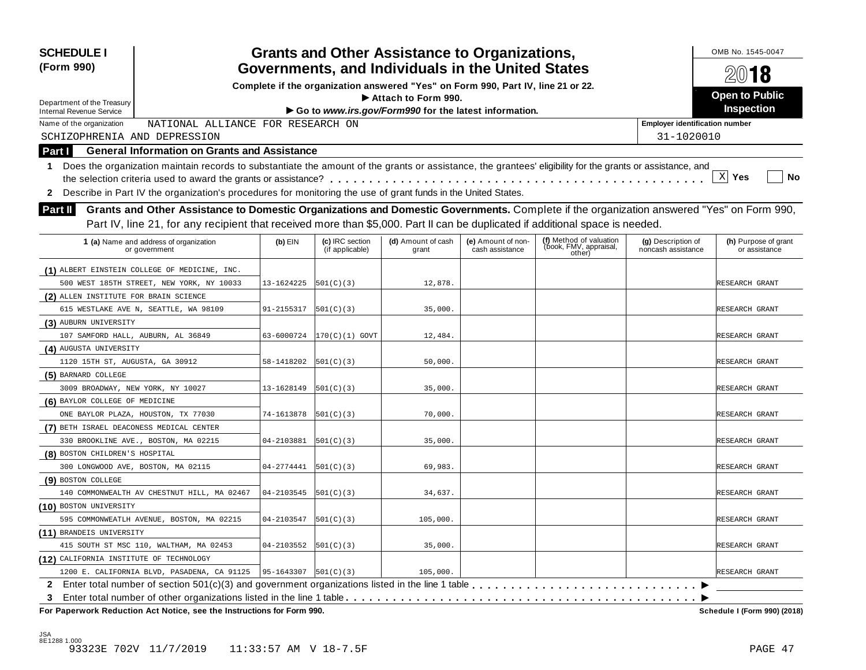| <b>SCHEDULE I</b><br>(Form 990)                                                                                                                                  |            |                                    | <b>Grants and Other Assistance to Organizations,</b><br>Governments, and Individuals in the United States |                                       |                                                             |                                          | OMB No. 1545-0047                     |
|------------------------------------------------------------------------------------------------------------------------------------------------------------------|------------|------------------------------------|-----------------------------------------------------------------------------------------------------------|---------------------------------------|-------------------------------------------------------------|------------------------------------------|---------------------------------------|
|                                                                                                                                                                  |            |                                    | Complete if the organization answered "Yes" on Form 990, Part IV, line 21 or 22.                          |                                       |                                                             |                                          | 2018                                  |
|                                                                                                                                                                  |            |                                    | Attach to Form 990.                                                                                       |                                       |                                                             |                                          | <b>Open to Public</b>                 |
| Department of the Treasury<br><b>Internal Revenue Service</b>                                                                                                    |            |                                    | Go to www.irs.gov/Form990 for the latest information.                                                     |                                       |                                                             |                                          | Inspection                            |
| NATIONAL ALLIANCE FOR RESEARCH ON<br>Name of the organization                                                                                                    |            |                                    |                                                                                                           |                                       |                                                             | <b>Employer identification number</b>    |                                       |
| SCHIZOPHRENIA AND DEPRESSION                                                                                                                                     |            |                                    |                                                                                                           |                                       |                                                             | 31-1020010                               |                                       |
| <b>General Information on Grants and Assistance</b><br>Part I                                                                                                    |            |                                    |                                                                                                           |                                       |                                                             |                                          |                                       |
| Does the organization maintain records to substantiate the amount of the grants or assistance, the grantees' eligibility for the grants or assistance, and<br>1. |            |                                    |                                                                                                           |                                       |                                                             |                                          |                                       |
|                                                                                                                                                                  |            |                                    |                                                                                                           |                                       |                                                             |                                          | $\mathbf{x}$<br>Yes<br><b>No</b>      |
| 2 Describe in Part IV the organization's procedures for monitoring the use of grant funds in the United States.                                                  |            |                                    |                                                                                                           |                                       |                                                             |                                          |                                       |
|                                                                                                                                                                  |            |                                    |                                                                                                           |                                       |                                                             |                                          |                                       |
| Grants and Other Assistance to Domestic Organizations and Domestic Governments. Complete if the organization answered "Yes" on Form 990,<br><b>Part II</b>       |            |                                    |                                                                                                           |                                       |                                                             |                                          |                                       |
| Part IV, line 21, for any recipient that received more than \$5,000. Part II can be duplicated if additional space is needed.                                    |            |                                    |                                                                                                           |                                       |                                                             |                                          |                                       |
| 1 (a) Name and address of organization<br>or government                                                                                                          | $(b)$ EIN  | (c) IRC section<br>(if applicable) | (d) Amount of cash<br>grant                                                                               | (e) Amount of non-<br>cash assistance | (f) Method of valuation<br>(book, FMV, appraisal,<br>other) | (g) Description of<br>noncash assistance | (h) Purpose of grant<br>or assistance |
| (1) ALBERT EINSTEIN COLLEGE OF MEDICINE, INC.                                                                                                                    |            |                                    |                                                                                                           |                                       |                                                             |                                          |                                       |
| 500 WEST 185TH STREET, NEW YORK, NY 10033                                                                                                                        | 13-1624225 | 501(C)(3)                          | 12,878.                                                                                                   |                                       |                                                             |                                          | RESEARCH GRANT                        |
| (2) ALLEN INSTITUTE FOR BRAIN SCIENCE                                                                                                                            |            |                                    |                                                                                                           |                                       |                                                             |                                          |                                       |
| 615 WESTLAKE AVE N, SEATTLE, WA 98109                                                                                                                            | 91-2155317 | 501(C)(3)                          | 35,000.                                                                                                   |                                       |                                                             |                                          | RESEARCH GRANT                        |
| (3) AUBURN UNIVERSITY                                                                                                                                            |            |                                    |                                                                                                           |                                       |                                                             |                                          |                                       |
| 107 SAMFORD HALL, AUBURN, AL 36849                                                                                                                               | 63-6000724 | $ 170(C)(1)$ GOVT                  | 12,484.                                                                                                   |                                       |                                                             |                                          | RESEARCH GRANT                        |
| (4) AUGUSTA UNIVERSITY                                                                                                                                           |            |                                    |                                                                                                           |                                       |                                                             |                                          |                                       |
| 1120 15TH ST, AUGUSTA, GA 30912                                                                                                                                  | 58-1418202 | 501(C)(3)                          | 50,000.                                                                                                   |                                       |                                                             |                                          | RESEARCH GRANT                        |
| (5) BARNARD COLLEGE                                                                                                                                              |            |                                    |                                                                                                           |                                       |                                                             |                                          |                                       |
| 3009 BROADWAY, NEW YORK, NY 10027                                                                                                                                | 13-1628149 | 501(C)(3)                          | 35,000.                                                                                                   |                                       |                                                             |                                          | RESEARCH GRANT                        |
| (6) BAYLOR COLLEGE OF MEDICINE                                                                                                                                   |            |                                    |                                                                                                           |                                       |                                                             |                                          |                                       |
| ONE BAYLOR PLAZA, HOUSTON, TX 77030                                                                                                                              | 74-1613878 | 501(C)(3)                          | 70,000.                                                                                                   |                                       |                                                             |                                          | RESEARCH GRANT                        |
| (7) BETH ISRAEL DEACONESS MEDICAL CENTER                                                                                                                         |            |                                    |                                                                                                           |                                       |                                                             |                                          |                                       |
| 330 BROOKLINE AVE., BOSTON, MA 02215                                                                                                                             | 04-2103881 | 501(C)(3)                          | 35,000.                                                                                                   |                                       |                                                             |                                          | RESEARCH GRANT                        |
| (8) BOSTON CHILDREN'S HOSPITAL                                                                                                                                   |            |                                    |                                                                                                           |                                       |                                                             |                                          |                                       |
| 300 LONGWOOD AVE, BOSTON, MA 02115                                                                                                                               | 04-2774441 | 501(C)(3)                          | 69,983.                                                                                                   |                                       |                                                             |                                          | RESEARCH GRANT                        |
| (9) BOSTON COLLEGE                                                                                                                                               |            |                                    |                                                                                                           |                                       |                                                             |                                          |                                       |
| 140 COMMONWEALTH AV CHESTNUT HILL, MA 02467                                                                                                                      | 04-2103545 | 501(C)(3)                          | 34,637.                                                                                                   |                                       |                                                             |                                          | RESEARCH GRANT                        |
| (10) BOSTON UNIVERSITY                                                                                                                                           |            |                                    |                                                                                                           |                                       |                                                             |                                          |                                       |
| 595 COMMONWEATLH AVENUE, BOSTON, MA 02215                                                                                                                        | 04-2103547 | 501(C)(3)                          | 105,000.                                                                                                  |                                       |                                                             |                                          | RESEARCH GRANT                        |
| (11) BRANDEIS UNIVERSITY                                                                                                                                         |            |                                    |                                                                                                           |                                       |                                                             |                                          |                                       |
| 415 SOUTH ST MSC 110, WALTHAM, MA 02453                                                                                                                          | 04-2103552 | 501(C)(3)                          | 35,000.                                                                                                   |                                       |                                                             |                                          | RESEARCH GRANT                        |
| (12) CALIFORNIA INSTITUTE OF TECHNOLOGY                                                                                                                          |            |                                    |                                                                                                           |                                       |                                                             |                                          |                                       |
| 1200 E. CALIFORNIA BLVD, PASADENA, CA 91125                                                                                                                      | 95-1643307 | 501(C)(3)                          | 105,000                                                                                                   |                                       |                                                             |                                          | RESEARCH GRANT                        |
|                                                                                                                                                                  |            |                                    |                                                                                                           |                                       |                                                             |                                          |                                       |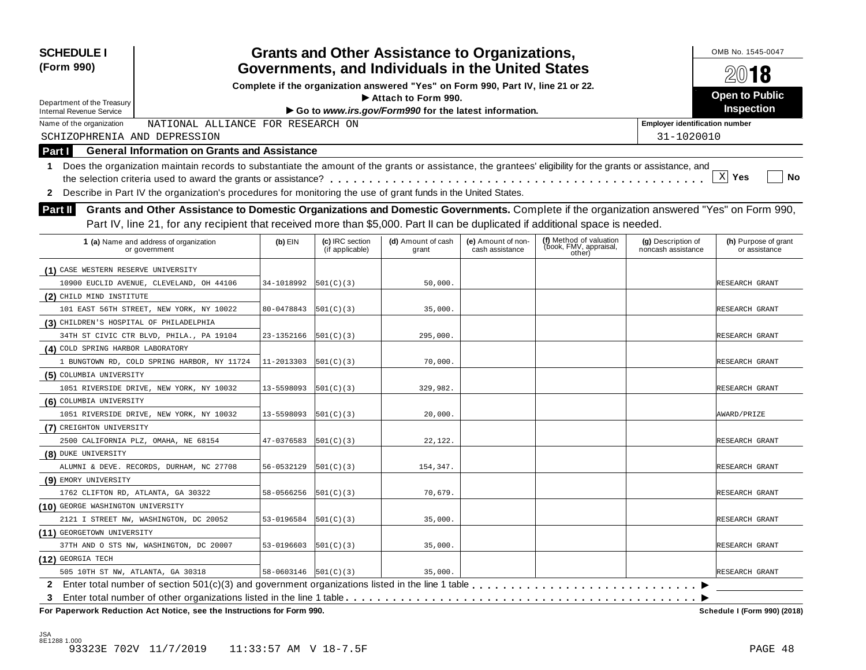| <b>SCHEDULE I</b><br>(Form 990)                                                                                                                                  |            |                                    | <b>Grants and Other Assistance to Organizations,</b><br>Governments, and Individuals in the United States |                                       |                                                             |                                          | OMB No. 1545-0047<br>2018             |
|------------------------------------------------------------------------------------------------------------------------------------------------------------------|------------|------------------------------------|-----------------------------------------------------------------------------------------------------------|---------------------------------------|-------------------------------------------------------------|------------------------------------------|---------------------------------------|
|                                                                                                                                                                  |            |                                    | Complete if the organization answered "Yes" on Form 990, Part IV, line 21 or 22.                          |                                       |                                                             |                                          |                                       |
|                                                                                                                                                                  |            |                                    | Attach to Form 990.                                                                                       |                                       |                                                             |                                          | <b>Open to Public</b>                 |
| Department of the Treasury<br><b>Internal Revenue Service</b>                                                                                                    |            |                                    | Go to www.irs.gov/Form990 for the latest information.                                                     |                                       |                                                             |                                          | Inspection                            |
| NATIONAL ALLIANCE FOR RESEARCH ON<br>Name of the organization                                                                                                    |            |                                    |                                                                                                           |                                       |                                                             | <b>Employer identification number</b>    |                                       |
| SCHIZOPHRENIA AND DEPRESSION                                                                                                                                     |            |                                    |                                                                                                           |                                       |                                                             | 31-1020010                               |                                       |
| <b>General Information on Grants and Assistance</b><br>Part I                                                                                                    |            |                                    |                                                                                                           |                                       |                                                             |                                          |                                       |
| Does the organization maintain records to substantiate the amount of the grants or assistance, the grantees' eligibility for the grants or assistance, and<br>1. |            |                                    |                                                                                                           |                                       |                                                             |                                          |                                       |
|                                                                                                                                                                  |            |                                    |                                                                                                           |                                       |                                                             |                                          | $\mathbf{x}$<br>Yes<br><b>No</b>      |
| 2 Describe in Part IV the organization's procedures for monitoring the use of grant funds in the United States.                                                  |            |                                    |                                                                                                           |                                       |                                                             |                                          |                                       |
|                                                                                                                                                                  |            |                                    |                                                                                                           |                                       |                                                             |                                          |                                       |
| Grants and Other Assistance to Domestic Organizations and Domestic Governments. Complete if the organization answered "Yes" on Form 990,<br>Part II              |            |                                    |                                                                                                           |                                       |                                                             |                                          |                                       |
| Part IV, line 21, for any recipient that received more than \$5,000. Part II can be duplicated if additional space is needed.                                    |            |                                    |                                                                                                           |                                       |                                                             |                                          |                                       |
| 1 (a) Name and address of organization<br>or government                                                                                                          | $(b)$ EIN  | (c) IRC section<br>(if applicable) | (d) Amount of cash<br>grant                                                                               | (e) Amount of non-<br>cash assistance | (f) Method of valuation<br>(book, FMV, appraisal,<br>other) | (g) Description of<br>noncash assistance | (h) Purpose of grant<br>or assistance |
| (1) CASE WESTERN RESERVE UNIVERSITY                                                                                                                              |            |                                    |                                                                                                           |                                       |                                                             |                                          |                                       |
| 10900 EUCLID AVENUE, CLEVELAND, OH 44106                                                                                                                         | 34-1018992 | 501(C)(3)                          | 50,000.                                                                                                   |                                       |                                                             |                                          | RESEARCH GRANT                        |
| (2) CHILD MIND INSTITUTE                                                                                                                                         |            |                                    |                                                                                                           |                                       |                                                             |                                          |                                       |
| 101 EAST 56TH STREET, NEW YORK, NY 10022                                                                                                                         | 80-0478843 | 501(C)(3)                          | 35,000.                                                                                                   |                                       |                                                             |                                          | RESEARCH GRANT                        |
| (3) CHILDREN'S HOSPITAL OF PHILADELPHIA                                                                                                                          |            |                                    |                                                                                                           |                                       |                                                             |                                          |                                       |
| 34TH ST CIVIC CTR BLVD, PHILA., PA 19104                                                                                                                         | 23-1352166 | 501(C)(3)                          | 295,000.                                                                                                  |                                       |                                                             |                                          | RESEARCH GRANT                        |
| (4) COLD SPRING HARBOR LABORATORY                                                                                                                                |            |                                    |                                                                                                           |                                       |                                                             |                                          |                                       |
| 1 BUNGTOWN RD, COLD SPRING HARBOR, NY 11724                                                                                                                      | 11-2013303 | 501(C)(3)                          | 70,000.                                                                                                   |                                       |                                                             |                                          | RESEARCH GRANT                        |
| (5) COLUMBIA UNIVERSITY                                                                                                                                          |            |                                    |                                                                                                           |                                       |                                                             |                                          |                                       |
| 1051 RIVERSIDE DRIVE, NEW YORK, NY 10032                                                                                                                         | 13-5598093 | 501(C)(3)                          | 329,982.                                                                                                  |                                       |                                                             |                                          | RESEARCH GRANT                        |
| (6) COLUMBIA UNIVERSITY                                                                                                                                          |            |                                    |                                                                                                           |                                       |                                                             |                                          |                                       |
| 1051 RIVERSIDE DRIVE, NEW YORK, NY 10032                                                                                                                         | 13-5598093 | 501(C)(3)                          | 20,000.                                                                                                   |                                       |                                                             |                                          | AWARD/PRIZE                           |
| (7) CREIGHTON UNIVERSITY                                                                                                                                         |            |                                    |                                                                                                           |                                       |                                                             |                                          |                                       |
| 2500 CALIFORNIA PLZ, OMAHA, NE 68154                                                                                                                             | 47-0376583 | 501(C)(3)                          | 22,122.                                                                                                   |                                       |                                                             |                                          | RESEARCH GRANT                        |
| (8) DUKE UNIVERSITY                                                                                                                                              |            |                                    |                                                                                                           |                                       |                                                             |                                          |                                       |
| ALUMNI & DEVE. RECORDS, DURHAM, NC 27708                                                                                                                         | 56-0532129 | 501(C)(3)                          | 154,347.                                                                                                  |                                       |                                                             |                                          | RESEARCH GRANT                        |
| (9) EMORY UNIVERSITY                                                                                                                                             |            |                                    |                                                                                                           |                                       |                                                             |                                          |                                       |
| 1762 CLIFTON RD, ATLANTA, GA 30322                                                                                                                               | 58-0566256 | 501(C)(3)                          | 70,679                                                                                                    |                                       |                                                             |                                          | RESEARCH GRANT                        |
| (10) GEORGE WASHINGTON UNIVERSITY                                                                                                                                |            |                                    |                                                                                                           |                                       |                                                             |                                          |                                       |
| 2121 I STREET NW, WASHINGTON, DC 20052                                                                                                                           | 53-0196584 | 501(C)(3)                          | 35,000.                                                                                                   |                                       |                                                             |                                          | RESEARCH GRANT                        |
| (11) GEORGETOWN UNIVERSITY                                                                                                                                       |            |                                    |                                                                                                           |                                       |                                                             |                                          |                                       |
| 37TH AND O STS NW, WASHINGTON, DC 20007                                                                                                                          | 53-0196603 | 501(C)(3)                          | 35,000.                                                                                                   |                                       |                                                             |                                          | RESEARCH GRANT                        |
| (12) GEORGIA TECH                                                                                                                                                |            |                                    |                                                                                                           |                                       |                                                             |                                          |                                       |
| 505 10TH ST NW, ATLANTA, GA 30318                                                                                                                                | 58-0603146 | 501(C)(3)                          | 35,000.                                                                                                   |                                       |                                                             |                                          | RESEARCH GRANT                        |
|                                                                                                                                                                  |            |                                    |                                                                                                           |                                       |                                                             |                                          |                                       |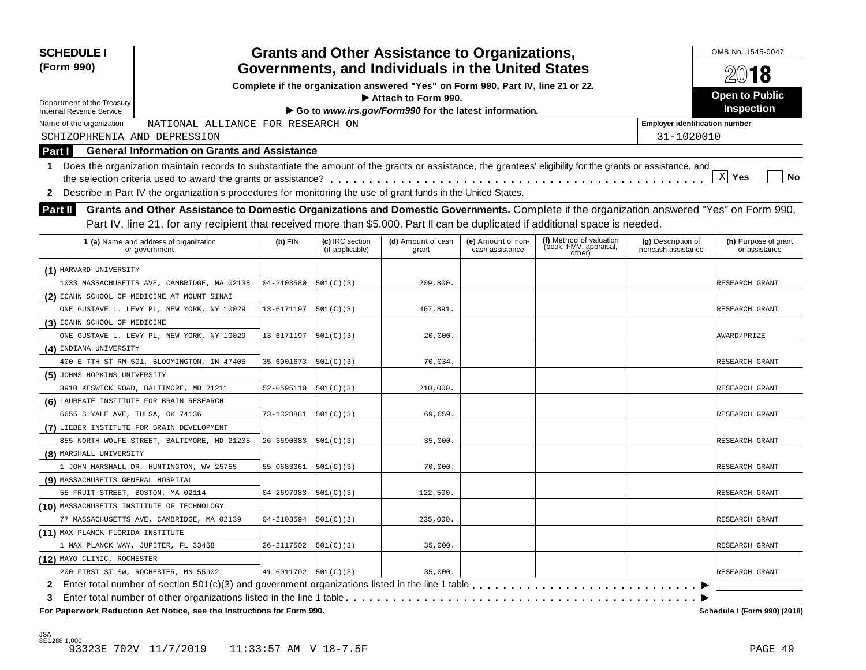| <b>SCHEDULE I</b><br>(Form 990)                                                                                                                                  |            |                                    | <b>Grants and Other Assistance to Organizations,</b><br>Governments, and Individuals in the United States |                                       |                                                             |                                          | OMB No. 1545-0047                     |
|------------------------------------------------------------------------------------------------------------------------------------------------------------------|------------|------------------------------------|-----------------------------------------------------------------------------------------------------------|---------------------------------------|-------------------------------------------------------------|------------------------------------------|---------------------------------------|
|                                                                                                                                                                  |            |                                    | 2018                                                                                                      |                                       |                                                             |                                          |                                       |
|                                                                                                                                                                  |            |                                    | Complete if the organization answered "Yes" on Form 990, Part IV, line 21 or 22.<br>Attach to Form 990.   |                                       |                                                             |                                          | <b>Open to Public</b>                 |
| Department of the Treasury<br><b>Internal Revenue Service</b>                                                                                                    |            |                                    | Go to www.irs.gov/Form990 for the latest information.                                                     |                                       |                                                             |                                          | Inspection                            |
| NATIONAL ALLIANCE FOR RESEARCH ON<br>Name of the organization                                                                                                    |            |                                    |                                                                                                           |                                       |                                                             | <b>Employer identification number</b>    |                                       |
| SCHIZOPHRENIA AND DEPRESSION                                                                                                                                     |            |                                    |                                                                                                           |                                       |                                                             | 31-1020010                               |                                       |
| <b>General Information on Grants and Assistance</b><br><b>Part I</b>                                                                                             |            |                                    |                                                                                                           |                                       |                                                             |                                          |                                       |
| Does the organization maintain records to substantiate the amount of the grants or assistance, the grantees' eligibility for the grants or assistance, and<br>1. |            |                                    |                                                                                                           |                                       |                                                             |                                          |                                       |
|                                                                                                                                                                  |            |                                    |                                                                                                           |                                       |                                                             |                                          | $\mathbf{x}$<br>Yes<br><b>No</b>      |
| 2 Describe in Part IV the organization's procedures for monitoring the use of grant funds in the United States.                                                  |            |                                    |                                                                                                           |                                       |                                                             |                                          |                                       |
|                                                                                                                                                                  |            |                                    |                                                                                                           |                                       |                                                             |                                          |                                       |
| Grants and Other Assistance to Domestic Organizations and Domestic Governments. Complete if the organization answered "Yes" on Form 990,<br><b>Part II</b>       |            |                                    |                                                                                                           |                                       |                                                             |                                          |                                       |
| Part IV, line 21, for any recipient that received more than \$5,000. Part II can be duplicated if additional space is needed.                                    |            |                                    |                                                                                                           |                                       |                                                             |                                          |                                       |
| 1 (a) Name and address of organization<br>or government                                                                                                          | $(b)$ EIN  | (c) IRC section<br>(if applicable) | (d) Amount of cash<br>grant                                                                               | (e) Amount of non-<br>cash assistance | (f) Method of valuation<br>(book, FMV, appraisal,<br>other) | (g) Description of<br>noncash assistance | (h) Purpose of grant<br>or assistance |
| (1) HARVARD UNIVERSITY                                                                                                                                           |            |                                    |                                                                                                           |                                       |                                                             |                                          |                                       |
| 1033 MASSACHUSETTS AVE, CAMBRIDGE, MA 02138                                                                                                                      | 04-2103580 | 501(C)(3)                          | 209,800.                                                                                                  |                                       |                                                             |                                          | RESEARCH GRANT                        |
| (2) ICAHN SCHOOL OF MEDICINE AT MOUNT SINAI                                                                                                                      |            |                                    |                                                                                                           |                                       |                                                             |                                          |                                       |
| ONE GUSTAVE L. LEVY PL, NEW YORK, NY 10029                                                                                                                       | 13-6171197 | 501(C)(3)                          | 467,891.                                                                                                  |                                       |                                                             |                                          | RESEARCH GRANT                        |
| (3) ICAHN SCHOOL OF MEDICINE                                                                                                                                     |            |                                    |                                                                                                           |                                       |                                                             |                                          |                                       |
| ONE GUSTAVE L. LEVY PL, NEW YORK, NY 10029                                                                                                                       | 13-6171197 | 501(C)(3)                          | 20,000.                                                                                                   |                                       |                                                             |                                          | AWARD/PRIZE                           |
| (4) INDIANA UNIVERSITY                                                                                                                                           |            |                                    |                                                                                                           |                                       |                                                             |                                          |                                       |
| 400 E 7TH ST RM 501, BLOOMINGTON, IN 47405                                                                                                                       | 35-6001673 | 501(C)(3)                          | 70,034                                                                                                    |                                       |                                                             |                                          | RESEARCH GRANT                        |
| (5) JOHNS HOPKINS UNIVERSITY                                                                                                                                     |            |                                    |                                                                                                           |                                       |                                                             |                                          |                                       |
| 3910 KESWICK ROAD, BALTIMORE, MD 21211                                                                                                                           | 52-0595110 | 501(C) (3)                         | 210,000.                                                                                                  |                                       |                                                             |                                          | RESEARCH GRANT                        |
| (6) LAUREATE INSTITUTE FOR BRAIN RESEARCH                                                                                                                        |            |                                    |                                                                                                           |                                       |                                                             |                                          |                                       |
| 6655 S YALE AVE, TULSA, OK 74136                                                                                                                                 | 73-1328881 | 501(C)(3)                          | 69,659                                                                                                    |                                       |                                                             |                                          | RESEARCH GRANT                        |
| (7) LIEBER INSTITUTE FOR BRAIN DEVELOPMENT                                                                                                                       |            |                                    |                                                                                                           |                                       |                                                             |                                          |                                       |
| 855 NORTH WOLFE STREET, BALTIMORE, MD 21205                                                                                                                      | 26-3690883 | 501(C)(3)                          | 35,000.                                                                                                   |                                       |                                                             |                                          | RESEARCH GRANT                        |
| (8) MARSHALL UNIVERSITY                                                                                                                                          |            |                                    |                                                                                                           |                                       |                                                             |                                          |                                       |
| 1 JOHN MARSHALL DR, HUNTINGTON, WV 25755                                                                                                                         | 55-0683361 | 501(C)(3)                          | 70,000.                                                                                                   |                                       |                                                             |                                          | RESEARCH GRANT                        |
| (9) MASSACHUSETTS GENERAL HOSPITAL                                                                                                                               |            |                                    |                                                                                                           |                                       |                                                             |                                          |                                       |
| 55 FRUIT STREET, BOSTON, MA 02114                                                                                                                                | 04-2697983 | 501(C)(3)                          | 122,500.                                                                                                  |                                       |                                                             |                                          | RESEARCH GRANT                        |
| (10) MASSACHUSETTS INSTITUTE OF TECHNOLOGY                                                                                                                       |            |                                    |                                                                                                           |                                       |                                                             |                                          |                                       |
| 77 MASSACHUSETTS AVE, CAMBRIDGE, MA 02139                                                                                                                        | 04-2103594 | 501(C)(3)                          | 235,000.                                                                                                  |                                       |                                                             |                                          | RESEARCH GRANT                        |
| (11) MAX-PLANCK FLORIDA INSTITUTE                                                                                                                                |            |                                    |                                                                                                           |                                       |                                                             |                                          |                                       |
| 1 MAX PLANCK WAY, JUPITER, FL 33458                                                                                                                              | 26-2117502 | 501(C)(3)                          | 35,000.                                                                                                   |                                       |                                                             |                                          | RESEARCH GRANT                        |
| (12) MAYO CLINIC, ROCHESTER                                                                                                                                      |            |                                    |                                                                                                           |                                       |                                                             |                                          |                                       |
| 200 FIRST ST SW, ROCHESTER, MN 55902                                                                                                                             | 41-6011702 | 501(C) (3)                         | 35,000                                                                                                    |                                       |                                                             |                                          | RESEARCH GRANT                        |
|                                                                                                                                                                  |            |                                    |                                                                                                           |                                       |                                                             |                                          |                                       |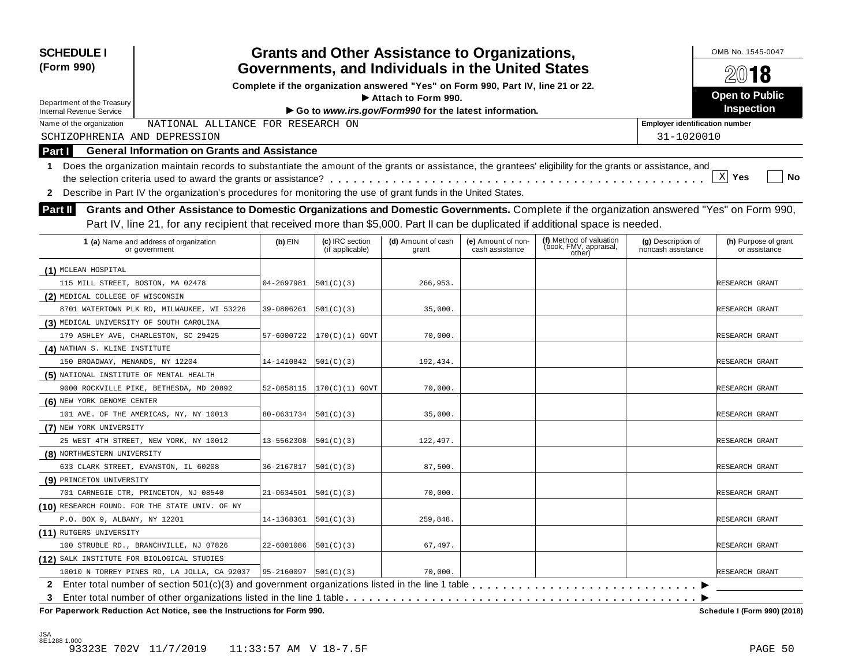| <b>SCHEDULE I</b><br>(Form 990)                                                                                                                                  |            |                                    | <b>Grants and Other Assistance to Organizations,</b><br>Governments, and Individuals in the United States |                                       |                                                             |                                          | OMB No. 1545-0047<br>2018             |
|------------------------------------------------------------------------------------------------------------------------------------------------------------------|------------|------------------------------------|-----------------------------------------------------------------------------------------------------------|---------------------------------------|-------------------------------------------------------------|------------------------------------------|---------------------------------------|
|                                                                                                                                                                  |            |                                    | Complete if the organization answered "Yes" on Form 990, Part IV, line 21 or 22.                          |                                       |                                                             |                                          |                                       |
|                                                                                                                                                                  |            |                                    | Attach to Form 990.                                                                                       |                                       |                                                             |                                          | <b>Open to Public</b>                 |
| Department of the Treasury<br><b>Internal Revenue Service</b>                                                                                                    |            |                                    | Go to www.irs.gov/Form990 for the latest information.                                                     |                                       |                                                             |                                          | <b>Inspection</b>                     |
| Name of the organization<br>NATIONAL ALLIANCE FOR RESEARCH ON                                                                                                    |            |                                    |                                                                                                           |                                       |                                                             | <b>Employer identification number</b>    |                                       |
| SCHIZOPHRENIA AND DEPRESSION                                                                                                                                     |            |                                    |                                                                                                           |                                       |                                                             | 31-1020010                               |                                       |
| <b>General Information on Grants and Assistance</b><br>Part I                                                                                                    |            |                                    |                                                                                                           |                                       |                                                             |                                          |                                       |
| Does the organization maintain records to substantiate the amount of the grants or assistance, the grantees' eligibility for the grants or assistance, and<br>1. |            |                                    |                                                                                                           |                                       |                                                             |                                          |                                       |
|                                                                                                                                                                  |            |                                    |                                                                                                           |                                       |                                                             |                                          | X <br>Yes<br>No                       |
| Describe in Part IV the organization's procedures for monitoring the use of grant funds in the United States.<br>$\mathbf{2}$                                    |            |                                    |                                                                                                           |                                       |                                                             |                                          |                                       |
| Grants and Other Assistance to Domestic Organizations and Domestic Governments. Complete if the organization answered "Yes" on Form 990,<br>Part II              |            |                                    |                                                                                                           |                                       |                                                             |                                          |                                       |
| Part IV, line 21, for any recipient that received more than \$5,000. Part II can be duplicated if additional space is needed.                                    |            |                                    |                                                                                                           |                                       |                                                             |                                          |                                       |
|                                                                                                                                                                  |            |                                    |                                                                                                           |                                       |                                                             |                                          |                                       |
| 1 (a) Name and address of organization<br>or government                                                                                                          | $(b)$ EIN  | (c) IRC section<br>(if applicable) | (d) Amount of cash<br>grant                                                                               | (e) Amount of non-<br>cash assistance | (f) Method of valuation<br>(book, FMV, appraisal,<br>other) | (g) Description of<br>noncash assistance | (h) Purpose of grant<br>or assistance |
| (1) MCLEAN HOSPITAL                                                                                                                                              |            |                                    |                                                                                                           |                                       |                                                             |                                          |                                       |
| 115 MILL STREET, BOSTON, MA 02478                                                                                                                                | 04-2697981 | 501(C)(3)                          | 266,953.                                                                                                  |                                       |                                                             |                                          | RESEARCH GRANT                        |
| (2) MEDICAL COLLEGE OF WISCONSIN                                                                                                                                 |            |                                    |                                                                                                           |                                       |                                                             |                                          |                                       |
| 8701 WATERTOWN PLK RD, MILWAUKEE, WI 53226                                                                                                                       | 39-0806261 | 501(C)(3)                          | 35,000.                                                                                                   |                                       |                                                             |                                          | RESEARCH GRANT                        |
| (3) MEDICAL UNIVERSITY OF SOUTH CAROLINA                                                                                                                         |            |                                    |                                                                                                           |                                       |                                                             |                                          |                                       |
| 179 ASHLEY AVE, CHARLESTON, SC 29425                                                                                                                             | 57-6000722 | $ 170(C)(1)$ GOVT                  | 70,000.                                                                                                   |                                       |                                                             |                                          | RESEARCH GRANT                        |
| (4) NATHAN S. KLINE INSTITUTE                                                                                                                                    |            |                                    |                                                                                                           |                                       |                                                             |                                          |                                       |
| 150 BROADWAY, MENANDS, NY 12204                                                                                                                                  | 14-1410842 | 501(C)(3)                          | 192,434.                                                                                                  |                                       |                                                             |                                          | RESEARCH GRANT                        |
| (5) NATIONAL INSTITUTE OF MENTAL HEALTH                                                                                                                          |            |                                    |                                                                                                           |                                       |                                                             |                                          |                                       |
| 9000 ROCKVILLE PIKE, BETHESDA, MD 20892                                                                                                                          | 52-0858115 | $ 170(C)(1)$ GOVT                  | 70,000                                                                                                    |                                       |                                                             |                                          | RESEARCH GRANT                        |
| (6) NEW YORK GENOME CENTER                                                                                                                                       |            |                                    |                                                                                                           |                                       |                                                             |                                          |                                       |
| 101 AVE. OF THE AMERICAS, NY, NY 10013                                                                                                                           | 80-0631734 | 501(C)(3)                          | 35,000.                                                                                                   |                                       |                                                             |                                          | RESEARCH GRANT                        |
| (7) NEW YORK UNIVERSITY                                                                                                                                          |            |                                    |                                                                                                           |                                       |                                                             |                                          |                                       |
| 25 WEST 4TH STREET, NEW YORK, NY 10012                                                                                                                           | 13-5562308 | 501(C)(3)                          | 122,497.                                                                                                  |                                       |                                                             |                                          | RESEARCH GRANT                        |
| (8) NORTHWESTERN UNIVERSITY                                                                                                                                      |            |                                    |                                                                                                           |                                       |                                                             |                                          |                                       |
| 633 CLARK STREET, EVANSTON, IL 60208                                                                                                                             | 36-2167817 | 501(C)(3)                          | 87,500.                                                                                                   |                                       |                                                             |                                          | RESEARCH GRANT                        |
| (9) PRINCETON UNIVERSITY                                                                                                                                         |            |                                    |                                                                                                           |                                       |                                                             |                                          |                                       |
| 701 CARNEGIE CTR, PRINCETON, NJ 08540                                                                                                                            | 21-0634501 | 501(C)(3)                          | 70,000.                                                                                                   |                                       |                                                             |                                          | RESEARCH GRANT                        |
| (10) RESEARCH FOUND. FOR THE STATE UNIV. OF NY                                                                                                                   |            |                                    |                                                                                                           |                                       |                                                             |                                          |                                       |
| P.O. BOX 9, ALBANY, NY 12201                                                                                                                                     | 14-1368361 | 501(C)(3)                          | 259,848.                                                                                                  |                                       |                                                             |                                          | RESEARCH GRANT                        |
| (11) RUTGERS UNIVERSITY                                                                                                                                          |            |                                    |                                                                                                           |                                       |                                                             |                                          |                                       |
| 100 STRUBLE RD., BRANCHVILLE, NJ 07826                                                                                                                           | 22-6001086 | 501(C)(3)                          | 67,497.                                                                                                   |                                       |                                                             |                                          | RESEARCH GRANT                        |
| (12) SALK INSTITUTE FOR BIOLOGICAL STUDIES                                                                                                                       |            |                                    |                                                                                                           |                                       |                                                             |                                          |                                       |
| 10010 N TORREY PINES RD, LA JOLLA, CA 92037                                                                                                                      | 95-2160097 | 501(C)(3)                          | 70,000.                                                                                                   |                                       |                                                             |                                          | RESEARCH GRANT                        |
|                                                                                                                                                                  |            |                                    |                                                                                                           |                                       |                                                             |                                          |                                       |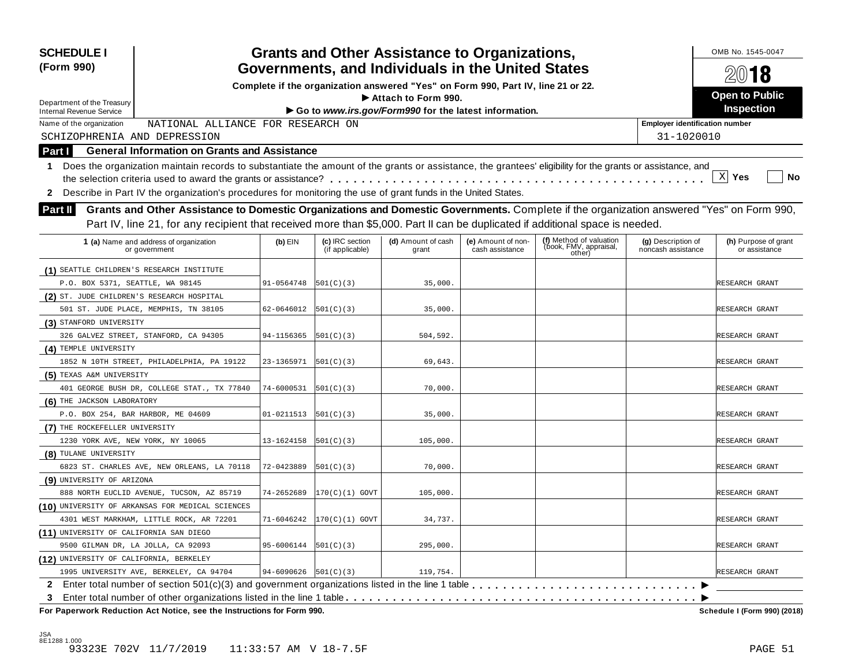| (Form 990)                                                                                                                                                       |            |                                    | <b>Grants and Other Assistance to Organizations,</b><br>Governments, and Individuals in the United States |                                       |                                                             |                                          | OMB No. 1545-0047<br>2018             |
|------------------------------------------------------------------------------------------------------------------------------------------------------------------|------------|------------------------------------|-----------------------------------------------------------------------------------------------------------|---------------------------------------|-------------------------------------------------------------|------------------------------------------|---------------------------------------|
|                                                                                                                                                                  |            |                                    | Complete if the organization answered "Yes" on Form 990, Part IV, line 21 or 22.                          |                                       |                                                             |                                          |                                       |
|                                                                                                                                                                  |            |                                    | Attach to Form 990.                                                                                       |                                       |                                                             |                                          | <b>Open to Public</b>                 |
| Department of the Treasury<br><b>Internal Revenue Service</b>                                                                                                    |            |                                    | Go to www.irs.gov/Form990 for the latest information.                                                     |                                       |                                                             |                                          | Inspection                            |
| NATIONAL ALLIANCE FOR RESEARCH ON<br>Name of the organization                                                                                                    |            |                                    |                                                                                                           |                                       |                                                             | <b>Employer identification number</b>    |                                       |
| SCHIZOPHRENIA AND DEPRESSION                                                                                                                                     |            |                                    |                                                                                                           |                                       |                                                             | 31-1020010                               |                                       |
| <b>General Information on Grants and Assistance</b><br>Part I                                                                                                    |            |                                    |                                                                                                           |                                       |                                                             |                                          |                                       |
| Does the organization maintain records to substantiate the amount of the grants or assistance, the grantees' eligibility for the grants or assistance, and<br>1. |            |                                    |                                                                                                           |                                       |                                                             |                                          |                                       |
|                                                                                                                                                                  |            |                                    |                                                                                                           |                                       |                                                             |                                          | $\mathbf{x}$<br>Yes<br><b>No</b>      |
| 2 Describe in Part IV the organization's procedures for monitoring the use of grant funds in the United States.                                                  |            |                                    |                                                                                                           |                                       |                                                             |                                          |                                       |
|                                                                                                                                                                  |            |                                    |                                                                                                           |                                       |                                                             |                                          |                                       |
| Grants and Other Assistance to Domestic Organizations and Domestic Governments. Complete if the organization answered "Yes" on Form 990,<br><b>Part II</b>       |            |                                    |                                                                                                           |                                       |                                                             |                                          |                                       |
| Part IV, line 21, for any recipient that received more than \$5,000. Part II can be duplicated if additional space is needed.                                    |            |                                    |                                                                                                           |                                       |                                                             |                                          |                                       |
| 1 (a) Name and address of organization<br>or government                                                                                                          | $(b)$ EIN  | (c) IRC section<br>(if applicable) | (d) Amount of cash<br>grant                                                                               | (e) Amount of non-<br>cash assistance | (f) Method of valuation<br>(book, FMV, appraisal,<br>other) | (g) Description of<br>noncash assistance | (h) Purpose of grant<br>or assistance |
| (1) SEATTLE CHILDREN'S RESEARCH INSTITUTE                                                                                                                        |            |                                    |                                                                                                           |                                       |                                                             |                                          |                                       |
| P.O. BOX 5371, SEATTLE, WA 98145                                                                                                                                 | 91-0564748 | 501(C)(3)                          | 35,000.                                                                                                   |                                       |                                                             |                                          | RESEARCH GRANT                        |
| (2) ST. JUDE CHILDREN'S RESEARCH HOSPITAL                                                                                                                        |            |                                    |                                                                                                           |                                       |                                                             |                                          |                                       |
| 501 ST. JUDE PLACE, MEMPHIS, TN 38105                                                                                                                            | 62-0646012 | 501(C)(3)                          | 35,000.                                                                                                   |                                       |                                                             |                                          | RESEARCH GRANT                        |
| (3) STANFORD UNIVERSITY                                                                                                                                          |            |                                    |                                                                                                           |                                       |                                                             |                                          |                                       |
| 326 GALVEZ STREET, STANFORD, CA 94305                                                                                                                            | 94-1156365 | 501(C)(3)                          | 504,592.                                                                                                  |                                       |                                                             |                                          | RESEARCH GRANT                        |
| (4) TEMPLE UNIVERSITY                                                                                                                                            |            |                                    |                                                                                                           |                                       |                                                             |                                          |                                       |
| 1852 N 10TH STREET, PHILADELPHIA, PA 19122                                                                                                                       | 23-1365971 | 501(C)(3)                          | 69,643.                                                                                                   |                                       |                                                             |                                          | RESEARCH GRANT                        |
| (5) TEXAS A&M UNIVERSITY                                                                                                                                         |            |                                    |                                                                                                           |                                       |                                                             |                                          |                                       |
| 401 GEORGE BUSH DR, COLLEGE STAT., TX 77840                                                                                                                      | 74-6000531 | 501(C)(3)                          | 70,000.                                                                                                   |                                       |                                                             |                                          | RESEARCH GRANT                        |
| (6) THE JACKSON LABORATORY                                                                                                                                       |            |                                    |                                                                                                           |                                       |                                                             |                                          |                                       |
| P.O. BOX 254, BAR HARBOR, ME 04609                                                                                                                               | 01-0211513 | 501(C)(3)                          | 35,000.                                                                                                   |                                       |                                                             |                                          | RESEARCH GRANT                        |
| (7) THE ROCKEFELLER UNIVERSITY                                                                                                                                   |            |                                    |                                                                                                           |                                       |                                                             |                                          |                                       |
| 1230 YORK AVE, NEW YORK, NY 10065                                                                                                                                | 13-1624158 | 501(C)(3)                          | 105,000.                                                                                                  |                                       |                                                             |                                          | RESEARCH GRANT                        |
| (8) TULANE UNIVERSITY                                                                                                                                            |            |                                    |                                                                                                           |                                       |                                                             |                                          |                                       |
| 6823 ST. CHARLES AVE, NEW ORLEANS, LA 70118                                                                                                                      | 72-0423889 | 501(C)(3)                          | 70,000.                                                                                                   |                                       |                                                             |                                          | RESEARCH GRANT                        |
| (9) UNIVERSITY OF ARIZONA                                                                                                                                        |            |                                    |                                                                                                           |                                       |                                                             |                                          |                                       |
| 888 NORTH EUCLID AVENUE, TUCSON, AZ 85719                                                                                                                        | 74-2652689 | 170(C)(1) GOVT                     | 105,000                                                                                                   |                                       |                                                             |                                          | RESEARCH GRANT                        |
| (10) UNIVERSITY OF ARKANSAS FOR MEDICAL SCIENCES                                                                                                                 |            |                                    |                                                                                                           |                                       |                                                             |                                          |                                       |
| 4301 WEST MARKHAM, LITTLE ROCK, AR 72201                                                                                                                         | 71-6046242 | 170(C)(1) GOVT                     | 34,737.                                                                                                   |                                       |                                                             |                                          | RESEARCH GRANT                        |
| (11) UNIVERSITY OF CALIFORNIA SAN DIEGO                                                                                                                          |            |                                    |                                                                                                           |                                       |                                                             |                                          |                                       |
| 9500 GILMAN DR, LA JOLLA, CA 92093                                                                                                                               | 95-6006144 | 501(C)(3)                          | 295,000.                                                                                                  |                                       |                                                             |                                          | RESEARCH GRANT                        |
| (12) UNIVERSITY OF CALIFORNIA, BERKELEY                                                                                                                          |            |                                    |                                                                                                           |                                       |                                                             |                                          |                                       |
| 1995 UNIVERSITY AVE, BERKELEY, CA 94704                                                                                                                          | 94-6090626 | 501(C)(3)                          | 119,754.                                                                                                  |                                       |                                                             |                                          | RESEARCH GRANT                        |
|                                                                                                                                                                  |            |                                    |                                                                                                           |                                       |                                                             |                                          |                                       |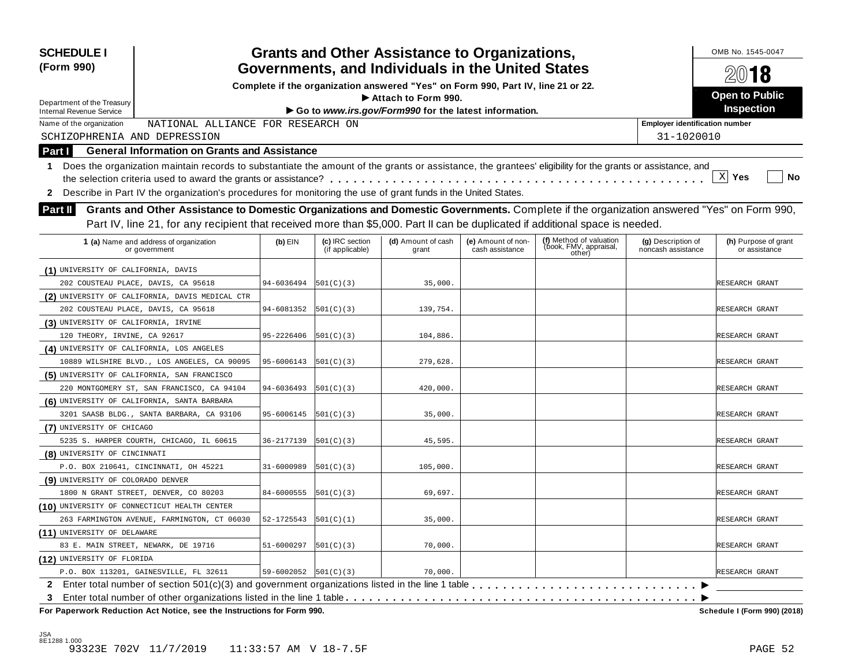| <b>SCHEDULE I</b><br>(Form 990)                                                                                                                                  |            |                                                                                                                                       | <b>Grants and Other Assistance to Organizations,</b>  |                                       |                                                             |                                          | OMB No. 1545-0047<br>2018             |  |
|------------------------------------------------------------------------------------------------------------------------------------------------------------------|------------|---------------------------------------------------------------------------------------------------------------------------------------|-------------------------------------------------------|---------------------------------------|-------------------------------------------------------------|------------------------------------------|---------------------------------------|--|
|                                                                                                                                                                  |            | Governments, and Individuals in the United States<br>Complete if the organization answered "Yes" on Form 990, Part IV, line 21 or 22. |                                                       |                                       |                                                             |                                          |                                       |  |
|                                                                                                                                                                  |            |                                                                                                                                       | Attach to Form 990.                                   |                                       |                                                             |                                          | <b>Open to Public</b>                 |  |
| Department of the Treasury<br><b>Internal Revenue Service</b>                                                                                                    |            |                                                                                                                                       | Go to www.irs.gov/Form990 for the latest information. |                                       |                                                             |                                          | Inspection                            |  |
| NATIONAL ALLIANCE FOR RESEARCH ON<br>Name of the organization                                                                                                    |            |                                                                                                                                       |                                                       |                                       |                                                             | <b>Employer identification number</b>    |                                       |  |
| SCHIZOPHRENIA AND DEPRESSION                                                                                                                                     |            |                                                                                                                                       |                                                       |                                       |                                                             | 31-1020010                               |                                       |  |
| <b>General Information on Grants and Assistance</b><br><b>Part I</b>                                                                                             |            |                                                                                                                                       |                                                       |                                       |                                                             |                                          |                                       |  |
|                                                                                                                                                                  |            |                                                                                                                                       |                                                       |                                       |                                                             |                                          |                                       |  |
| Does the organization maintain records to substantiate the amount of the grants or assistance, the grantees' eligibility for the grants or assistance, and<br>1. |            |                                                                                                                                       |                                                       |                                       |                                                             |                                          | $\mathbf{x}$<br>Yes<br><b>No</b>      |  |
|                                                                                                                                                                  |            |                                                                                                                                       |                                                       |                                       |                                                             |                                          |                                       |  |
| 2 Describe in Part IV the organization's procedures for monitoring the use of grant funds in the United States.                                                  |            |                                                                                                                                       |                                                       |                                       |                                                             |                                          |                                       |  |
| Grants and Other Assistance to Domestic Organizations and Domestic Governments. Complete if the organization answered "Yes" on Form 990,<br><b>Part II</b>       |            |                                                                                                                                       |                                                       |                                       |                                                             |                                          |                                       |  |
| Part IV, line 21, for any recipient that received more than \$5,000. Part II can be duplicated if additional space is needed.                                    |            |                                                                                                                                       |                                                       |                                       |                                                             |                                          |                                       |  |
| 1 (a) Name and address of organization<br>or government                                                                                                          | $(b)$ EIN  | (c) IRC section<br>(if applicable)                                                                                                    | (d) Amount of cash<br>grant                           | (e) Amount of non-<br>cash assistance | (f) Method of valuation<br>(book, FMV, appraisal,<br>other) | (g) Description of<br>noncash assistance | (h) Purpose of grant<br>or assistance |  |
| (1) UNIVERSITY OF CALIFORNIA, DAVIS                                                                                                                              |            |                                                                                                                                       |                                                       |                                       |                                                             |                                          |                                       |  |
| 202 COUSTEAU PLACE, DAVIS, CA 95618                                                                                                                              | 94-6036494 | 501(C)(3)                                                                                                                             | 35,000.                                               |                                       |                                                             |                                          | RESEARCH GRANT                        |  |
| (2) UNIVERSITY OF CALIFORNIA, DAVIS MEDICAL CTR                                                                                                                  |            |                                                                                                                                       |                                                       |                                       |                                                             |                                          |                                       |  |
| 202 COUSTEAU PLACE, DAVIS, CA 95618                                                                                                                              | 94-6081352 | 501(C)(3)                                                                                                                             | 139,754.                                              |                                       |                                                             |                                          | RESEARCH GRANT                        |  |
| (3) UNIVERSITY OF CALIFORNIA, IRVINE                                                                                                                             |            |                                                                                                                                       |                                                       |                                       |                                                             |                                          |                                       |  |
| 120 THEORY, IRVINE, CA 92617                                                                                                                                     | 95-2226406 | 501(C)(3)                                                                                                                             | 104,886.                                              |                                       |                                                             |                                          | RESEARCH GRANT                        |  |
| (4) UNIVERSITY OF CALIFORNIA, LOS ANGELES                                                                                                                        |            |                                                                                                                                       |                                                       |                                       |                                                             |                                          |                                       |  |
| 10889 WILSHIRE BLVD., LOS ANGELES, CA 90095                                                                                                                      | 95-6006143 | 501(C)(3)                                                                                                                             | 279,628.                                              |                                       |                                                             |                                          | RESEARCH GRANT                        |  |
| (5) UNIVERSITY OF CALIFORNIA, SAN FRANCISCO                                                                                                                      |            |                                                                                                                                       |                                                       |                                       |                                                             |                                          |                                       |  |
| 220 MONTGOMERY ST, SAN FRANCISCO, CA 94104                                                                                                                       | 94-6036493 | 501(C)(3)                                                                                                                             | 420,000.                                              |                                       |                                                             |                                          | RESEARCH GRANT                        |  |
| (6) UNIVERSITY OF CALIFORNIA, SANTA BARBARA                                                                                                                      |            |                                                                                                                                       |                                                       |                                       |                                                             |                                          |                                       |  |
| 3201 SAASB BLDG., SANTA BARBARA, CA 93106                                                                                                                        | 95-6006145 | 501(C)(3)                                                                                                                             | 35,000.                                               |                                       |                                                             |                                          | RESEARCH GRANT                        |  |
| (7) UNIVERSITY OF CHICAGO                                                                                                                                        |            |                                                                                                                                       |                                                       |                                       |                                                             |                                          |                                       |  |
| 5235 S. HARPER COURTH, CHICAGO, IL 60615                                                                                                                         | 36-2177139 | 501(C)(3)                                                                                                                             | 45,595.                                               |                                       |                                                             |                                          | RESEARCH GRANT                        |  |
| (8) UNIVERSITY OF CINCINNATI                                                                                                                                     |            |                                                                                                                                       |                                                       |                                       |                                                             |                                          |                                       |  |
| P.O. BOX 210641, CINCINNATI, OH 45221                                                                                                                            | 31-6000989 | 501(C)(3)                                                                                                                             | 105,000.                                              |                                       |                                                             |                                          | RESEARCH GRANT                        |  |
| (9) UNIVERSITY OF COLORADO DENVER                                                                                                                                |            |                                                                                                                                       |                                                       |                                       |                                                             |                                          |                                       |  |
| 1800 N GRANT STREET, DENVER, CO 80203                                                                                                                            | 84-6000555 | 501(C)(3)                                                                                                                             | 69,697.                                               |                                       |                                                             |                                          | RESEARCH GRANT                        |  |
| (10) UNIVERSITY OF CONNECTICUT HEALTH CENTER                                                                                                                     |            |                                                                                                                                       |                                                       |                                       |                                                             |                                          |                                       |  |
| 263 FARMINGTON AVENUE, FARMINGTON, CT 06030                                                                                                                      | 52-1725543 | 501(C)(1)                                                                                                                             | 35,000.                                               |                                       |                                                             |                                          | RESEARCH GRANT                        |  |
| (11) UNIVERSITY OF DELAWARE                                                                                                                                      |            |                                                                                                                                       |                                                       |                                       |                                                             |                                          |                                       |  |
| 83 E. MAIN STREET, NEWARK, DE 19716                                                                                                                              | 51-6000297 | 501(C)(3)                                                                                                                             | 70,000.                                               |                                       |                                                             |                                          | RESEARCH GRANT                        |  |
| (12) UNIVERSITY OF FLORIDA                                                                                                                                       |            |                                                                                                                                       |                                                       |                                       |                                                             |                                          |                                       |  |
| P.O. BOX 113201, GAINESVILLE, FL 32611                                                                                                                           | 59-6002052 | 501(C)(3)                                                                                                                             | 70,000.                                               |                                       |                                                             |                                          | RESEARCH GRANT                        |  |
|                                                                                                                                                                  |            |                                                                                                                                       |                                                       |                                       |                                                             |                                          |                                       |  |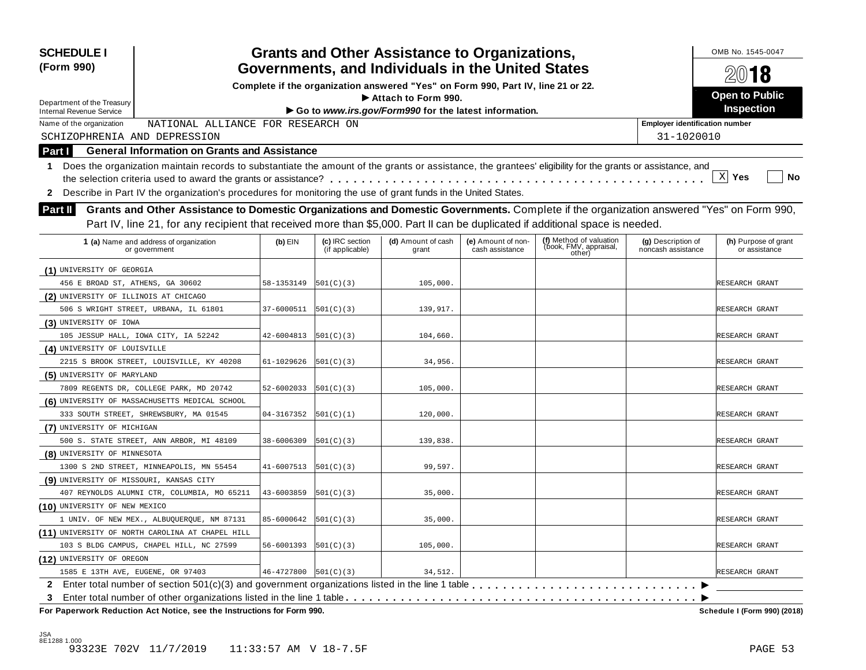| Complete if the organization answered "Yes" on Form 990, Part IV, line 21 or 22.<br>Attach to Form 990.<br>Department of the Treasury<br>Go to www.irs.gov/Form990 for the latest information.<br><b>Internal Revenue Service</b><br>NATIONAL ALLIANCE FOR RESEARCH ON<br>Name of the organization<br>SCHIZOPHRENIA AND DEPRESSION<br><b>General Information on Grants and Assistance</b><br>Part I<br>Does the organization maintain records to substantiate the amount of the grants or assistance, the grantees' eligibility for the grants or assistance, and<br>1.<br>2 Describe in Part IV the organization's procedures for monitoring the use of grant funds in the United States.<br>Grants and Other Assistance to Domestic Organizations and Domestic Governments. Complete if the organization answered "Yes" on Form 990,<br>Part II<br>Part IV, line 21, for any recipient that received more than \$5,000. Part II can be duplicated if additional space is needed.<br>(f) Method of valuation<br>(book, FMV, appraisal,<br>1 (a) Name and address of organization<br>(c) IRC section<br>(d) Amount of cash<br>(e) Amount of non-<br>(g) Description of<br>$(b)$ EIN<br>(if applicable)<br>cash assistance<br>noncash assistance<br>or government<br>grant<br>other)<br>(1) UNIVERSITY OF GEORGIA<br>456 E BROAD ST, ATHENS, GA 30602<br>58-1353149<br>501(C)(3)<br>105,000.<br>(2) UNIVERSITY OF ILLINOIS AT CHICAGO<br>506 S WRIGHT STREET, URBANA, IL 61801<br>37-6000511<br>501(C)(3)<br>139,917.<br>(3) UNIVERSITY OF IOWA<br>105 JESSUP HALL, IOWA CITY, IA 52242<br>42-6004813<br>501(C)(3)<br>104,660.<br>(4) UNIVERSITY OF LOUISVILLE<br>2215 S BROOK STREET, LOUISVILLE, KY 40208<br>61-1029626<br>501(C)(3)<br>34,956.<br>(5) UNIVERSITY OF MARYLAND<br>7809 REGENTS DR, COLLEGE PARK, MD 20742<br>52-6002033<br>501(C)(3)<br>105,000<br>(6) UNIVERSITY OF MASSACHUSETTS MEDICAL SCHOOL<br>333 SOUTH STREET, SHREWSBURY, MA 01545<br>120,000.<br>04-3167352<br>501(C)(1)<br>(7) UNIVERSITY OF MICHIGAN<br>500 S. STATE STREET, ANN ARBOR, MI 48109<br>38-6006309<br>501(C)(3)<br>139,838<br>(8) UNIVERSITY OF MINNESOTA<br>1300 S 2ND STREET, MINNEAPOLIS, MN 55454<br>99,597.<br>41-6007513<br> 501(C)(3) <br>(9) UNIVERSITY OF MISSOURI, KANSAS CITY<br>407 REYNOLDS ALUMNI CTR, COLUMBIA, MO 65211<br>43-6003859<br>35,000.<br>501(C)(3)<br>(10) UNIVERSITY OF NEW MEXICO<br>85-6000642<br>35,000.<br>1 UNIV. OF NEW MEX., ALBUQUERQUE, NM 87131<br>501(C)(3) | OMB No. 1545-0047<br>2018             |
|--------------------------------------------------------------------------------------------------------------------------------------------------------------------------------------------------------------------------------------------------------------------------------------------------------------------------------------------------------------------------------------------------------------------------------------------------------------------------------------------------------------------------------------------------------------------------------------------------------------------------------------------------------------------------------------------------------------------------------------------------------------------------------------------------------------------------------------------------------------------------------------------------------------------------------------------------------------------------------------------------------------------------------------------------------------------------------------------------------------------------------------------------------------------------------------------------------------------------------------------------------------------------------------------------------------------------------------------------------------------------------------------------------------------------------------------------------------------------------------------------------------------------------------------------------------------------------------------------------------------------------------------------------------------------------------------------------------------------------------------------------------------------------------------------------------------------------------------------------------------------------------------------------------------------------------------------------------------------------------------------------------------------------------------------------------------------------------------------------------------------------------------------------------------------------------------------------------------------------------------------------------------------------------------------------------------------------------------------------------------------------------------------------------------------------------------------------------------------------------------|---------------------------------------|
|                                                                                                                                                                                                                                                                                                                                                                                                                                                                                                                                                                                                                                                                                                                                                                                                                                                                                                                                                                                                                                                                                                                                                                                                                                                                                                                                                                                                                                                                                                                                                                                                                                                                                                                                                                                                                                                                                                                                                                                                                                                                                                                                                                                                                                                                                                                                                                                                                                                                                            |                                       |
|                                                                                                                                                                                                                                                                                                                                                                                                                                                                                                                                                                                                                                                                                                                                                                                                                                                                                                                                                                                                                                                                                                                                                                                                                                                                                                                                                                                                                                                                                                                                                                                                                                                                                                                                                                                                                                                                                                                                                                                                                                                                                                                                                                                                                                                                                                                                                                                                                                                                                            | <b>Open to Public</b>                 |
|                                                                                                                                                                                                                                                                                                                                                                                                                                                                                                                                                                                                                                                                                                                                                                                                                                                                                                                                                                                                                                                                                                                                                                                                                                                                                                                                                                                                                                                                                                                                                                                                                                                                                                                                                                                                                                                                                                                                                                                                                                                                                                                                                                                                                                                                                                                                                                                                                                                                                            | Inspection                            |
|                                                                                                                                                                                                                                                                                                                                                                                                                                                                                                                                                                                                                                                                                                                                                                                                                                                                                                                                                                                                                                                                                                                                                                                                                                                                                                                                                                                                                                                                                                                                                                                                                                                                                                                                                                                                                                                                                                                                                                                                                                                                                                                                                                                                                                                                                                                                                                                                                                                                                            | <b>Employer identification number</b> |
|                                                                                                                                                                                                                                                                                                                                                                                                                                                                                                                                                                                                                                                                                                                                                                                                                                                                                                                                                                                                                                                                                                                                                                                                                                                                                                                                                                                                                                                                                                                                                                                                                                                                                                                                                                                                                                                                                                                                                                                                                                                                                                                                                                                                                                                                                                                                                                                                                                                                                            | 31-1020010                            |
|                                                                                                                                                                                                                                                                                                                                                                                                                                                                                                                                                                                                                                                                                                                                                                                                                                                                                                                                                                                                                                                                                                                                                                                                                                                                                                                                                                                                                                                                                                                                                                                                                                                                                                                                                                                                                                                                                                                                                                                                                                                                                                                                                                                                                                                                                                                                                                                                                                                                                            |                                       |
|                                                                                                                                                                                                                                                                                                                                                                                                                                                                                                                                                                                                                                                                                                                                                                                                                                                                                                                                                                                                                                                                                                                                                                                                                                                                                                                                                                                                                                                                                                                                                                                                                                                                                                                                                                                                                                                                                                                                                                                                                                                                                                                                                                                                                                                                                                                                                                                                                                                                                            |                                       |
|                                                                                                                                                                                                                                                                                                                                                                                                                                                                                                                                                                                                                                                                                                                                                                                                                                                                                                                                                                                                                                                                                                                                                                                                                                                                                                                                                                                                                                                                                                                                                                                                                                                                                                                                                                                                                                                                                                                                                                                                                                                                                                                                                                                                                                                                                                                                                                                                                                                                                            | $\mathbf{x}$<br>Yes<br><b>No</b>      |
|                                                                                                                                                                                                                                                                                                                                                                                                                                                                                                                                                                                                                                                                                                                                                                                                                                                                                                                                                                                                                                                                                                                                                                                                                                                                                                                                                                                                                                                                                                                                                                                                                                                                                                                                                                                                                                                                                                                                                                                                                                                                                                                                                                                                                                                                                                                                                                                                                                                                                            |                                       |
|                                                                                                                                                                                                                                                                                                                                                                                                                                                                                                                                                                                                                                                                                                                                                                                                                                                                                                                                                                                                                                                                                                                                                                                                                                                                                                                                                                                                                                                                                                                                                                                                                                                                                                                                                                                                                                                                                                                                                                                                                                                                                                                                                                                                                                                                                                                                                                                                                                                                                            |                                       |
|                                                                                                                                                                                                                                                                                                                                                                                                                                                                                                                                                                                                                                                                                                                                                                                                                                                                                                                                                                                                                                                                                                                                                                                                                                                                                                                                                                                                                                                                                                                                                                                                                                                                                                                                                                                                                                                                                                                                                                                                                                                                                                                                                                                                                                                                                                                                                                                                                                                                                            |                                       |
|                                                                                                                                                                                                                                                                                                                                                                                                                                                                                                                                                                                                                                                                                                                                                                                                                                                                                                                                                                                                                                                                                                                                                                                                                                                                                                                                                                                                                                                                                                                                                                                                                                                                                                                                                                                                                                                                                                                                                                                                                                                                                                                                                                                                                                                                                                                                                                                                                                                                                            |                                       |
|                                                                                                                                                                                                                                                                                                                                                                                                                                                                                                                                                                                                                                                                                                                                                                                                                                                                                                                                                                                                                                                                                                                                                                                                                                                                                                                                                                                                                                                                                                                                                                                                                                                                                                                                                                                                                                                                                                                                                                                                                                                                                                                                                                                                                                                                                                                                                                                                                                                                                            | (h) Purpose of grant<br>or assistance |
|                                                                                                                                                                                                                                                                                                                                                                                                                                                                                                                                                                                                                                                                                                                                                                                                                                                                                                                                                                                                                                                                                                                                                                                                                                                                                                                                                                                                                                                                                                                                                                                                                                                                                                                                                                                                                                                                                                                                                                                                                                                                                                                                                                                                                                                                                                                                                                                                                                                                                            |                                       |
|                                                                                                                                                                                                                                                                                                                                                                                                                                                                                                                                                                                                                                                                                                                                                                                                                                                                                                                                                                                                                                                                                                                                                                                                                                                                                                                                                                                                                                                                                                                                                                                                                                                                                                                                                                                                                                                                                                                                                                                                                                                                                                                                                                                                                                                                                                                                                                                                                                                                                            | RESEARCH GRANT                        |
|                                                                                                                                                                                                                                                                                                                                                                                                                                                                                                                                                                                                                                                                                                                                                                                                                                                                                                                                                                                                                                                                                                                                                                                                                                                                                                                                                                                                                                                                                                                                                                                                                                                                                                                                                                                                                                                                                                                                                                                                                                                                                                                                                                                                                                                                                                                                                                                                                                                                                            |                                       |
|                                                                                                                                                                                                                                                                                                                                                                                                                                                                                                                                                                                                                                                                                                                                                                                                                                                                                                                                                                                                                                                                                                                                                                                                                                                                                                                                                                                                                                                                                                                                                                                                                                                                                                                                                                                                                                                                                                                                                                                                                                                                                                                                                                                                                                                                                                                                                                                                                                                                                            | RESEARCH GRANT                        |
|                                                                                                                                                                                                                                                                                                                                                                                                                                                                                                                                                                                                                                                                                                                                                                                                                                                                                                                                                                                                                                                                                                                                                                                                                                                                                                                                                                                                                                                                                                                                                                                                                                                                                                                                                                                                                                                                                                                                                                                                                                                                                                                                                                                                                                                                                                                                                                                                                                                                                            |                                       |
|                                                                                                                                                                                                                                                                                                                                                                                                                                                                                                                                                                                                                                                                                                                                                                                                                                                                                                                                                                                                                                                                                                                                                                                                                                                                                                                                                                                                                                                                                                                                                                                                                                                                                                                                                                                                                                                                                                                                                                                                                                                                                                                                                                                                                                                                                                                                                                                                                                                                                            | RESEARCH GRANT                        |
|                                                                                                                                                                                                                                                                                                                                                                                                                                                                                                                                                                                                                                                                                                                                                                                                                                                                                                                                                                                                                                                                                                                                                                                                                                                                                                                                                                                                                                                                                                                                                                                                                                                                                                                                                                                                                                                                                                                                                                                                                                                                                                                                                                                                                                                                                                                                                                                                                                                                                            |                                       |
|                                                                                                                                                                                                                                                                                                                                                                                                                                                                                                                                                                                                                                                                                                                                                                                                                                                                                                                                                                                                                                                                                                                                                                                                                                                                                                                                                                                                                                                                                                                                                                                                                                                                                                                                                                                                                                                                                                                                                                                                                                                                                                                                                                                                                                                                                                                                                                                                                                                                                            | RESEARCH GRANT                        |
|                                                                                                                                                                                                                                                                                                                                                                                                                                                                                                                                                                                                                                                                                                                                                                                                                                                                                                                                                                                                                                                                                                                                                                                                                                                                                                                                                                                                                                                                                                                                                                                                                                                                                                                                                                                                                                                                                                                                                                                                                                                                                                                                                                                                                                                                                                                                                                                                                                                                                            |                                       |
|                                                                                                                                                                                                                                                                                                                                                                                                                                                                                                                                                                                                                                                                                                                                                                                                                                                                                                                                                                                                                                                                                                                                                                                                                                                                                                                                                                                                                                                                                                                                                                                                                                                                                                                                                                                                                                                                                                                                                                                                                                                                                                                                                                                                                                                                                                                                                                                                                                                                                            | RESEARCH GRANT                        |
|                                                                                                                                                                                                                                                                                                                                                                                                                                                                                                                                                                                                                                                                                                                                                                                                                                                                                                                                                                                                                                                                                                                                                                                                                                                                                                                                                                                                                                                                                                                                                                                                                                                                                                                                                                                                                                                                                                                                                                                                                                                                                                                                                                                                                                                                                                                                                                                                                                                                                            |                                       |
|                                                                                                                                                                                                                                                                                                                                                                                                                                                                                                                                                                                                                                                                                                                                                                                                                                                                                                                                                                                                                                                                                                                                                                                                                                                                                                                                                                                                                                                                                                                                                                                                                                                                                                                                                                                                                                                                                                                                                                                                                                                                                                                                                                                                                                                                                                                                                                                                                                                                                            | RESEARCH GRANT                        |
|                                                                                                                                                                                                                                                                                                                                                                                                                                                                                                                                                                                                                                                                                                                                                                                                                                                                                                                                                                                                                                                                                                                                                                                                                                                                                                                                                                                                                                                                                                                                                                                                                                                                                                                                                                                                                                                                                                                                                                                                                                                                                                                                                                                                                                                                                                                                                                                                                                                                                            |                                       |
|                                                                                                                                                                                                                                                                                                                                                                                                                                                                                                                                                                                                                                                                                                                                                                                                                                                                                                                                                                                                                                                                                                                                                                                                                                                                                                                                                                                                                                                                                                                                                                                                                                                                                                                                                                                                                                                                                                                                                                                                                                                                                                                                                                                                                                                                                                                                                                                                                                                                                            | RESEARCH GRANT                        |
|                                                                                                                                                                                                                                                                                                                                                                                                                                                                                                                                                                                                                                                                                                                                                                                                                                                                                                                                                                                                                                                                                                                                                                                                                                                                                                                                                                                                                                                                                                                                                                                                                                                                                                                                                                                                                                                                                                                                                                                                                                                                                                                                                                                                                                                                                                                                                                                                                                                                                            |                                       |
|                                                                                                                                                                                                                                                                                                                                                                                                                                                                                                                                                                                                                                                                                                                                                                                                                                                                                                                                                                                                                                                                                                                                                                                                                                                                                                                                                                                                                                                                                                                                                                                                                                                                                                                                                                                                                                                                                                                                                                                                                                                                                                                                                                                                                                                                                                                                                                                                                                                                                            | RESEARCH GRANT                        |
|                                                                                                                                                                                                                                                                                                                                                                                                                                                                                                                                                                                                                                                                                                                                                                                                                                                                                                                                                                                                                                                                                                                                                                                                                                                                                                                                                                                                                                                                                                                                                                                                                                                                                                                                                                                                                                                                                                                                                                                                                                                                                                                                                                                                                                                                                                                                                                                                                                                                                            |                                       |
|                                                                                                                                                                                                                                                                                                                                                                                                                                                                                                                                                                                                                                                                                                                                                                                                                                                                                                                                                                                                                                                                                                                                                                                                                                                                                                                                                                                                                                                                                                                                                                                                                                                                                                                                                                                                                                                                                                                                                                                                                                                                                                                                                                                                                                                                                                                                                                                                                                                                                            | RESEARCH GRANT                        |
|                                                                                                                                                                                                                                                                                                                                                                                                                                                                                                                                                                                                                                                                                                                                                                                                                                                                                                                                                                                                                                                                                                                                                                                                                                                                                                                                                                                                                                                                                                                                                                                                                                                                                                                                                                                                                                                                                                                                                                                                                                                                                                                                                                                                                                                                                                                                                                                                                                                                                            |                                       |
|                                                                                                                                                                                                                                                                                                                                                                                                                                                                                                                                                                                                                                                                                                                                                                                                                                                                                                                                                                                                                                                                                                                                                                                                                                                                                                                                                                                                                                                                                                                                                                                                                                                                                                                                                                                                                                                                                                                                                                                                                                                                                                                                                                                                                                                                                                                                                                                                                                                                                            | RESEARCH GRANT                        |
| (11) UNIVERSITY OF NORTH CAROLINA AT CHAPEL HILL                                                                                                                                                                                                                                                                                                                                                                                                                                                                                                                                                                                                                                                                                                                                                                                                                                                                                                                                                                                                                                                                                                                                                                                                                                                                                                                                                                                                                                                                                                                                                                                                                                                                                                                                                                                                                                                                                                                                                                                                                                                                                                                                                                                                                                                                                                                                                                                                                                           |                                       |
| 105,000.<br>103 S BLDG CAMPUS, CHAPEL HILL, NC 27599<br>56-6001393<br>501(C)(3)                                                                                                                                                                                                                                                                                                                                                                                                                                                                                                                                                                                                                                                                                                                                                                                                                                                                                                                                                                                                                                                                                                                                                                                                                                                                                                                                                                                                                                                                                                                                                                                                                                                                                                                                                                                                                                                                                                                                                                                                                                                                                                                                                                                                                                                                                                                                                                                                            | RESEARCH GRANT                        |
| (12) UNIVERSITY OF OREGON                                                                                                                                                                                                                                                                                                                                                                                                                                                                                                                                                                                                                                                                                                                                                                                                                                                                                                                                                                                                                                                                                                                                                                                                                                                                                                                                                                                                                                                                                                                                                                                                                                                                                                                                                                                                                                                                                                                                                                                                                                                                                                                                                                                                                                                                                                                                                                                                                                                                  |                                       |
| 1585 E 13TH AVE, EUGENE, OR 97403<br>46-4727800<br> 501(C)(3) <br>34,512.                                                                                                                                                                                                                                                                                                                                                                                                                                                                                                                                                                                                                                                                                                                                                                                                                                                                                                                                                                                                                                                                                                                                                                                                                                                                                                                                                                                                                                                                                                                                                                                                                                                                                                                                                                                                                                                                                                                                                                                                                                                                                                                                                                                                                                                                                                                                                                                                                  | RESEARCH GRANT                        |
|                                                                                                                                                                                                                                                                                                                                                                                                                                                                                                                                                                                                                                                                                                                                                                                                                                                                                                                                                                                                                                                                                                                                                                                                                                                                                                                                                                                                                                                                                                                                                                                                                                                                                                                                                                                                                                                                                                                                                                                                                                                                                                                                                                                                                                                                                                                                                                                                                                                                                            |                                       |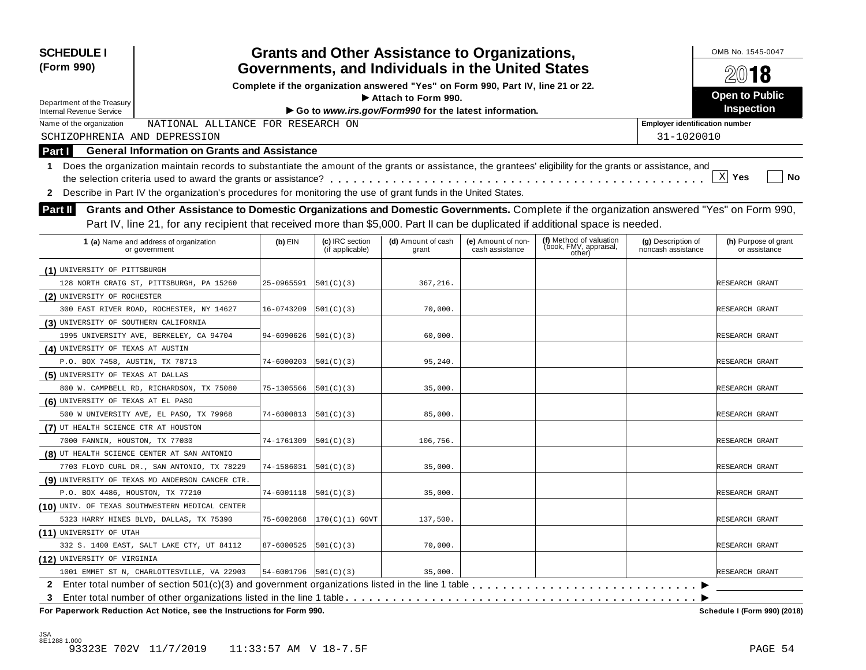| <b>SCHEDULE I</b><br>(Form 990)                                                                                                                                  |            |                                    | <b>Grants and Other Assistance to Organizations,</b><br>Governments, and Individuals in the United States |                                       |                                                             |                                          | OMB No. 1545-0047<br>2018             |
|------------------------------------------------------------------------------------------------------------------------------------------------------------------|------------|------------------------------------|-----------------------------------------------------------------------------------------------------------|---------------------------------------|-------------------------------------------------------------|------------------------------------------|---------------------------------------|
|                                                                                                                                                                  |            |                                    | Complete if the organization answered "Yes" on Form 990, Part IV, line 21 or 22.                          |                                       |                                                             |                                          |                                       |
|                                                                                                                                                                  |            |                                    | Attach to Form 990.                                                                                       |                                       |                                                             |                                          | <b>Open to Public</b>                 |
| Department of the Treasury<br><b>Internal Revenue Service</b>                                                                                                    |            |                                    | Go to www.irs.gov/Form990 for the latest information.                                                     |                                       |                                                             |                                          | <b>Inspection</b>                     |
| NATIONAL ALLIANCE FOR RESEARCH ON<br>Name of the organization                                                                                                    |            |                                    |                                                                                                           |                                       |                                                             | <b>Employer identification number</b>    |                                       |
| SCHIZOPHRENIA AND DEPRESSION                                                                                                                                     |            |                                    |                                                                                                           |                                       |                                                             | 31-1020010                               |                                       |
| <b>General Information on Grants and Assistance</b><br>Part I                                                                                                    |            |                                    |                                                                                                           |                                       |                                                             |                                          |                                       |
| Does the organization maintain records to substantiate the amount of the grants or assistance, the grantees' eligibility for the grants or assistance, and<br>1. |            |                                    |                                                                                                           |                                       |                                                             |                                          |                                       |
|                                                                                                                                                                  |            |                                    |                                                                                                           |                                       |                                                             |                                          | X <br>Yes<br>No                       |
| 2 Describe in Part IV the organization's procedures for monitoring the use of grant funds in the United States.                                                  |            |                                    |                                                                                                           |                                       |                                                             |                                          |                                       |
| Grants and Other Assistance to Domestic Organizations and Domestic Governments. Complete if the organization answered "Yes" on Form 990,                         |            |                                    |                                                                                                           |                                       |                                                             |                                          |                                       |
| Part II                                                                                                                                                          |            |                                    |                                                                                                           |                                       |                                                             |                                          |                                       |
| Part IV, line 21, for any recipient that received more than \$5,000. Part II can be duplicated if additional space is needed.                                    |            |                                    |                                                                                                           |                                       |                                                             |                                          |                                       |
| 1 (a) Name and address of organization<br>or government                                                                                                          | $(b)$ EIN  | (c) IRC section<br>(if applicable) | (d) Amount of cash<br>grant                                                                               | (e) Amount of non-<br>cash assistance | (f) Method of valuation<br>(book, FMV, appraisal,<br>other) | (g) Description of<br>noncash assistance | (h) Purpose of grant<br>or assistance |
| (1) UNIVERSITY OF PITTSBURGH                                                                                                                                     |            |                                    |                                                                                                           |                                       |                                                             |                                          |                                       |
| 128 NORTH CRAIG ST, PITTSBURGH, PA 15260                                                                                                                         | 25-0965591 | 501(C)(3)                          | 367,216.                                                                                                  |                                       |                                                             |                                          | RESEARCH GRANT                        |
| (2) UNIVERSITY OF ROCHESTER                                                                                                                                      |            |                                    |                                                                                                           |                                       |                                                             |                                          |                                       |
| 300 EAST RIVER ROAD, ROCHESTER, NY 14627                                                                                                                         | 16-0743209 | 501(C)(3)                          | 70,000.                                                                                                   |                                       |                                                             |                                          | RESEARCH GRANT                        |
| (3) UNIVERSITY OF SOUTHERN CALIFORNIA                                                                                                                            |            |                                    |                                                                                                           |                                       |                                                             |                                          |                                       |
| 1995 UNIVERSITY AVE, BERKELEY, CA 94704                                                                                                                          | 94-6090626 | 501(C)(3)                          | 60,000                                                                                                    |                                       |                                                             |                                          | RESEARCH GRANT                        |
| (4) UNIVERSITY OF TEXAS AT AUSTIN                                                                                                                                |            |                                    |                                                                                                           |                                       |                                                             |                                          |                                       |
| P.O. BOX 7458, AUSTIN, TX 78713                                                                                                                                  | 74-6000203 | 501(C)(3)                          | 95,240                                                                                                    |                                       |                                                             |                                          | RESEARCH GRANT                        |
| (5) UNIVERSITY OF TEXAS AT DALLAS                                                                                                                                |            |                                    |                                                                                                           |                                       |                                                             |                                          |                                       |
| 800 W. CAMPBELL RD, RICHARDSON, TX 75080                                                                                                                         | 75-1305566 | 501(C)(3)                          | 35,000                                                                                                    |                                       |                                                             |                                          | RESEARCH GRANT                        |
| (6) UNIVERSITY OF TEXAS AT EL PASO                                                                                                                               |            |                                    |                                                                                                           |                                       |                                                             |                                          |                                       |
| 500 W UNIVERSITY AVE, EL PASO, TX 79968                                                                                                                          | 74-6000813 | 501(C)(3)                          | 85,000.                                                                                                   |                                       |                                                             |                                          | RESEARCH GRANT                        |
| (7) UT HEALTH SCIENCE CTR AT HOUSTON                                                                                                                             |            |                                    |                                                                                                           |                                       |                                                             |                                          |                                       |
| 7000 FANNIN, HOUSTON, TX 77030                                                                                                                                   | 74-1761309 | 501(C)(3)                          | 106,756.                                                                                                  |                                       |                                                             |                                          | RESEARCH GRANT                        |
| (8) UT HEALTH SCIENCE CENTER AT SAN ANTONIO                                                                                                                      |            |                                    |                                                                                                           |                                       |                                                             |                                          |                                       |
| 7703 FLOYD CURL DR., SAN ANTONIO, TX 78229                                                                                                                       | 74-1586031 | 501(C)(3)                          | 35,000                                                                                                    |                                       |                                                             |                                          | RESEARCH GRANT                        |
| (9) UNIVERSITY OF TEXAS MD ANDERSON CANCER CTR.                                                                                                                  |            |                                    |                                                                                                           |                                       |                                                             |                                          |                                       |
| P.O. BOX 4486, HOUSTON, TX 77210                                                                                                                                 | 74-6001118 | 501(C)(3)                          | 35,000                                                                                                    |                                       |                                                             |                                          | RESEARCH GRANT                        |
| (10) UNIV. OF TEXAS SOUTHWESTERN MEDICAL CENTER                                                                                                                  |            |                                    |                                                                                                           |                                       |                                                             |                                          |                                       |
| 5323 HARRY HINES BLVD, DALLAS, TX 75390                                                                                                                          | 75-6002868 | $ 170(C)(1)$ GOVT                  | 137,500.                                                                                                  |                                       |                                                             |                                          | RESEARCH GRANT                        |
| (11) UNIVERSITY OF UTAH                                                                                                                                          |            |                                    |                                                                                                           |                                       |                                                             |                                          |                                       |
| 332 S. 1400 EAST, SALT LAKE CTY, UT 84112                                                                                                                        | 87-6000525 | 501(C)(3)                          | 70,000.                                                                                                   |                                       |                                                             |                                          | RESEARCH GRANT                        |
| (12) UNIVERSITY OF VIRGINIA                                                                                                                                      |            |                                    |                                                                                                           |                                       |                                                             |                                          |                                       |
| 1001 EMMET ST N, CHARLOTTESVILLE, VA 22903                                                                                                                       | 54-6001796 | 501(C)(3)                          | 35,000                                                                                                    |                                       |                                                             |                                          | RESEARCH GRANT                        |
| $\mathbf{2}$                                                                                                                                                     |            |                                    |                                                                                                           |                                       |                                                             |                                          |                                       |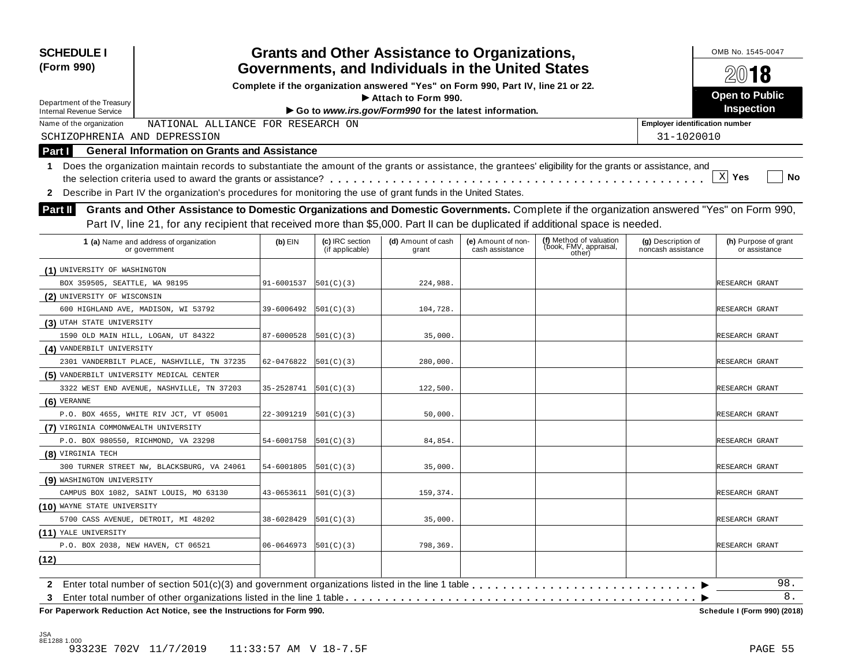| <b>SCHEDULE I</b><br>(Form 990)                                                                                                                                                                                                                                                             |                                                                                                         |                                    | <b>Grants and Other Assistance to Organizations,</b> |                                       |                                                             |                                          | OMB No. 1545-0047<br>2018             |  |  |  |
|---------------------------------------------------------------------------------------------------------------------------------------------------------------------------------------------------------------------------------------------------------------------------------------------|---------------------------------------------------------------------------------------------------------|------------------------------------|------------------------------------------------------|---------------------------------------|-------------------------------------------------------------|------------------------------------------|---------------------------------------|--|--|--|
|                                                                                                                                                                                                                                                                                             | Governments, and Individuals in the United States                                                       |                                    |                                                      |                                       |                                                             |                                          |                                       |  |  |  |
|                                                                                                                                                                                                                                                                                             | Complete if the organization answered "Yes" on Form 990, Part IV, line 21 or 22.<br>Attach to Form 990. |                                    |                                                      |                                       |                                                             |                                          |                                       |  |  |  |
| Department of the Treasury<br><b>Internal Revenue Service</b>                                                                                                                                                                                                                               | Go to www.irs.gov/Form990 for the latest information.                                                   |                                    |                                                      |                                       |                                                             |                                          |                                       |  |  |  |
| NATIONAL ALLIANCE FOR RESEARCH ON<br>Name of the organization                                                                                                                                                                                                                               |                                                                                                         |                                    |                                                      |                                       |                                                             | <b>Employer identification number</b>    |                                       |  |  |  |
| SCHIZOPHRENIA AND DEPRESSION                                                                                                                                                                                                                                                                |                                                                                                         |                                    |                                                      |                                       |                                                             | 31-1020010                               |                                       |  |  |  |
| <b>General Information on Grants and Assistance</b><br>Part I                                                                                                                                                                                                                               |                                                                                                         |                                    |                                                      |                                       |                                                             |                                          |                                       |  |  |  |
| 1 Does the organization maintain records to substantiate the amount of the grants or assistance, the grantees' eligibility for the grants or assistance, and                                                                                                                                |                                                                                                         |                                    |                                                      |                                       |                                                             |                                          |                                       |  |  |  |
|                                                                                                                                                                                                                                                                                             |                                                                                                         |                                    |                                                      |                                       |                                                             |                                          | $\mathbf{X}$<br>No<br>Yes             |  |  |  |
| Describe in Part IV the organization's procedures for monitoring the use of grant funds in the United States.<br>$\mathbf{2}$                                                                                                                                                               |                                                                                                         |                                    |                                                      |                                       |                                                             |                                          |                                       |  |  |  |
| Grants and Other Assistance to Domestic Organizations and Domestic Governments. Complete if the organization answered "Yes" on Form 990,<br><b>Part II</b><br>Part IV, line 21, for any recipient that received more than \$5,000. Part II can be duplicated if additional space is needed. |                                                                                                         |                                    |                                                      |                                       |                                                             |                                          |                                       |  |  |  |
| 1 (a) Name and address of organization<br>or government                                                                                                                                                                                                                                     | $(b)$ EIN                                                                                               | (c) IRC section<br>(if applicable) | (d) Amount of cash<br>grant                          | (e) Amount of non-<br>cash assistance | (f) Method of valuation<br>(book, FMV, appraisal,<br>other) | (g) Description of<br>noncash assistance | (h) Purpose of grant<br>or assistance |  |  |  |
| (1) UNIVERSITY OF WASHINGTON                                                                                                                                                                                                                                                                |                                                                                                         |                                    |                                                      |                                       |                                                             |                                          |                                       |  |  |  |
| BOX 359505, SEATTLE, WA 98195                                                                                                                                                                                                                                                               | 91-6001537                                                                                              | 501(C)(3)                          | 224,988.                                             |                                       |                                                             |                                          | RESEARCH GRANT                        |  |  |  |
| (2) UNIVERSITY OF WISCONSIN                                                                                                                                                                                                                                                                 |                                                                                                         |                                    |                                                      |                                       |                                                             |                                          |                                       |  |  |  |
| 600 HIGHLAND AVE, MADISON, WI 53792                                                                                                                                                                                                                                                         | 39-6006492                                                                                              | 501(C)(3)                          | 104,728.                                             |                                       |                                                             |                                          | RESEARCH GRANT                        |  |  |  |
| (3) UTAH STATE UNIVERSITY                                                                                                                                                                                                                                                                   |                                                                                                         |                                    |                                                      |                                       |                                                             |                                          |                                       |  |  |  |
| 1590 OLD MAIN HILL, LOGAN, UT 84322                                                                                                                                                                                                                                                         | 87-6000528                                                                                              | 501(C)(3)                          | 35,000                                               |                                       |                                                             |                                          | RESEARCH GRANT                        |  |  |  |
| (4) VANDERBILT UNIVERSITY                                                                                                                                                                                                                                                                   |                                                                                                         |                                    |                                                      |                                       |                                                             |                                          |                                       |  |  |  |
| 2301 VANDERBILT PLACE, NASHVILLE, TN 37235                                                                                                                                                                                                                                                  | 62-0476822                                                                                              | 501(C)(3)                          | 280,000.                                             |                                       |                                                             |                                          | RESEARCH GRANT                        |  |  |  |
| (5) VANDERBILT UNIVERSITY MEDICAL CENTER                                                                                                                                                                                                                                                    |                                                                                                         |                                    |                                                      |                                       |                                                             |                                          |                                       |  |  |  |
| 3322 WEST END AVENUE, NASHVILLE, TN 37203                                                                                                                                                                                                                                                   | 35-2528741                                                                                              | 501(C)(3)                          | 122,500.                                             |                                       |                                                             |                                          | RESEARCH GRANT                        |  |  |  |
| $(6)$ VERANNE                                                                                                                                                                                                                                                                               |                                                                                                         |                                    |                                                      |                                       |                                                             |                                          |                                       |  |  |  |
| P.O. BOX 4655, WHITE RIV JCT, VT 05001                                                                                                                                                                                                                                                      | 22-3091219                                                                                              | 501(C)(3)                          | 50,000.                                              |                                       |                                                             |                                          | RESEARCH GRANT                        |  |  |  |
| (7) VIRGINIA COMMONWEALTH UNIVERSITY                                                                                                                                                                                                                                                        |                                                                                                         |                                    |                                                      |                                       |                                                             |                                          |                                       |  |  |  |
| P.O. BOX 980550, RICHMOND, VA 23298                                                                                                                                                                                                                                                         | 54-6001758                                                                                              | 501(C)(3)                          | 84,854                                               |                                       |                                                             |                                          | RESEARCH GRANT                        |  |  |  |
| (8) VIRGINIA TECH                                                                                                                                                                                                                                                                           |                                                                                                         |                                    |                                                      |                                       |                                                             |                                          |                                       |  |  |  |
| 300 TURNER STREET NW, BLACKSBURG, VA 24061                                                                                                                                                                                                                                                  | 54-6001805                                                                                              | 501(C)(3)                          | 35,000.                                              |                                       |                                                             |                                          | RESEARCH GRANT                        |  |  |  |
| (9) WASHINGTON UNIVERSITY                                                                                                                                                                                                                                                                   |                                                                                                         |                                    |                                                      |                                       |                                                             |                                          |                                       |  |  |  |
| CAMPUS BOX 1082, SAINT LOUIS, MO 63130                                                                                                                                                                                                                                                      | 43-0653611                                                                                              | 501(C)(3)                          | 159,374.                                             |                                       |                                                             |                                          | RESEARCH GRANT                        |  |  |  |
| (10) WAYNE STATE UNIVERSITY                                                                                                                                                                                                                                                                 |                                                                                                         |                                    |                                                      |                                       |                                                             |                                          |                                       |  |  |  |
| 5700 CASS AVENUE, DETROIT, MI 48202                                                                                                                                                                                                                                                         | 38-6028429                                                                                              | 501(C)(3)                          | 35,000.                                              |                                       |                                                             |                                          | RESEARCH GRANT                        |  |  |  |
| (11) YALE UNIVERSITY                                                                                                                                                                                                                                                                        |                                                                                                         |                                    |                                                      |                                       |                                                             |                                          |                                       |  |  |  |
| P.O. BOX 2038, NEW HAVEN, CT 06521                                                                                                                                                                                                                                                          | 06-0646973                                                                                              | 501(C)(3)                          | 798,369.                                             |                                       |                                                             |                                          | RESEARCH GRANT                        |  |  |  |
| (12)                                                                                                                                                                                                                                                                                        |                                                                                                         |                                    |                                                      |                                       |                                                             |                                          |                                       |  |  |  |
|                                                                                                                                                                                                                                                                                             |                                                                                                         |                                    |                                                      |                                       |                                                             |                                          | 98.                                   |  |  |  |
| 2 Enter total number of section 501(c)(3) and government organizations listed in the line 1 table                                                                                                                                                                                           |                                                                                                         |                                    |                                                      |                                       |                                                             |                                          | $8$ .                                 |  |  |  |
| 3<br>For Paperwork Reduction Act Notice, see the Instructions for Form 990.                                                                                                                                                                                                                 |                                                                                                         |                                    |                                                      |                                       |                                                             |                                          | Schedule I (Form 990) (2018)          |  |  |  |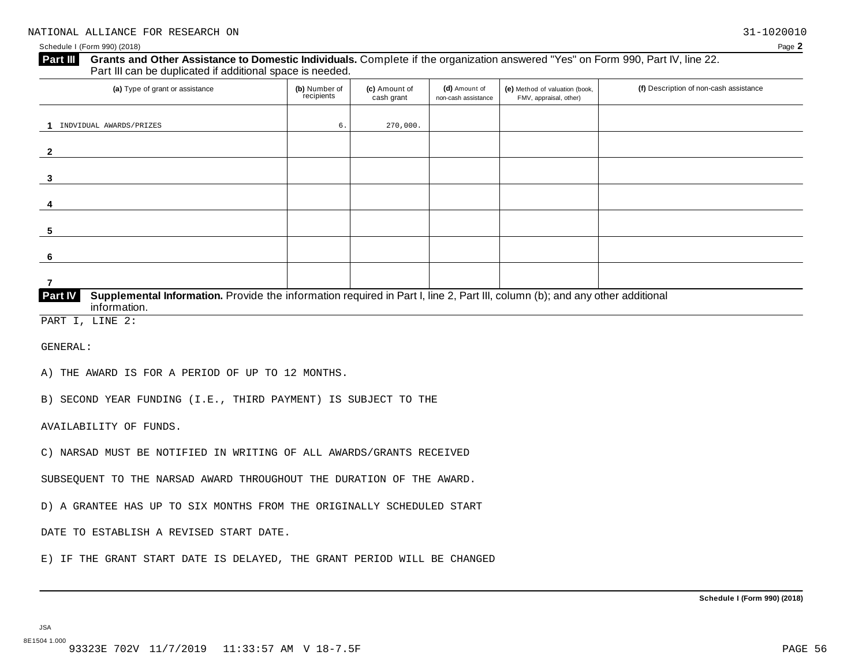#### **Grants and Other Assistance to Domestic Individuals.** Complete ifthe organization answered "Yes" on Form 990, Part IV, line 22. **Part III** Grants and Other Assistance to Domestic Individuals<br>Part III can be duplicated if additional space is needed.

| (a) Type of grant or assistance                                                                                                                         | (b) Number of<br>recipients | (c) Amount of<br>cash grant | (d) Amount of<br>non-cash assistance | (e) Method of valuation (book,<br>FMV, appraisal, other) | (f) Description of non-cash assistance |  |  |  |
|---------------------------------------------------------------------------------------------------------------------------------------------------------|-----------------------------|-----------------------------|--------------------------------------|----------------------------------------------------------|----------------------------------------|--|--|--|
|                                                                                                                                                         |                             |                             |                                      |                                                          |                                        |  |  |  |
| INDVIDUAL AWARDS/PRIZES                                                                                                                                 | б.                          | 270,000.                    |                                      |                                                          |                                        |  |  |  |
| $\mathbf{2}$                                                                                                                                            |                             |                             |                                      |                                                          |                                        |  |  |  |
| 3                                                                                                                                                       |                             |                             |                                      |                                                          |                                        |  |  |  |
| 4                                                                                                                                                       |                             |                             |                                      |                                                          |                                        |  |  |  |
| 5                                                                                                                                                       |                             |                             |                                      |                                                          |                                        |  |  |  |
| -6                                                                                                                                                      |                             |                             |                                      |                                                          |                                        |  |  |  |
|                                                                                                                                                         |                             |                             |                                      |                                                          |                                        |  |  |  |
| Part IV<br>Supplemental Information. Provide the information required in Part I, line 2, Part III, column (b); and any other additional<br>information. |                             |                             |                                      |                                                          |                                        |  |  |  |

PART I, LINE 2:

GENERAL:

A) THE AWARD IS FOR A PERIOD OF UP TO 12 MONTHS.

B) SECOND YEAR FUNDING (I.E., THIRD PAYMENT) IS SUBJECT TO THE

AVAILABILITY OF FUNDS.

C) NARSAD MUST BE NOTIFIED IN WRITING OF ALL AWARDS/GRANTS RECEIVED

SUBSEQUENT TO THE NARSAD AWARD THROUGHOUT THE DURATION OF THE AWARD.

D) A GRANTEE HAS UP TO SIX MONTHS FROM THE ORIGINALLY SCHEDULED START

DATE TO ESTABLISH A REVISED START DATE.

E) IF THE GRANT START DATE IS DELAYED, THE GRANT PERIOD WILL BE CHANGED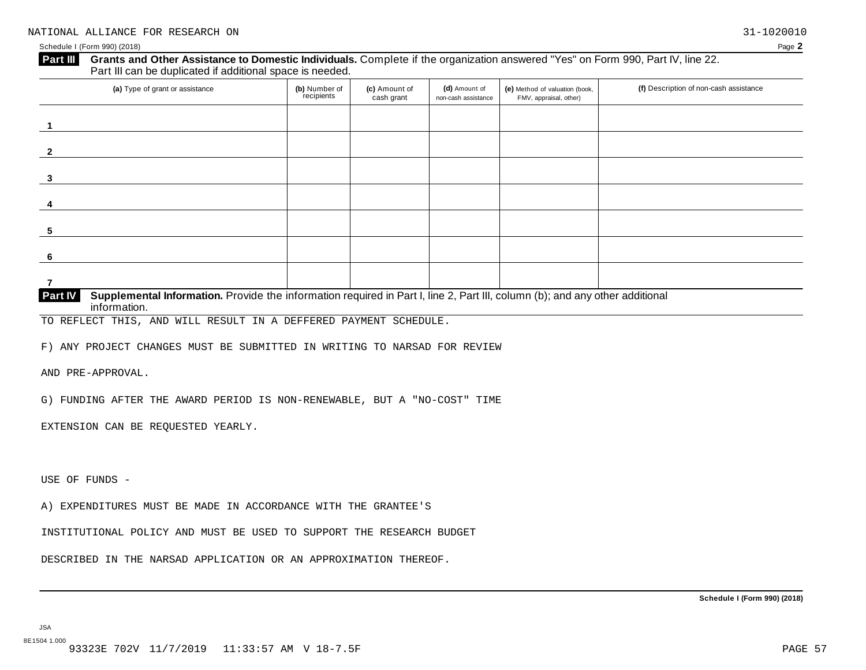### **Grants and Other Assistance to Domestic Individuals.** Complete ifthe organization answered "Yes" on Form 990, Part IV, line 22. **Part III** Grants and Other Assistance to Domestic Individuals<br>Part III can be duplicated if additional space is needed.

| (a) Type of grant or assistance                                                                                                       | (b) Number of<br>recipients | (c) Amount of<br>cash grant | (d) Amount of<br>non-cash assistance | (e) Method of valuation (book,<br>FMV, appraisal, other) | (f) Description of non-cash assistance |  |  |
|---------------------------------------------------------------------------------------------------------------------------------------|-----------------------------|-----------------------------|--------------------------------------|----------------------------------------------------------|----------------------------------------|--|--|
|                                                                                                                                       |                             |                             |                                      |                                                          |                                        |  |  |
| $\mathbf{z}$                                                                                                                          |                             |                             |                                      |                                                          |                                        |  |  |
| 3                                                                                                                                     |                             |                             |                                      |                                                          |                                        |  |  |
| 4                                                                                                                                     |                             |                             |                                      |                                                          |                                        |  |  |
| 5                                                                                                                                     |                             |                             |                                      |                                                          |                                        |  |  |
| 6                                                                                                                                     |                             |                             |                                      |                                                          |                                        |  |  |
|                                                                                                                                       |                             |                             |                                      |                                                          |                                        |  |  |
| Dout IV<br>Supplemental Information, Dravide the information required in Dart Lline 2, Dart III, column (b); and any other additional |                             |                             |                                      |                                                          |                                        |  |  |

**Supplemental Information.** Provide the information required in Part I, line 2, Part III, column (b); and any other additional information. **Part IV**

TO REFLECT THIS, AND WILL RESULT IN A DEFFERED PAYMENT SCHEDULE.

F) ANY PROJECT CHANGES MUST BE SUBMITTED IN WRITING TO NARSAD FOR REVIEW

AND PRE-APPROVAL.

G) FUNDING AFTER THE AWARD PERIOD IS NON-RENEWABLE, BUT A "NO-COST" TIME

EXTENSION CAN BE REQUESTED YEARLY.

USE OF FUNDS -

A) EXPENDITURES MUST BE MADE IN ACCORDANCE WITH THE GRANTEE'S

INSTITUTIONAL POLICY AND MUST BE USED TO SUPPORT THE RESEARCH BUDGET

DESCRIBED IN THE NARSAD APPLICATION OR AN APPROXIMATION THEREOF.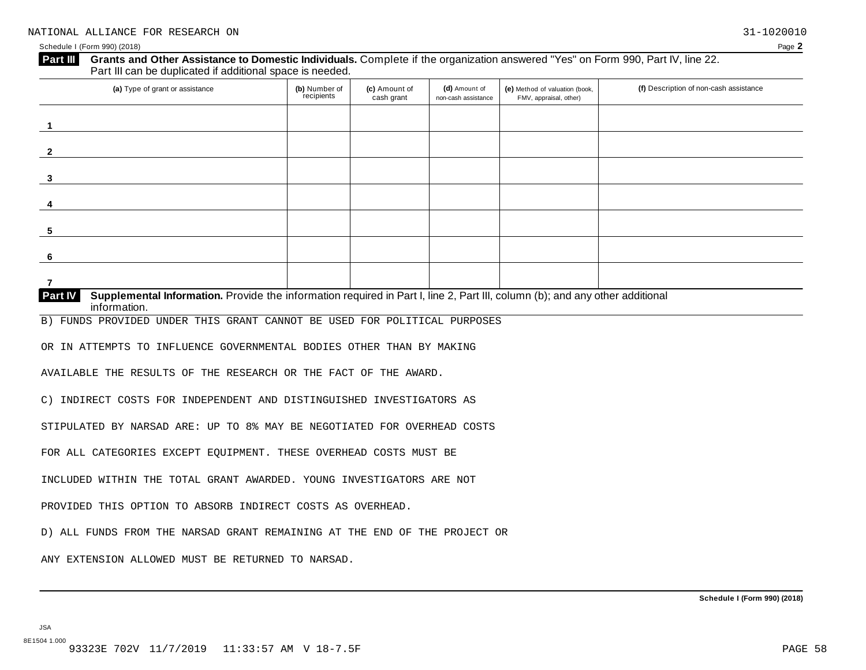|                                                                                                                                                                                                                                                                                                                                                                                                                                                                                                                                                                                    | (b) Number of<br>recipients | (c) Amount of<br>cash grant | (d) Amount of<br>non-cash assistance | (e) Method of valuation (book,<br>FMV, appraisal, other) | (f) Description of non-cash assistance |
|------------------------------------------------------------------------------------------------------------------------------------------------------------------------------------------------------------------------------------------------------------------------------------------------------------------------------------------------------------------------------------------------------------------------------------------------------------------------------------------------------------------------------------------------------------------------------------|-----------------------------|-----------------------------|--------------------------------------|----------------------------------------------------------|----------------------------------------|
|                                                                                                                                                                                                                                                                                                                                                                                                                                                                                                                                                                                    |                             |                             |                                      |                                                          |                                        |
|                                                                                                                                                                                                                                                                                                                                                                                                                                                                                                                                                                                    |                             |                             |                                      |                                                          |                                        |
|                                                                                                                                                                                                                                                                                                                                                                                                                                                                                                                                                                                    |                             |                             |                                      |                                                          |                                        |
| 4                                                                                                                                                                                                                                                                                                                                                                                                                                                                                                                                                                                  |                             |                             |                                      |                                                          |                                        |
| 5                                                                                                                                                                                                                                                                                                                                                                                                                                                                                                                                                                                  |                             |                             |                                      |                                                          |                                        |
| 6                                                                                                                                                                                                                                                                                                                                                                                                                                                                                                                                                                                  |                             |                             |                                      |                                                          |                                        |
| 7                                                                                                                                                                                                                                                                                                                                                                                                                                                                                                                                                                                  |                             |                             |                                      |                                                          |                                        |
| Supplemental Information. Provide the information required in Part I, line 2, Part III, column (b); and any other additional<br>Part IV<br>information.                                                                                                                                                                                                                                                                                                                                                                                                                            |                             |                             |                                      |                                                          |                                        |
| B) FUNDS PROVIDED UNDER THIS GRANT CANNOT BE USED FOR POLITICAL PURPOSES                                                                                                                                                                                                                                                                                                                                                                                                                                                                                                           |                             |                             |                                      |                                                          |                                        |
|                                                                                                                                                                                                                                                                                                                                                                                                                                                                                                                                                                                    |                             |                             |                                      |                                                          |                                        |
|                                                                                                                                                                                                                                                                                                                                                                                                                                                                                                                                                                                    |                             |                             |                                      |                                                          |                                        |
|                                                                                                                                                                                                                                                                                                                                                                                                                                                                                                                                                                                    |                             |                             |                                      |                                                          |                                        |
|                                                                                                                                                                                                                                                                                                                                                                                                                                                                                                                                                                                    |                             |                             |                                      |                                                          |                                        |
|                                                                                                                                                                                                                                                                                                                                                                                                                                                                                                                                                                                    |                             |                             |                                      |                                                          |                                        |
|                                                                                                                                                                                                                                                                                                                                                                                                                                                                                                                                                                                    |                             |                             |                                      |                                                          |                                        |
|                                                                                                                                                                                                                                                                                                                                                                                                                                                                                                                                                                                    |                             |                             |                                      |                                                          |                                        |
|                                                                                                                                                                                                                                                                                                                                                                                                                                                                                                                                                                                    |                             |                             |                                      |                                                          |                                        |
| OR IN ATTEMPTS TO INFLUENCE GOVERNMENTAL BODIES OTHER THAN BY MAKING<br>AVAILABLE THE RESULTS OF THE RESEARCH OR THE FACT OF THE AWARD.<br>C) INDIRECT COSTS FOR INDEPENDENT AND DISTINGUISHED INVESTIGATORS AS<br>STIPULATED BY NARSAD ARE: UP TO 8% MAY BE NEGOTIATED FOR OVERHEAD COSTS<br>FOR ALL CATEGORIES EXCEPT EQUIPMENT. THESE OVERHEAD COSTS MUST BE<br>INCLUDED WITHIN THE TOTAL GRANT AWARDED. YOUNG INVESTIGATORS ARE NOT<br>PROVIDED THIS OPTION TO ABSORB INDIRECT COSTS AS OVERHEAD.<br>D) ALL FUNDS FROM THE NARSAD GRANT REMAINING AT THE END OF THE PROJECT OR |                             |                             |                                      |                                                          |                                        |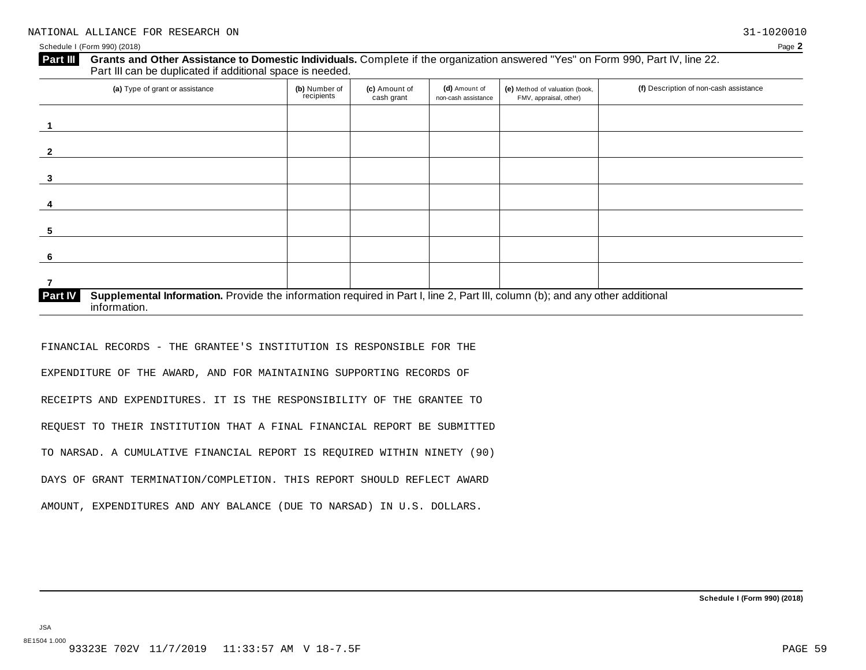#### **Grants and Other Assistance to Domestic Individuals.** Complete ifthe organization answered "Yes" on Form 990, Part IV, line 22. **Part III** Grants and Other Assistance to Domestic Individuals<br>Part III can be duplicated if additional space is needed.

| (a) Type of grant or assistance                                                                                                                                | (b) Number of<br>recipients | (c) Amount of<br>cash grant | (d) Amount of<br>non-cash assistance | (e) Method of valuation (book,<br>FMV, appraisal, other) | (f) Description of non-cash assistance |
|----------------------------------------------------------------------------------------------------------------------------------------------------------------|-----------------------------|-----------------------------|--------------------------------------|----------------------------------------------------------|----------------------------------------|
|                                                                                                                                                                |                             |                             |                                      |                                                          |                                        |
| $\mathbf{z}$                                                                                                                                                   |                             |                             |                                      |                                                          |                                        |
|                                                                                                                                                                |                             |                             |                                      |                                                          |                                        |
|                                                                                                                                                                |                             |                             |                                      |                                                          |                                        |
| -5                                                                                                                                                             |                             |                             |                                      |                                                          |                                        |
| 6                                                                                                                                                              |                             |                             |                                      |                                                          |                                        |
|                                                                                                                                                                |                             |                             |                                      |                                                          |                                        |
| <b>Part IV</b><br>Supplemental Information. Provide the information required in Part I, line 2, Part III, column (b); and any other additional<br>information. |                             |                             |                                      |                                                          |                                        |

FINANCIAL RECORDS - THE GRANTEE'S INSTITUTION IS RESPONSIBLE FOR THE EXPENDITURE OF THE AWARD, AND FOR MAINTAINING SUPPORTING RECORDS OF RECEIPTS AND EXPENDITURES. IT IS THE RESPONSIBILITY OF THE GRANTEE TO REQUEST TO THEIR INSTITUTION THAT A FINAL FINANCIAL REPORT BE SUBMITTED TO NARSAD. A CUMULATIVE FINANCIAL REPORT IS REQUIRED WITHIN NINETY (90) DAYS OF GRANT TERMINATION/COMPLETION. THIS REPORT SHOULD REFLECT AWARD

AMOUNT, EXPENDITURES AND ANY BALANCE (DUE TO NARSAD) IN U.S. DOLLARS.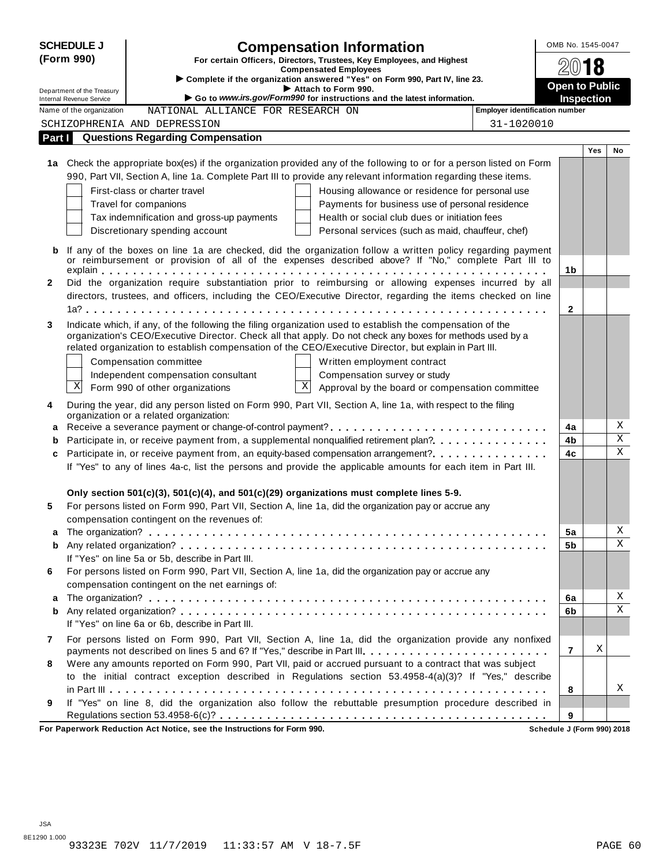|              | <b>SCHEDULE J</b>                                           | <b>Compensation Information</b>                                                                                                                                                                                     | OMB No. 1545-0047     |                   |                         |
|--------------|-------------------------------------------------------------|---------------------------------------------------------------------------------------------------------------------------------------------------------------------------------------------------------------------|-----------------------|-------------------|-------------------------|
|              | (Form 990)                                                  | For certain Officers, Directors, Trustees, Key Employees, and Highest                                                                                                                                               |                       |                   |                         |
|              |                                                             | <b>Compensated Employees</b><br>> Complete if the organization answered "Yes" on Form 990, Part IV, line 23.                                                                                                        |                       |                   |                         |
|              | Department of the Treasury                                  | Attach to Form 990.                                                                                                                                                                                                 | <b>Open to Public</b> |                   |                         |
|              | <b>Internal Revenue Service</b><br>Name of the organization | Go to www.irs.gov/Form990 for instructions and the latest information.<br><b>Employer identification number</b><br>NATIONAL ALLIANCE FOR RESEARCH ON                                                                |                       | <b>Inspection</b> |                         |
|              |                                                             | 31-1020010<br>SCHIZOPHRENIA AND DEPRESSION                                                                                                                                                                          |                       |                   |                         |
| Part I       |                                                             | <b>Questions Regarding Compensation</b>                                                                                                                                                                             |                       |                   |                         |
|              |                                                             |                                                                                                                                                                                                                     |                       | <b>Yes</b>        | No                      |
|              |                                                             | 1a Check the appropriate box(es) if the organization provided any of the following to or for a person listed on Form                                                                                                |                       |                   |                         |
|              |                                                             | 990, Part VII, Section A, line 1a. Complete Part III to provide any relevant information regarding these items.                                                                                                     |                       |                   |                         |
|              |                                                             | First-class or charter travel<br>Housing allowance or residence for personal use                                                                                                                                    |                       |                   |                         |
|              |                                                             | Travel for companions<br>Payments for business use of personal residence                                                                                                                                            |                       |                   |                         |
|              |                                                             | Tax indemnification and gross-up payments<br>Health or social club dues or initiation fees                                                                                                                          |                       |                   |                         |
|              |                                                             | Discretionary spending account<br>Personal services (such as maid, chauffeur, chef)                                                                                                                                 |                       |                   |                         |
| b            |                                                             | If any of the boxes on line 1a are checked, did the organization follow a written policy regarding payment                                                                                                          |                       |                   |                         |
|              |                                                             | or reimbursement or provision of all of the expenses described above? If "No," complete Part III to                                                                                                                 |                       |                   |                         |
|              |                                                             |                                                                                                                                                                                                                     | 1 <sub>b</sub>        |                   |                         |
| $\mathbf{2}$ |                                                             | Did the organization require substantiation prior to reimbursing or allowing expenses incurred by all                                                                                                               |                       |                   |                         |
|              |                                                             | directors, trustees, and officers, including the CEO/Executive Director, regarding the items checked on line                                                                                                        |                       |                   |                         |
|              |                                                             |                                                                                                                                                                                                                     | $\mathbf{2}$          |                   |                         |
| 3            |                                                             | Indicate which, if any, of the following the filing organization used to establish the compensation of the                                                                                                          |                       |                   |                         |
|              |                                                             | organization's CEO/Executive Director. Check all that apply. Do not check any boxes for methods used by a<br>related organization to establish compensation of the CEO/Executive Director, but explain in Part III. |                       |                   |                         |
|              |                                                             | Compensation committee<br>Written employment contract                                                                                                                                                               |                       |                   |                         |
|              |                                                             | Independent compensation consultant<br>Compensation survey or study                                                                                                                                                 |                       |                   |                         |
|              | Χ                                                           | $\boldsymbol{\mathrm{X}}$<br>Form 990 of other organizations<br>Approval by the board or compensation committee                                                                                                     |                       |                   |                         |
|              |                                                             |                                                                                                                                                                                                                     |                       |                   |                         |
| 4            |                                                             | During the year, did any person listed on Form 990, Part VII, Section A, line 1a, with respect to the filing<br>organization or a related organization:                                                             |                       |                   |                         |
| a            |                                                             |                                                                                                                                                                                                                     | 4a                    |                   | Χ                       |
| b            |                                                             | Participate in, or receive payment from, a supplemental nonqualified retirement plan?.                                                                                                                              | 4b                    |                   | $\overline{\mathbf{x}}$ |
| c            |                                                             | Participate in, or receive payment from, an equity-based compensation arrangement?                                                                                                                                  | 4c                    |                   | $\mathbf X$             |
|              |                                                             | If "Yes" to any of lines 4a-c, list the persons and provide the applicable amounts for each item in Part III.                                                                                                       |                       |                   |                         |
|              |                                                             |                                                                                                                                                                                                                     |                       |                   |                         |
|              |                                                             | Only section $501(c)(3)$ , $501(c)(4)$ , and $501(c)(29)$ organizations must complete lines 5-9.                                                                                                                    |                       |                   |                         |
| 5            |                                                             | For persons listed on Form 990, Part VII, Section A, line 1a, did the organization pay or accrue any                                                                                                                |                       |                   |                         |
|              |                                                             | compensation contingent on the revenues of:                                                                                                                                                                         |                       |                   |                         |
|              |                                                             |                                                                                                                                                                                                                     | 5a                    |                   | Χ<br>Χ                  |
| b            |                                                             | If "Yes" on line 5a or 5b, describe in Part III.                                                                                                                                                                    | 5b                    |                   |                         |
| 6            |                                                             | For persons listed on Form 990, Part VII, Section A, line 1a, did the organization pay or accrue any                                                                                                                |                       |                   |                         |
|              |                                                             | compensation contingent on the net earnings of:                                                                                                                                                                     |                       |                   |                         |
| а            |                                                             |                                                                                                                                                                                                                     | 6a                    |                   | Χ                       |
| b            |                                                             |                                                                                                                                                                                                                     | 6b                    |                   | $\mathbf X$             |
|              |                                                             | If "Yes" on line 6a or 6b, describe in Part III.                                                                                                                                                                    |                       |                   |                         |
| 7            |                                                             | For persons listed on Form 990, Part VII, Section A, line 1a, did the organization provide any nonfixed                                                                                                             |                       |                   |                         |
|              |                                                             | payments not described on lines 5 and 6? If "Yes," describe in Part III.                                                                                                                                            | $\overline{7}$        | X                 |                         |
| 8            |                                                             | Were any amounts reported on Form 990, Part VII, paid or accrued pursuant to a contract that was subject                                                                                                            |                       |                   |                         |
|              |                                                             | to the initial contract exception described in Regulations section 53.4958-4(a)(3)? If "Yes," describe                                                                                                              |                       |                   |                         |
|              |                                                             |                                                                                                                                                                                                                     | 8                     |                   | Χ                       |
| 9            |                                                             | If "Yes" on line 8, did the organization also follow the rebuttable presumption procedure described in                                                                                                              |                       |                   |                         |
|              |                                                             |                                                                                                                                                                                                                     | 9                     |                   |                         |

**For Paperwork Reduction Act Notice, see the Instructions for Form 990. Schedule J (Form 990) 2018**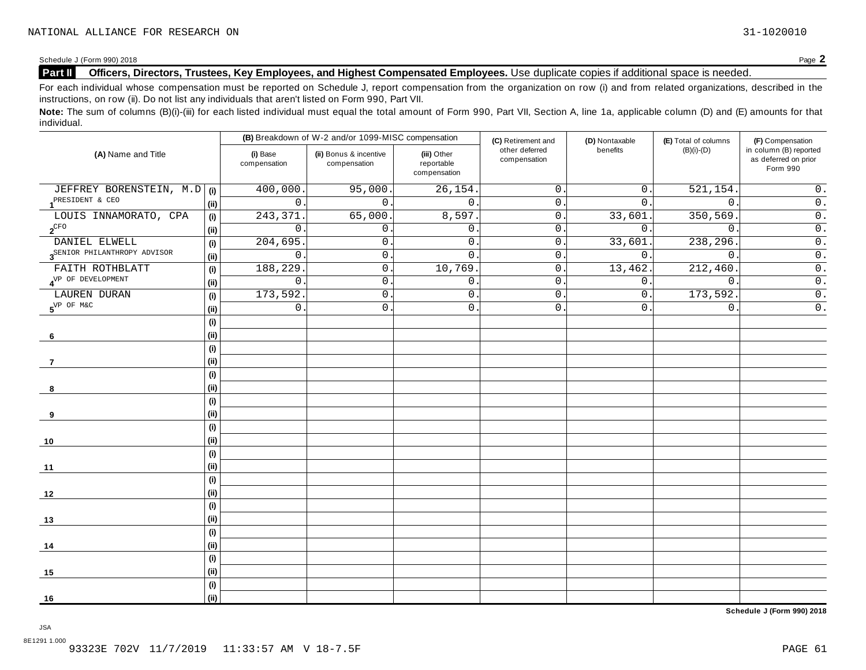#### **Part II Officers, Directors, Trustees, Key Employees, and Highest Compensated Employees.** Use duplicate copies ifadditional space is needed.

For each individual whose compensation must be reported on Schedule J, report compensation from the organization on row (i) and from related organizations, described in the instructions, on row (ii). Do not list any individuals that aren't listed on Form 990, Part VII.

Note: The sum of columns (B)(i)-(iii) for each listed individual must equal the total amount of Form 990, Part VII, Section A, line 1a, applicable column (D) and (E) amounts for that individual.

|                                          |                            |                          | (B) Breakdown of W-2 and/or 1099-MISC compensation |                                           | (C) Retirement and             | (D) Nontaxable   | (E) Total of columns | (F) Compensation                                           |  |
|------------------------------------------|----------------------------|--------------------------|----------------------------------------------------|-------------------------------------------|--------------------------------|------------------|----------------------|------------------------------------------------------------|--|
| (A) Name and Title                       |                            | (i) Base<br>compensation | (ii) Bonus & incentive<br>compensation             | (iii) Other<br>reportable<br>compensation | other deferred<br>compensation | benefits         | $(B)(i)-(D)$         | in column (B) reported<br>as deferred on prior<br>Form 990 |  |
| JEFFREY BORENSTEIN, M.D   (i)            |                            | 400,000                  | 95,000.                                            | 26, 154.                                  | $\mathsf{O}$ .                 | $0$ .            | 521, 154             | $0$ .                                                      |  |
| PRESIDENT & CEO                          | (i)                        | $\mathbf 0$              | $\mathbf{0}$ .                                     | $\mathbf{0}$ .                            | $0$ .                          | 0.               | $\mathbf 0$ .        | $\overline{0}$ .                                           |  |
| LOUIS INNAMORATO, CPA                    | (i)                        | 243,371                  | 65,000                                             | 8,597.                                    | $0$ .                          | 33,601           | 350,569              | $\overline{0}$ .                                           |  |
| $\mathbf{2}^{\mathrm{CFO}}$              | (i)                        | $\mathbf 0$              | 0.                                                 | 0                                         | 0.                             | 0.               | $\mathbf 0$ .        | $\overline{0}$ .                                           |  |
| DANIEL ELWELL                            | (i)                        | 204,695                  | $\mathsf{O}$ .                                     | $\mathsf{0}$ .                            | 0.                             | 33,601           | 238,296              | $\overline{0}$ .                                           |  |
| 3 <sup>SENIOR</sup> PHILANTHROPY ADVISOR | (i)                        | $\mathsf{O}\xspace$      | $\mathsf{O}$ .                                     | $\mathsf{O}$                              | $0$ .                          | $\overline{0}$ . | $\mathsf{O}$ .       | $\overline{0}$ .                                           |  |
| FAITH ROTHBLATT                          | (i)                        | 188,229                  | $0$ .                                              | 10,769                                    | 0.                             | 13,462.          | 212,460.             | $\overline{0}$ .                                           |  |
| $4^{\mathrm{VP}}$ OF DEVELOPMENT         | (i)                        | $\mathsf{O}$             | $\mathsf{O}$ .                                     | $\mathsf{O}$                              | $\mathsf{O}$ .                 | 0.               | $\mathsf{O}$ .       | $\overline{0}$ .                                           |  |
| LAUREN DURAN                             | (i)                        | 173,592                  | $\mathsf{O}$ .                                     | 0                                         | 0.                             | 0.               | 173,592.             | $\overline{\overline{\mathfrak{o}}}$ .                     |  |
| $5^{\text{VP OF MAC}}$                   | (ii)                       | 0                        | $\mathsf{O}$ .                                     | $\mathsf{O}$ .                            | $0$ .                          | 0.               | $\mathbf 0$ .        | $\overline{0}$ .                                           |  |
|                                          | (i)                        |                          |                                                    |                                           |                                |                  |                      |                                                            |  |
| 6                                        | (i)                        |                          |                                                    |                                           |                                |                  |                      |                                                            |  |
|                                          | (i)                        |                          |                                                    |                                           |                                |                  |                      |                                                            |  |
| 7                                        | (i)                        |                          |                                                    |                                           |                                |                  |                      |                                                            |  |
|                                          | (i)<br>(i)                 |                          |                                                    |                                           |                                |                  |                      |                                                            |  |
| 8                                        | (i)                        |                          |                                                    |                                           |                                |                  |                      |                                                            |  |
| 9                                        | (i)                        |                          |                                                    |                                           |                                |                  |                      |                                                            |  |
|                                          | (i)                        |                          |                                                    |                                           |                                |                  |                      |                                                            |  |
| 10                                       | (i)                        |                          |                                                    |                                           |                                |                  |                      |                                                            |  |
|                                          | $\left( \mathsf{i}\right)$ |                          |                                                    |                                           |                                |                  |                      |                                                            |  |
| 11                                       | (i)                        |                          |                                                    |                                           |                                |                  |                      |                                                            |  |
|                                          | (i)                        |                          |                                                    |                                           |                                |                  |                      |                                                            |  |
| 12                                       | (i)                        |                          |                                                    |                                           |                                |                  |                      |                                                            |  |
|                                          | (i)                        |                          |                                                    |                                           |                                |                  |                      |                                                            |  |
| 13                                       | (i)                        |                          |                                                    |                                           |                                |                  |                      |                                                            |  |
|                                          | (i)                        |                          |                                                    |                                           |                                |                  |                      |                                                            |  |
| 14                                       | (i)                        |                          |                                                    |                                           |                                |                  |                      |                                                            |  |
|                                          | (i)                        |                          |                                                    |                                           |                                |                  |                      |                                                            |  |
| 15                                       | (i)                        |                          |                                                    |                                           |                                |                  |                      |                                                            |  |
|                                          | (i)                        |                          |                                                    |                                           |                                |                  |                      |                                                            |  |
| 16                                       | (ii)                       |                          |                                                    |                                           |                                |                  |                      |                                                            |  |

**Schedule J (Form 990) 2018**

JSA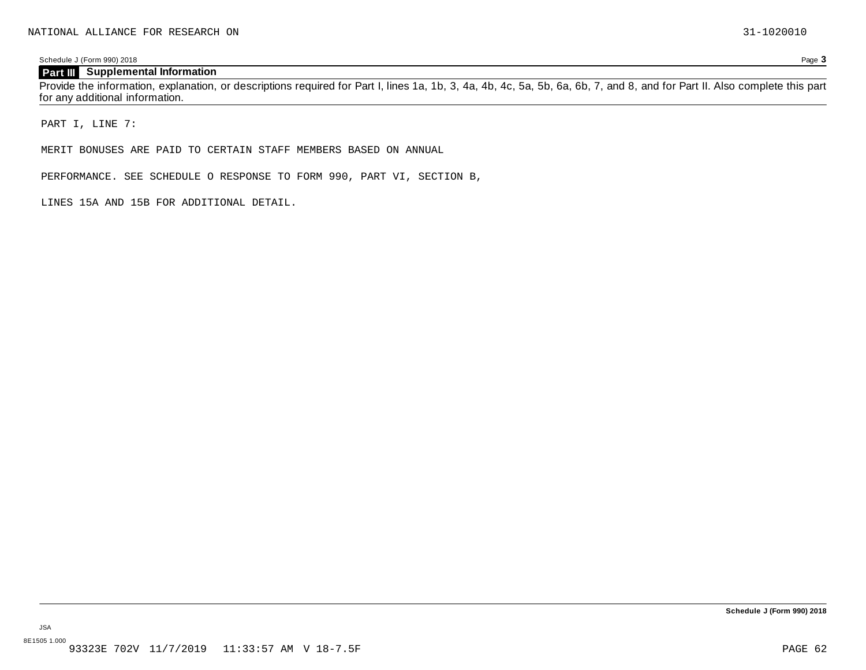### **Part III Supplemental Information**

Provide the information, explanation, or descriptions required for Part I, lines 1a, 1b, 3, 4a, 4b, 4c, 5a, 5b, 6a, 6b, 7, and 8, and for Part II. Also complete this part for any additional information.

PART I, LINE 7:

MERIT BONUSES ARE PAID TO CERTAIN STAFF MEMBERS BASED ON ANNUAL

PERFORMANCE. SEE SCHEDULE O RESPONSE TO FORM 990, PART VI, SECTION B,

LINES 15A AND 15B FOR ADDITIONAL DETAIL.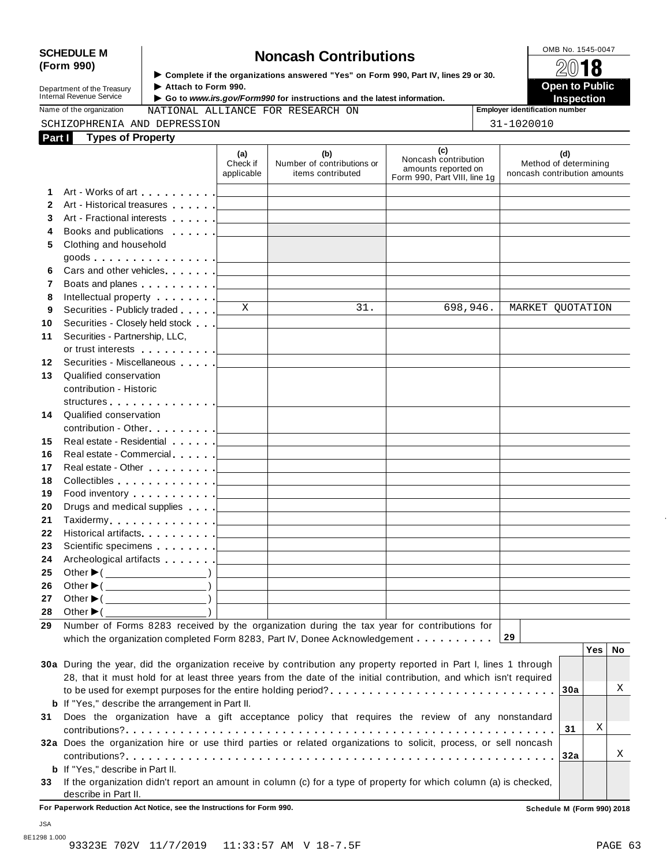# SCHEDULE M<br>
(Form 990) **Some Lightness of the organizations answered "Yes" on Form 990 Part IV lines 29 or 30<br>
<b>Some Lightness Contributions**

**Department of the Treasury<br>Internal Revenue Service** 

**Examplete** if the organizations answered "Yes" on Form 990, Part IV, lines 29 or 30. △<del>Ⅳ</del><br>▶ Attach to Form 990.

**Department of the Treasury** ▶ Attach to Form 990.<br>Internal Revenue Service ▶ Go to *www.irs.gov/Form990* for instructions and the latest information.<br>Nome of the organization and a stage of the creasury and the latest in

Name of the organization **MATIONAL ALLIANCE FOR RESEARCH ON Employer identification number** 

|        | SCHIZOPHRENIA AND DEPRESSION | 1-1020010 |
|--------|------------------------------|-----------|
| Part I | <b>Types of Property</b>     |           |

|  | $21 - 1020010$ |  |
|--|----------------|--|

|              |                                                                                                                      | (a)<br>Check if<br>applicable | (b)<br>Number of contributions or<br>items contributed | (c)<br>Noncash contribution<br>amounts reported on<br>Form 990, Part VIII, line 1g | Method of determining<br>noncash contribution amounts | (d) |     |    |
|--------------|----------------------------------------------------------------------------------------------------------------------|-------------------------------|--------------------------------------------------------|------------------------------------------------------------------------------------|-------------------------------------------------------|-----|-----|----|
| 1            |                                                                                                                      |                               |                                                        |                                                                                    |                                                       |     |     |    |
| $\mathbf{2}$ |                                                                                                                      |                               |                                                        |                                                                                    |                                                       |     |     |    |
| 3            |                                                                                                                      |                               |                                                        |                                                                                    |                                                       |     |     |    |
| 4            |                                                                                                                      |                               |                                                        |                                                                                    |                                                       |     |     |    |
| 5            | Clothing and household                                                                                               |                               |                                                        |                                                                                    |                                                       |     |     |    |
|              |                                                                                                                      |                               |                                                        |                                                                                    |                                                       |     |     |    |
| 6            |                                                                                                                      |                               |                                                        |                                                                                    |                                                       |     |     |    |
| 7            | Boats and planes <u>  _ _ _ _ _ _ _ _ _ _ _ _ _ _ _ _ _ _</u>                                                        |                               |                                                        |                                                                                    |                                                       |     |     |    |
| 8            | Intellectual property [1]                                                                                            |                               |                                                        |                                                                                    |                                                       |     |     |    |
| 9            | Securities - Publicly traded                                                                                         | X                             | 31.                                                    | 698,946.                                                                           | MARKET QUOTATION                                      |     |     |    |
| 10           | Securities - Closely held stock [                                                                                    |                               |                                                        |                                                                                    |                                                       |     |     |    |
| 11           | Securities - Partnership, LLC,                                                                                       |                               |                                                        |                                                                                    |                                                       |     |     |    |
|              | or trust interests experience and the set of the set of the set of the set of the set of the set of the set of       |                               |                                                        |                                                                                    |                                                       |     |     |    |
| 12           | Securities - Miscellaneous                                                                                           |                               |                                                        |                                                                                    |                                                       |     |     |    |
| 13           | Qualified conservation                                                                                               |                               |                                                        |                                                                                    |                                                       |     |     |    |
|              | contribution - Historic                                                                                              |                               |                                                        |                                                                                    |                                                       |     |     |    |
|              |                                                                                                                      |                               |                                                        |                                                                                    |                                                       |     |     |    |
| 14           | Qualified conservation                                                                                               |                               |                                                        |                                                                                    |                                                       |     |     |    |
|              |                                                                                                                      |                               |                                                        |                                                                                    |                                                       |     |     |    |
| 15           |                                                                                                                      |                               |                                                        |                                                                                    |                                                       |     |     |    |
| 16           |                                                                                                                      |                               |                                                        |                                                                                    |                                                       |     |     |    |
| 17           |                                                                                                                      |                               |                                                        |                                                                                    |                                                       |     |     |    |
| 18           |                                                                                                                      |                               |                                                        |                                                                                    |                                                       |     |     |    |
| 19           | Food inventory $\ldots \ldots \ldots$ . $\qquad \qquad$                                                              |                               |                                                        |                                                                                    |                                                       |     |     |    |
| 20           |                                                                                                                      |                               |                                                        |                                                                                    |                                                       |     |     |    |
| 21           |                                                                                                                      |                               |                                                        |                                                                                    |                                                       |     |     |    |
| 22           | Historical artifacts. <u>  _ _ _ _ _ _ _ _ _ _ _ _ _ _ _ _ _</u>                                                     |                               |                                                        |                                                                                    |                                                       |     |     |    |
| 23           | Scientific specimens <u>  _ _ _ _ _ _ _ _ _ _ _ _ _ _ _ _ _ _</u>                                                    |                               |                                                        |                                                                                    |                                                       |     |     |    |
| 24           |                                                                                                                      |                               |                                                        |                                                                                    |                                                       |     |     |    |
| 25           | Other $\blacktriangleright$ ( $\_\_\_\_\_\_\_\_\$ ) $\downarrow$                                                     |                               |                                                        |                                                                                    |                                                       |     |     |    |
| 26           | Other $\blacktriangleright$ ( $\qquad \qquad$                                                                        |                               |                                                        |                                                                                    |                                                       |     |     |    |
| 27           | Other $\blacktriangleright$ ( $\qquad \qquad$                                                                        |                               |                                                        |                                                                                    |                                                       |     |     |    |
| 28           | Other $\blacktriangleright$ (                                                                                        |                               |                                                        |                                                                                    |                                                       |     |     |    |
| 29           | Number of Forms 8283 received by the organization during the tax year for contributions for                          |                               |                                                        |                                                                                    |                                                       |     |     |    |
|              | which the organization completed Form 8283, Part IV, Donee Acknowledgement $\ldots \ldots \ldots$                    |                               |                                                        |                                                                                    |                                                       |     |     |    |
|              |                                                                                                                      |                               |                                                        |                                                                                    |                                                       |     | Yes | No |
|              | 30a During the year, did the organization receive by contribution any property reported in Part I, lines 1 through   |                               |                                                        |                                                                                    |                                                       |     |     |    |
|              | 28, that it must hold for at least three years from the date of the initial contribution, and which isn't required   |                               |                                                        |                                                                                    |                                                       |     |     |    |
|              |                                                                                                                      |                               |                                                        |                                                                                    |                                                       | 30a |     | Χ  |
|              | <b>b</b> If "Yes," describe the arrangement in Part II.                                                              |                               |                                                        |                                                                                    |                                                       |     |     |    |
| 31           | Does the organization have a gift acceptance policy that requires the review of any nonstandard                      |                               |                                                        |                                                                                    |                                                       |     |     |    |
|              |                                                                                                                      |                               |                                                        |                                                                                    |                                                       | 31  | Χ   |    |
|              | 32a Does the organization hire or use third parties or related organizations to solicit, process, or sell noncash    |                               |                                                        |                                                                                    |                                                       |     |     |    |
|              |                                                                                                                      |                               |                                                        |                                                                                    |                                                       | 32a |     | Χ  |
|              | <b>b</b> If "Yes," describe in Part II.                                                                              |                               |                                                        |                                                                                    |                                                       |     |     |    |
|              | 33 If the organization didn't report an amount in column (c) for a type of property for which column (a) is checked, |                               |                                                        |                                                                                    |                                                       |     |     |    |

**For Paperwork Reduction Act Notice, see the Instructions for Form 990. Schedule M (Form 990) 2018**

JSA

describe in Part II.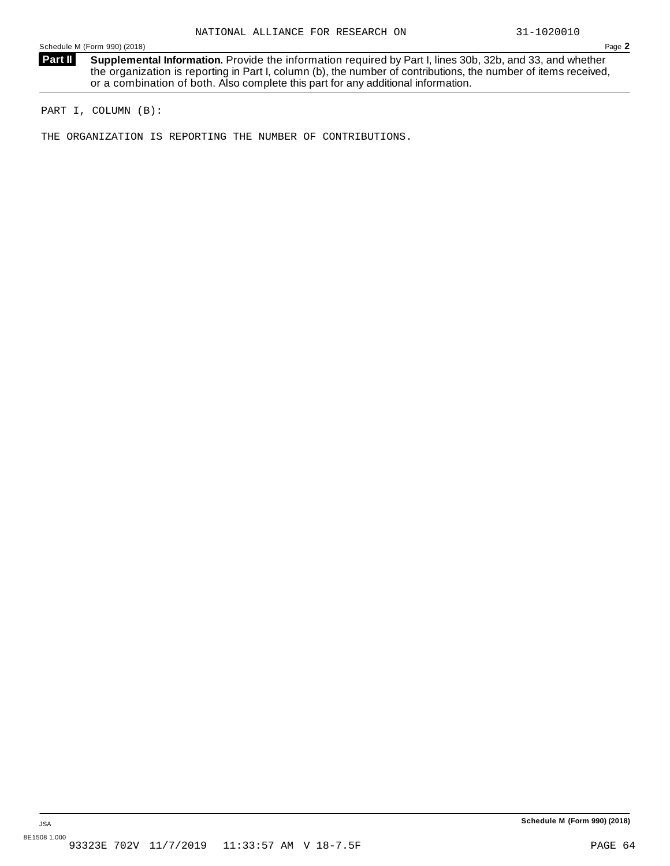**Supplemental Information.** Provide the information required by Part I, lines 30b, 32b, and 33, and whether the organization is reporting in Part I, column (b), the number of contributions, the number of items received, or a combination of both. Also complete this part for any additional information. **Part II**

PART I, COLUMN (B):

THE ORGANIZATION IS REPORTING THE NUMBER OF CONTRIBUTIONS.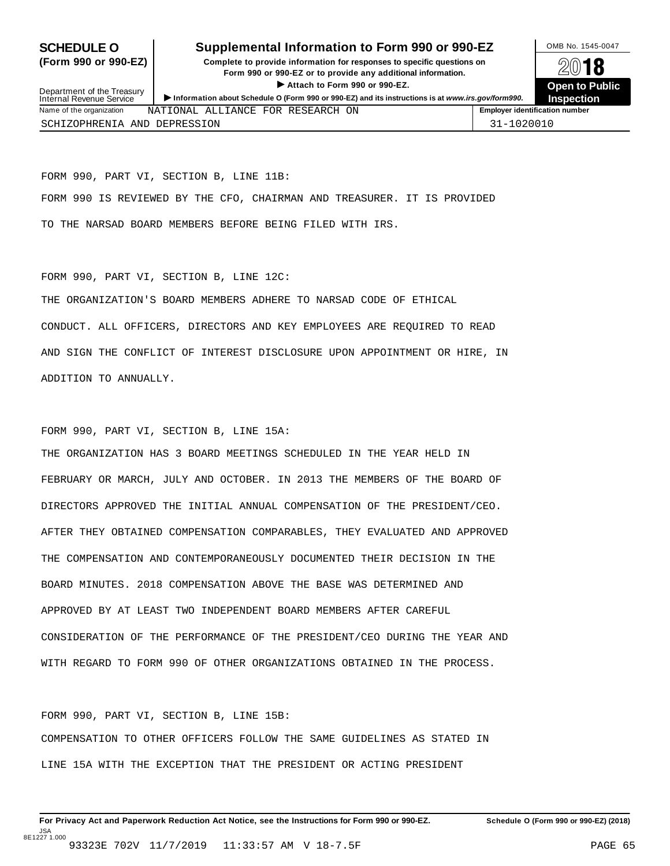### **SCHEDULE O** Supplemental Information to Form 990 or 990-EZ DMB No. 1545-0047

**(Form 990 or 990-EZ) Complete to provide information for responses to specific questions on** plete to provide information for responses to specific questions on  $\mathbb{Z}^{0}$  **18 EV I O**<br>
■ Attach to Form 990 or 990-EZ. Depen to Public<br>
■ Public Corporation of the Security of the Security of the Security of the Security of the Security of the Security of the Security of the Security of the Securi ► Attach to Form 990 or 990-EZ.<br>Information about Schedule O (Form 990 or 990-EZ) and its instructions is at www.irs.gov/form990. Inspection



| Department of the Treasury<br>Internal Revenue Service |                                   | F ANGUL NG LULIH YUU UL YUU LE.<br>Information about Schedule O (Form 990 or 990-EZ) and its instructions is at www.irs.gov/form990. |  |  |                                       |  |  |
|--------------------------------------------------------|-----------------------------------|--------------------------------------------------------------------------------------------------------------------------------------|--|--|---------------------------------------|--|--|
| Name of the organization                               | NATIONAL ALLIANCE FOR RESEARCH ON |                                                                                                                                      |  |  | <b>Employer identification number</b> |  |  |
| SCHIZOPHRENIA AND DEPRESSION                           |                                   |                                                                                                                                      |  |  | 31-1020010                            |  |  |

FORM 990, PART VI, SECTION B, LINE 11B: FORM 990 IS REVIEWED BY THE CFO, CHAIRMAN AND TREASURER. IT IS PROVIDED TO THE NARSAD BOARD MEMBERS BEFORE BEING FILED WITH IRS.

#### FORM 990, PART VI, SECTION B, LINE 12C:

THE ORGANIZATION'S BOARD MEMBERS ADHERE TO NARSAD CODE OF ETHICAL CONDUCT. ALL OFFICERS, DIRECTORS AND KEY EMPLOYEES ARE REQUIRED TO READ AND SIGN THE CONFLICT OF INTEREST DISCLOSURE UPON APPOINTMENT OR HIRE, IN ADDITION TO ANNUALLY.

FORM 990, PART VI, SECTION B, LINE 15A:

THE ORGANIZATION HAS 3 BOARD MEETINGS SCHEDULED IN THE YEAR HELD IN FEBRUARY OR MARCH, JULY AND OCTOBER. IN 2013 THE MEMBERS OF THE BOARD OF DIRECTORS APPROVED THE INITIAL ANNUAL COMPENSATION OF THE PRESIDENT/CEO. AFTER THEY OBTAINED COMPENSATION COMPARABLES, THEY EVALUATED AND APPROVED THE COMPENSATION AND CONTEMPORANEOUSLY DOCUMENTED THEIR DECISION IN THE BOARD MINUTES. 2018 COMPENSATION ABOVE THE BASE WAS DETERMINED AND APPROVED BY AT LEAST TWO INDEPENDENT BOARD MEMBERS AFTER CAREFUL CONSIDERATION OF THE PERFORMANCE OF THE PRESIDENT/CEO DURING THE YEAR AND WITH REGARD TO FORM 990 OF OTHER ORGANIZATIONS OBTAINED IN THE PROCESS.

FORM 990, PART VI, SECTION B, LINE 15B: COMPENSATION TO OTHER OFFICERS FOLLOW THE SAME GUIDELINES AS STATED IN LINE 15A WITH THE EXCEPTION THAT THE PRESIDENT OR ACTING PRESIDENT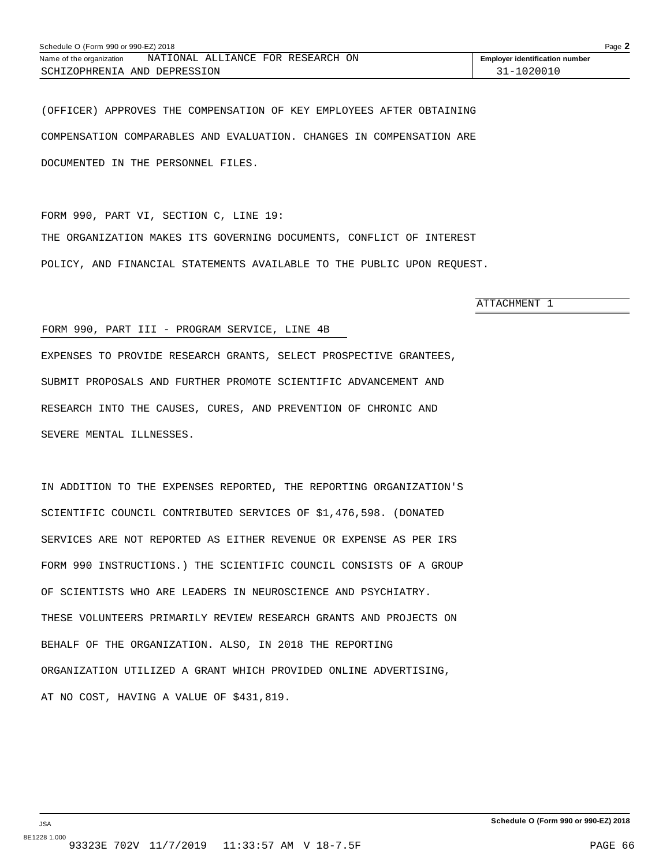| Schedule O (Form 990 or 990-EZ) 2018 |                                   |                                       |  |  |
|--------------------------------------|-----------------------------------|---------------------------------------|--|--|
| Name of the organization             | NATIONAL ALLIANCE FOR RESEARCH ON | <b>Employer identification number</b> |  |  |
| SCHIZOPHRENIA AND DEPRESSION         |                                   | 31-1020010                            |  |  |

(OFFICER) APPROVES THE COMPENSATION OF KEY EMPLOYEES AFTER OBTAINING COMPENSATION COMPARABLES AND EVALUATION. CHANGES IN COMPENSATION ARE DOCUMENTED IN THE PERSONNEL FILES.

FORM 990, PART VI, SECTION C, LINE 19: THE ORGANIZATION MAKES ITS GOVERNING DOCUMENTS, CONFLICT OF INTEREST POLICY, AND FINANCIAL STATEMENTS AVAILABLE TO THE PUBLIC UPON REQUEST.

ATTACHMENT 1

#### FORM 990, PART III - PROGRAM SERVICE, LINE 4B

EXPENSES TO PROVIDE RESEARCH GRANTS, SELECT PROSPECTIVE GRANTEES, SUBMIT PROPOSALS AND FURTHER PROMOTE SCIENTIFIC ADVANCEMENT AND RESEARCH INTO THE CAUSES, CURES, AND PREVENTION OF CHRONIC AND SEVERE MENTAL ILLNESSES.

IN ADDITION TO THE EXPENSES REPORTED, THE REPORTING ORGANIZATION'S SCIENTIFIC COUNCIL CONTRIBUTED SERVICES OF \$1,476,598. (DONATED SERVICES ARE NOT REPORTED AS EITHER REVENUE OR EXPENSE AS PER IRS FORM 990 INSTRUCTIONS.) THE SCIENTIFIC COUNCIL CONSISTS OF A GROUP OF SCIENTISTS WHO ARE LEADERS IN NEUROSCIENCE AND PSYCHIATRY. THESE VOLUNTEERS PRIMARILY REVIEW RESEARCH GRANTS AND PROJECTS ON BEHALF OF THE ORGANIZATION. ALSO, IN 2018 THE REPORTING ORGANIZATION UTILIZED A GRANT WHICH PROVIDED ONLINE ADVERTISING, AT NO COST, HAVING A VALUE OF \$431,819.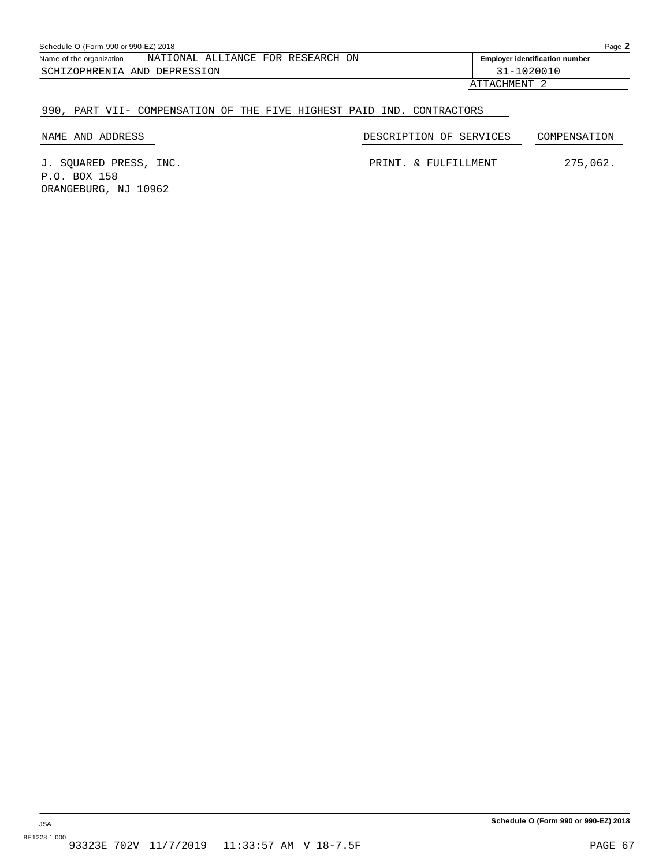| Schedule O (Form 990 or 990-EZ) 2018 |  |                                   |  |  |                                       |  |
|--------------------------------------|--|-----------------------------------|--|--|---------------------------------------|--|
| Name of the organization             |  | NATIONAL ALLIANCE FOR RESEARCH ON |  |  | <b>Employer identification number</b> |  |
| SCHIZOPHRENIA AND DEPRESSION         |  |                                   |  |  | 31-1020010                            |  |
|                                      |  |                                   |  |  | $\pi$ mm $\pi$ $\pi$ then $\pi$ m     |  |

#### ATTACHMENT 2

#### 990, PART VII- COMPENSATION OF THE FIVE HIGHEST PAID IND. CONTRACTORS

NAME AND ADDRESS DESCRIPTION OF SERVICES COMPENSATION

J. SQUARED PRESS, INC. PRINT. & FULFILLMENT 275,062. P.O. BOX 158 ORANGEBURG, NJ 10962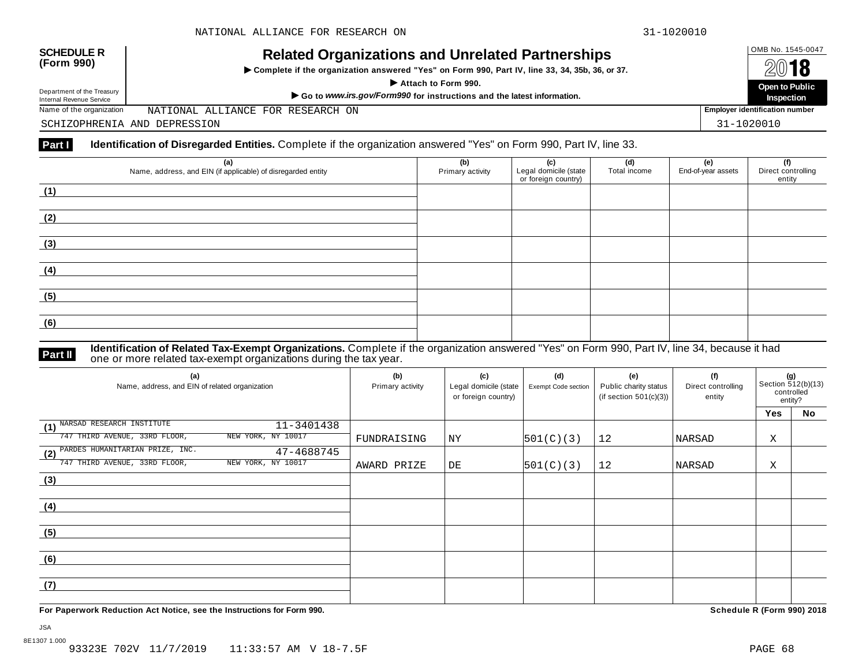## OMB No. 1545-0047 **SCHEDULE R (Form 990) Related Organizations and Unrelated Partnerships**

 $\triangleright$  Complete if the organization answered "Yes" on Form 990, Part IV, line 33, 34, 35b, 36, or 37.



Department of the Treasury

Department of the Treasury<br>Internal Revenue Service **Department of the Treasury** Open to Public<br>Name of the organization MATIONAL ALLIANCE FOR RESEARCH ON

NATIONAL ALLIANCE FOR RESEARCH ON

SCHIZOPHRENIA AND DEPRESSION 31-1020010

#### **Part I Identification of Disregarded Entities.** Complete if the organization answered "Yes" on Form 990, Part IV, line 33.

| (a)<br>Name, address, and EIN (if applicable) of disregarded entity | (b)<br>Primary activity | (c)<br>Legal domicile (state<br>or foreign country) | (d)<br>Total income | (e)<br>End-of-year assets | (f)<br>Direct controlling<br>entity |
|---------------------------------------------------------------------|-------------------------|-----------------------------------------------------|---------------------|---------------------------|-------------------------------------|
| (1)                                                                 |                         |                                                     |                     |                           |                                     |
| (2)                                                                 |                         |                                                     |                     |                           |                                     |
| (3)                                                                 |                         |                                                     |                     |                           |                                     |
| (4)                                                                 |                         |                                                     |                     |                           |                                     |
| (5)                                                                 |                         |                                                     |                     |                           |                                     |
| (6)                                                                 |                         |                                                     |                     |                           |                                     |

**Identification of Related Tax-Exempt Organizations.** Complete if the organization answered "Yes" on Form 990, Part IV, line 34, because it had **Part II** one or more related tax-exempt organizations during the tax year.

| (a)<br>Name, address, and EIN of related organization | (b)<br>Primary activity | (c)<br>Legal domicile (state<br>or foreign country) | (d)<br>Exempt Code section | (e)<br>Public charity status<br>(if section $501(c)(3)$ ) | (f)<br>Direct controlling<br>entity | (g)<br>Section 512(b)(13)<br>controlled<br>entity? |    |  |
|-------------------------------------------------------|-------------------------|-----------------------------------------------------|----------------------------|-----------------------------------------------------------|-------------------------------------|----------------------------------------------------|----|--|
|                                                       |                         |                                                     |                            |                                                           |                                     | <b>Yes</b>                                         | No |  |
| NARSAD RESEARCH INSTITUTE<br>11-3401438<br>(1)        |                         |                                                     |                            |                                                           |                                     |                                                    |    |  |
| 747 THIRD AVENUE, 33RD FLOOR,<br>NEW YORK, NY 10017   | FUNDRAISING             | ΝY                                                  | 501(C)(3)                  | 12                                                        | NARSAD                              | Χ                                                  |    |  |
| (2) PARDES HUMANITARIAN PRIZE, INC.<br>47-4688745     |                         |                                                     |                            |                                                           |                                     |                                                    |    |  |
| 747 THIRD AVENUE, 33RD FLOOR,<br>NEW YORK, NY 10017   | AWARD PRIZE             | DE                                                  | 501(C)(3)                  | 12                                                        | NARSAD                              | Χ                                                  |    |  |
| (3)                                                   |                         |                                                     |                            |                                                           |                                     |                                                    |    |  |
|                                                       |                         |                                                     |                            |                                                           |                                     |                                                    |    |  |
| (4)                                                   |                         |                                                     |                            |                                                           |                                     |                                                    |    |  |
|                                                       |                         |                                                     |                            |                                                           |                                     |                                                    |    |  |
| (5)                                                   |                         |                                                     |                            |                                                           |                                     |                                                    |    |  |
|                                                       |                         |                                                     |                            |                                                           |                                     |                                                    |    |  |
| (6)                                                   |                         |                                                     |                            |                                                           |                                     |                                                    |    |  |
|                                                       |                         |                                                     |                            |                                                           |                                     |                                                    |    |  |
| (7)                                                   |                         |                                                     |                            |                                                           |                                     |                                                    |    |  |
|                                                       |                         |                                                     |                            |                                                           |                                     |                                                    |    |  |

**For Paperwork Reduction Act Notice, see the Instructions for Form 990. Schedule R (Form 990) 2018**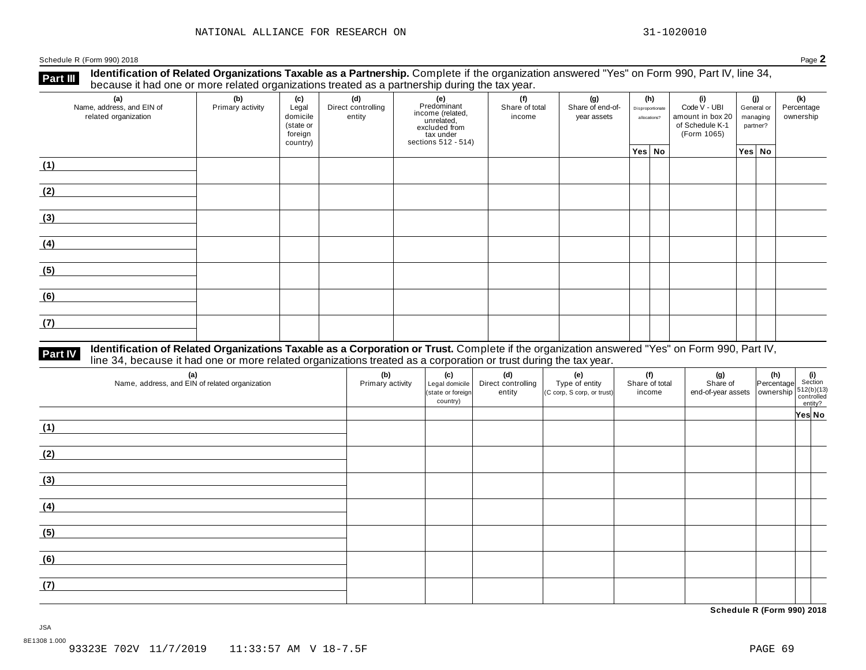**Identification of Related Organizations Taxable as a Partnership.** Complete if the organization answered "Yes" on Form 990, Part IV, line 34, **because it had one or more related organizations Taxable as a Partnership.** Complete if the organization of Related organizations treated as a partnership during the tax year.

| (a)<br>Name, address, and EIN of<br>related organization | ັ<br>(b)<br>Primary activity | (c)<br>Legal<br>domicile<br>(state or<br>foreign<br>country) | .<br>(d)<br>Direct controlling<br>entity | ັ<br>(e)<br>Predominant<br>Frecomman<br>income (related,<br>unrelated,<br>sccluded from<br>sections 512 - 514) | (f)<br>Share of total<br>income | (g)<br>Share of end-of-<br>year assets | (h)<br>Disproportionate<br>allocations? | (i)<br>Code V - UBI<br>amount in box 20<br>of Schedule K-1<br>(Form 1065) | (j)<br>General or<br>managing<br>partner? | (k)<br>Percentage<br>ownership |
|----------------------------------------------------------|------------------------------|--------------------------------------------------------------|------------------------------------------|----------------------------------------------------------------------------------------------------------------|---------------------------------|----------------------------------------|-----------------------------------------|---------------------------------------------------------------------------|-------------------------------------------|--------------------------------|
|                                                          |                              |                                                              |                                          |                                                                                                                |                                 |                                        | Yes No                                  |                                                                           | Yes No                                    |                                |
| (1)                                                      |                              |                                                              |                                          |                                                                                                                |                                 |                                        |                                         |                                                                           |                                           |                                |
| (2)                                                      |                              |                                                              |                                          |                                                                                                                |                                 |                                        |                                         |                                                                           |                                           |                                |
| (3)                                                      |                              |                                                              |                                          |                                                                                                                |                                 |                                        |                                         |                                                                           |                                           |                                |
| (4)                                                      |                              |                                                              |                                          |                                                                                                                |                                 |                                        |                                         |                                                                           |                                           |                                |
| (5)                                                      |                              |                                                              |                                          |                                                                                                                |                                 |                                        |                                         |                                                                           |                                           |                                |
| (6)                                                      |                              |                                                              |                                          |                                                                                                                |                                 |                                        |                                         |                                                                           |                                           |                                |
| (7)                                                      |                              |                                                              |                                          |                                                                                                                |                                 |                                        |                                         |                                                                           |                                           |                                |

## **Part IV** Identification of Related Organizations Taxable as a Corporation or Trust. Complete if the organization answered "Yes" on Form 990, Part IV,<br>line 34, because it had one or more related organizations treated as a

| (a)<br>Name, address, and EIN of related organization | (b)<br>Primary activity | (c)<br>Legal domicile<br>(state or foreign<br>country) | (d)<br>Direct controlling<br>entity | (e)<br>Type of entity<br>(C corp, S corp, or trust) | (f)<br>Share of total<br>income | (g)<br>Share of<br>$\left  \begin{array}{c} \text{or} \\ \text{end-of-year assets} \end{array} \right  \left  \begin{array}{c} \text{or} \\ \text{overship} \end{array} \right  \left  \begin{array}{c} 512(b)(13) \\ \text{controlled} \end{array} \right $ | (h) (i)<br>Percentage Section | entity? |  |
|-------------------------------------------------------|-------------------------|--------------------------------------------------------|-------------------------------------|-----------------------------------------------------|---------------------------------|--------------------------------------------------------------------------------------------------------------------------------------------------------------------------------------------------------------------------------------------------------------|-------------------------------|---------|--|
|                                                       |                         |                                                        |                                     |                                                     |                                 |                                                                                                                                                                                                                                                              |                               | Yes No  |  |
| (1)                                                   |                         |                                                        |                                     |                                                     |                                 |                                                                                                                                                                                                                                                              |                               |         |  |
|                                                       |                         |                                                        |                                     |                                                     |                                 |                                                                                                                                                                                                                                                              |                               |         |  |
| (2)                                                   |                         |                                                        |                                     |                                                     |                                 |                                                                                                                                                                                                                                                              |                               |         |  |
| (3)                                                   |                         |                                                        |                                     |                                                     |                                 |                                                                                                                                                                                                                                                              |                               |         |  |
| (4)                                                   |                         |                                                        |                                     |                                                     |                                 |                                                                                                                                                                                                                                                              |                               |         |  |
| (5)                                                   |                         |                                                        |                                     |                                                     |                                 |                                                                                                                                                                                                                                                              |                               |         |  |
| (6)                                                   |                         |                                                        |                                     |                                                     |                                 |                                                                                                                                                                                                                                                              |                               |         |  |
| (7)                                                   |                         |                                                        |                                     |                                                     |                                 |                                                                                                                                                                                                                                                              |                               |         |  |

**Schedule R (Form 990) 2018**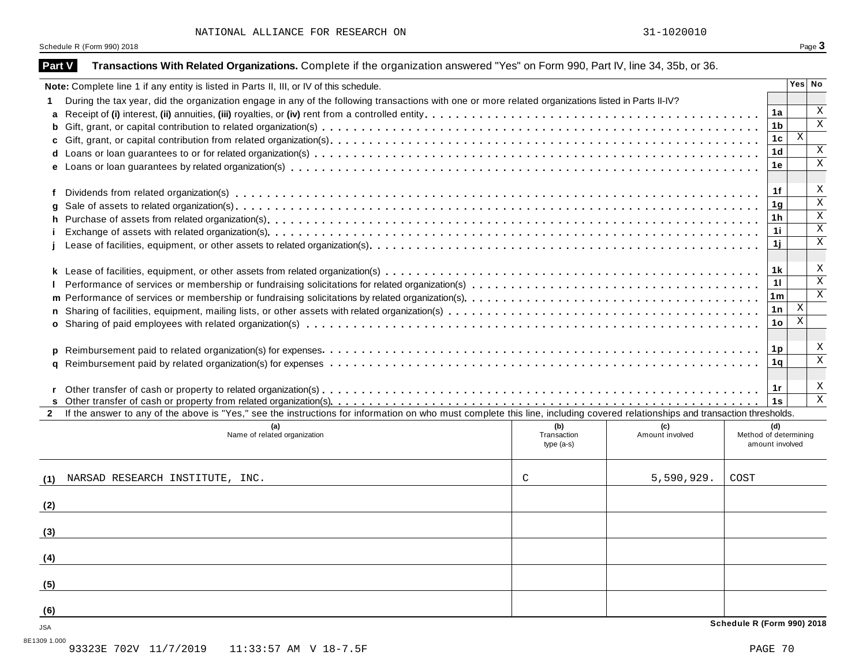| Part V            | Transactions With Related Organizations. Complete if the organization answered "Yes" on Form 990, Part IV, line 34, 35b, or 36.                                              |                            |                 |                                          |                                  |                                        |  |  |  |  |
|-------------------|------------------------------------------------------------------------------------------------------------------------------------------------------------------------------|----------------------------|-----------------|------------------------------------------|----------------------------------|----------------------------------------|--|--|--|--|
|                   | Note: Complete line 1 if any entity is listed in Parts II, III, or IV of this schedule.                                                                                      |                            |                 |                                          |                                  | Yes No                                 |  |  |  |  |
| 1.                | During the tax year, did the organization engage in any of the following transactions with one or more related organizations listed in Parts II-IV?                          |                            |                 |                                          |                                  |                                        |  |  |  |  |
| a                 |                                                                                                                                                                              |                            |                 |                                          | 1a                               | $\overline{X}$                         |  |  |  |  |
| b                 |                                                                                                                                                                              |                            |                 |                                          | 1 <sub>b</sub>                   | $\overline{\mathbf{x}}$                |  |  |  |  |
| c                 |                                                                                                                                                                              |                            |                 |                                          | 1 <sub>c</sub>                   | $\overline{X}$                         |  |  |  |  |
| d                 |                                                                                                                                                                              |                            |                 |                                          | 1 <sub>d</sub>                   | $\mathbf X$                            |  |  |  |  |
| е                 |                                                                                                                                                                              |                            |                 |                                          | 1e                               | $\overline{\mathbf{x}}$                |  |  |  |  |
| f                 |                                                                                                                                                                              |                            |                 |                                          | 1f                               | X                                      |  |  |  |  |
| a                 |                                                                                                                                                                              |                            |                 |                                          |                                  |                                        |  |  |  |  |
| h                 |                                                                                                                                                                              |                            |                 |                                          | 1 <sub>g</sub><br>1 <sub>h</sub> | $\overline{\mathbf{x}}$                |  |  |  |  |
|                   |                                                                                                                                                                              |                            |                 |                                          | 1i                               | $\overline{\mathbf{x}}$                |  |  |  |  |
|                   |                                                                                                                                                                              |                            |                 |                                          | 1j                               | $\mathbf X$                            |  |  |  |  |
|                   |                                                                                                                                                                              |                            |                 |                                          | 1k                               | X                                      |  |  |  |  |
| k                 |                                                                                                                                                                              |                            |                 |                                          | 11                               | $\overline{\mathbf{x}}$                |  |  |  |  |
|                   |                                                                                                                                                                              |                            |                 |                                          |                                  |                                        |  |  |  |  |
|                   | 1 <sub>m</sub><br>m                                                                                                                                                          |                            |                 |                                          |                                  |                                        |  |  |  |  |
| n                 |                                                                                                                                                                              |                            |                 |                                          | 1n<br>10 <sub>1</sub>            | $\mathbf X$<br>$\overline{\mathbf{x}}$ |  |  |  |  |
| o                 |                                                                                                                                                                              |                            |                 |                                          |                                  |                                        |  |  |  |  |
| p                 |                                                                                                                                                                              |                            |                 |                                          | 1 <sub>p</sub>                   | $\boldsymbol{\mathrm{X}}$              |  |  |  |  |
| a                 |                                                                                                                                                                              |                            |                 |                                          | 1q                               | $\overline{\mathbf{x}}$                |  |  |  |  |
|                   |                                                                                                                                                                              |                            |                 |                                          |                                  |                                        |  |  |  |  |
|                   |                                                                                                                                                                              |                            |                 |                                          | 1r                               | X<br>$\overline{\mathbf{x}}$           |  |  |  |  |
| s<br>$\mathbf{2}$ | If the answer to any of the above is "Yes," see the instructions for information on who must complete this line, including covered relationships and transaction thresholds. |                            |                 |                                          | 1s                               |                                        |  |  |  |  |
|                   | (a)                                                                                                                                                                          | (b)                        | (c)             |                                          | (d)                              |                                        |  |  |  |  |
|                   | Name of related organization                                                                                                                                                 | Transaction<br>$type(a-s)$ | Amount involved | Method of determining<br>amount involved |                                  |                                        |  |  |  |  |
| (1)               | NARSAD RESEARCH INSTITUTE, INC.                                                                                                                                              | C                          | 5,590,929.      | COST                                     |                                  |                                        |  |  |  |  |
|                   |                                                                                                                                                                              |                            |                 |                                          |                                  |                                        |  |  |  |  |
| (2)               |                                                                                                                                                                              |                            |                 |                                          |                                  |                                        |  |  |  |  |
| (3)               |                                                                                                                                                                              |                            |                 |                                          |                                  |                                        |  |  |  |  |
| (4)               |                                                                                                                                                                              |                            |                 |                                          |                                  |                                        |  |  |  |  |
| (5)               |                                                                                                                                                                              |                            |                 |                                          |                                  |                                        |  |  |  |  |
| (6)               |                                                                                                                                                                              |                            |                 |                                          |                                  |                                        |  |  |  |  |
| JSA               |                                                                                                                                                                              |                            |                 | Schedule R (Form 990) 2018               |                                  |                                        |  |  |  |  |

8E1309 1.000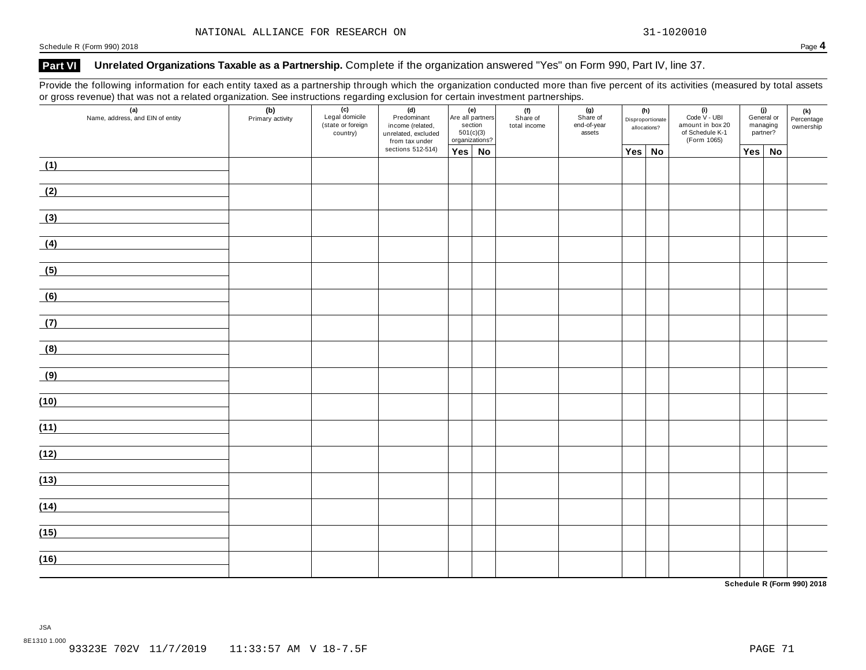### **Part VI Unrelated Organizations Taxable as a Partnership.** Complete if the organization answered "Yes" on Form 990, Part IV, line 37.

Provide the following information for each entity taxed as a partnership through which the organization conducted more than five percent of its activities (measured by total assets or gross revenue) that was not a related organization. See instructions regarding exclusion for certain investment partnerships.

| (a)<br>Name, address, and EIN of entity | (b)<br>Primary activity<br>(c)<br>Legal domicile<br>(d)<br>Predominant<br>(state or foreign<br>income (related,<br>country)<br>unrelated, excluded<br>from tax under |  | (e)<br>Are all partners<br>section<br>501(c)(3)<br>organizations? |               | (f)<br>Share of<br>total income | (g)<br>Share of<br>end-of-year<br>assets | (h)<br>Disproportionate<br>allocations? |               | (i)<br>Code V - UBI<br>amount in box 20<br>of Schedule K-1<br>(Form 1065) | (j)<br>General or<br>managing<br>partner? |     | (k)<br>Percentage<br>ownership |  |
|-----------------------------------------|----------------------------------------------------------------------------------------------------------------------------------------------------------------------|--|-------------------------------------------------------------------|---------------|---------------------------------|------------------------------------------|-----------------------------------------|---------------|---------------------------------------------------------------------------|-------------------------------------------|-----|--------------------------------|--|
|                                         |                                                                                                                                                                      |  | sections 512-514)                                                 | $Yes \mid No$ |                                 |                                          |                                         | $Yes \mid No$ |                                                                           |                                           | Yes | <b>No</b>                      |  |
| (1)                                     |                                                                                                                                                                      |  |                                                                   |               |                                 |                                          |                                         |               |                                                                           |                                           |     |                                |  |
| (2)                                     |                                                                                                                                                                      |  |                                                                   |               |                                 |                                          |                                         |               |                                                                           |                                           |     |                                |  |
| (3)                                     |                                                                                                                                                                      |  |                                                                   |               |                                 |                                          |                                         |               |                                                                           |                                           |     |                                |  |
| (4)                                     |                                                                                                                                                                      |  |                                                                   |               |                                 |                                          |                                         |               |                                                                           |                                           |     |                                |  |
| (5)                                     |                                                                                                                                                                      |  |                                                                   |               |                                 |                                          |                                         |               |                                                                           |                                           |     |                                |  |
| (6)                                     |                                                                                                                                                                      |  |                                                                   |               |                                 |                                          |                                         |               |                                                                           |                                           |     |                                |  |
| (7)                                     |                                                                                                                                                                      |  |                                                                   |               |                                 |                                          |                                         |               |                                                                           |                                           |     |                                |  |
| (8)                                     |                                                                                                                                                                      |  |                                                                   |               |                                 |                                          |                                         |               |                                                                           |                                           |     |                                |  |
| (9)                                     |                                                                                                                                                                      |  |                                                                   |               |                                 |                                          |                                         |               |                                                                           |                                           |     |                                |  |
| (10)                                    |                                                                                                                                                                      |  |                                                                   |               |                                 |                                          |                                         |               |                                                                           |                                           |     |                                |  |
| (11)                                    |                                                                                                                                                                      |  |                                                                   |               |                                 |                                          |                                         |               |                                                                           |                                           |     |                                |  |
| (12)                                    |                                                                                                                                                                      |  |                                                                   |               |                                 |                                          |                                         |               |                                                                           |                                           |     |                                |  |
| (13)                                    |                                                                                                                                                                      |  |                                                                   |               |                                 |                                          |                                         |               |                                                                           |                                           |     |                                |  |
| (14)                                    |                                                                                                                                                                      |  |                                                                   |               |                                 |                                          |                                         |               |                                                                           |                                           |     |                                |  |
| (15)                                    |                                                                                                                                                                      |  |                                                                   |               |                                 |                                          |                                         |               |                                                                           |                                           |     |                                |  |
| (16)                                    |                                                                                                                                                                      |  |                                                                   |               |                                 |                                          |                                         |               |                                                                           |                                           |     |                                |  |
|                                         |                                                                                                                                                                      |  |                                                                   |               |                                 |                                          |                                         |               |                                                                           |                                           |     |                                |  |

**Schedule R (Form 990) 2018**

JSA